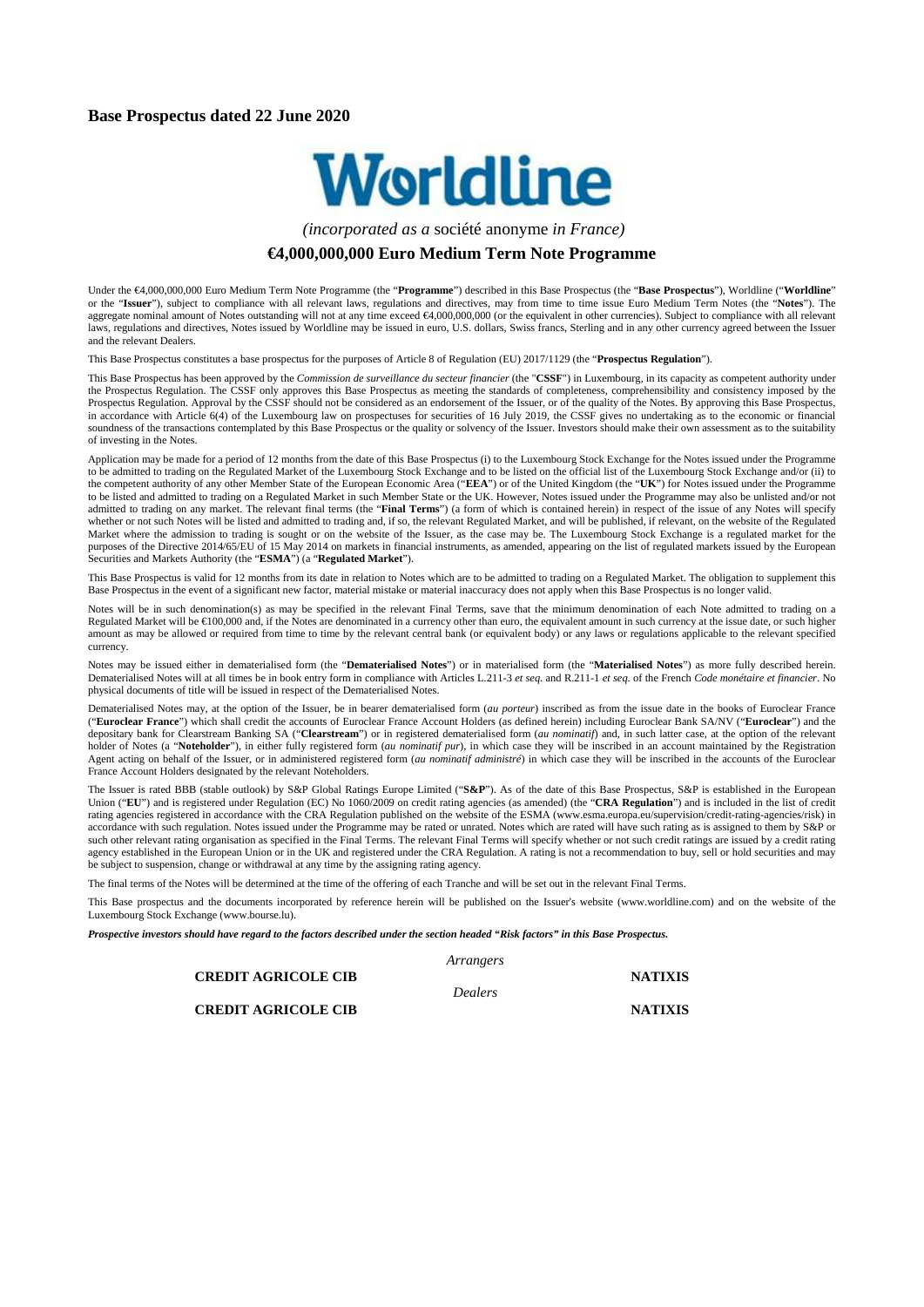#### **Base Prospectus dated 22 June 2020**



*(incorporated as a* société anonyme *in France)* 

#### **€4,000,000,000 Euro Medium Term Note Programme**

Under the €4,000,000,000 Euro Medium Term Note Programme (the "**Programme**") described in this Base Prospectus (the "**Base Prospectus**"), Worldline ("**Worldline**" or the "**Issuer**"), subject to compliance with all relevant laws, regulations and directives, may from time to time issue Euro Medium Term Notes (the "**Notes**"). The aggregate nominal amount of Notes outstanding will not at any time exceed €4,000,000,000 (or the equivalent in other currencies). Subject to compliance with all relevant laws, regulations and directives, Notes issued by Worldline may be issued in euro, U.S. dollars, Swiss francs, Sterling and in any other currency agreed between the Issuer and the relevant Dealers.

This Base Prospectus constitutes a base prospectus for the purposes of Article 8 of Regulation (EU) 2017/1129 (the "**Prospectus Regulation**").

This Base Prospectus has been approved by the *Commission de surveillance du secteur financier* (the "CSSF") in Luxembourg, in its capacity as competent authority under the Prospectus Regulation. The CSSF only approves this Base Prospectus as meeting the standards of completeness, comprehensibility and consistency imposed by the Prospectus Regulation. Approval by the CSSF should not be considered as an endorsement of the Issuer, or of the quality of the Notes. By approving this Base Prospectus, in accordance with Article 6(4) of the Luxembourg law on prospectuses for securities of 16 July 2019, the CSSF gives no undertaking as to the economic or financial soundness of the transactions contemplated by this Base Prospectus or the quality or solvency of the Issuer. Investors should make their own assessment as to the suitability soundness of the transactions contemplated by th of investing in the Notes.

Application may be made for a period of 12 months from the date of this Base Prospectus (i) to the Luxembourg Stock Exchange for the Notes issued under the Programme to be admitted to trading on the Regulated Market of the Luxembourg Stock Exchange and to be listed on the official list of the Luxembourg Stock Exchange and/or (ii) to the competent authority of any other Member State of the European Economic Area ("**EEA**") or of the United Kingdom (the "**UK**") for Notes issued under the Programme to be listed and admitted to trading on a Regulated Market in such Member State or the UK. However, Notes issued under the Programme may also be unlisted and/or not admitted to trading on any market. The relevant final terms (the "**Final Terms**") (a form of which is contained herein) in respect of the issue of any Notes will specify whether or not such Notes will be listed and admitted to trading and, if so, the relevant Regulated Market, and will be published, if relevant, on the website of the Regulated Market where the admission to trading is sought or on the website of the Issuer, as the case may be. The Luxembourg Stock Exchange is a regulated market for the purposes of the Directive 2014/65/EU of 15 May 2014 on markets in financial instruments, as amended, appearing on the list of regulated markets issued by the European Securities and Markets Authority (the "**ESMA**") (a "**Regulated Market**").

This Base Prospectus is valid for 12 months from its date in relation to Notes which are to be admitted to trading on a Regulated Market. The obligation to supplement this Base Prospectus in the event of a significant new factor, material mistake or material inaccuracy does not apply when this Base Prospectus is no longer valid.

Notes will be in such denomination(s) as may be specified in the relevant Final Terms, save that the minimum denomination of each Note admitted to trading on a Regulated Market will be €100,000 and, if the Notes are denominated in a currency other than euro, the equivalent amount in such currency at the issue date, or such higher amount as may be allowed or required from time to time by the relevant central bank (or equivalent body) or any laws or regulations applicable to the relevant specified currency.

Notes may be issued either in dematerialised form (the "**Dematerialised Notes**") or in materialised form (the "**Materialised Notes**") as more fully described herein. Dematerialised Notes will at all times be in book entry form in compliance with Articles L.211-3 *et seq.* and R.211-1 *et seq.* of the French *Code monétaire et financier*. No physical documents of title will be issued in respect of the Dematerialised Notes.

Dematerialised Notes may, at the option of the Issuer, be in bearer dematerialised form (*au porteur*) inscribed as from the issue date in the books of Euroclear France ("**Euroclear France**") which shall credit the accounts of Euroclear France Account Holders (as defined herein) including Euroclear Bank SA/NV ("**Euroclear**") and the depositary bank for Clearstream Banking SA ("**Clearstream**") or in registered dematerialised form (*au nominatif*) and, in such latter case, at the option of the relevant holder of Notes (a "**Noteholder**"), in either fully registered form (*au nominatif pur*), in which case they will be inscribed in an account maintained by the Registration Agent acting on behalf of the Issuer, or in administered registered form (*au nominatif administré*) in which case they will be inscribed in the accounts of the Euroclear France Account Holders designated by the relevant Noteholders.

The Issuer is rated BBB (stable outlook) by S&P Global Ratings Europe Limited ("**S&P**"). As of the date of this Base Prospectus, S&P is established in the European Union ("**EU**") and is registered under Regulation (EC) No 1060/2009 on credit rating agencies (as amended) (the "**CRA Regulation**") and is included in the list of credit rating agencies registered in accordance with the CRA Regulation published on the website of the ESMA (www.esma.europa.eu/supervision/credit-rating-agencies/risk) in accordance with such regulation. Notes issued under the Programme may be rated or unrated. Notes which are rated will have such rating as is assigned to them by S&P or such other relevant rating organisation as specified in the Final Terms. The relevant Final Terms will specify whether or not such credit ratings are issued by a credit rating agency established in the European Union or in the UK and registered under the CRA Regulation. A rating is not a recommendation to buy, sell or hold securities and may be subject to suspension, change or withdrawal at any time by the assigning rating agency.

The final terms of the Notes will be determined at the time of the offering of each Tranche and will be set out in the relevant Final Terms.

This Base prospectus and the documents incorporated by reference herein will be published on the Issuer's website (www.worldline.com) and on the website of the Luxembourg Stock Exchange (www.bourse.lu).

*Prospective investors should have regard to the factors described under the section headed "Risk factors" in this Base Prospectus.*

*Arrangers*

**CREDIT AGRICOLE CIB NATIXIS**

*Dealers*

**CREDIT AGRICOLE CIB NATIXIS**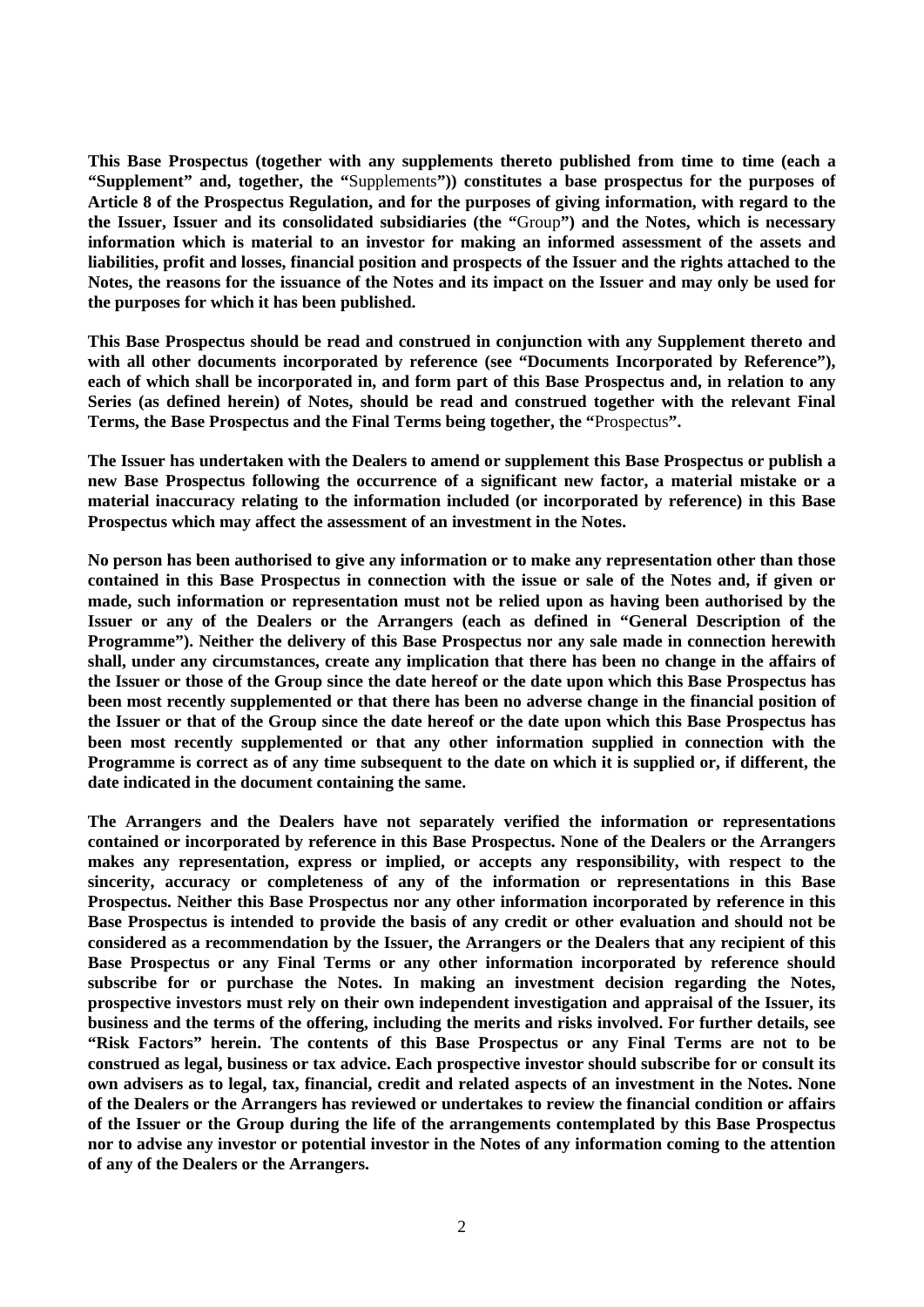**This Base Prospectus (together with any supplements thereto published from time to time (each a "Supplement" and, together, the "**Supplements**")) constitutes a base prospectus for the purposes of Article 8 of the Prospectus Regulation, and for the purposes of giving information, with regard to the the Issuer, Issuer and its consolidated subsidiaries (the "**Group**") and the Notes, which is necessary information which is material to an investor for making an informed assessment of the assets and liabilities, profit and losses, financial position and prospects of the Issuer and the rights attached to the Notes, the reasons for the issuance of the Notes and its impact on the Issuer and may only be used for the purposes for which it has been published.**

**This Base Prospectus should be read and construed in conjunction with any Supplement thereto and with all other documents incorporated by reference (see "Documents Incorporated by Reference"), each of which shall be incorporated in, and form part of this Base Prospectus and, in relation to any Series (as defined herein) of Notes, should be read and construed together with the relevant Final Terms, the Base Prospectus and the Final Terms being together, the "**Prospectus**".**

**The Issuer has undertaken with the Dealers to amend or supplement this Base Prospectus or publish a new Base Prospectus following the occurrence of a significant new factor, a material mistake or a material inaccuracy relating to the information included (or incorporated by reference) in this Base Prospectus which may affect the assessment of an investment in the Notes.**

**No person has been authorised to give any information or to make any representation other than those contained in this Base Prospectus in connection with the issue or sale of the Notes and, if given or made, such information or representation must not be relied upon as having been authorised by the Issuer or any of the Dealers or the Arrangers (each as defined in "General Description of the Programme"). Neither the delivery of this Base Prospectus nor any sale made in connection herewith shall, under any circumstances, create any implication that there has been no change in the affairs of the Issuer or those of the Group since the date hereof or the date upon which this Base Prospectus has been most recently supplemented or that there has been no adverse change in the financial position of the Issuer or that of the Group since the date hereof or the date upon which this Base Prospectus has been most recently supplemented or that any other information supplied in connection with the Programme is correct as of any time subsequent to the date on which it is supplied or, if different, the date indicated in the document containing the same.**

**The Arrangers and the Dealers have not separately verified the information or representations contained or incorporated by reference in this Base Prospectus. None of the Dealers or the Arrangers makes any representation, express or implied, or accepts any responsibility, with respect to the sincerity, accuracy or completeness of any of the information or representations in this Base Prospectus. Neither this Base Prospectus nor any other information incorporated by reference in this Base Prospectus is intended to provide the basis of any credit or other evaluation and should not be considered as a recommendation by the Issuer, the Arrangers or the Dealers that any recipient of this Base Prospectus or any Final Terms or any other information incorporated by reference should subscribe for or purchase the Notes. In making an investment decision regarding the Notes, prospective investors must rely on their own independent investigation and appraisal of the Issuer, its business and the terms of the offering, including the merits and risks involved. For further details, see "Risk Factors" herein. The contents of this Base Prospectus or any Final Terms are not to be construed as legal, business or tax advice. Each prospective investor should subscribe for or consult its own advisers as to legal, tax, financial, credit and related aspects of an investment in the Notes. None of the Dealers or the Arrangers has reviewed or undertakes to review the financial condition or affairs of the Issuer or the Group during the life of the arrangements contemplated by this Base Prospectus nor to advise any investor or potential investor in the Notes of any information coming to the attention of any of the Dealers or the Arrangers.**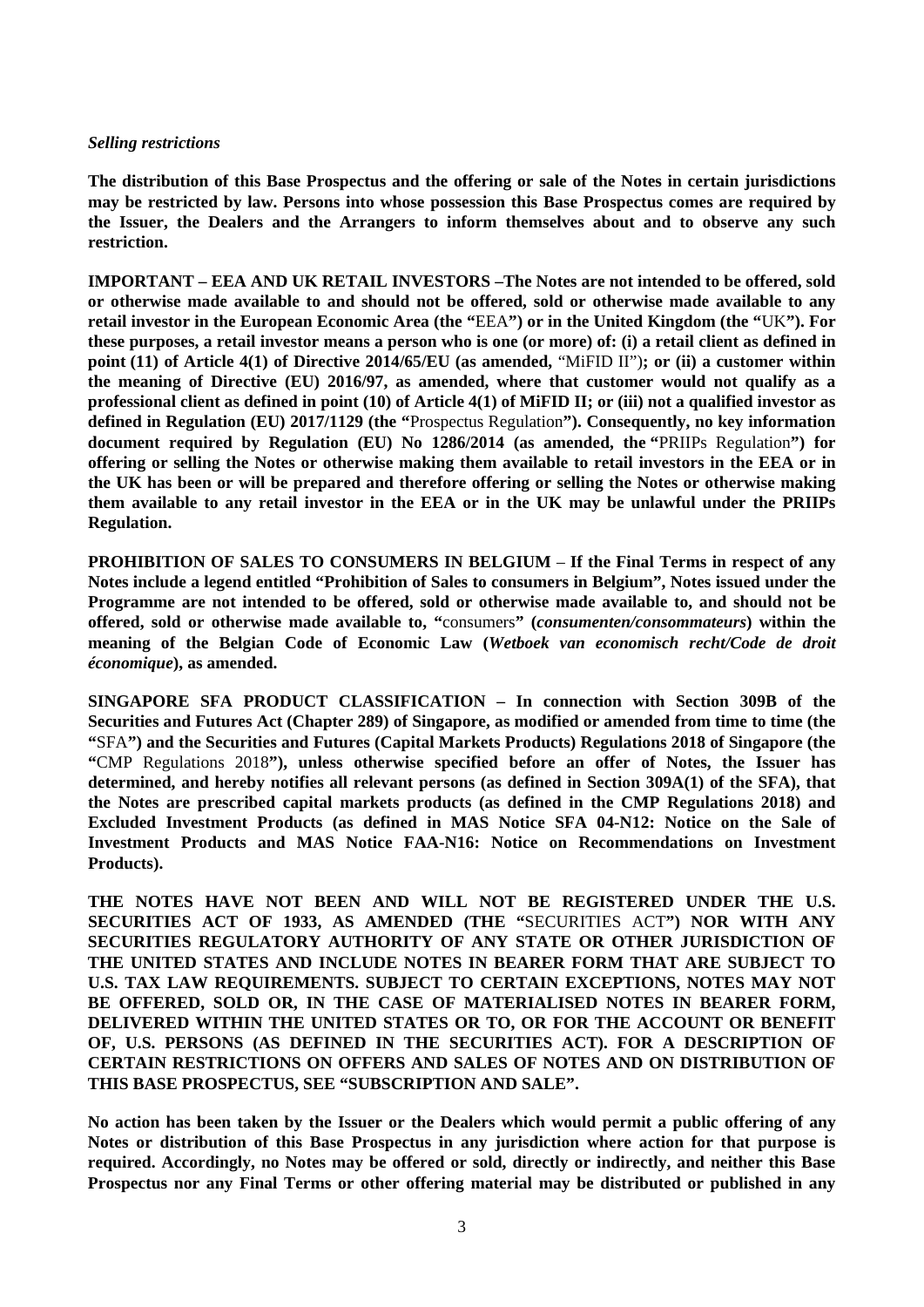#### *Selling restrictions*

**The distribution of this Base Prospectus and the offering or sale of the Notes in certain jurisdictions may be restricted by law. Persons into whose possession this Base Prospectus comes are required by the Issuer, the Dealers and the Arrangers to inform themselves about and to observe any such restriction.** 

**IMPORTANT – EEA AND UK RETAIL INVESTORS –The Notes are not intended to be offered, sold or otherwise made available to and should not be offered, sold or otherwise made available to any retail investor in the European Economic Area (the "**EEA**") or in the United Kingdom (the "**UK**"). For these purposes, a retail investor means a person who is one (or more) of: (i) a retail client as defined in point (11) of Article 4(1) of Directive 2014/65/EU (as amended,** "MiFID II")**; or (ii) a customer within the meaning of Directive (EU) 2016/97, as amended, where that customer would not qualify as a professional client as defined in point (10) of Article 4(1) of MiFID II; or (iii) not a qualified investor as defined in Regulation (EU) 2017/1129 (the "**Prospectus Regulation**"). Consequently, no key information document required by Regulation (EU) No 1286/2014 (as amended, the "**PRIIPs Regulation**") for offering or selling the Notes or otherwise making them available to retail investors in the EEA or in the UK has been or will be prepared and therefore offering or selling the Notes or otherwise making them available to any retail investor in the EEA or in the UK may be unlawful under the PRIIPs Regulation.**

**PROHIBITION OF SALES TO CONSUMERS IN BELGIUM** – **If the Final Terms in respect of any Notes include a legend entitled "Prohibition of Sales to consumers in Belgium", Notes issued under the Programme are not intended to be offered, sold or otherwise made available to, and should not be offered, sold or otherwise made available to, "**consumers**" (***consumenten/consommateurs***) within the meaning of the Belgian Code of Economic Law (***Wetboek van economisch recht/Code de droit économique***), as amended.**

**SINGAPORE SFA PRODUCT CLASSIFICATION – In connection with Section 309B of the Securities and Futures Act (Chapter 289) of Singapore, as modified or amended from time to time (the "**SFA**") and the Securities and Futures (Capital Markets Products) Regulations 2018 of Singapore (the "**CMP Regulations 2018**"), unless otherwise specified before an offer of Notes, the Issuer has determined, and hereby notifies all relevant persons (as defined in Section 309A(1) of the SFA), that the Notes are prescribed capital markets products (as defined in the CMP Regulations 2018) and Excluded Investment Products (as defined in MAS Notice SFA 04-N12: Notice on the Sale of Investment Products and MAS Notice FAA-N16: Notice on Recommendations on Investment Products).**

**THE NOTES HAVE NOT BEEN AND WILL NOT BE REGISTERED UNDER THE U.S. SECURITIES ACT OF 1933, AS AMENDED (THE "**SECURITIES ACT**") NOR WITH ANY SECURITIES REGULATORY AUTHORITY OF ANY STATE OR OTHER JURISDICTION OF THE UNITED STATES AND INCLUDE NOTES IN BEARER FORM THAT ARE SUBJECT TO U.S. TAX LAW REQUIREMENTS. SUBJECT TO CERTAIN EXCEPTIONS, NOTES MAY NOT BE OFFERED, SOLD OR, IN THE CASE OF MATERIALISED NOTES IN BEARER FORM, DELIVERED WITHIN THE UNITED STATES OR TO, OR FOR THE ACCOUNT OR BENEFIT OF, U.S. PERSONS (AS DEFINED IN THE SECURITIES ACT). FOR A DESCRIPTION OF CERTAIN RESTRICTIONS ON OFFERS AND SALES OF NOTES AND ON DISTRIBUTION OF THIS BASE PROSPECTUS, SEE "SUBSCRIPTION AND SALE".**

**No action has been taken by the Issuer or the Dealers which would permit a public offering of any Notes or distribution of this Base Prospectus in any jurisdiction where action for that purpose is required. Accordingly, no Notes may be offered or sold, directly or indirectly, and neither this Base Prospectus nor any Final Terms or other offering material may be distributed or published in any**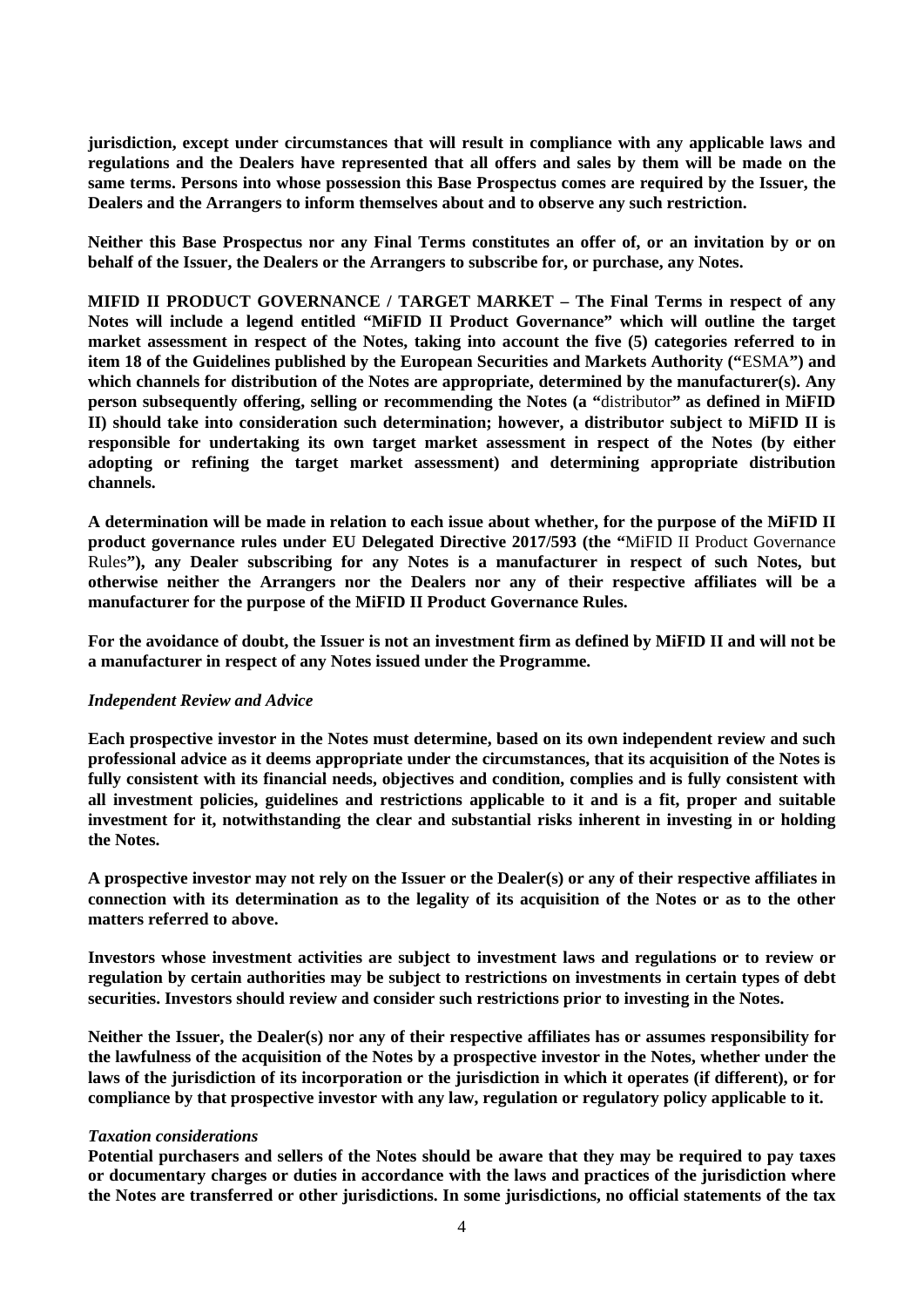**jurisdiction, except under circumstances that will result in compliance with any applicable laws and regulations and the Dealers have represented that all offers and sales by them will be made on the same terms. Persons into whose possession this Base Prospectus comes are required by the Issuer, the Dealers and the Arrangers to inform themselves about and to observe any such restriction.**

**Neither this Base Prospectus nor any Final Terms constitutes an offer of, or an invitation by or on behalf of the Issuer, the Dealers or the Arrangers to subscribe for, or purchase, any Notes.**

**MIFID II PRODUCT GOVERNANCE / TARGET MARKET – The Final Terms in respect of any Notes will include a legend entitled "MiFID II Product Governance" which will outline the target market assessment in respect of the Notes, taking into account the five (5) categories referred to in item 18 of the Guidelines published by the European Securities and Markets Authority ("**ESMA**") and which channels for distribution of the Notes are appropriate, determined by the manufacturer(s). Any person subsequently offering, selling or recommending the Notes (a "**distributor**" as defined in MiFID II) should take into consideration such determination; however, a distributor subject to MiFID II is responsible for undertaking its own target market assessment in respect of the Notes (by either adopting or refining the target market assessment) and determining appropriate distribution channels.**

**A determination will be made in relation to each issue about whether, for the purpose of the MiFID II product governance rules under EU Delegated Directive 2017/593 (the "**MiFID II Product Governance Rules**"), any Dealer subscribing for any Notes is a manufacturer in respect of such Notes, but otherwise neither the Arrangers nor the Dealers nor any of their respective affiliates will be a manufacturer for the purpose of the MiFID II Product Governance Rules.**

**For the avoidance of doubt, the Issuer is not an investment firm as defined by MiFID II and will not be a manufacturer in respect of any Notes issued under the Programme.**

### *Independent Review and Advice*

**Each prospective investor in the Notes must determine, based on its own independent review and such professional advice as it deems appropriate under the circumstances, that its acquisition of the Notes is fully consistent with its financial needs, objectives and condition, complies and is fully consistent with all investment policies, guidelines and restrictions applicable to it and is a fit, proper and suitable investment for it, notwithstanding the clear and substantial risks inherent in investing in or holding the Notes.**

**A prospective investor may not rely on the Issuer or the Dealer(s) or any of their respective affiliates in connection with its determination as to the legality of its acquisition of the Notes or as to the other matters referred to above.**

**Investors whose investment activities are subject to investment laws and regulations or to review or regulation by certain authorities may be subject to restrictions on investments in certain types of debt securities. Investors should review and consider such restrictions prior to investing in the Notes.**

**Neither the Issuer, the Dealer(s) nor any of their respective affiliates has or assumes responsibility for the lawfulness of the acquisition of the Notes by a prospective investor in the Notes, whether under the laws of the jurisdiction of its incorporation or the jurisdiction in which it operates (if different), or for compliance by that prospective investor with any law, regulation or regulatory policy applicable to it.**

#### *Taxation considerations*

**Potential purchasers and sellers of the Notes should be aware that they may be required to pay taxes or documentary charges or duties in accordance with the laws and practices of the jurisdiction where the Notes are transferred or other jurisdictions. In some jurisdictions, no official statements of the tax**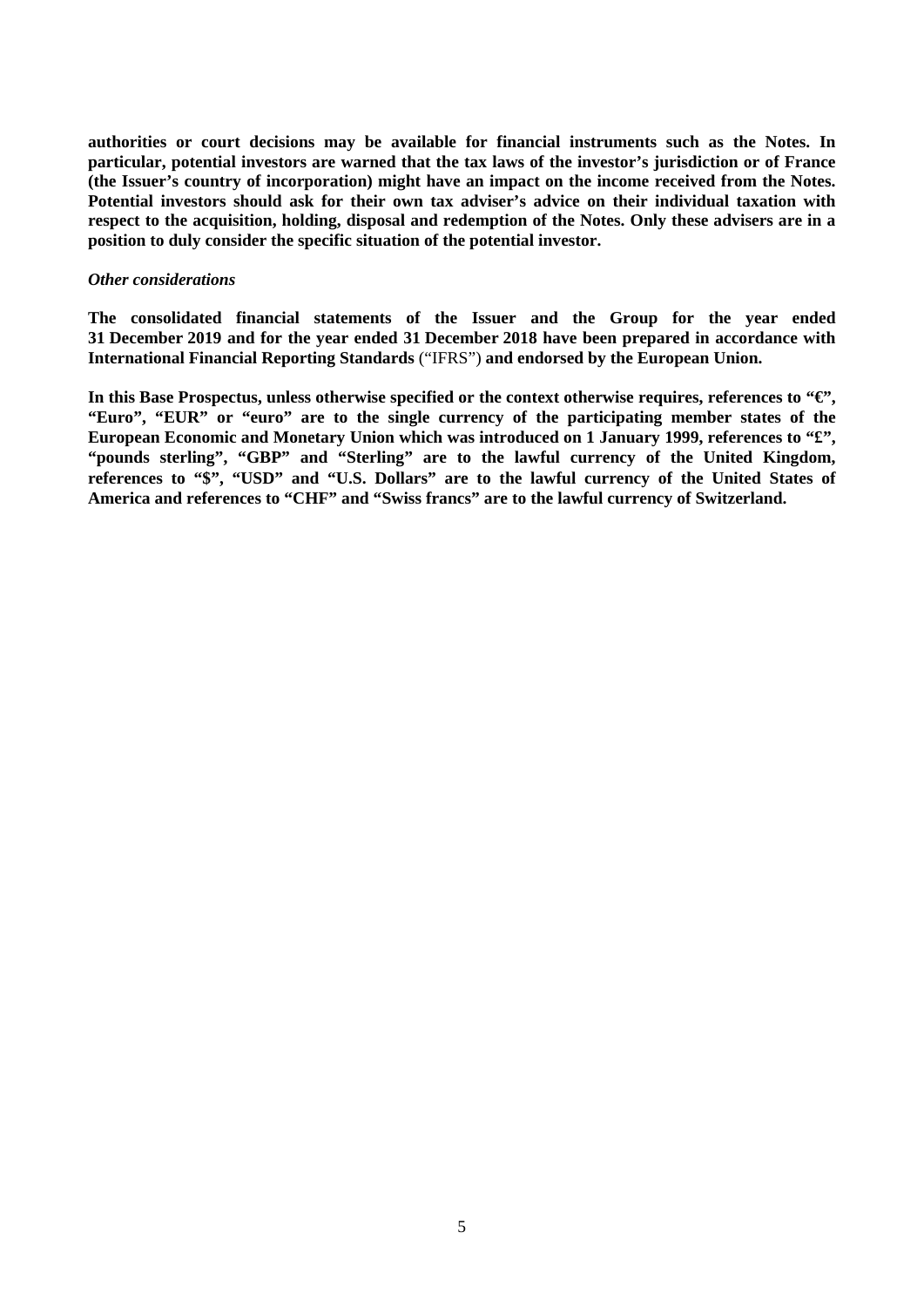**authorities or court decisions may be available for financial instruments such as the Notes. In particular, potential investors are warned that the tax laws of the investor's jurisdiction or of France (the Issuer's country of incorporation) might have an impact on the income received from the Notes. Potential investors should ask for their own tax adviser's advice on their individual taxation with respect to the acquisition, holding, disposal and redemption of the Notes. Only these advisers are in a position to duly consider the specific situation of the potential investor.** 

#### *Other considerations*

**The consolidated financial statements of the Issuer and the Group for the year ended 31 December 2019 and for the year ended 31 December 2018 have been prepared in accordance with International Financial Reporting Standards** ("IFRS") **and endorsed by the European Union.**

**In this Base Prospectus, unless otherwise specified or the context otherwise requires, references to "€", "Euro", "EUR" or "euro" are to the single currency of the participating member states of the European Economic and Monetary Union which was introduced on 1 January 1999, references to "£", "pounds sterling", "GBP" and "Sterling" are to the lawful currency of the United Kingdom, references to "\$", "USD" and "U.S. Dollars" are to the lawful currency of the United States of America and references to "CHF" and "Swiss francs" are to the lawful currency of Switzerland.**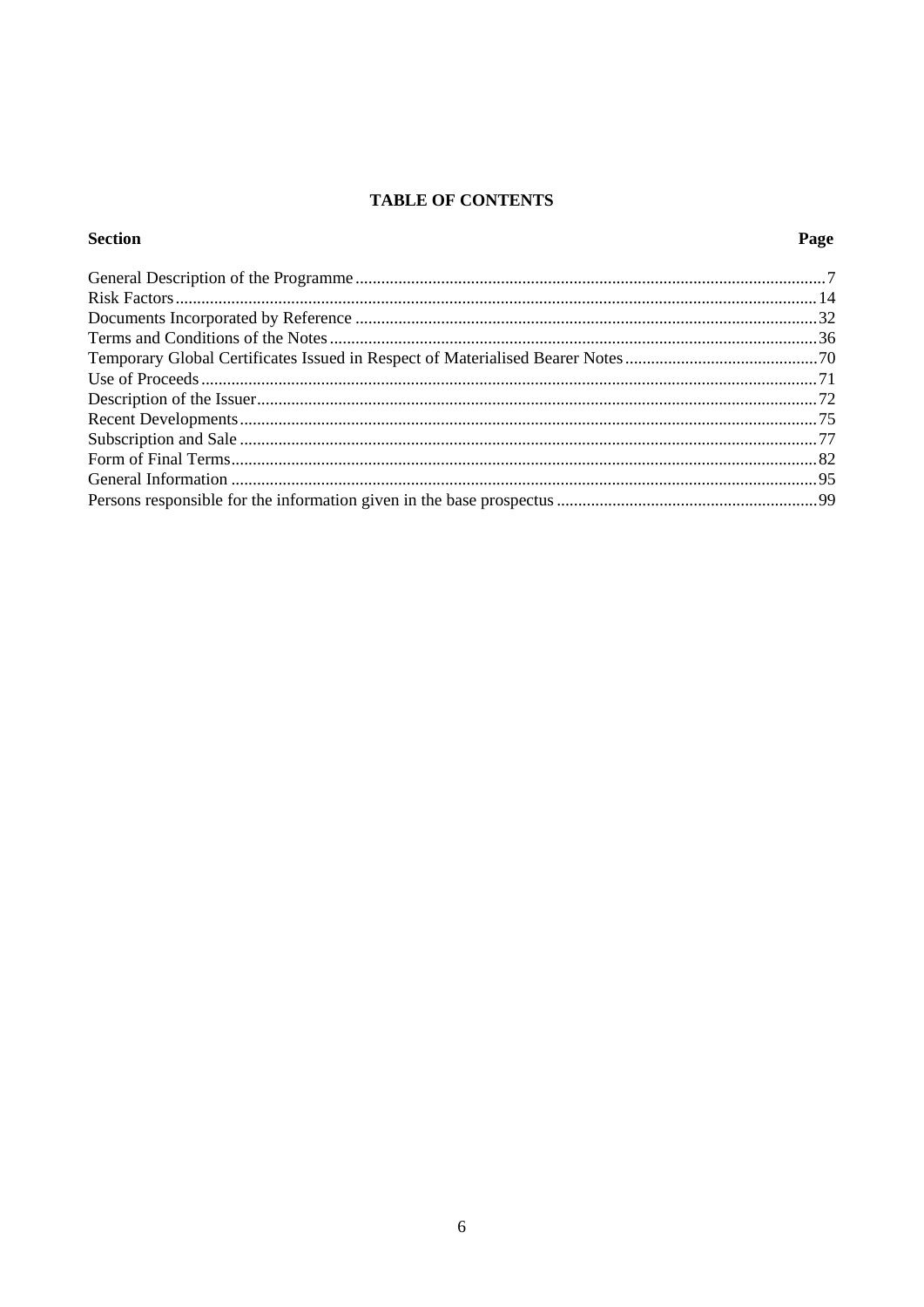# **TABLE OF CONTENTS**

# **Section**

# Page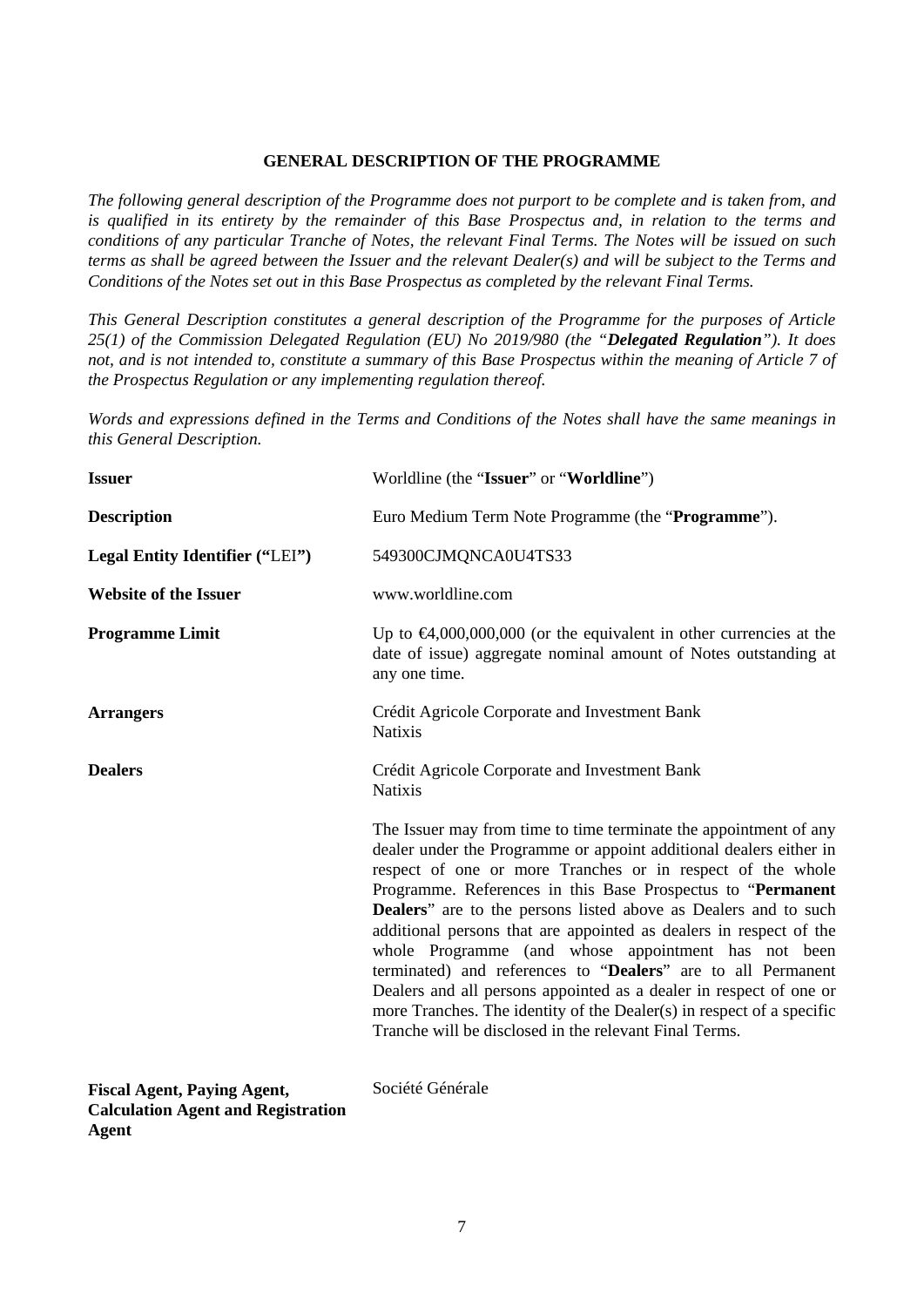### **GENERAL DESCRIPTION OF THE PROGRAMME**

<span id="page-6-0"></span>*The following general description of the Programme does not purport to be complete and is taken from, and is qualified in its entirety by the remainder of this Base Prospectus and, in relation to the terms and conditions of any particular Tranche of Notes, the relevant Final Terms. The Notes will be issued on such terms as shall be agreed between the Issuer and the relevant Dealer(s) and will be subject to the Terms and Conditions of the Notes set out in this Base Prospectus as completed by the relevant Final Terms.*

*This General Description constitutes a general description of the Programme for the purposes of Article 25(1) of the Commission Delegated Regulation (EU) No 2019/980 (the "Delegated Regulation"). It does not, and is not intended to, constitute a summary of this Base Prospectus within the meaning of Article 7 of the Prospectus Regulation or any implementing regulation thereof.*

*Words and expressions defined in the Terms and Conditions of the Notes shall have the same meanings in this General Description.*

| <b>Issuer</b>                                                                   | Worldline (the "Issuer" or "Worldline")                                                                                                                                                                                                                                                                                                                                                                                                                                                                                                                                                                                                                                                                                                                |
|---------------------------------------------------------------------------------|--------------------------------------------------------------------------------------------------------------------------------------------------------------------------------------------------------------------------------------------------------------------------------------------------------------------------------------------------------------------------------------------------------------------------------------------------------------------------------------------------------------------------------------------------------------------------------------------------------------------------------------------------------------------------------------------------------------------------------------------------------|
| <b>Description</b>                                                              | Euro Medium Term Note Programme (the "Programme").                                                                                                                                                                                                                                                                                                                                                                                                                                                                                                                                                                                                                                                                                                     |
| Legal Entity Identifier ("LEI")                                                 | 549300CJMQNCA0U4TS33                                                                                                                                                                                                                                                                                                                                                                                                                                                                                                                                                                                                                                                                                                                                   |
| <b>Website of the Issuer</b>                                                    | www.worldline.com                                                                                                                                                                                                                                                                                                                                                                                                                                                                                                                                                                                                                                                                                                                                      |
| <b>Programme Limit</b>                                                          | Up to $\Theta$ ,000,000,000 (or the equivalent in other currencies at the<br>date of issue) aggregate nominal amount of Notes outstanding at<br>any one time.                                                                                                                                                                                                                                                                                                                                                                                                                                                                                                                                                                                          |
| <b>Arrangers</b>                                                                | Crédit Agricole Corporate and Investment Bank<br><b>Natixis</b>                                                                                                                                                                                                                                                                                                                                                                                                                                                                                                                                                                                                                                                                                        |
| <b>Dealers</b>                                                                  | Crédit Agricole Corporate and Investment Bank<br><b>Natixis</b>                                                                                                                                                                                                                                                                                                                                                                                                                                                                                                                                                                                                                                                                                        |
|                                                                                 | The Issuer may from time to time terminate the appointment of any<br>dealer under the Programme or appoint additional dealers either in<br>respect of one or more Tranches or in respect of the whole<br>Programme. References in this Base Prospectus to "Permanent"<br><b>Dealers</b> " are to the persons listed above as Dealers and to such<br>additional persons that are appointed as dealers in respect of the<br>whole Programme (and whose appointment has not been<br>terminated) and references to "Dealers" are to all Permanent<br>Dealers and all persons appointed as a dealer in respect of one or<br>more Tranches. The identity of the Dealer(s) in respect of a specific<br>Tranche will be disclosed in the relevant Final Terms. |
| <b>Fiscal Agent, Paying Agent,</b><br><b>Calculation Agent and Registration</b> | Société Générale                                                                                                                                                                                                                                                                                                                                                                                                                                                                                                                                                                                                                                                                                                                                       |

**Agent**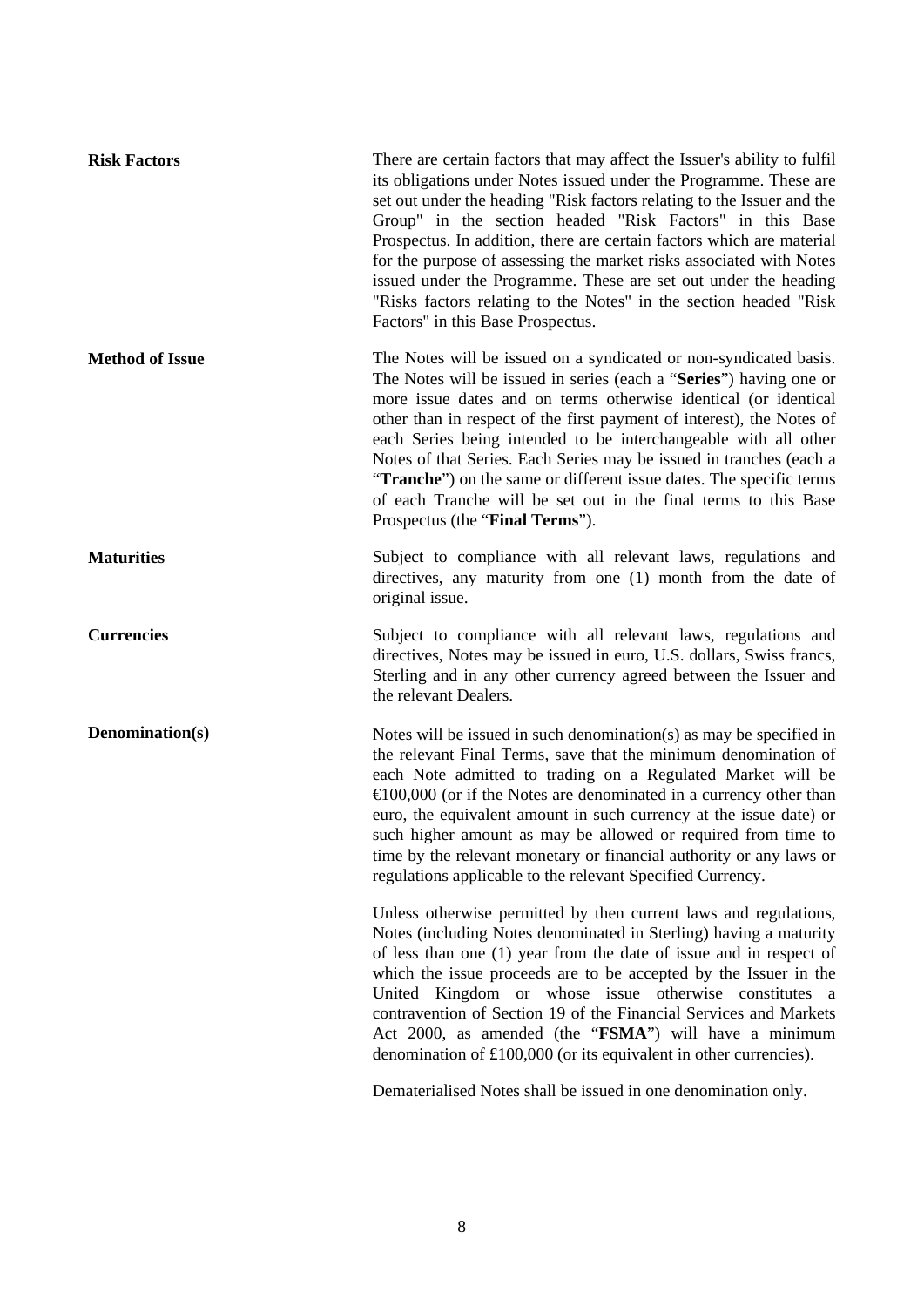| <b>Risk Factors</b>    | There are certain factors that may affect the Issuer's ability to fulfil<br>its obligations under Notes issued under the Programme. These are<br>set out under the heading "Risk factors relating to the Issuer and the<br>Group" in the section headed "Risk Factors" in this Base<br>Prospectus. In addition, there are certain factors which are material<br>for the purpose of assessing the market risks associated with Notes<br>issued under the Programme. These are set out under the heading<br>"Risks factors relating to the Notes" in the section headed "Risk<br>Factors" in this Base Prospectus. |
|------------------------|------------------------------------------------------------------------------------------------------------------------------------------------------------------------------------------------------------------------------------------------------------------------------------------------------------------------------------------------------------------------------------------------------------------------------------------------------------------------------------------------------------------------------------------------------------------------------------------------------------------|
| <b>Method of Issue</b> | The Notes will be issued on a syndicated or non-syndicated basis.<br>The Notes will be issued in series (each a "Series") having one or<br>more issue dates and on terms otherwise identical (or identical<br>other than in respect of the first payment of interest), the Notes of<br>each Series being intended to be interchangeable with all other<br>Notes of that Series. Each Series may be issued in tranches (each a<br>"Tranche") on the same or different issue dates. The specific terms<br>of each Tranche will be set out in the final terms to this Base<br>Prospectus (the "Final Terms").       |
| <b>Maturities</b>      | Subject to compliance with all relevant laws, regulations and<br>directives, any maturity from one (1) month from the date of<br>original issue.                                                                                                                                                                                                                                                                                                                                                                                                                                                                 |
| <b>Currencies</b>      | Subject to compliance with all relevant laws, regulations and<br>directives, Notes may be issued in euro, U.S. dollars, Swiss francs,<br>Sterling and in any other currency agreed between the Issuer and<br>the relevant Dealers.                                                                                                                                                                                                                                                                                                                                                                               |
| Denomination(s)        | Notes will be issued in such denomination(s) as may be specified in<br>the relevant Final Terms, save that the minimum denomination of<br>each Note admitted to trading on a Regulated Market will be<br>$\triangle$ 00,000 (or if the Notes are denominated in a currency other than<br>euro, the equivalent amount in such currency at the issue date) or<br>such higher amount as may be allowed or required from time to<br>time by the relevant monetary or financial authority or any laws or<br>regulations applicable to the relevant Specified Currency.                                                |
|                        | Unless otherwise permitted by then current laws and regulations,<br>Notes (including Notes denominated in Sterling) having a maturity<br>of less than one (1) year from the date of issue and in respect of<br>which the issue proceeds are to be accepted by the Issuer in the<br>United Kingdom or whose issue otherwise constitutes a<br>contravention of Section 19 of the Financial Services and Markets<br>Act 2000, as amended (the "FSMA") will have a minimum<br>denomination of £100,000 (or its equivalent in other currencies).                                                                      |
|                        | Dematerialised Notes shall be issued in one denomination only.                                                                                                                                                                                                                                                                                                                                                                                                                                                                                                                                                   |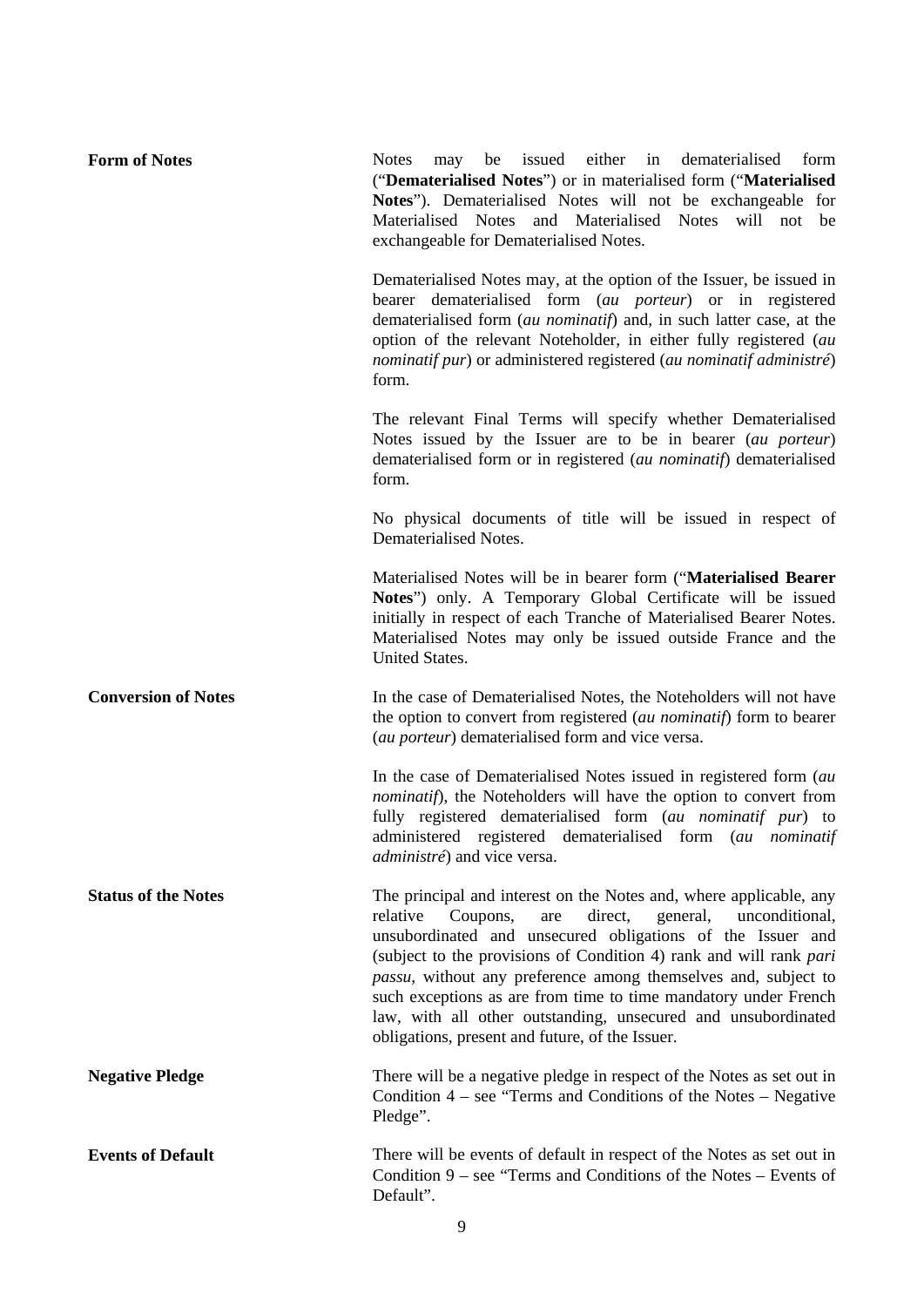| <b>Form of Notes</b>       | may be issued either in dematerialised<br>form<br><b>Notes</b><br>("Dematerialised Notes") or in materialised form ("Materialised<br>Notes"). Dematerialised Notes will not be exchangeable for<br>Materialised Notes and Materialised Notes will not be<br>exchangeable for Dematerialised Notes.                                                                                                                                                                                                                                      |
|----------------------------|-----------------------------------------------------------------------------------------------------------------------------------------------------------------------------------------------------------------------------------------------------------------------------------------------------------------------------------------------------------------------------------------------------------------------------------------------------------------------------------------------------------------------------------------|
|                            | Dematerialised Notes may, at the option of the Issuer, be issued in<br>bearer dematerialised form (au porteur) or in registered<br>dematerialised form (au nominatif) and, in such latter case, at the<br>option of the relevant Noteholder, in either fully registered (au<br>nominatif pur) or administered registered (au nominatif administré)<br>form.                                                                                                                                                                             |
|                            | The relevant Final Terms will specify whether Dematerialised<br>Notes issued by the Issuer are to be in bearer (au porteur)<br>dematerialised form or in registered (au nominatif) dematerialised<br>form.                                                                                                                                                                                                                                                                                                                              |
|                            | No physical documents of title will be issued in respect of<br>Dematerialised Notes.                                                                                                                                                                                                                                                                                                                                                                                                                                                    |
|                            | Materialised Notes will be in bearer form ("Materialised Bearer<br>Notes") only. A Temporary Global Certificate will be issued<br>initially in respect of each Tranche of Materialised Bearer Notes.<br>Materialised Notes may only be issued outside France and the<br>United States.                                                                                                                                                                                                                                                  |
| <b>Conversion of Notes</b> | In the case of Dematerialised Notes, the Noteholders will not have<br>the option to convert from registered (au nominatif) form to bearer<br>( <i>au porteur</i> ) dematerialised form and vice versa.                                                                                                                                                                                                                                                                                                                                  |
|                            | In the case of Dematerialised Notes issued in registered form (au<br><i>nominatif</i> ), the Noteholders will have the option to convert from<br>fully registered dematerialised form (au nominatif pur) to<br>administered registered dematerialised form (au nominatif<br><i>administré</i> ) and vice versa.                                                                                                                                                                                                                         |
| <b>Status of the Notes</b> | The principal and interest on the Notes and, where applicable, any<br>direct,<br>relative<br>Coupons,<br>general,<br>are<br>unconditional,<br>unsubordinated and unsecured obligations of the Issuer and<br>(subject to the provisions of Condition 4) rank and will rank pari<br>passu, without any preference among themselves and, subject to<br>such exceptions as are from time to time mandatory under French<br>law, with all other outstanding, unsecured and unsubordinated<br>obligations, present and future, of the Issuer. |
| <b>Negative Pledge</b>     | There will be a negative pledge in respect of the Notes as set out in<br>Condition $4$ – see "Terms and Conditions of the Notes – Negative<br>Pledge".                                                                                                                                                                                                                                                                                                                                                                                  |
| <b>Events of Default</b>   | There will be events of default in respect of the Notes as set out in<br>Condition $9$ – see "Terms and Conditions of the Notes – Events of<br>Default".                                                                                                                                                                                                                                                                                                                                                                                |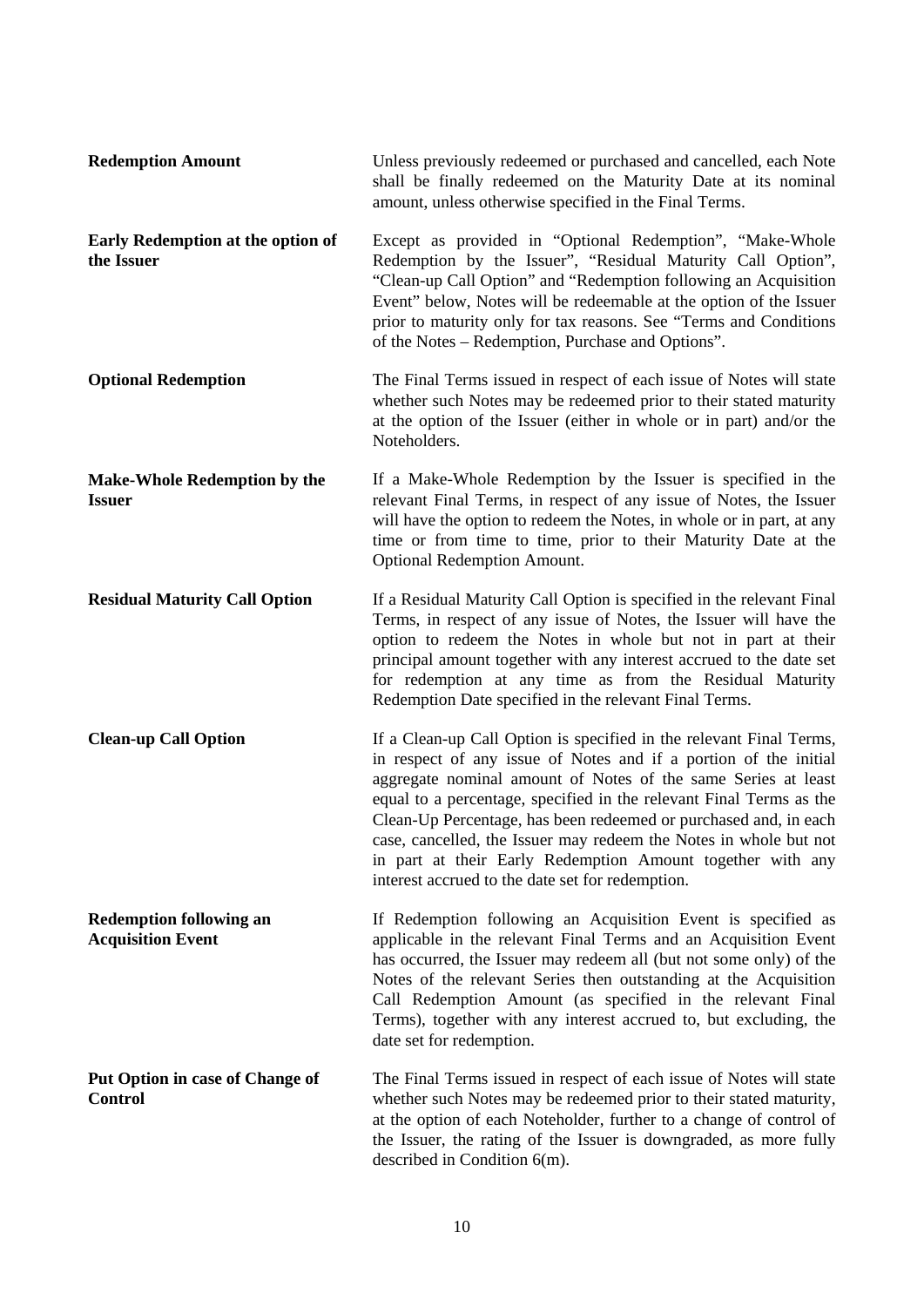| <b>Redemption Amount</b>                                   | Unless previously redeemed or purchased and cancelled, each Note<br>shall be finally redeemed on the Maturity Date at its nominal<br>amount, unless otherwise specified in the Final Terms.                                                                                                                                                                                                                                                                                                                                                |
|------------------------------------------------------------|--------------------------------------------------------------------------------------------------------------------------------------------------------------------------------------------------------------------------------------------------------------------------------------------------------------------------------------------------------------------------------------------------------------------------------------------------------------------------------------------------------------------------------------------|
| <b>Early Redemption at the option of</b><br>the Issuer     | Except as provided in "Optional Redemption", "Make-Whole<br>Redemption by the Issuer", "Residual Maturity Call Option",<br>"Clean-up Call Option" and "Redemption following an Acquisition<br>Event" below, Notes will be redeemable at the option of the Issuer<br>prior to maturity only for tax reasons. See "Terms and Conditions<br>of the Notes – Redemption, Purchase and Options".                                                                                                                                                 |
| <b>Optional Redemption</b>                                 | The Final Terms issued in respect of each issue of Notes will state<br>whether such Notes may be redeemed prior to their stated maturity<br>at the option of the Issuer (either in whole or in part) and/or the<br>Noteholders.                                                                                                                                                                                                                                                                                                            |
| <b>Make-Whole Redemption by the</b><br><b>Issuer</b>       | If a Make-Whole Redemption by the Issuer is specified in the<br>relevant Final Terms, in respect of any issue of Notes, the Issuer<br>will have the option to redeem the Notes, in whole or in part, at any<br>time or from time to time, prior to their Maturity Date at the<br><b>Optional Redemption Amount.</b>                                                                                                                                                                                                                        |
| <b>Residual Maturity Call Option</b>                       | If a Residual Maturity Call Option is specified in the relevant Final<br>Terms, in respect of any issue of Notes, the Issuer will have the<br>option to redeem the Notes in whole but not in part at their<br>principal amount together with any interest accrued to the date set<br>for redemption at any time as from the Residual Maturity<br>Redemption Date specified in the relevant Final Terms.                                                                                                                                    |
| <b>Clean-up Call Option</b>                                | If a Clean-up Call Option is specified in the relevant Final Terms,<br>in respect of any issue of Notes and if a portion of the initial<br>aggregate nominal amount of Notes of the same Series at least<br>equal to a percentage, specified in the relevant Final Terms as the<br>Clean-Up Percentage, has been redeemed or purchased and, in each<br>case, cancelled, the Issuer may redeem the Notes in whole but not<br>in part at their Early Redemption Amount together with any<br>interest accrued to the date set for redemption. |
| <b>Redemption following an</b><br><b>Acquisition Event</b> | If Redemption following an Acquisition Event is specified as<br>applicable in the relevant Final Terms and an Acquisition Event<br>has occurred, the Issuer may redeem all (but not some only) of the<br>Notes of the relevant Series then outstanding at the Acquisition<br>Call Redemption Amount (as specified in the relevant Final<br>Terms), together with any interest accrued to, but excluding, the<br>date set for redemption.                                                                                                   |
| <b>Put Option in case of Change of</b><br><b>Control</b>   | The Final Terms issued in respect of each issue of Notes will state<br>whether such Notes may be redeemed prior to their stated maturity,<br>at the option of each Noteholder, further to a change of control of<br>the Issuer, the rating of the Issuer is downgraded, as more fully<br>described in Condition 6(m).                                                                                                                                                                                                                      |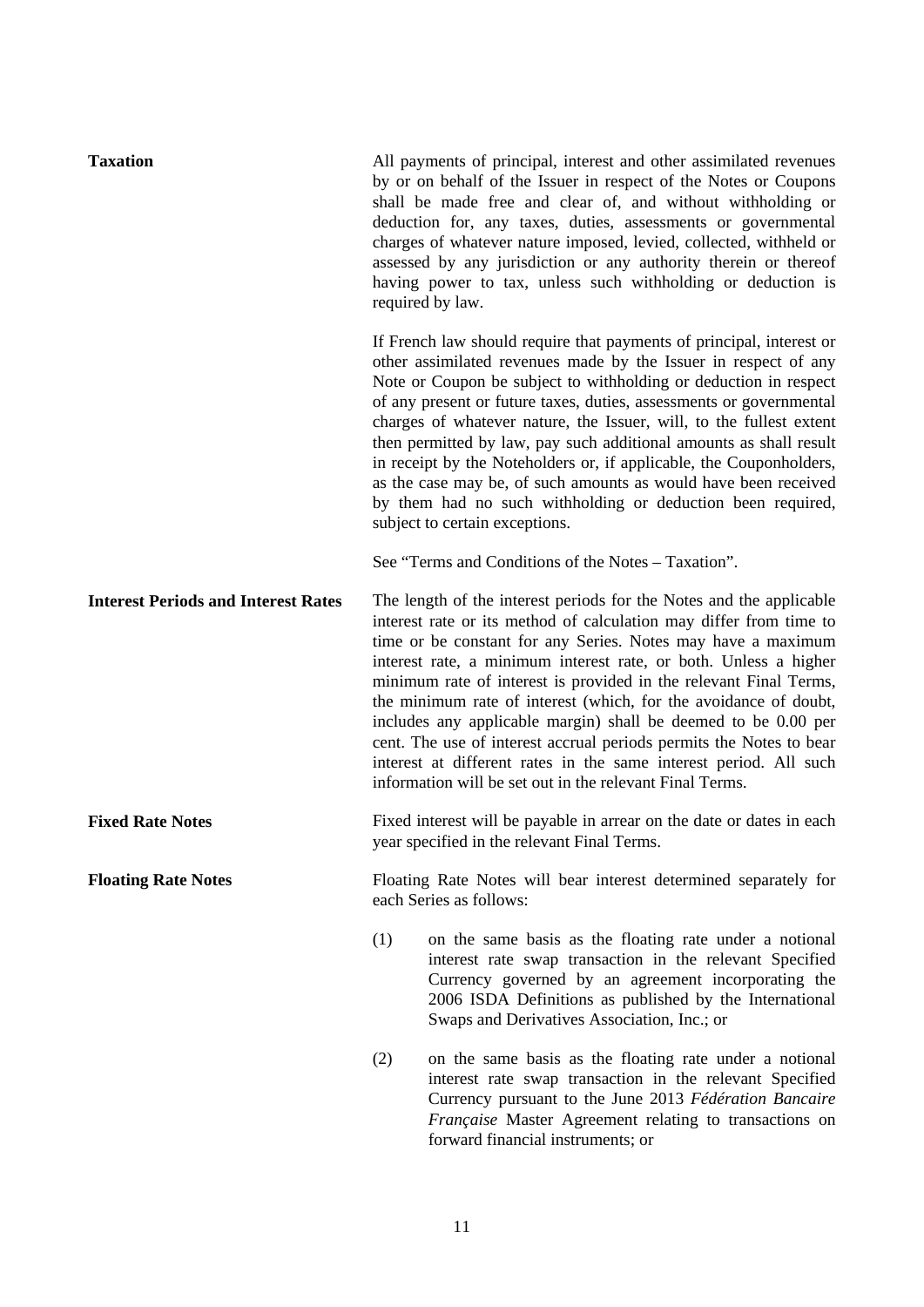| <b>Taxation</b>                            | All payments of principal, interest and other assimilated revenues<br>by or on behalf of the Issuer in respect of the Notes or Coupons<br>shall be made free and clear of, and without withholding or<br>deduction for, any taxes, duties, assessments or governmental<br>charges of whatever nature imposed, levied, collected, withheld or<br>assessed by any jurisdiction or any authority therein or thereof<br>having power to tax, unless such withholding or deduction is<br>required by law.                                                                                                                                                                                             |  |
|--------------------------------------------|--------------------------------------------------------------------------------------------------------------------------------------------------------------------------------------------------------------------------------------------------------------------------------------------------------------------------------------------------------------------------------------------------------------------------------------------------------------------------------------------------------------------------------------------------------------------------------------------------------------------------------------------------------------------------------------------------|--|
|                                            | If French law should require that payments of principal, interest or<br>other assimilated revenues made by the Issuer in respect of any<br>Note or Coupon be subject to withholding or deduction in respect<br>of any present or future taxes, duties, assessments or governmental<br>charges of whatever nature, the Issuer, will, to the fullest extent<br>then permitted by law, pay such additional amounts as shall result<br>in receipt by the Noteholders or, if applicable, the Couponholders,<br>as the case may be, of such amounts as would have been received<br>by them had no such withholding or deduction been required,<br>subject to certain exceptions.                       |  |
|                                            | See "Terms and Conditions of the Notes – Taxation".                                                                                                                                                                                                                                                                                                                                                                                                                                                                                                                                                                                                                                              |  |
| <b>Interest Periods and Interest Rates</b> | The length of the interest periods for the Notes and the applicable<br>interest rate or its method of calculation may differ from time to<br>time or be constant for any Series. Notes may have a maximum<br>interest rate, a minimum interest rate, or both. Unless a higher<br>minimum rate of interest is provided in the relevant Final Terms,<br>the minimum rate of interest (which, for the avoidance of doubt,<br>includes any applicable margin) shall be deemed to be 0.00 per<br>cent. The use of interest accrual periods permits the Notes to bear<br>interest at different rates in the same interest period. All such<br>information will be set out in the relevant Final Terms. |  |
| <b>Fixed Rate Notes</b>                    | Fixed interest will be payable in arrear on the date or dates in each<br>year specified in the relevant Final Terms.                                                                                                                                                                                                                                                                                                                                                                                                                                                                                                                                                                             |  |
| <b>Floating Rate Notes</b>                 | Floating Rate Notes will bear interest determined separately for<br>each Series as follows:                                                                                                                                                                                                                                                                                                                                                                                                                                                                                                                                                                                                      |  |
|                                            | (1)<br>on the same basis as the floating rate under a notional<br>interest rate swap transaction in the relevant Specified<br>Currency governed by an agreement incorporating the<br>2006 ISDA Definitions as published by the International<br>Swaps and Derivatives Association, Inc.; or                                                                                                                                                                                                                                                                                                                                                                                                      |  |
|                                            | on the same basis as the floating rate under a notional<br>(2)<br>interest rate swap transaction in the relevant Specified<br>Currency pursuant to the June 2013 Fédération Bancaire<br>Française Master Agreement relating to transactions on<br>forward financial instruments; or                                                                                                                                                                                                                                                                                                                                                                                                              |  |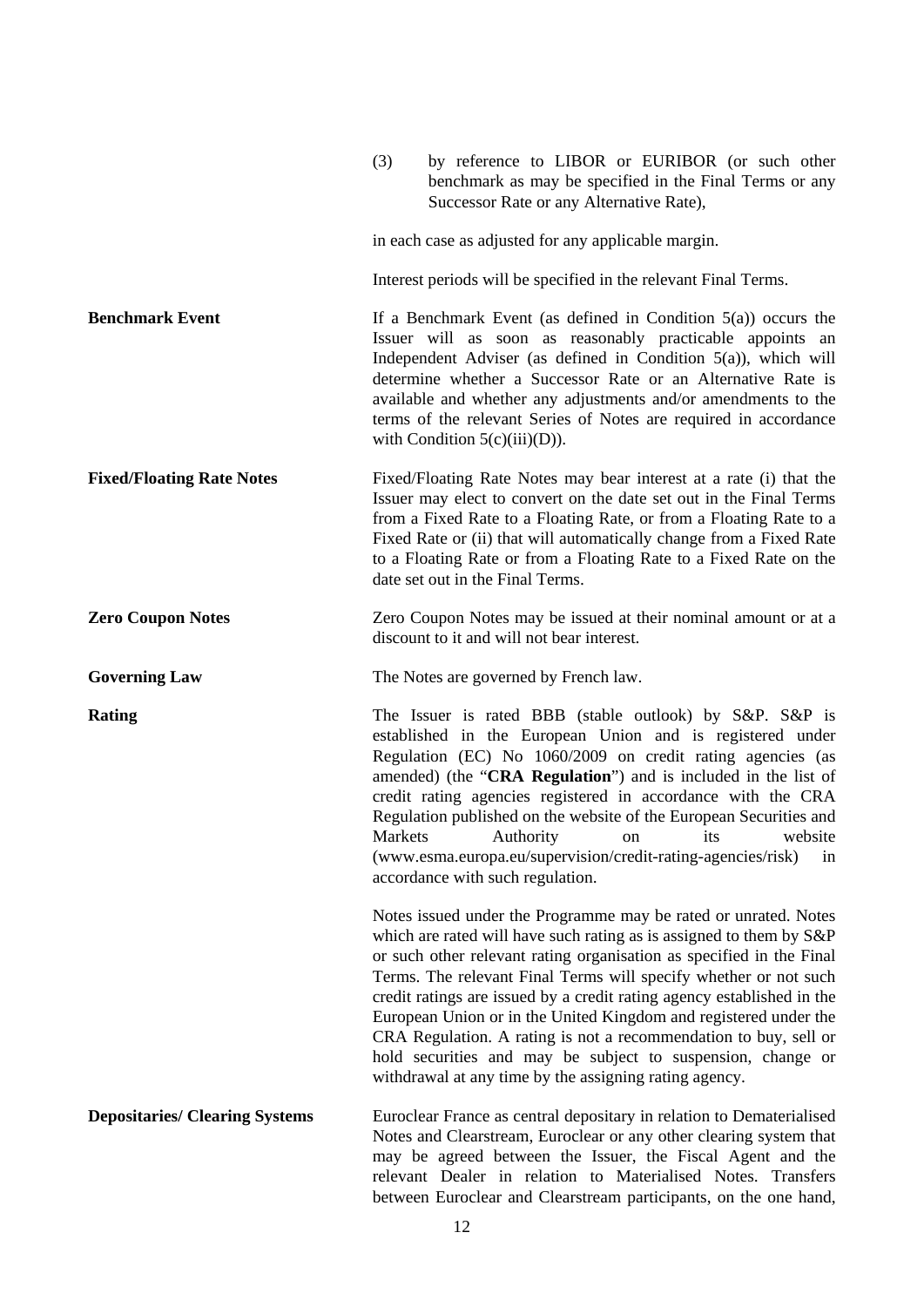|                                       | (3)<br>by reference to LIBOR or EURIBOR (or such other<br>benchmark as may be specified in the Final Terms or any<br>Successor Rate or any Alternative Rate),                                                                                                                                                                                                                                                                                                                                                                                                                                                                 |
|---------------------------------------|-------------------------------------------------------------------------------------------------------------------------------------------------------------------------------------------------------------------------------------------------------------------------------------------------------------------------------------------------------------------------------------------------------------------------------------------------------------------------------------------------------------------------------------------------------------------------------------------------------------------------------|
|                                       | in each case as adjusted for any applicable margin.                                                                                                                                                                                                                                                                                                                                                                                                                                                                                                                                                                           |
|                                       | Interest periods will be specified in the relevant Final Terms.                                                                                                                                                                                                                                                                                                                                                                                                                                                                                                                                                               |
| <b>Benchmark Event</b>                | If a Benchmark Event (as defined in Condition $5(a)$ ) occurs the<br>Issuer will as soon as reasonably practicable appoints an<br>Independent Adviser (as defined in Condition $5(a)$ ), which will<br>determine whether a Successor Rate or an Alternative Rate is<br>available and whether any adjustments and/or amendments to the<br>terms of the relevant Series of Notes are required in accordance<br>with Condition $5(c)(iii)(D)$ ).                                                                                                                                                                                 |
| <b>Fixed/Floating Rate Notes</b>      | Fixed/Floating Rate Notes may bear interest at a rate (i) that the<br>Issuer may elect to convert on the date set out in the Final Terms<br>from a Fixed Rate to a Floating Rate, or from a Floating Rate to a<br>Fixed Rate or (ii) that will automatically change from a Fixed Rate<br>to a Floating Rate or from a Floating Rate to a Fixed Rate on the<br>date set out in the Final Terms.                                                                                                                                                                                                                                |
| <b>Zero Coupon Notes</b>              | Zero Coupon Notes may be issued at their nominal amount or at a<br>discount to it and will not bear interest.                                                                                                                                                                                                                                                                                                                                                                                                                                                                                                                 |
| <b>Governing Law</b>                  | The Notes are governed by French law.                                                                                                                                                                                                                                                                                                                                                                                                                                                                                                                                                                                         |
| <b>Rating</b>                         | The Issuer is rated BBB (stable outlook) by S&P. S&P is<br>established in the European Union and is registered under<br>Regulation (EC) No 1060/2009 on credit rating agencies (as<br>amended) (the "CRA Regulation") and is included in the list of<br>credit rating agencies registered in accordance with the CRA<br>Regulation published on the website of the European Securities and<br>Markets<br>Authority<br>website<br>its<br>on<br>(www.esma.europa.eu/supervision/credit-rating-agencies/risk)<br>1n<br>accordance with such regulation.                                                                          |
|                                       | Notes issued under the Programme may be rated or unrated. Notes<br>which are rated will have such rating as is assigned to them by S&P<br>or such other relevant rating organisation as specified in the Final<br>Terms. The relevant Final Terms will specify whether or not such<br>credit ratings are issued by a credit rating agency established in the<br>European Union or in the United Kingdom and registered under the<br>CRA Regulation. A rating is not a recommendation to buy, sell or<br>hold securities and may be subject to suspension, change or<br>withdrawal at any time by the assigning rating agency. |
| <b>Depositaries/ Clearing Systems</b> | Euroclear France as central depositary in relation to Dematerialised<br>Notes and Clearstream, Euroclear or any other clearing system that<br>may be agreed between the Issuer, the Fiscal Agent and the<br>relevant Dealer in relation to Materialised Notes. Transfers<br>between Euroclear and Clearstream participants, on the one hand,                                                                                                                                                                                                                                                                                  |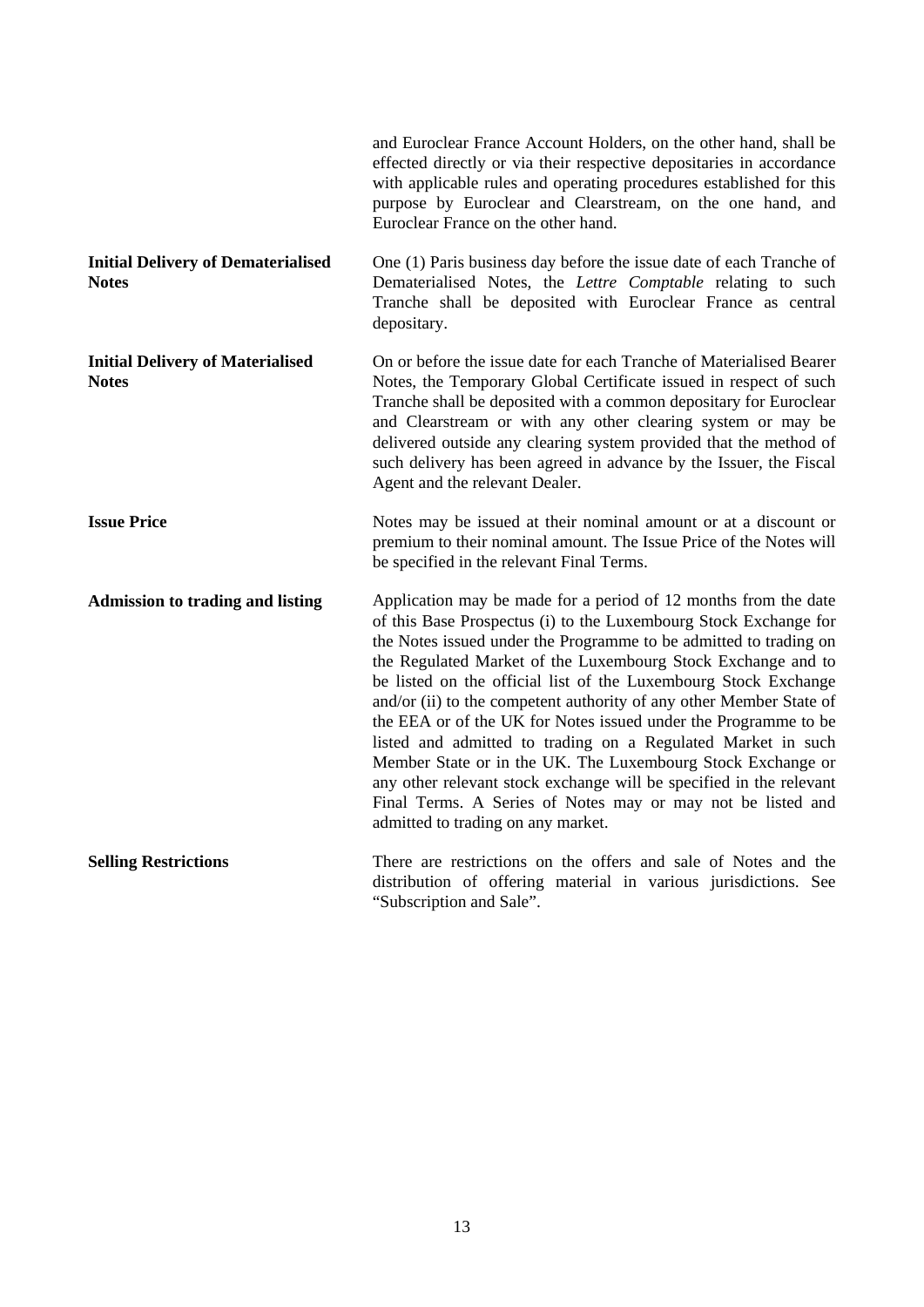|                                                           | and Euroclear France Account Holders, on the other hand, shall be<br>effected directly or via their respective depositaries in accordance<br>with applicable rules and operating procedures established for this<br>purpose by Euroclear and Clearstream, on the one hand, and<br>Euroclear France on the other hand.                                                                                                                                                                                                                                                                                                                                                                                                                                                                            |
|-----------------------------------------------------------|--------------------------------------------------------------------------------------------------------------------------------------------------------------------------------------------------------------------------------------------------------------------------------------------------------------------------------------------------------------------------------------------------------------------------------------------------------------------------------------------------------------------------------------------------------------------------------------------------------------------------------------------------------------------------------------------------------------------------------------------------------------------------------------------------|
| <b>Initial Delivery of Dematerialised</b><br><b>Notes</b> | One (1) Paris business day before the issue date of each Tranche of<br>Dematerialised Notes, the Lettre Comptable relating to such<br>Tranche shall be deposited with Euroclear France as central<br>depositary.                                                                                                                                                                                                                                                                                                                                                                                                                                                                                                                                                                                 |
| <b>Initial Delivery of Materialised</b><br><b>Notes</b>   | On or before the issue date for each Tranche of Materialised Bearer<br>Notes, the Temporary Global Certificate issued in respect of such<br>Tranche shall be deposited with a common depositary for Euroclear<br>and Clearstream or with any other clearing system or may be<br>delivered outside any clearing system provided that the method of<br>such delivery has been agreed in advance by the Issuer, the Fiscal<br>Agent and the relevant Dealer.                                                                                                                                                                                                                                                                                                                                        |
| <b>Issue Price</b>                                        | Notes may be issued at their nominal amount or at a discount or<br>premium to their nominal amount. The Issue Price of the Notes will<br>be specified in the relevant Final Terms.                                                                                                                                                                                                                                                                                                                                                                                                                                                                                                                                                                                                               |
| <b>Admission to trading and listing</b>                   | Application may be made for a period of 12 months from the date<br>of this Base Prospectus (i) to the Luxembourg Stock Exchange for<br>the Notes issued under the Programme to be admitted to trading on<br>the Regulated Market of the Luxembourg Stock Exchange and to<br>be listed on the official list of the Luxembourg Stock Exchange<br>and/or (ii) to the competent authority of any other Member State of<br>the EEA or of the UK for Notes issued under the Programme to be<br>listed and admitted to trading on a Regulated Market in such<br>Member State or in the UK. The Luxembourg Stock Exchange or<br>any other relevant stock exchange will be specified in the relevant<br>Final Terms. A Series of Notes may or may not be listed and<br>admitted to trading on any market. |
| <b>Selling Restrictions</b>                               | There are restrictions on the offers and sale of Notes and the<br>distribution of offering material in various jurisdictions. See<br>"Subscription and Sale".                                                                                                                                                                                                                                                                                                                                                                                                                                                                                                                                                                                                                                    |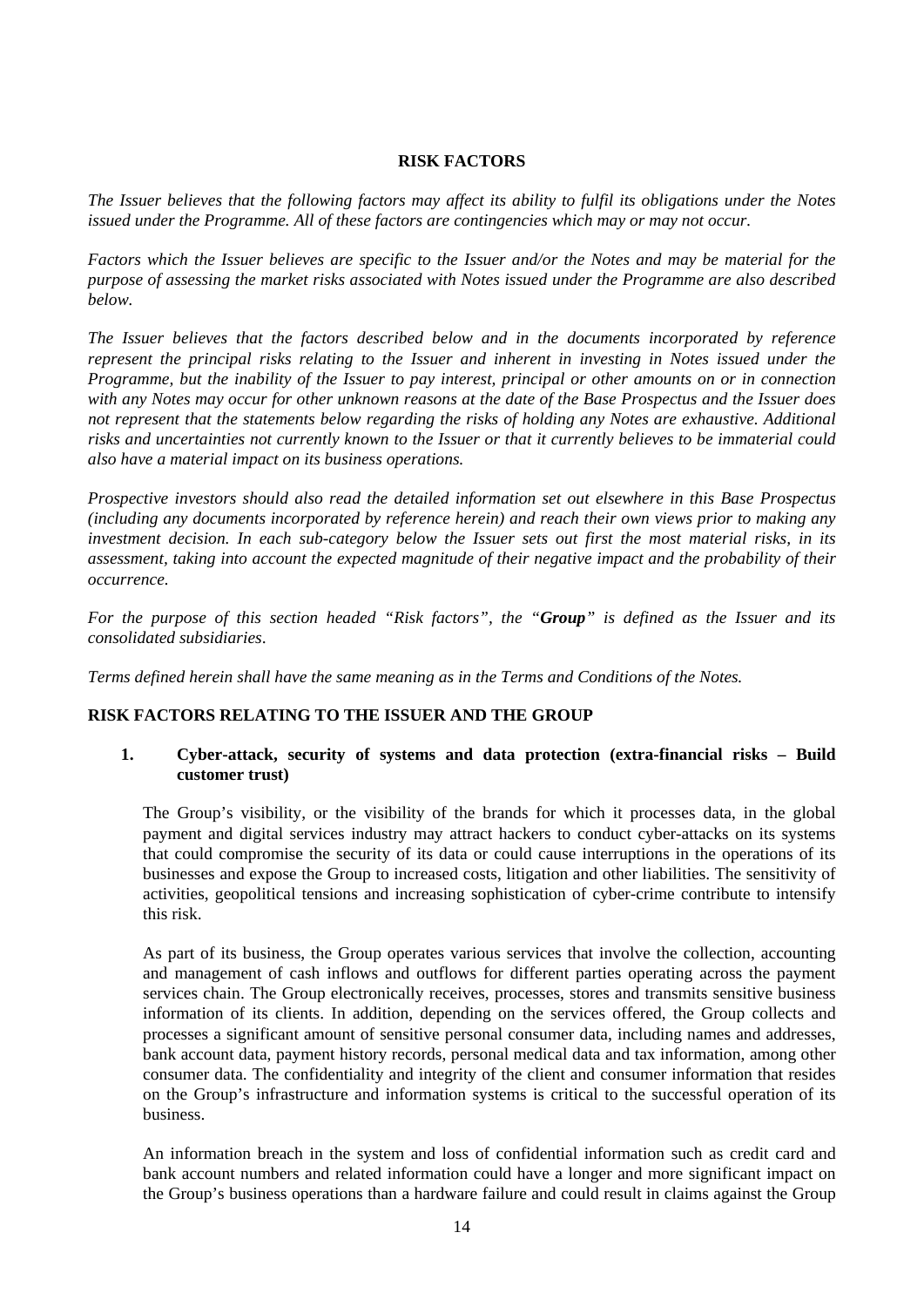### **RISK FACTORS**

<span id="page-13-0"></span>*The Issuer believes that the following factors may affect its ability to fulfil its obligations under the Notes issued under the Programme. All of these factors are contingencies which may or may not occur.*

*Factors which the Issuer believes are specific to the Issuer and/or the Notes and may be material for the purpose of assessing the market risks associated with Notes issued under the Programme are also described below.*

*The Issuer believes that the factors described below and in the documents incorporated by reference represent the principal risks relating to the Issuer and inherent in investing in Notes issued under the Programme, but the inability of the Issuer to pay interest, principal or other amounts on or in connection with any Notes may occur for other unknown reasons at the date of the Base Prospectus and the Issuer does not represent that the statements below regarding the risks of holding any Notes are exhaustive. Additional risks and uncertainties not currently known to the Issuer or that it currently believes to be immaterial could also have a material impact on its business operations.* 

*Prospective investors should also read the detailed information set out elsewhere in this Base Prospectus (including any documents incorporated by reference herein) and reach their own views prior to making any investment decision. In each sub-category below the Issuer sets out first the most material risks, in its assessment, taking into account the expected magnitude of their negative impact and the probability of their occurrence.*

*For the purpose of this section headed "Risk factors", the "Group" is defined as the Issuer and its consolidated subsidiaries*.

*Terms defined herein shall have the same meaning as in the Terms and Conditions of the Notes.*

### **RISK FACTORS RELATING TO THE ISSUER AND THE GROUP**

# **1. Cyber-attack, security of systems and data protection (extra-financial risks – Build customer trust)**

The Group's visibility, or the visibility of the brands for which it processes data, in the global payment and digital services industry may attract hackers to conduct cyber-attacks on its systems that could compromise the security of its data or could cause interruptions in the operations of its businesses and expose the Group to increased costs, litigation and other liabilities. The sensitivity of activities, geopolitical tensions and increasing sophistication of cyber-crime contribute to intensify this risk.

As part of its business, the Group operates various services that involve the collection, accounting and management of cash inflows and outflows for different parties operating across the payment services chain. The Group electronically receives, processes, stores and transmits sensitive business information of its clients. In addition, depending on the services offered, the Group collects and processes a significant amount of sensitive personal consumer data, including names and addresses, bank account data, payment history records, personal medical data and tax information, among other consumer data. The confidentiality and integrity of the client and consumer information that resides on the Group's infrastructure and information systems is critical to the successful operation of its business.

An information breach in the system and loss of confidential information such as credit card and bank account numbers and related information could have a longer and more significant impact on the Group's business operations than a hardware failure and could result in claims against the Group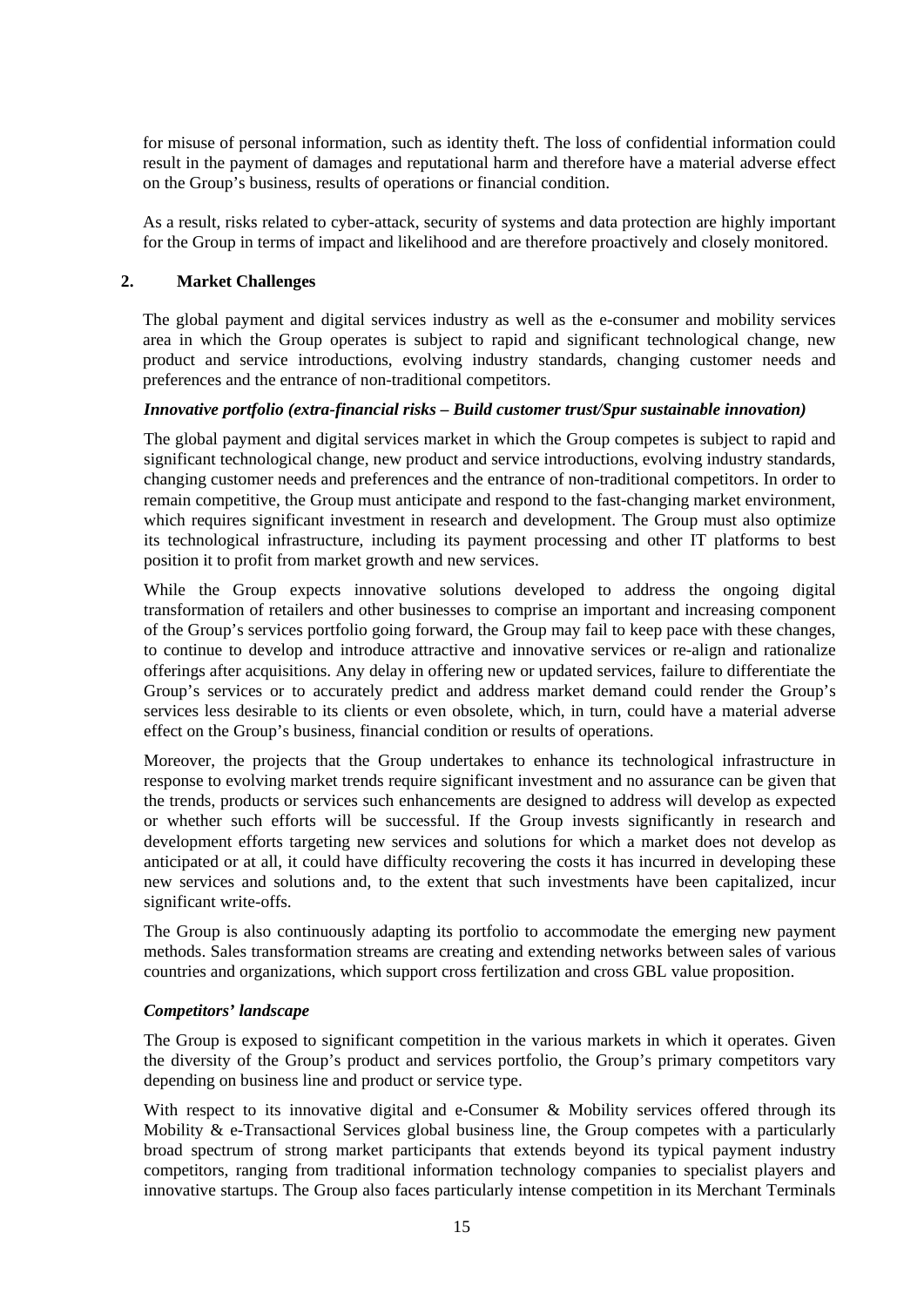for misuse of personal information, such as identity theft. The loss of confidential information could result in the payment of damages and reputational harm and therefore have a material adverse effect on the Group's business, results of operations or financial condition.

As a result, risks related to cyber-attack, security of systems and data protection are highly important for the Group in terms of impact and likelihood and are therefore proactively and closely monitored.

# **2. Market Challenges**

The global payment and digital services industry as well as the e-consumer and mobility services area in which the Group operates is subject to rapid and significant technological change, new product and service introductions, evolving industry standards, changing customer needs and preferences and the entrance of non-traditional competitors.

# *Innovative portfolio (extra-financial risks – Build customer trust/Spur sustainable innovation)*

The global payment and digital services market in which the Group competes is subject to rapid and significant technological change, new product and service introductions, evolving industry standards, changing customer needs and preferences and the entrance of non-traditional competitors. In order to remain competitive, the Group must anticipate and respond to the fast-changing market environment, which requires significant investment in research and development. The Group must also optimize its technological infrastructure, including its payment processing and other IT platforms to best position it to profit from market growth and new services.

While the Group expects innovative solutions developed to address the ongoing digital transformation of retailers and other businesses to comprise an important and increasing component of the Group's services portfolio going forward, the Group may fail to keep pace with these changes, to continue to develop and introduce attractive and innovative services or re-align and rationalize offerings after acquisitions. Any delay in offering new or updated services, failure to differentiate the Group's services or to accurately predict and address market demand could render the Group's services less desirable to its clients or even obsolete, which, in turn, could have a material adverse effect on the Group's business, financial condition or results of operations.

Moreover, the projects that the Group undertakes to enhance its technological infrastructure in response to evolving market trends require significant investment and no assurance can be given that the trends, products or services such enhancements are designed to address will develop as expected or whether such efforts will be successful. If the Group invests significantly in research and development efforts targeting new services and solutions for which a market does not develop as anticipated or at all, it could have difficulty recovering the costs it has incurred in developing these new services and solutions and, to the extent that such investments have been capitalized, incur significant write-offs.

The Group is also continuously adapting its portfolio to accommodate the emerging new payment methods. Sales transformation streams are creating and extending networks between sales of various countries and organizations, which support cross fertilization and cross GBL value proposition.

### *Competitors' landscape*

The Group is exposed to significant competition in the various markets in which it operates. Given the diversity of the Group's product and services portfolio, the Group's primary competitors vary depending on business line and product or service type.

With respect to its innovative digital and e-Consumer & Mobility services offered through its Mobility & e-Transactional Services global business line, the Group competes with a particularly broad spectrum of strong market participants that extends beyond its typical payment industry competitors, ranging from traditional information technology companies to specialist players and innovative startups. The Group also faces particularly intense competition in its Merchant Terminals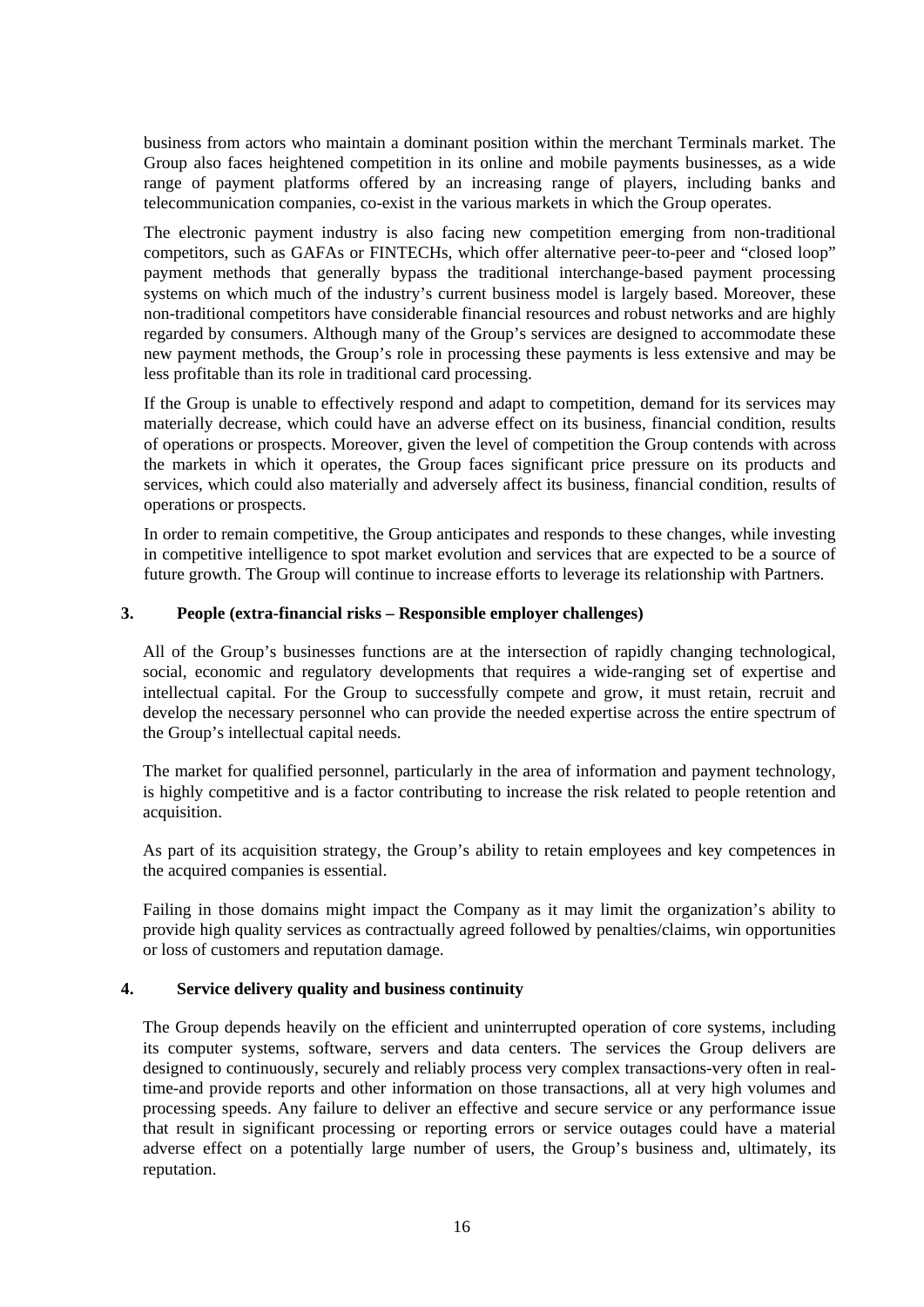business from actors who maintain a dominant position within the merchant Terminals market. The Group also faces heightened competition in its online and mobile payments businesses, as a wide range of payment platforms offered by an increasing range of players, including banks and telecommunication companies, co-exist in the various markets in which the Group operates.

The electronic payment industry is also facing new competition emerging from non-traditional competitors, such as GAFAs or FINTECHs, which offer alternative peer-to-peer and "closed loop" payment methods that generally bypass the traditional interchange-based payment processing systems on which much of the industry's current business model is largely based. Moreover, these non-traditional competitors have considerable financial resources and robust networks and are highly regarded by consumers. Although many of the Group's services are designed to accommodate these new payment methods, the Group's role in processing these payments is less extensive and may be less profitable than its role in traditional card processing.

If the Group is unable to effectively respond and adapt to competition, demand for its services may materially decrease, which could have an adverse effect on its business, financial condition, results of operations or prospects. Moreover, given the level of competition the Group contends with across the markets in which it operates, the Group faces significant price pressure on its products and services, which could also materially and adversely affect its business, financial condition, results of operations or prospects.

In order to remain competitive, the Group anticipates and responds to these changes, while investing in competitive intelligence to spot market evolution and services that are expected to be a source of future growth. The Group will continue to increase efforts to leverage its relationship with Partners.

### **3. People (extra-financial risks – Responsible employer challenges)**

All of the Group's businesses functions are at the intersection of rapidly changing technological, social, economic and regulatory developments that requires a wide-ranging set of expertise and intellectual capital. For the Group to successfully compete and grow, it must retain, recruit and develop the necessary personnel who can provide the needed expertise across the entire spectrum of the Group's intellectual capital needs.

The market for qualified personnel, particularly in the area of information and payment technology, is highly competitive and is a factor contributing to increase the risk related to people retention and acquisition.

As part of its acquisition strategy, the Group's ability to retain employees and key competences in the acquired companies is essential.

Failing in those domains might impact the Company as it may limit the organization's ability to provide high quality services as contractually agreed followed by penalties/claims, win opportunities or loss of customers and reputation damage.

### **4. Service delivery quality and business continuity**

The Group depends heavily on the efficient and uninterrupted operation of core systems, including its computer systems, software, servers and data centers. The services the Group delivers are designed to continuously, securely and reliably process very complex transactions-very often in realtime-and provide reports and other information on those transactions, all at very high volumes and processing speeds. Any failure to deliver an effective and secure service or any performance issue that result in significant processing or reporting errors or service outages could have a material adverse effect on a potentially large number of users, the Group's business and, ultimately, its reputation.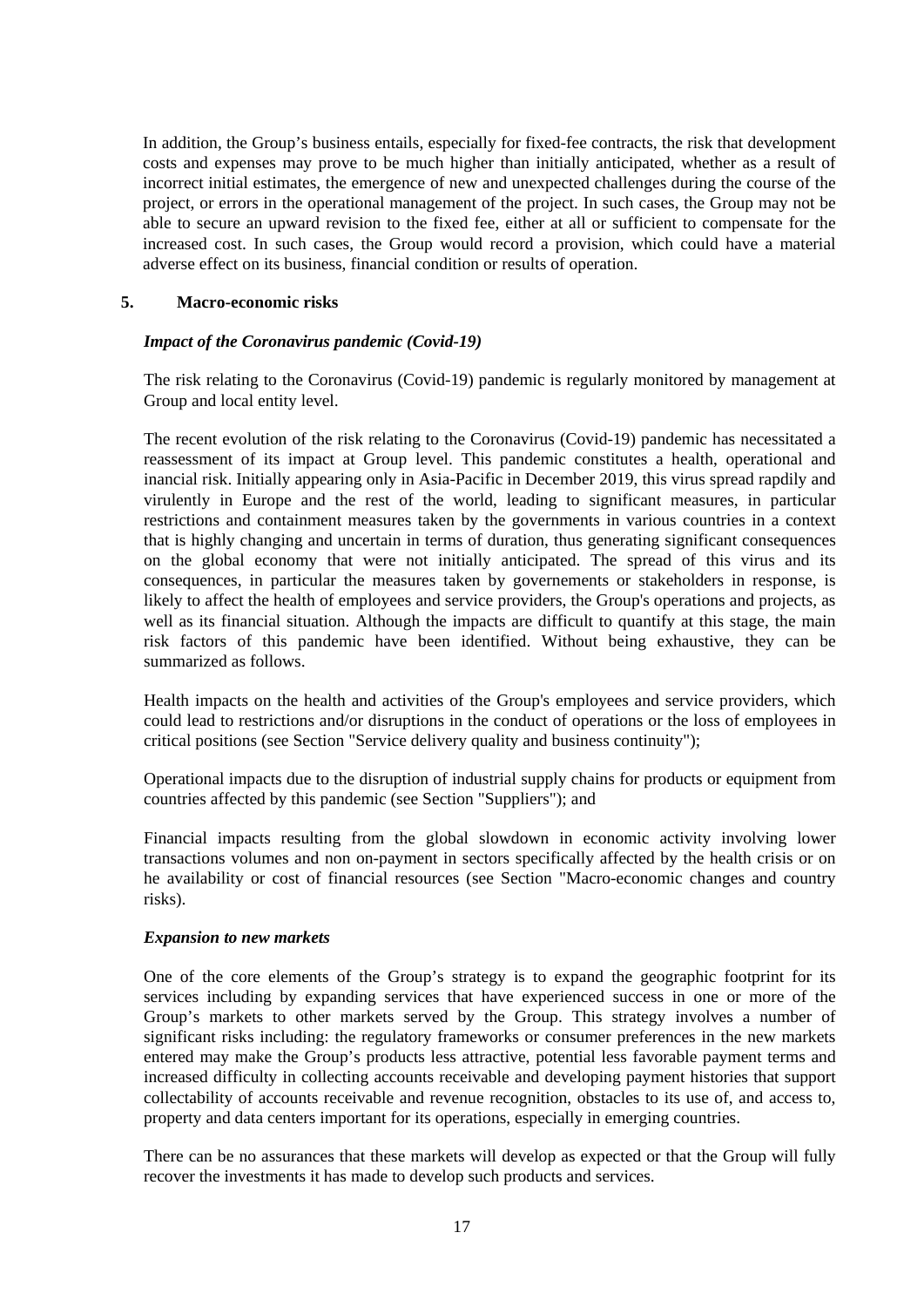In addition, the Group's business entails, especially for fixed-fee contracts, the risk that development costs and expenses may prove to be much higher than initially anticipated, whether as a result of incorrect initial estimates, the emergence of new and unexpected challenges during the course of the project, or errors in the operational management of the project. In such cases, the Group may not be able to secure an upward revision to the fixed fee, either at all or sufficient to compensate for the increased cost. In such cases, the Group would record a provision, which could have a material adverse effect on its business, financial condition or results of operation.

### **5. Macro-economic risks**

# *Impact of the Coronavirus pandemic (Covid-19)*

The risk relating to the Coronavirus (Covid-19) pandemic is regularly monitored by management at Group and local entity level.

The recent evolution of the risk relating to the Coronavirus (Covid-19) pandemic has necessitated a reassessment of its impact at Group level. This pandemic constitutes a health, operational and inancial risk. Initially appearing only in Asia-Pacific in December 2019, this virus spread rapdily and virulently in Europe and the rest of the world, leading to significant measures, in particular restrictions and containment measures taken by the governments in various countries in a context that is highly changing and uncertain in terms of duration, thus generating significant consequences on the global economy that were not initially anticipated. The spread of this virus and its consequences, in particular the measures taken by governements or stakeholders in response, is likely to affect the health of employees and service providers, the Group's operations and projects, as well as its financial situation. Although the impacts are difficult to quantify at this stage, the main risk factors of this pandemic have been identified. Without being exhaustive, they can be summarized as follows.

Health impacts on the health and activities of the Group's employees and service providers, which could lead to restrictions and/or disruptions in the conduct of operations or the loss of employees in critical positions (see Section "Service delivery quality and business continuity");

Operational impacts due to the disruption of industrial supply chains for products or equipment from countries affected by this pandemic (see Section "Suppliers"); and

Financial impacts resulting from the global slowdown in economic activity involving lower transactions volumes and non on-payment in sectors specifically affected by the health crisis or on he availability or cost of financial resources (see Section "Macro-economic changes and country risks).

### *Expansion to new markets*

One of the core elements of the Group's strategy is to expand the geographic footprint for its services including by expanding services that have experienced success in one or more of the Group's markets to other markets served by the Group. This strategy involves a number of significant risks including: the regulatory frameworks or consumer preferences in the new markets entered may make the Group's products less attractive, potential less favorable payment terms and increased difficulty in collecting accounts receivable and developing payment histories that support collectability of accounts receivable and revenue recognition, obstacles to its use of, and access to, property and data centers important for its operations, especially in emerging countries.

There can be no assurances that these markets will develop as expected or that the Group will fully recover the investments it has made to develop such products and services.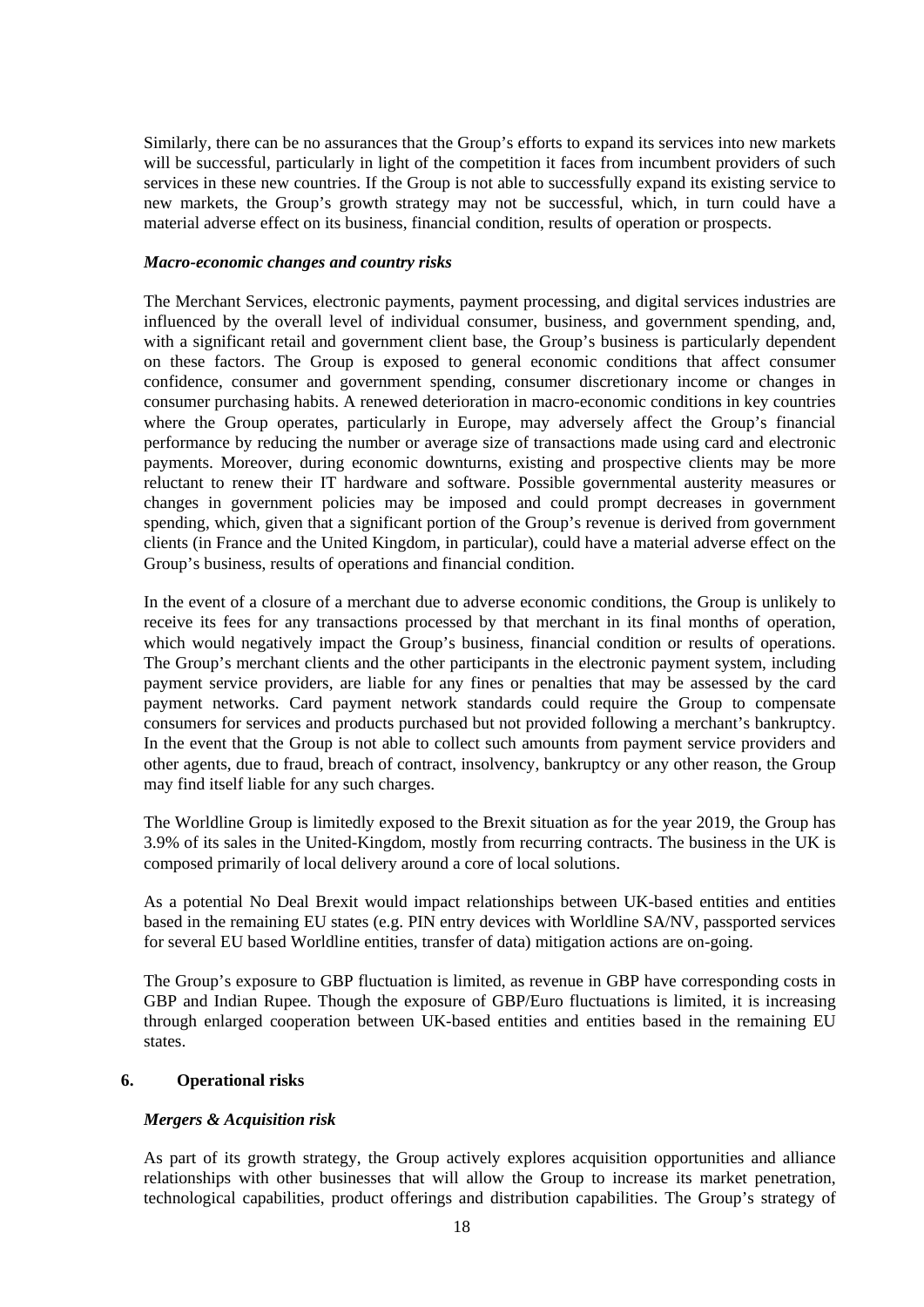Similarly, there can be no assurances that the Group's efforts to expand its services into new markets will be successful, particularly in light of the competition it faces from incumbent providers of such services in these new countries. If the Group is not able to successfully expand its existing service to new markets, the Group's growth strategy may not be successful, which, in turn could have a material adverse effect on its business, financial condition, results of operation or prospects.

### *Macro-economic changes and country risks*

The Merchant Services, electronic payments, payment processing, and digital services industries are influenced by the overall level of individual consumer, business, and government spending, and, with a significant retail and government client base, the Group's business is particularly dependent on these factors. The Group is exposed to general economic conditions that affect consumer confidence, consumer and government spending, consumer discretionary income or changes in consumer purchasing habits. A renewed deterioration in macro-economic conditions in key countries where the Group operates, particularly in Europe, may adversely affect the Group's financial performance by reducing the number or average size of transactions made using card and electronic payments. Moreover, during economic downturns, existing and prospective clients may be more reluctant to renew their IT hardware and software. Possible governmental austerity measures or changes in government policies may be imposed and could prompt decreases in government spending, which, given that a significant portion of the Group's revenue is derived from government clients (in France and the United Kingdom, in particular), could have a material adverse effect on the Group's business, results of operations and financial condition.

In the event of a closure of a merchant due to adverse economic conditions, the Group is unlikely to receive its fees for any transactions processed by that merchant in its final months of operation, which would negatively impact the Group's business, financial condition or results of operations. The Group's merchant clients and the other participants in the electronic payment system, including payment service providers, are liable for any fines or penalties that may be assessed by the card payment networks. Card payment network standards could require the Group to compensate consumers for services and products purchased but not provided following a merchant's bankruptcy. In the event that the Group is not able to collect such amounts from payment service providers and other agents, due to fraud, breach of contract, insolvency, bankruptcy or any other reason, the Group may find itself liable for any such charges.

The Worldline Group is limitedly exposed to the Brexit situation as for the year 2019, the Group has 3.9% of its sales in the United-Kingdom, mostly from recurring contracts. The business in the UK is composed primarily of local delivery around a core of local solutions.

As a potential No Deal Brexit would impact relationships between UK-based entities and entities based in the remaining EU states (e.g. PIN entry devices with Worldline SA/NV, passported services for several EU based Worldline entities, transfer of data) mitigation actions are on-going.

The Group's exposure to GBP fluctuation is limited, as revenue in GBP have corresponding costs in GBP and Indian Rupee. Though the exposure of GBP/Euro fluctuations is limited, it is increasing through enlarged cooperation between UK-based entities and entities based in the remaining EU states.

### **6. Operational risks**

### *Mergers & Acquisition risk*

As part of its growth strategy, the Group actively explores acquisition opportunities and alliance relationships with other businesses that will allow the Group to increase its market penetration, technological capabilities, product offerings and distribution capabilities. The Group's strategy of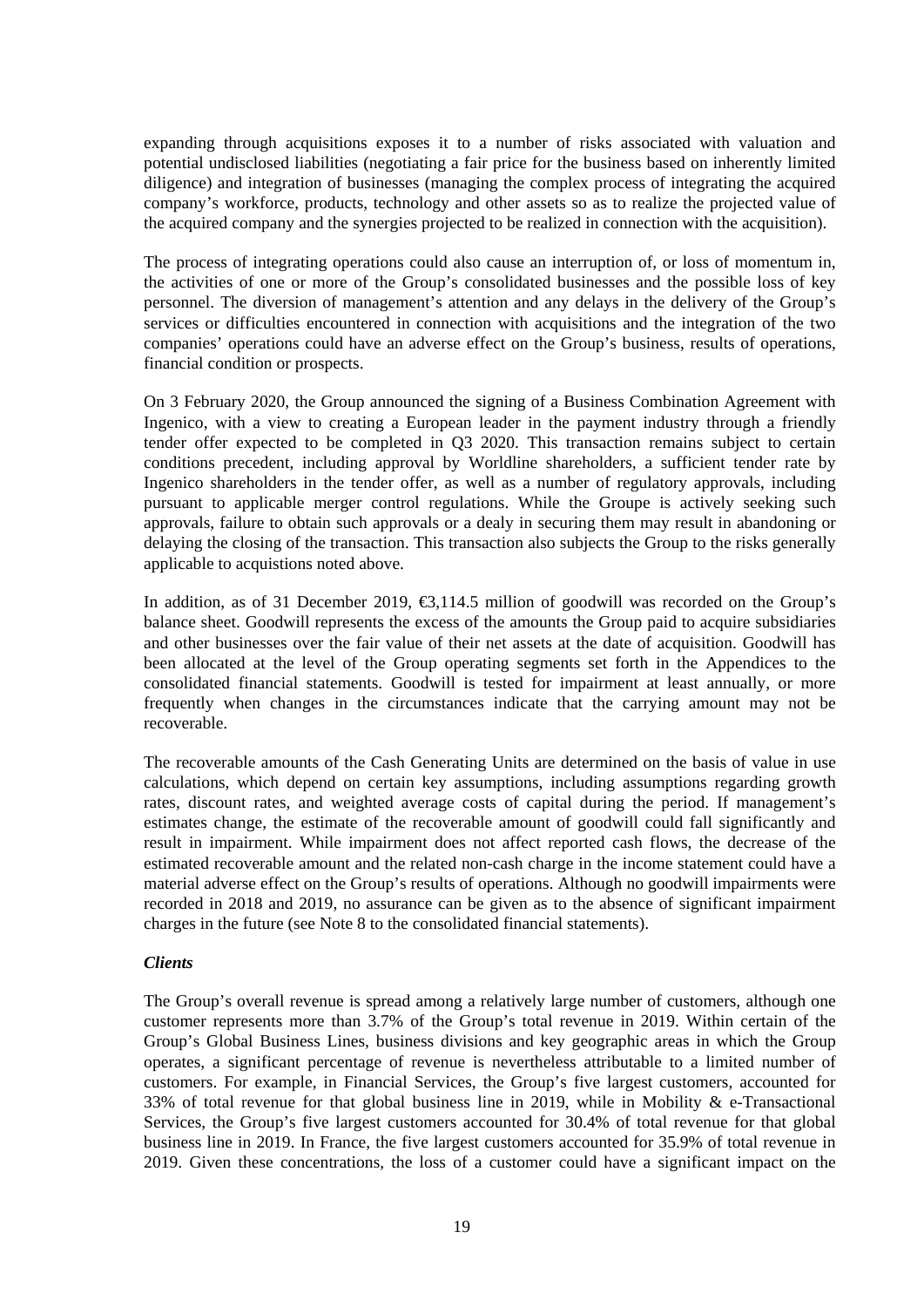expanding through acquisitions exposes it to a number of risks associated with valuation and potential undisclosed liabilities (negotiating a fair price for the business based on inherently limited diligence) and integration of businesses (managing the complex process of integrating the acquired company's workforce, products, technology and other assets so as to realize the projected value of the acquired company and the synergies projected to be realized in connection with the acquisition).

The process of integrating operations could also cause an interruption of, or loss of momentum in, the activities of one or more of the Group's consolidated businesses and the possible loss of key personnel. The diversion of management's attention and any delays in the delivery of the Group's services or difficulties encountered in connection with acquisitions and the integration of the two companies' operations could have an adverse effect on the Group's business, results of operations, financial condition or prospects.

On 3 February 2020, the Group announced the signing of a Business Combination Agreement with Ingenico, with a view to creating a European leader in the payment industry through a friendly tender offer expected to be completed in Q3 2020. This transaction remains subject to certain conditions precedent, including approval by Worldline shareholders, a sufficient tender rate by Ingenico shareholders in the tender offer, as well as a number of regulatory approvals, including pursuant to applicable merger control regulations. While the Groupe is actively seeking such approvals, failure to obtain such approvals or a dealy in securing them may result in abandoning or delaying the closing of the transaction. This transaction also subjects the Group to the risks generally applicable to acquistions noted above.

In addition, as of 31 December 2019, €3,114.5 million of goodwill was recorded on the Group's balance sheet. Goodwill represents the excess of the amounts the Group paid to acquire subsidiaries and other businesses over the fair value of their net assets at the date of acquisition. Goodwill has been allocated at the level of the Group operating segments set forth in the Appendices to the consolidated financial statements. Goodwill is tested for impairment at least annually, or more frequently when changes in the circumstances indicate that the carrying amount may not be recoverable.

The recoverable amounts of the Cash Generating Units are determined on the basis of value in use calculations, which depend on certain key assumptions, including assumptions regarding growth rates, discount rates, and weighted average costs of capital during the period. If management's estimates change, the estimate of the recoverable amount of goodwill could fall significantly and result in impairment. While impairment does not affect reported cash flows, the decrease of the estimated recoverable amount and the related non-cash charge in the income statement could have a material adverse effect on the Group's results of operations. Although no goodwill impairments were recorded in 2018 and 2019, no assurance can be given as to the absence of significant impairment charges in the future (see Note 8 to the consolidated financial statements).

### *Clients*

The Group's overall revenue is spread among a relatively large number of customers, although one customer represents more than 3.7% of the Group's total revenue in 2019. Within certain of the Group's Global Business Lines, business divisions and key geographic areas in which the Group operates, a significant percentage of revenue is nevertheless attributable to a limited number of customers. For example, in Financial Services, the Group's five largest customers, accounted for 33% of total revenue for that global business line in 2019, while in Mobility & e-Transactional Services, the Group's five largest customers accounted for 30.4% of total revenue for that global business line in 2019. In France, the five largest customers accounted for 35.9% of total revenue in 2019. Given these concentrations, the loss of a customer could have a significant impact on the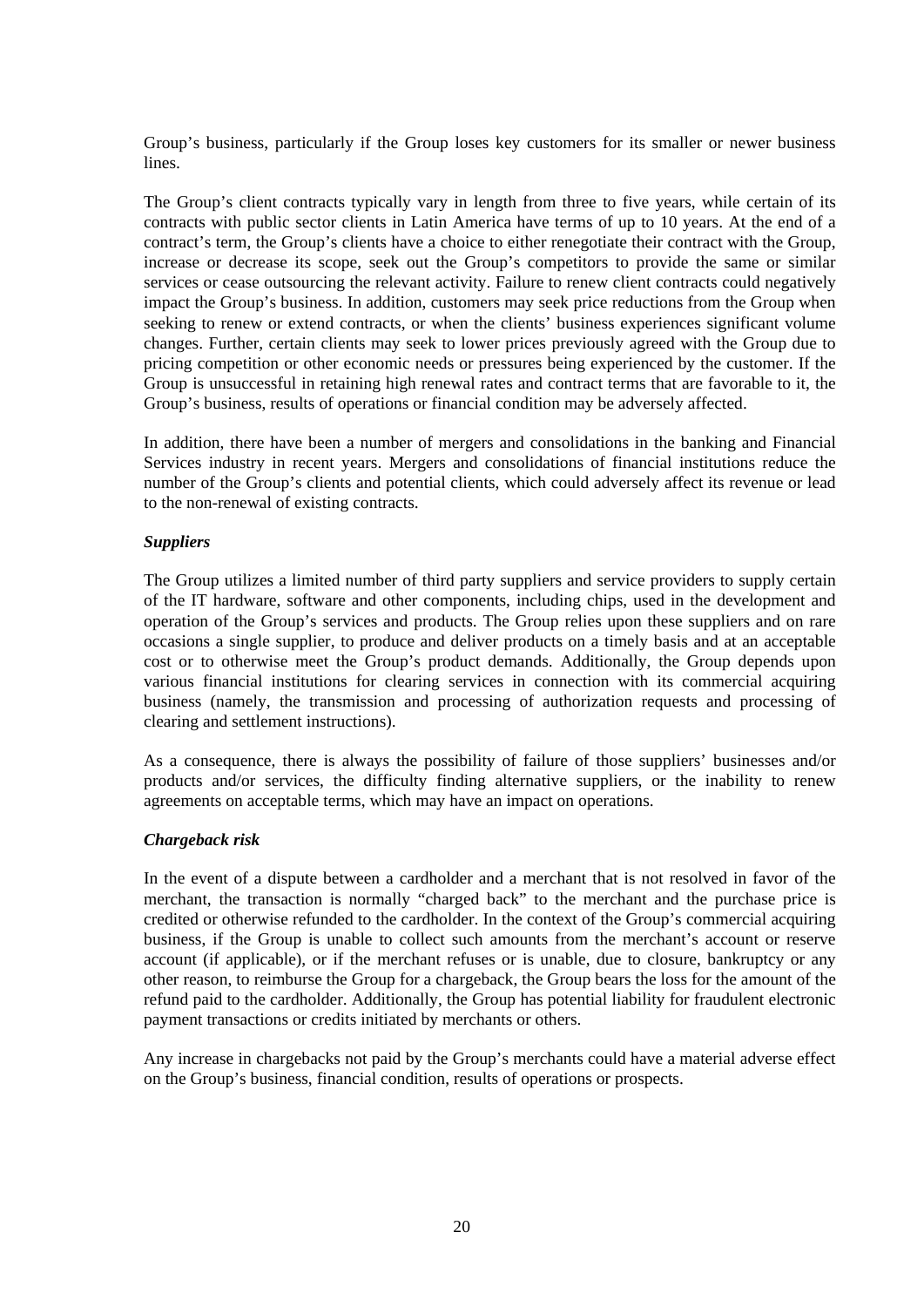Group's business, particularly if the Group loses key customers for its smaller or newer business lines.

The Group's client contracts typically vary in length from three to five years, while certain of its contracts with public sector clients in Latin America have terms of up to 10 years. At the end of a contract's term, the Group's clients have a choice to either renegotiate their contract with the Group, increase or decrease its scope, seek out the Group's competitors to provide the same or similar services or cease outsourcing the relevant activity. Failure to renew client contracts could negatively impact the Group's business. In addition, customers may seek price reductions from the Group when seeking to renew or extend contracts, or when the clients' business experiences significant volume changes. Further, certain clients may seek to lower prices previously agreed with the Group due to pricing competition or other economic needs or pressures being experienced by the customer. If the Group is unsuccessful in retaining high renewal rates and contract terms that are favorable to it, the Group's business, results of operations or financial condition may be adversely affected.

In addition, there have been a number of mergers and consolidations in the banking and Financial Services industry in recent years. Mergers and consolidations of financial institutions reduce the number of the Group's clients and potential clients, which could adversely affect its revenue or lead to the non-renewal of existing contracts.

### *Suppliers*

The Group utilizes a limited number of third party suppliers and service providers to supply certain of the IT hardware, software and other components, including chips, used in the development and operation of the Group's services and products. The Group relies upon these suppliers and on rare occasions a single supplier, to produce and deliver products on a timely basis and at an acceptable cost or to otherwise meet the Group's product demands. Additionally, the Group depends upon various financial institutions for clearing services in connection with its commercial acquiring business (namely, the transmission and processing of authorization requests and processing of clearing and settlement instructions).

As a consequence, there is always the possibility of failure of those suppliers' businesses and/or products and/or services, the difficulty finding alternative suppliers, or the inability to renew agreements on acceptable terms, which may have an impact on operations.

### *Chargeback risk*

In the event of a dispute between a cardholder and a merchant that is not resolved in favor of the merchant, the transaction is normally "charged back" to the merchant and the purchase price is credited or otherwise refunded to the cardholder. In the context of the Group's commercial acquiring business, if the Group is unable to collect such amounts from the merchant's account or reserve account (if applicable), or if the merchant refuses or is unable, due to closure, bankruptcy or any other reason, to reimburse the Group for a chargeback, the Group bears the loss for the amount of the refund paid to the cardholder. Additionally, the Group has potential liability for fraudulent electronic payment transactions or credits initiated by merchants or others.

Any increase in chargebacks not paid by the Group's merchants could have a material adverse effect on the Group's business, financial condition, results of operations or prospects.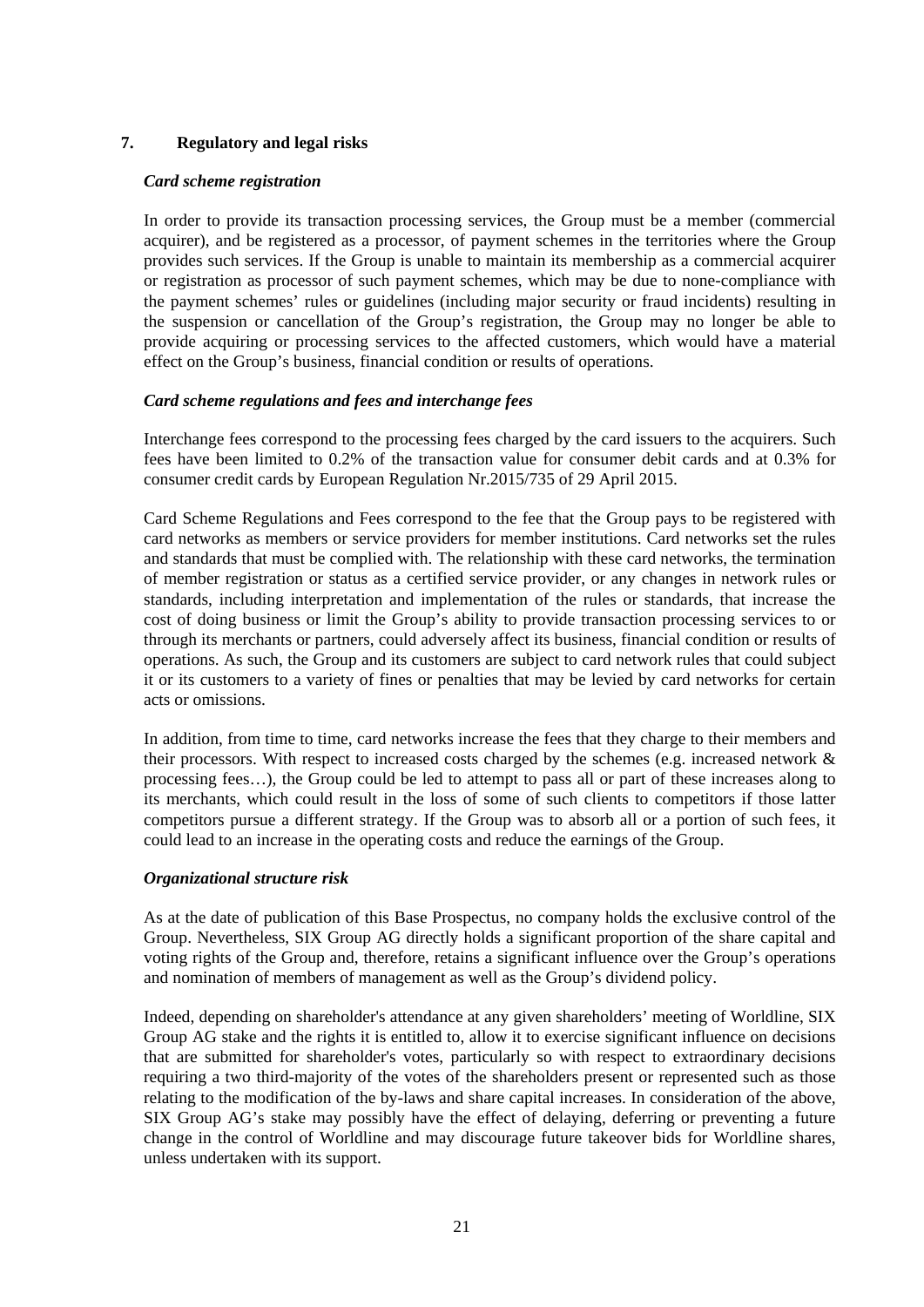# **7. Regulatory and legal risks**

### *Card scheme registration*

In order to provide its transaction processing services, the Group must be a member (commercial acquirer), and be registered as a processor, of payment schemes in the territories where the Group provides such services. If the Group is unable to maintain its membership as a commercial acquirer or registration as processor of such payment schemes, which may be due to none-compliance with the payment schemes' rules or guidelines (including major security or fraud incidents) resulting in the suspension or cancellation of the Group's registration, the Group may no longer be able to provide acquiring or processing services to the affected customers, which would have a material effect on the Group's business, financial condition or results of operations.

# *Card scheme regulations and fees and interchange fees*

Interchange fees correspond to the processing fees charged by the card issuers to the acquirers. Such fees have been limited to 0.2% of the transaction value for consumer debit cards and at 0.3% for consumer credit cards by European Regulation Nr.2015/735 of 29 April 2015.

Card Scheme Regulations and Fees correspond to the fee that the Group pays to be registered with card networks as members or service providers for member institutions. Card networks set the rules and standards that must be complied with. The relationship with these card networks, the termination of member registration or status as a certified service provider, or any changes in network rules or standards, including interpretation and implementation of the rules or standards, that increase the cost of doing business or limit the Group's ability to provide transaction processing services to or through its merchants or partners, could adversely affect its business, financial condition or results of operations. As such, the Group and its customers are subject to card network rules that could subject it or its customers to a variety of fines or penalties that may be levied by card networks for certain acts or omissions.

In addition, from time to time, card networks increase the fees that they charge to their members and their processors. With respect to increased costs charged by the schemes (e.g. increased network & processing fees…), the Group could be led to attempt to pass all or part of these increases along to its merchants, which could result in the loss of some of such clients to competitors if those latter competitors pursue a different strategy. If the Group was to absorb all or a portion of such fees, it could lead to an increase in the operating costs and reduce the earnings of the Group.

### *Organizational structure risk*

As at the date of publication of this Base Prospectus, no company holds the exclusive control of the Group. Nevertheless, SIX Group AG directly holds a significant proportion of the share capital and voting rights of the Group and, therefore, retains a significant influence over the Group's operations and nomination of members of management as well as the Group's dividend policy.

Indeed, depending on shareholder's attendance at any given shareholders' meeting of Worldline, SIX Group AG stake and the rights it is entitled to, allow it to exercise significant influence on decisions that are submitted for shareholder's votes, particularly so with respect to extraordinary decisions requiring a two third-majority of the votes of the shareholders present or represented such as those relating to the modification of the by-laws and share capital increases. In consideration of the above, SIX Group AG's stake may possibly have the effect of delaying, deferring or preventing a future change in the control of Worldline and may discourage future takeover bids for Worldline shares, unless undertaken with its support.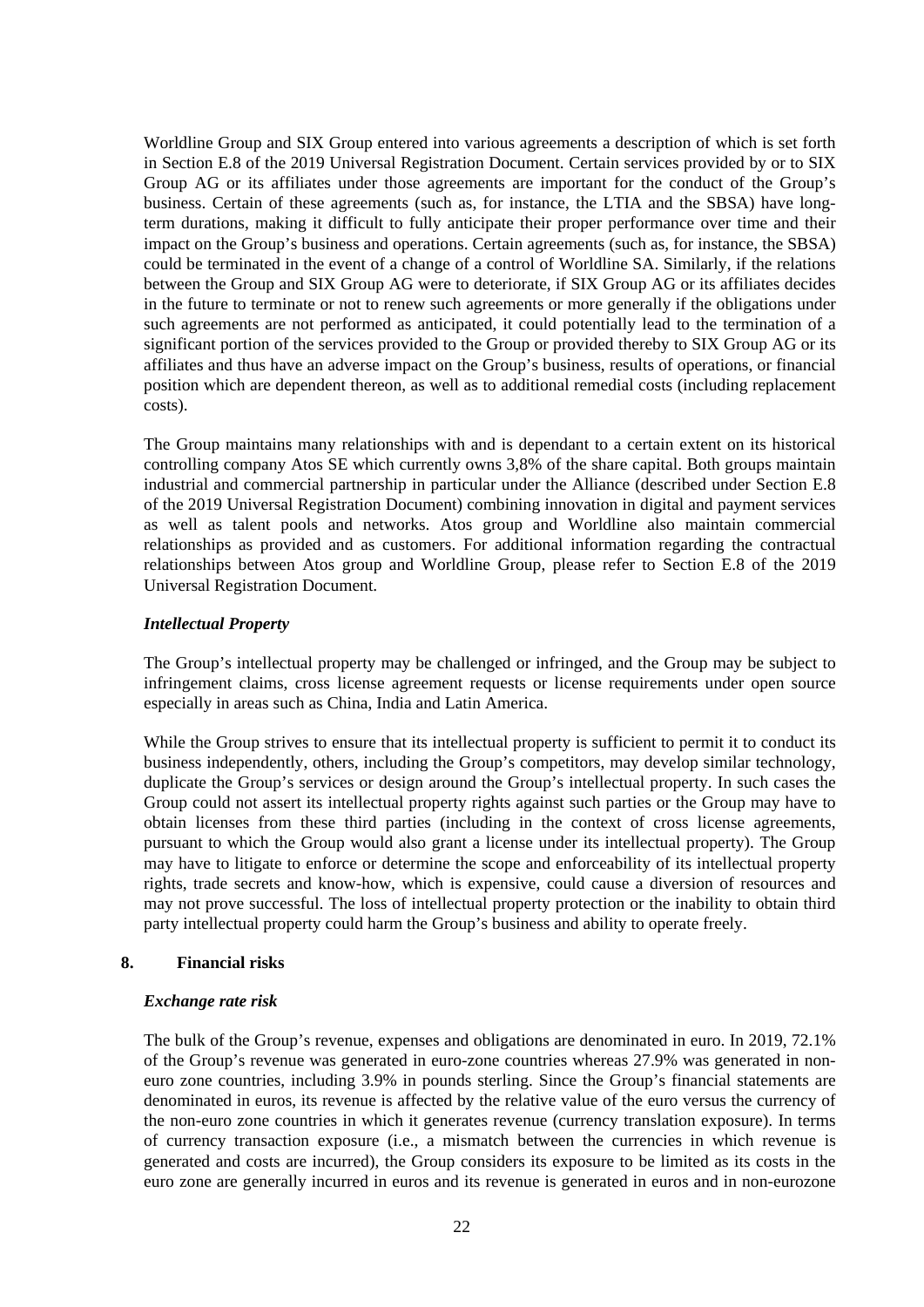Worldline Group and SIX Group entered into various agreements a description of which is set forth in Section E.8 of the 2019 Universal Registration Document. Certain services provided by or to SIX Group AG or its affiliates under those agreements are important for the conduct of the Group's business. Certain of these agreements (such as, for instance, the LTIA and the SBSA) have longterm durations, making it difficult to fully anticipate their proper performance over time and their impact on the Group's business and operations. Certain agreements (such as, for instance, the SBSA) could be terminated in the event of a change of a control of Worldline SA. Similarly, if the relations between the Group and SIX Group AG were to deteriorate, if SIX Group AG or its affiliates decides in the future to terminate or not to renew such agreements or more generally if the obligations under such agreements are not performed as anticipated, it could potentially lead to the termination of a significant portion of the services provided to the Group or provided thereby to SIX Group AG or its affiliates and thus have an adverse impact on the Group's business, results of operations, or financial position which are dependent thereon, as well as to additional remedial costs (including replacement costs).

The Group maintains many relationships with and is dependant to a certain extent on its historical controlling company Atos SE which currently owns 3,8% of the share capital. Both groups maintain industrial and commercial partnership in particular under the Alliance (described under Section E.8 of the 2019 Universal Registration Document) combining innovation in digital and payment services as well as talent pools and networks. Atos group and Worldline also maintain commercial relationships as provided and as customers. For additional information regarding the contractual relationships between Atos group and Worldline Group, please refer to Section E.8 of the 2019 Universal Registration Document.

# *Intellectual Property*

The Group's intellectual property may be challenged or infringed, and the Group may be subject to infringement claims, cross license agreement requests or license requirements under open source especially in areas such as China, India and Latin America.

While the Group strives to ensure that its intellectual property is sufficient to permit it to conduct its business independently, others, including the Group's competitors, may develop similar technology, duplicate the Group's services or design around the Group's intellectual property. In such cases the Group could not assert its intellectual property rights against such parties or the Group may have to obtain licenses from these third parties (including in the context of cross license agreements, pursuant to which the Group would also grant a license under its intellectual property). The Group may have to litigate to enforce or determine the scope and enforceability of its intellectual property rights, trade secrets and know-how, which is expensive, could cause a diversion of resources and may not prove successful. The loss of intellectual property protection or the inability to obtain third party intellectual property could harm the Group's business and ability to operate freely.

# **8. Financial risks**

### *Exchange rate risk*

The bulk of the Group's revenue, expenses and obligations are denominated in euro. In 2019, 72.1% of the Group's revenue was generated in euro-zone countries whereas 27.9% was generated in noneuro zone countries, including 3.9% in pounds sterling. Since the Group's financial statements are denominated in euros, its revenue is affected by the relative value of the euro versus the currency of the non-euro zone countries in which it generates revenue (currency translation exposure). In terms of currency transaction exposure (i.e., a mismatch between the currencies in which revenue is generated and costs are incurred), the Group considers its exposure to be limited as its costs in the euro zone are generally incurred in euros and its revenue is generated in euros and in non-eurozone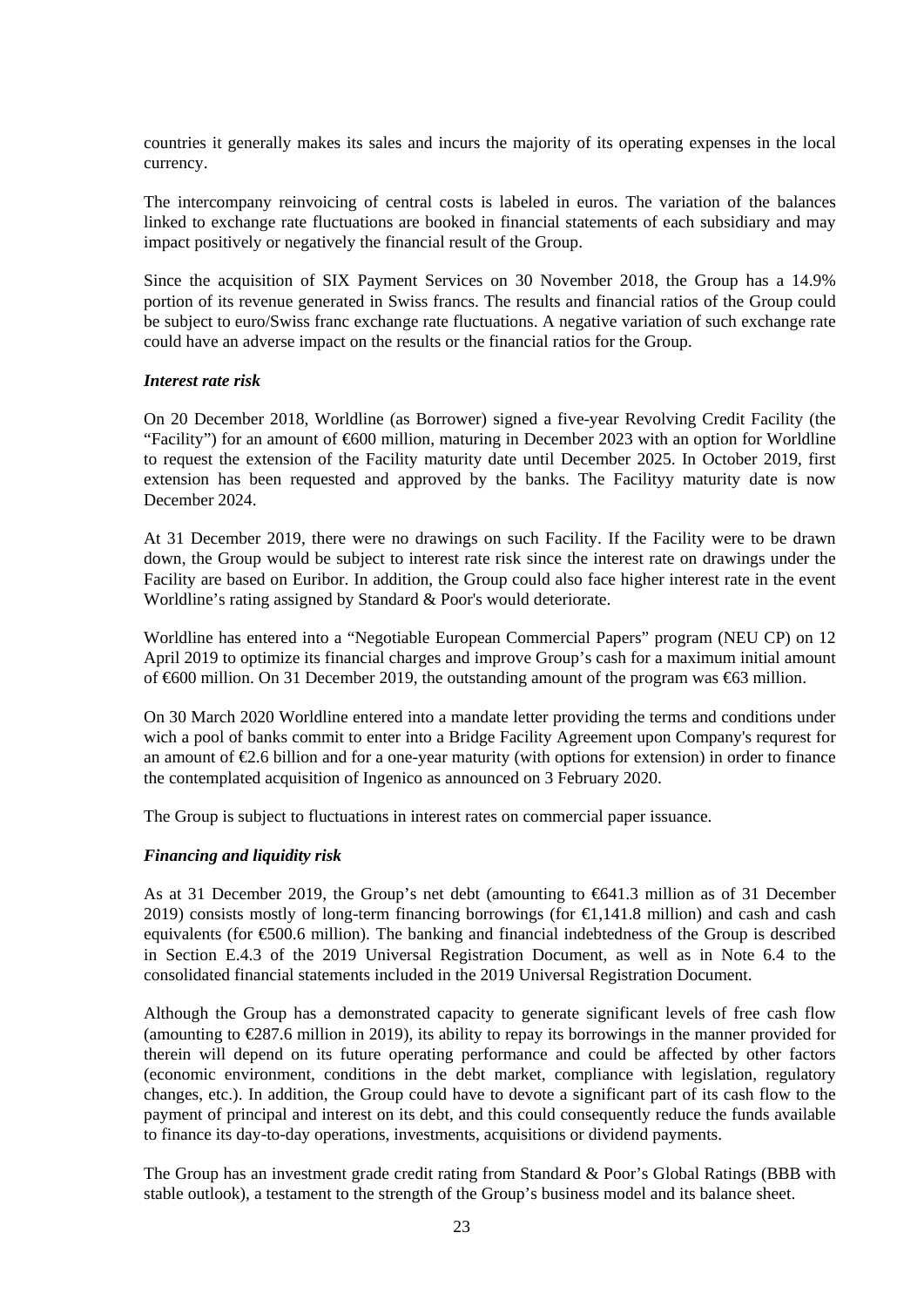countries it generally makes its sales and incurs the majority of its operating expenses in the local currency.

The intercompany reinvoicing of central costs is labeled in euros. The variation of the balances linked to exchange rate fluctuations are booked in financial statements of each subsidiary and may impact positively or negatively the financial result of the Group.

Since the acquisition of SIX Payment Services on 30 November 2018, the Group has a 14.9% portion of its revenue generated in Swiss francs. The results and financial ratios of the Group could be subject to euro/Swiss franc exchange rate fluctuations. A negative variation of such exchange rate could have an adverse impact on the results or the financial ratios for the Group.

#### *Interest rate risk*

On 20 December 2018, Worldline (as Borrower) signed a five-year Revolving Credit Facility (the "Facility") for an amount of  $600$  million, maturing in December 2023 with an option for Worldline to request the extension of the Facility maturity date until December 2025. In October 2019, first extension has been requested and approved by the banks. The Facilityy maturity date is now December 2024.

At 31 December 2019, there were no drawings on such Facility. If the Facility were to be drawn down, the Group would be subject to interest rate risk since the interest rate on drawings under the Facility are based on Euribor. In addition, the Group could also face higher interest rate in the event Worldline's rating assigned by Standard & Poor's would deteriorate.

Worldline has entered into a "Negotiable European Commercial Papers" program (NEU CP) on 12 April 2019 to optimize its financial charges and improve Group's cash for a maximum initial amount of €600 million. On 31 December 2019, the outstanding amount of the program was €63 million.

On 30 March 2020 Worldline entered into a mandate letter providing the terms and conditions under wich a pool of banks commit to enter into a Bridge Facility Agreement upon Company's requrest for an amount of €2.6 billion and for a one-year maturity (with options for extension) in order to finance the contemplated acquisition of Ingenico as announced on 3 February 2020.

The Group is subject to fluctuations in interest rates on commercial paper issuance.

### *Financing and liquidity risk*

As at 31 December 2019, the Group's net debt (amounting to €641.3 million as of 31 December 2019) consists mostly of long-term financing borrowings (for  $\in$ 1,141.8 million) and cash and cash equivalents (for €500.6 million). The banking and financial indebtedness of the Group is described in Section E.4.3 of the 2019 Universal Registration Document, as well as in Note 6.4 to the consolidated financial statements included in the 2019 Universal Registration Document.

Although the Group has a demonstrated capacity to generate significant levels of free cash flow (amounting to  $\in \{287.6 \text{ million in } 2019\}$ ), its ability to repay its borrowings in the manner provided for therein will depend on its future operating performance and could be affected by other factors (economic environment, conditions in the debt market, compliance with legislation, regulatory changes, etc.). In addition, the Group could have to devote a significant part of its cash flow to the payment of principal and interest on its debt, and this could consequently reduce the funds available to finance its day-to-day operations, investments, acquisitions or dividend payments.

The Group has an investment grade credit rating from Standard & Poor's Global Ratings (BBB with stable outlook), a testament to the strength of the Group's business model and its balance sheet.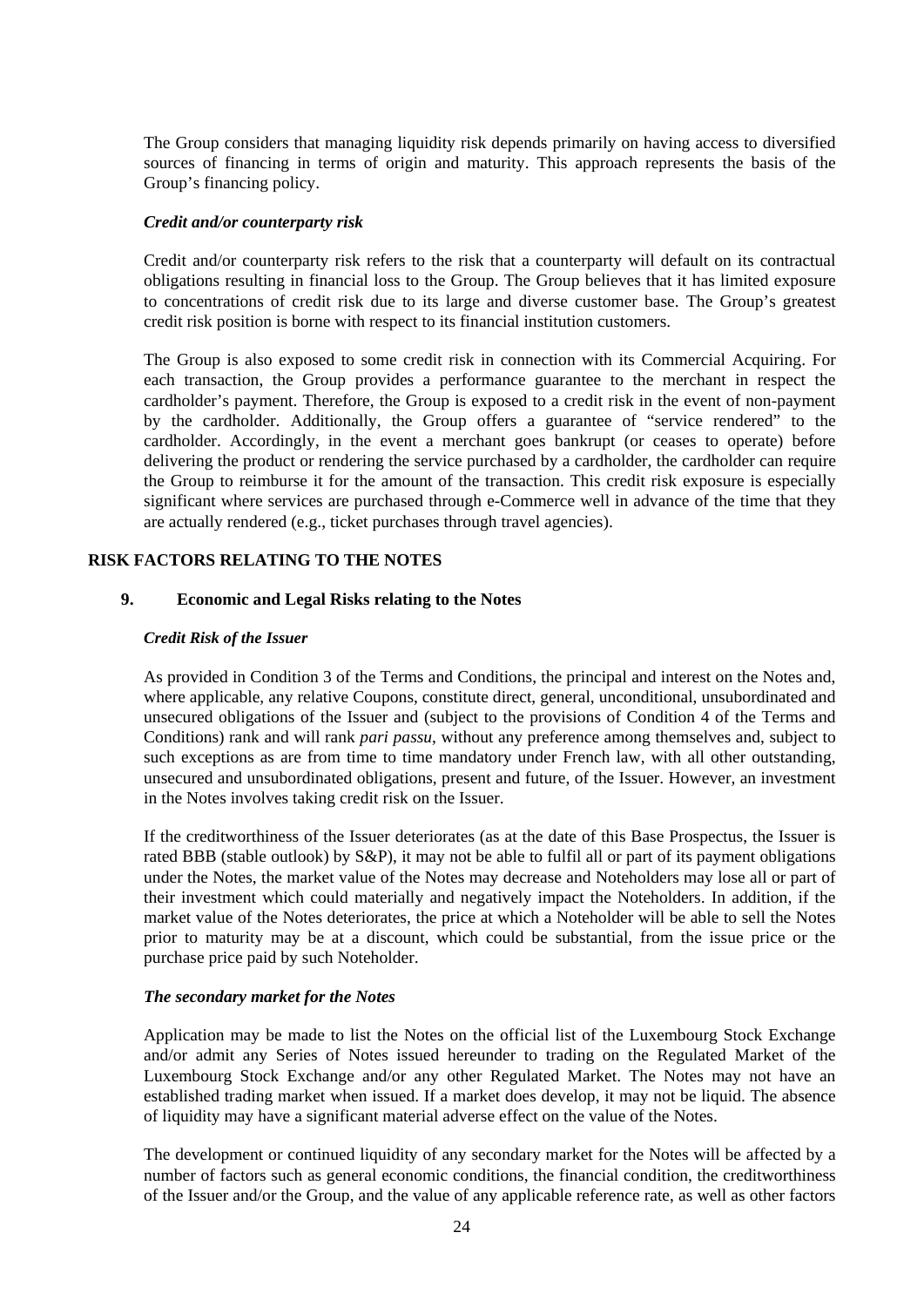The Group considers that managing liquidity risk depends primarily on having access to diversified sources of financing in terms of origin and maturity. This approach represents the basis of the Group's financing policy.

#### *Credit and/or counterparty risk*

Credit and/or counterparty risk refers to the risk that a counterparty will default on its contractual obligations resulting in financial loss to the Group. The Group believes that it has limited exposure to concentrations of credit risk due to its large and diverse customer base. The Group's greatest credit risk position is borne with respect to its financial institution customers.

The Group is also exposed to some credit risk in connection with its Commercial Acquiring. For each transaction, the Group provides a performance guarantee to the merchant in respect the cardholder's payment. Therefore, the Group is exposed to a credit risk in the event of non-payment by the cardholder. Additionally, the Group offers a guarantee of "service rendered" to the cardholder. Accordingly, in the event a merchant goes bankrupt (or ceases to operate) before delivering the product or rendering the service purchased by a cardholder, the cardholder can require the Group to reimburse it for the amount of the transaction. This credit risk exposure is especially significant where services are purchased through e-Commerce well in advance of the time that they are actually rendered (e.g., ticket purchases through travel agencies).

### **RISK FACTORS RELATING TO THE NOTES**

### **9. Economic and Legal Risks relating to the Notes**

#### *Credit Risk of the Issuer*

As provided in Condition 3 of the Terms and Conditions, the principal and interest on the Notes and, where applicable, any relative Coupons, constitute direct, general, unconditional, unsubordinated and unsecured obligations of the Issuer and (subject to the provisions of Condition 4 of the Terms and Conditions) rank and will rank *pari passu*, without any preference among themselves and, subject to such exceptions as are from time to time mandatory under French law, with all other outstanding, unsecured and unsubordinated obligations, present and future, of the Issuer. However, an investment in the Notes involves taking credit risk on the Issuer.

If the creditworthiness of the Issuer deteriorates (as at the date of this Base Prospectus, the Issuer is rated BBB (stable outlook) by S&P), it may not be able to fulfil all or part of its payment obligations under the Notes, the market value of the Notes may decrease and Noteholders may lose all or part of their investment which could materially and negatively impact the Noteholders. In addition, if the market value of the Notes deteriorates, the price at which a Noteholder will be able to sell the Notes prior to maturity may be at a discount, which could be substantial, from the issue price or the purchase price paid by such Noteholder.

### *The secondary market for the Notes*

Application may be made to list the Notes on the official list of the Luxembourg Stock Exchange and/or admit any Series of Notes issued hereunder to trading on the Regulated Market of the Luxembourg Stock Exchange and/or any other Regulated Market. The Notes may not have an established trading market when issued. If a market does develop, it may not be liquid. The absence of liquidity may have a significant material adverse effect on the value of the Notes.

The development or continued liquidity of any secondary market for the Notes will be affected by a number of factors such as general economic conditions, the financial condition, the creditworthiness of the Issuer and/or the Group, and the value of any applicable reference rate, as well as other factors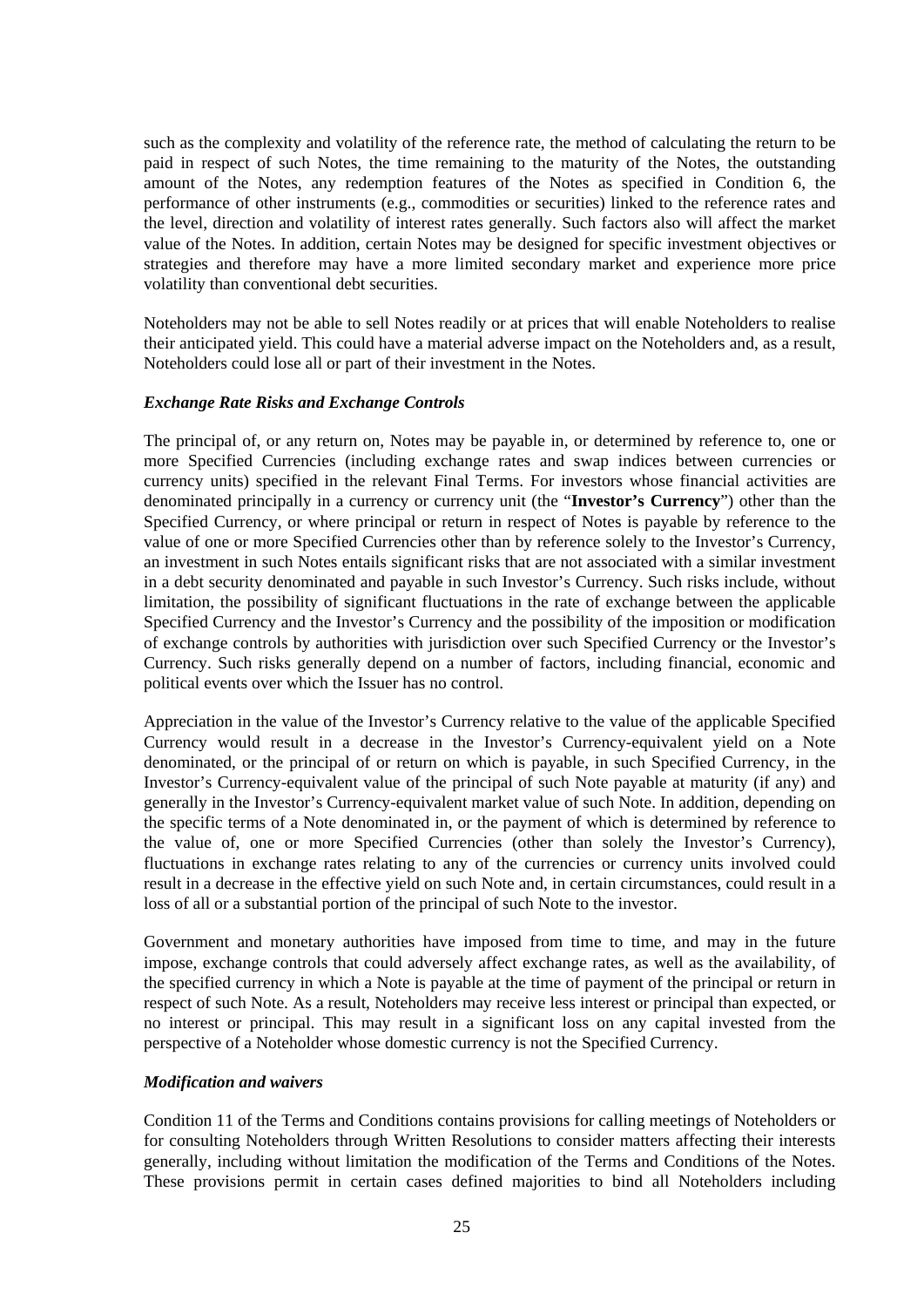such as the complexity and volatility of the reference rate, the method of calculating the return to be paid in respect of such Notes, the time remaining to the maturity of the Notes, the outstanding amount of the Notes, any redemption features of the Notes as specified in Condition 6, the performance of other instruments (e.g., commodities or securities) linked to the reference rates and the level, direction and volatility of interest rates generally. Such factors also will affect the market value of the Notes. In addition, certain Notes may be designed for specific investment objectives or strategies and therefore may have a more limited secondary market and experience more price volatility than conventional debt securities.

Noteholders may not be able to sell Notes readily or at prices that will enable Noteholders to realise their anticipated yield. This could have a material adverse impact on the Noteholders and, as a result, Noteholders could lose all or part of their investment in the Notes.

### *Exchange Rate Risks and Exchange Controls*

The principal of, or any return on, Notes may be payable in, or determined by reference to, one or more Specified Currencies (including exchange rates and swap indices between currencies or currency units) specified in the relevant Final Terms. For investors whose financial activities are denominated principally in a currency or currency unit (the "**Investor's Currency**") other than the Specified Currency, or where principal or return in respect of Notes is payable by reference to the value of one or more Specified Currencies other than by reference solely to the Investor's Currency, an investment in such Notes entails significant risks that are not associated with a similar investment in a debt security denominated and payable in such Investor's Currency. Such risks include, without limitation, the possibility of significant fluctuations in the rate of exchange between the applicable Specified Currency and the Investor's Currency and the possibility of the imposition or modification of exchange controls by authorities with jurisdiction over such Specified Currency or the Investor's Currency. Such risks generally depend on a number of factors, including financial, economic and political events over which the Issuer has no control.

Appreciation in the value of the Investor's Currency relative to the value of the applicable Specified Currency would result in a decrease in the Investor's Currency-equivalent yield on a Note denominated, or the principal of or return on which is payable, in such Specified Currency, in the Investor's Currency-equivalent value of the principal of such Note payable at maturity (if any) and generally in the Investor's Currency-equivalent market value of such Note. In addition, depending on the specific terms of a Note denominated in, or the payment of which is determined by reference to the value of, one or more Specified Currencies (other than solely the Investor's Currency), fluctuations in exchange rates relating to any of the currencies or currency units involved could result in a decrease in the effective yield on such Note and, in certain circumstances, could result in a loss of all or a substantial portion of the principal of such Note to the investor.

Government and monetary authorities have imposed from time to time, and may in the future impose, exchange controls that could adversely affect exchange rates, as well as the availability, of the specified currency in which a Note is payable at the time of payment of the principal or return in respect of such Note. As a result, Noteholders may receive less interest or principal than expected, or no interest or principal. This may result in a significant loss on any capital invested from the perspective of a Noteholder whose domestic currency is not the Specified Currency.

#### *Modification and waivers*

Condition 11 of the Terms and Conditions contains provisions for calling meetings of Noteholders or for consulting Noteholders through Written Resolutions to consider matters affecting their interests generally, including without limitation the modification of the Terms and Conditions of the Notes. These provisions permit in certain cases defined majorities to bind all Noteholders including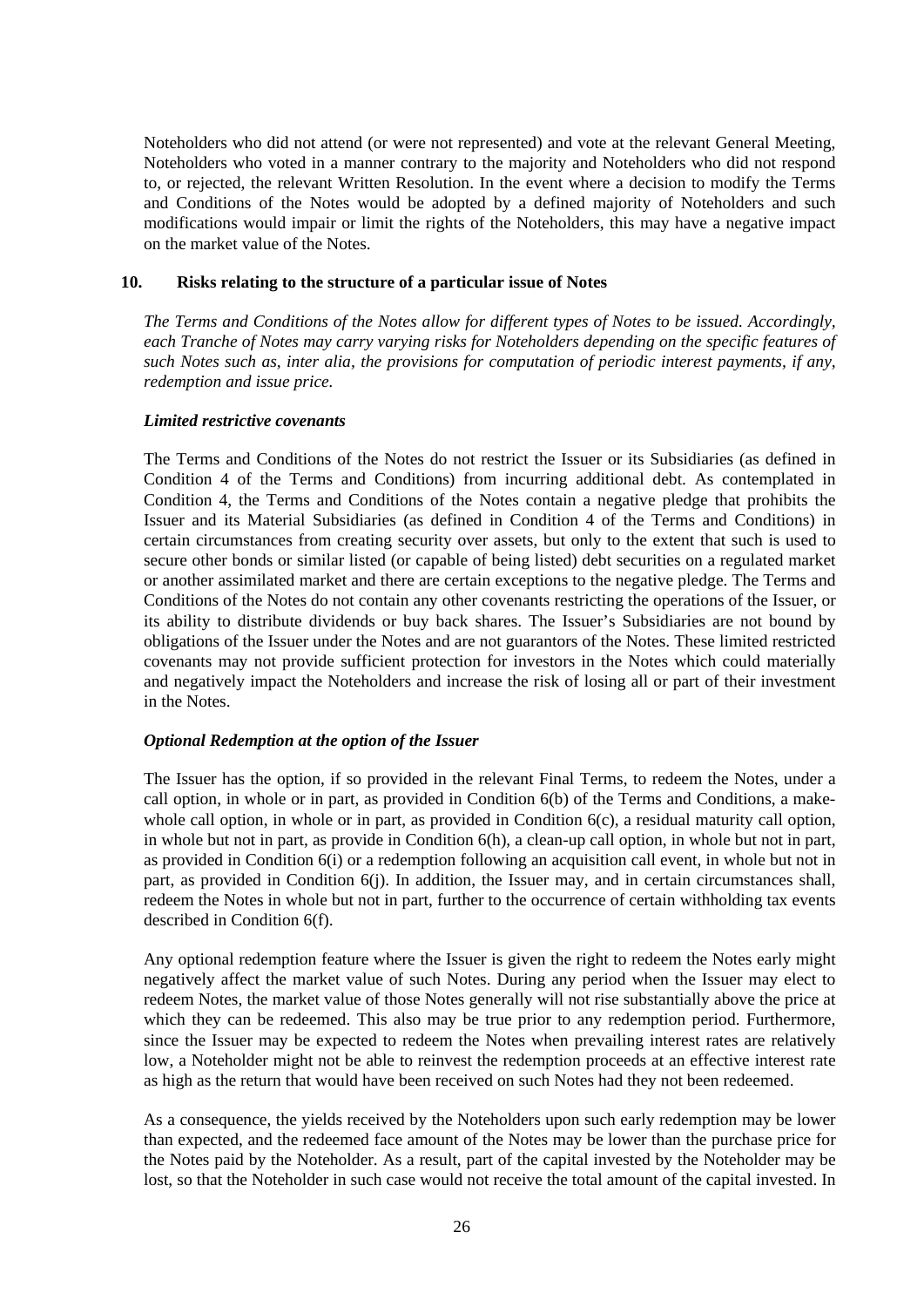Noteholders who did not attend (or were not represented) and vote at the relevant General Meeting, Noteholders who voted in a manner contrary to the majority and Noteholders who did not respond to, or rejected, the relevant Written Resolution. In the event where a decision to modify the Terms and Conditions of the Notes would be adopted by a defined majority of Noteholders and such modifications would impair or limit the rights of the Noteholders, this may have a negative impact on the market value of the Notes.

### **10. Risks relating to the structure of a particular issue of Notes**

*The Terms and Conditions of the Notes allow for different types of Notes to be issued. Accordingly, each Tranche of Notes may carry varying risks for Noteholders depending on the specific features of such Notes such as, inter alia, the provisions for computation of periodic interest payments, if any, redemption and issue price.*

#### *Limited restrictive covenants*

The Terms and Conditions of the Notes do not restrict the Issuer or its Subsidiaries (as defined in Condition 4 of the Terms and Conditions) from incurring additional debt. As contemplated in Condition 4, the Terms and Conditions of the Notes contain a negative pledge that prohibits the Issuer and its Material Subsidiaries (as defined in Condition 4 of the Terms and Conditions) in certain circumstances from creating security over assets, but only to the extent that such is used to secure other bonds or similar listed (or capable of being listed) debt securities on a regulated market or another assimilated market and there are certain exceptions to the negative pledge. The Terms and Conditions of the Notes do not contain any other covenants restricting the operations of the Issuer, or its ability to distribute dividends or buy back shares. The Issuer's Subsidiaries are not bound by obligations of the Issuer under the Notes and are not guarantors of the Notes. These limited restricted covenants may not provide sufficient protection for investors in the Notes which could materially and negatively impact the Noteholders and increase the risk of losing all or part of their investment in the Notes.

### *Optional Redemption at the option of the Issuer*

The Issuer has the option, if so provided in the relevant Final Terms, to redeem the Notes, under a call option, in whole or in part, as provided in Condition 6(b) of the Terms and Conditions, a makewhole call option, in whole or in part, as provided in Condition 6(c), a residual maturity call option, in whole but not in part, as provide in Condition 6(h), a clean-up call option, in whole but not in part, as provided in Condition 6(i) or a redemption following an acquisition call event, in whole but not in part, as provided in Condition 6(j). In addition, the Issuer may, and in certain circumstances shall, redeem the Notes in whole but not in part, further to the occurrence of certain withholding tax events described in Condition 6(f).

Any optional redemption feature where the Issuer is given the right to redeem the Notes early might negatively affect the market value of such Notes. During any period when the Issuer may elect to redeem Notes, the market value of those Notes generally will not rise substantially above the price at which they can be redeemed. This also may be true prior to any redemption period. Furthermore, since the Issuer may be expected to redeem the Notes when prevailing interest rates are relatively low, a Noteholder might not be able to reinvest the redemption proceeds at an effective interest rate as high as the return that would have been received on such Notes had they not been redeemed.

As a consequence, the yields received by the Noteholders upon such early redemption may be lower than expected, and the redeemed face amount of the Notes may be lower than the purchase price for the Notes paid by the Noteholder. As a result, part of the capital invested by the Noteholder may be lost, so that the Noteholder in such case would not receive the total amount of the capital invested. In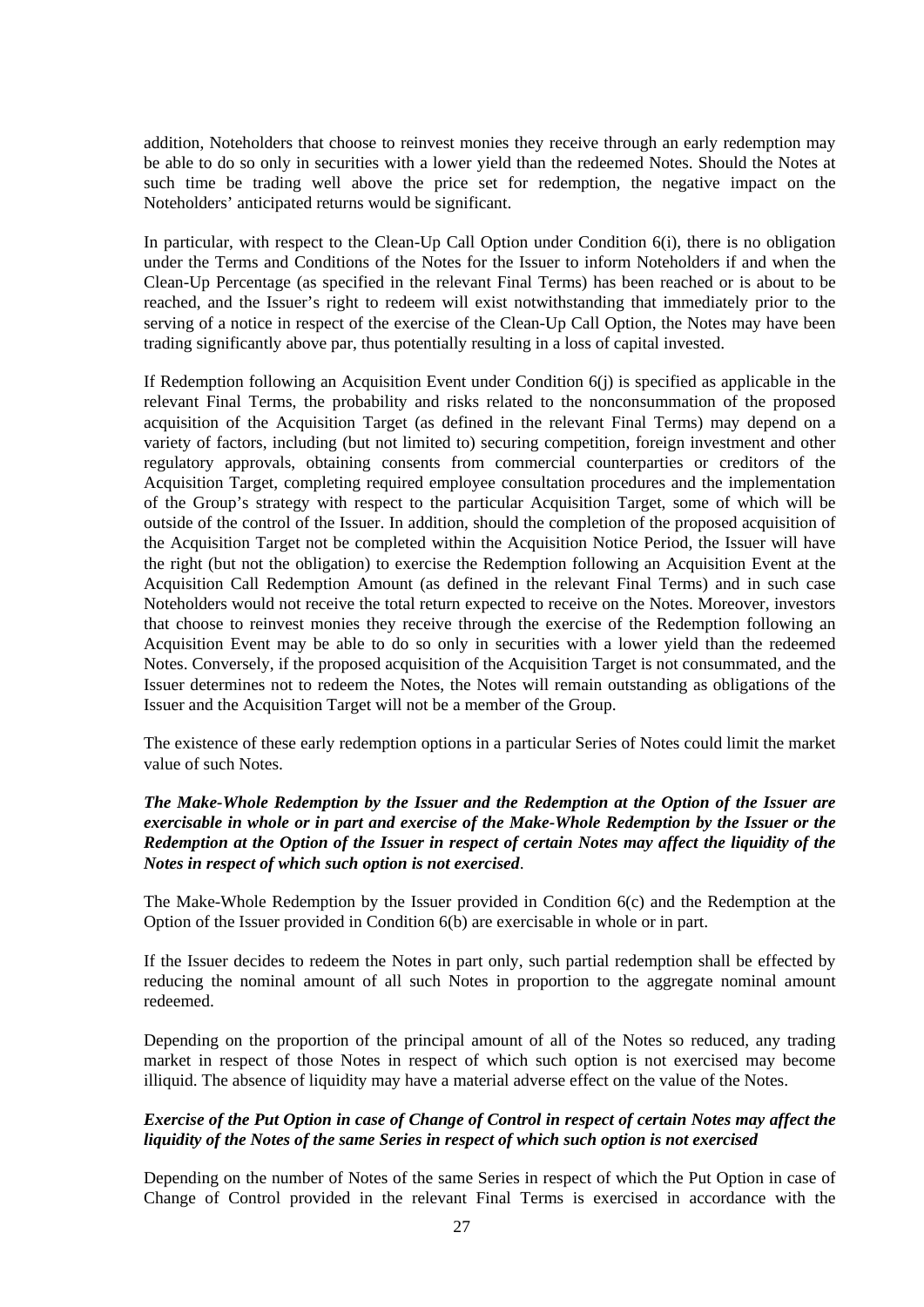addition, Noteholders that choose to reinvest monies they receive through an early redemption may be able to do so only in securities with a lower yield than the redeemed Notes. Should the Notes at such time be trading well above the price set for redemption, the negative impact on the Noteholders' anticipated returns would be significant.

In particular, with respect to the Clean-Up Call Option under Condition 6(i), there is no obligation under the Terms and Conditions of the Notes for the Issuer to inform Noteholders if and when the Clean-Up Percentage (as specified in the relevant Final Terms) has been reached or is about to be reached, and the Issuer's right to redeem will exist notwithstanding that immediately prior to the serving of a notice in respect of the exercise of the Clean-Up Call Option, the Notes may have been trading significantly above par, thus potentially resulting in a loss of capital invested.

If Redemption following an Acquisition Event under Condition 6(j) is specified as applicable in the relevant Final Terms, the probability and risks related to the nonconsummation of the proposed acquisition of the Acquisition Target (as defined in the relevant Final Terms) may depend on a variety of factors, including (but not limited to) securing competition, foreign investment and other regulatory approvals, obtaining consents from commercial counterparties or creditors of the Acquisition Target, completing required employee consultation procedures and the implementation of the Group's strategy with respect to the particular Acquisition Target, some of which will be outside of the control of the Issuer. In addition, should the completion of the proposed acquisition of the Acquisition Target not be completed within the Acquisition Notice Period, the Issuer will have the right (but not the obligation) to exercise the Redemption following an Acquisition Event at the Acquisition Call Redemption Amount (as defined in the relevant Final Terms) and in such case Noteholders would not receive the total return expected to receive on the Notes. Moreover, investors that choose to reinvest monies they receive through the exercise of the Redemption following an Acquisition Event may be able to do so only in securities with a lower yield than the redeemed Notes. Conversely, if the proposed acquisition of the Acquisition Target is not consummated, and the Issuer determines not to redeem the Notes, the Notes will remain outstanding as obligations of the Issuer and the Acquisition Target will not be a member of the Group.

The existence of these early redemption options in a particular Series of Notes could limit the market value of such Notes.

### *The Make-Whole Redemption by the Issuer and the Redemption at the Option of the Issuer are exercisable in whole or in part and exercise of the Make-Whole Redemption by the Issuer or the Redemption at the Option of the Issuer in respect of certain Notes may affect the liquidity of the Notes in respect of which such option is not exercised*.

The Make-Whole Redemption by the Issuer provided in Condition 6(c) and the Redemption at the Option of the Issuer provided in Condition 6(b) are exercisable in whole or in part.

If the Issuer decides to redeem the Notes in part only, such partial redemption shall be effected by reducing the nominal amount of all such Notes in proportion to the aggregate nominal amount redeemed.

Depending on the proportion of the principal amount of all of the Notes so reduced, any trading market in respect of those Notes in respect of which such option is not exercised may become illiquid. The absence of liquidity may have a material adverse effect on the value of the Notes.

# *Exercise of the Put Option in case of Change of Control in respect of certain Notes may affect the liquidity of the Notes of the same Series in respect of which such option is not exercised*

Depending on the number of Notes of the same Series in respect of which the Put Option in case of Change of Control provided in the relevant Final Terms is exercised in accordance with the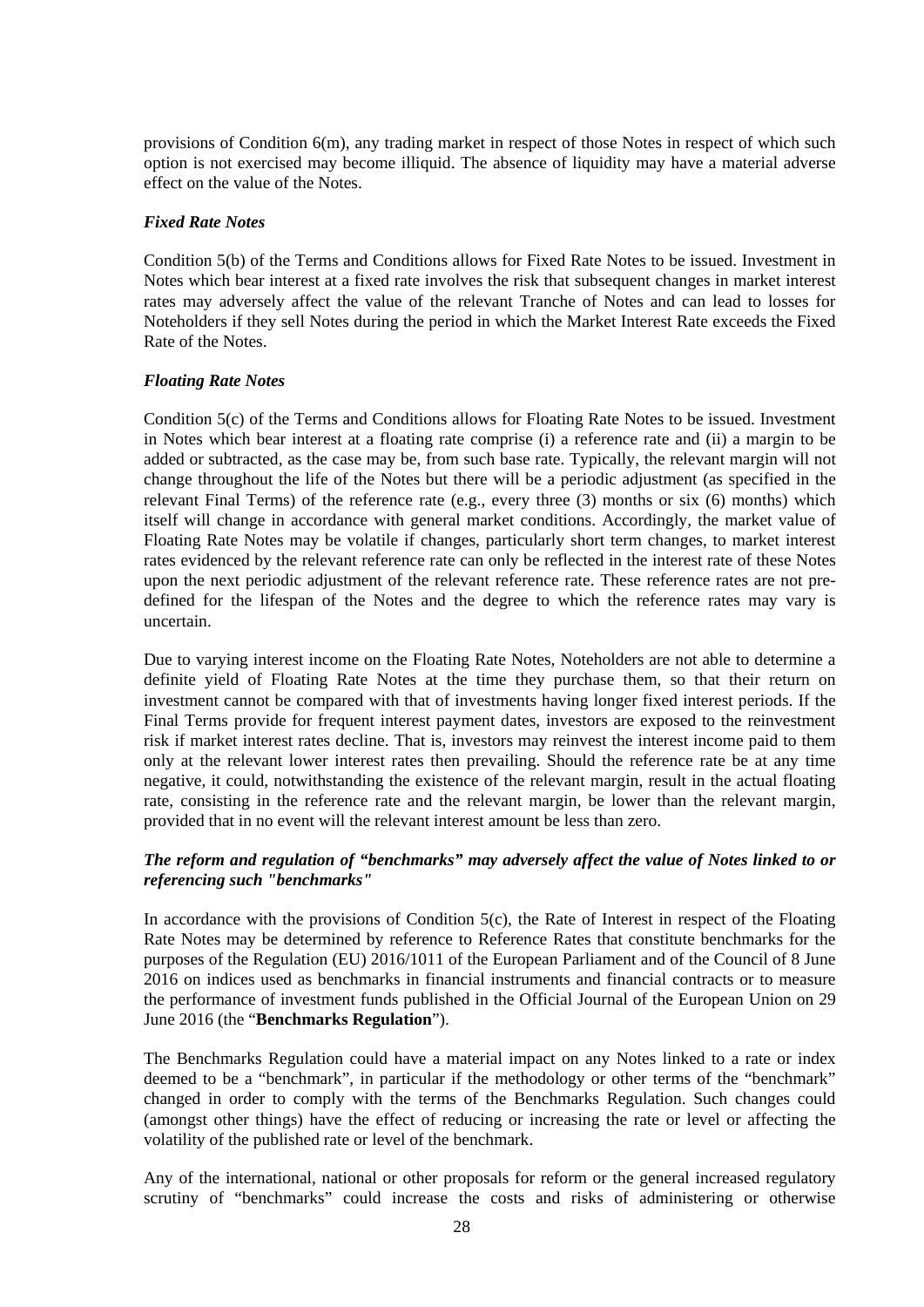provisions of Condition 6(m), any trading market in respect of those Notes in respect of which such option is not exercised may become illiquid. The absence of liquidity may have a material adverse effect on the value of the Notes.

### *Fixed Rate Notes*

Condition 5(b) of the Terms and Conditions allows for Fixed Rate Notes to be issued. Investment in Notes which bear interest at a fixed rate involves the risk that subsequent changes in market interest rates may adversely affect the value of the relevant Tranche of Notes and can lead to losses for Noteholders if they sell Notes during the period in which the Market Interest Rate exceeds the Fixed Rate of the Notes.

# *Floating Rate Notes*

Condition 5(c) of the Terms and Conditions allows for Floating Rate Notes to be issued. Investment in Notes which bear interest at a floating rate comprise (i) a reference rate and (ii) a margin to be added or subtracted, as the case may be, from such base rate. Typically, the relevant margin will not change throughout the life of the Notes but there will be a periodic adjustment (as specified in the relevant Final Terms) of the reference rate (e.g., every three (3) months or six (6) months) which itself will change in accordance with general market conditions. Accordingly, the market value of Floating Rate Notes may be volatile if changes, particularly short term changes, to market interest rates evidenced by the relevant reference rate can only be reflected in the interest rate of these Notes upon the next periodic adjustment of the relevant reference rate. These reference rates are not predefined for the lifespan of the Notes and the degree to which the reference rates may vary is uncertain.

Due to varying interest income on the Floating Rate Notes, Noteholders are not able to determine a definite yield of Floating Rate Notes at the time they purchase them, so that their return on investment cannot be compared with that of investments having longer fixed interest periods. If the Final Terms provide for frequent interest payment dates, investors are exposed to the reinvestment risk if market interest rates decline. That is, investors may reinvest the interest income paid to them only at the relevant lower interest rates then prevailing. Should the reference rate be at any time negative, it could, notwithstanding the existence of the relevant margin, result in the actual floating rate, consisting in the reference rate and the relevant margin, be lower than the relevant margin, provided that in no event will the relevant interest amount be less than zero.

# *The reform and regulation of "benchmarks" may adversely affect the value of Notes linked to or referencing such "benchmarks"*

In accordance with the provisions of Condition 5(c), the Rate of Interest in respect of the Floating Rate Notes may be determined by reference to Reference Rates that constitute benchmarks for the purposes of the Regulation (EU) 2016/1011 of the European Parliament and of the Council of 8 June 2016 on indices used as benchmarks in financial instruments and financial contracts or to measure the performance of investment funds published in the Official Journal of the European Union on 29 June 2016 (the "**Benchmarks Regulation**").

The Benchmarks Regulation could have a material impact on any Notes linked to a rate or index deemed to be a "benchmark", in particular if the methodology or other terms of the "benchmark" changed in order to comply with the terms of the Benchmarks Regulation. Such changes could (amongst other things) have the effect of reducing or increasing the rate or level or affecting the volatility of the published rate or level of the benchmark.

Any of the international, national or other proposals for reform or the general increased regulatory scrutiny of "benchmarks" could increase the costs and risks of administering or otherwise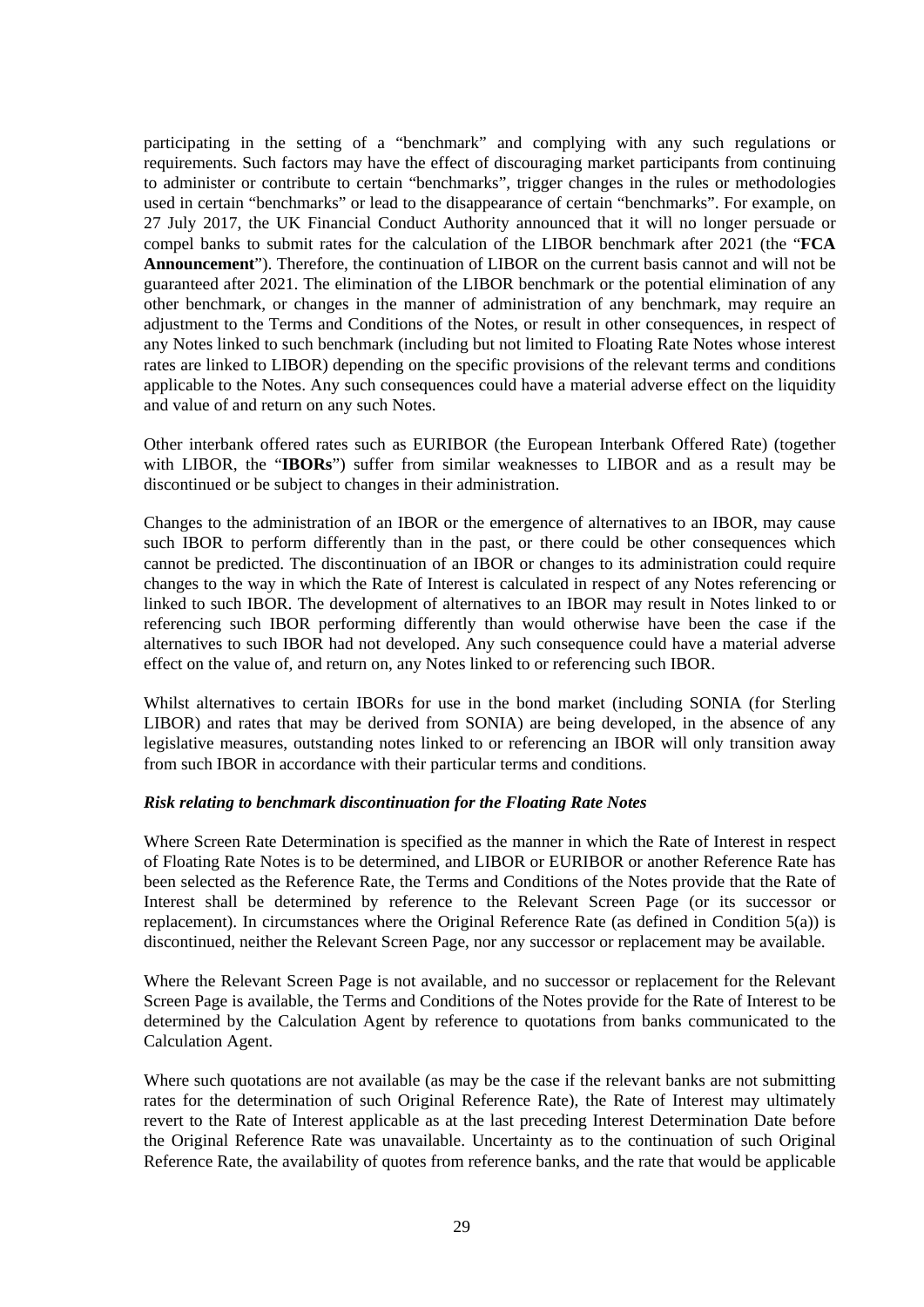participating in the setting of a "benchmark" and complying with any such regulations or requirements. Such factors may have the effect of discouraging market participants from continuing to administer or contribute to certain "benchmarks", trigger changes in the rules or methodologies used in certain "benchmarks" or lead to the disappearance of certain "benchmarks". For example, on 27 July 2017, the UK Financial Conduct Authority announced that it will no longer persuade or compel banks to submit rates for the calculation of the LIBOR benchmark after 2021 (the "**FCA Announcement**"). Therefore, the continuation of LIBOR on the current basis cannot and will not be guaranteed after 2021. The elimination of the LIBOR benchmark or the potential elimination of any other benchmark, or changes in the manner of administration of any benchmark, may require an adjustment to the Terms and Conditions of the Notes, or result in other consequences, in respect of any Notes linked to such benchmark (including but not limited to Floating Rate Notes whose interest rates are linked to LIBOR) depending on the specific provisions of the relevant terms and conditions applicable to the Notes. Any such consequences could have a material adverse effect on the liquidity and value of and return on any such Notes.

Other interbank offered rates such as EURIBOR (the European Interbank Offered Rate) (together with LIBOR, the "**IBORs**") suffer from similar weaknesses to LIBOR and as a result may be discontinued or be subject to changes in their administration.

Changes to the administration of an IBOR or the emergence of alternatives to an IBOR, may cause such IBOR to perform differently than in the past, or there could be other consequences which cannot be predicted. The discontinuation of an IBOR or changes to its administration could require changes to the way in which the Rate of Interest is calculated in respect of any Notes referencing or linked to such IBOR. The development of alternatives to an IBOR may result in Notes linked to or referencing such IBOR performing differently than would otherwise have been the case if the alternatives to such IBOR had not developed. Any such consequence could have a material adverse effect on the value of, and return on, any Notes linked to or referencing such IBOR.

Whilst alternatives to certain IBORs for use in the bond market (including SONIA (for Sterling LIBOR) and rates that may be derived from SONIA) are being developed, in the absence of any legislative measures, outstanding notes linked to or referencing an IBOR will only transition away from such IBOR in accordance with their particular terms and conditions.

### *Risk relating to benchmark discontinuation for the Floating Rate Notes*

Where Screen Rate Determination is specified as the manner in which the Rate of Interest in respect of Floating Rate Notes is to be determined, and LIBOR or EURIBOR or another Reference Rate has been selected as the Reference Rate, the Terms and Conditions of the Notes provide that the Rate of Interest shall be determined by reference to the Relevant Screen Page (or its successor or replacement). In circumstances where the Original Reference Rate (as defined in Condition 5(a)) is discontinued, neither the Relevant Screen Page, nor any successor or replacement may be available.

Where the Relevant Screen Page is not available, and no successor or replacement for the Relevant Screen Page is available, the Terms and Conditions of the Notes provide for the Rate of Interest to be determined by the Calculation Agent by reference to quotations from banks communicated to the Calculation Agent.

Where such quotations are not available (as may be the case if the relevant banks are not submitting rates for the determination of such Original Reference Rate), the Rate of Interest may ultimately revert to the Rate of Interest applicable as at the last preceding Interest Determination Date before the Original Reference Rate was unavailable. Uncertainty as to the continuation of such Original Reference Rate, the availability of quotes from reference banks, and the rate that would be applicable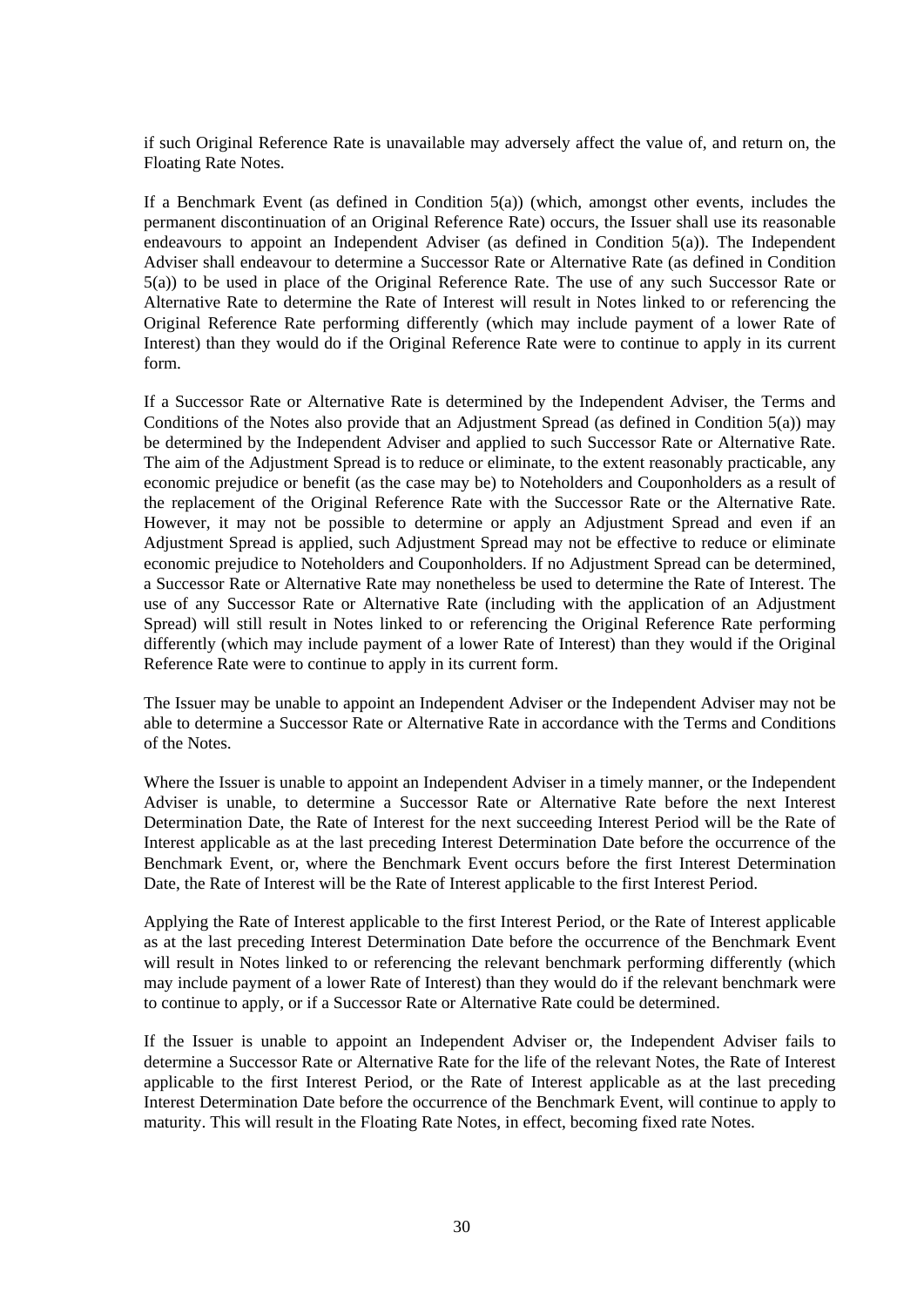if such Original Reference Rate is unavailable may adversely affect the value of, and return on, the Floating Rate Notes.

If a Benchmark Event (as defined in Condition 5(a)) (which, amongst other events, includes the permanent discontinuation of an Original Reference Rate) occurs, the Issuer shall use its reasonable endeavours to appoint an Independent Adviser (as defined in Condition  $5(a)$ ). The Independent Adviser shall endeavour to determine a Successor Rate or Alternative Rate (as defined in Condition 5(a)) to be used in place of the Original Reference Rate. The use of any such Successor Rate or Alternative Rate to determine the Rate of Interest will result in Notes linked to or referencing the Original Reference Rate performing differently (which may include payment of a lower Rate of Interest) than they would do if the Original Reference Rate were to continue to apply in its current form.

If a Successor Rate or Alternative Rate is determined by the Independent Adviser, the Terms and Conditions of the Notes also provide that an Adjustment Spread (as defined in Condition 5(a)) may be determined by the Independent Adviser and applied to such Successor Rate or Alternative Rate. The aim of the Adjustment Spread is to reduce or eliminate, to the extent reasonably practicable, any economic prejudice or benefit (as the case may be) to Noteholders and Couponholders as a result of the replacement of the Original Reference Rate with the Successor Rate or the Alternative Rate. However, it may not be possible to determine or apply an Adjustment Spread and even if an Adjustment Spread is applied, such Adjustment Spread may not be effective to reduce or eliminate economic prejudice to Noteholders and Couponholders. If no Adjustment Spread can be determined, a Successor Rate or Alternative Rate may nonetheless be used to determine the Rate of Interest. The use of any Successor Rate or Alternative Rate (including with the application of an Adjustment Spread) will still result in Notes linked to or referencing the Original Reference Rate performing differently (which may include payment of a lower Rate of Interest) than they would if the Original Reference Rate were to continue to apply in its current form.

The Issuer may be unable to appoint an Independent Adviser or the Independent Adviser may not be able to determine a Successor Rate or Alternative Rate in accordance with the Terms and Conditions of the Notes.

Where the Issuer is unable to appoint an Independent Adviser in a timely manner, or the Independent Adviser is unable, to determine a Successor Rate or Alternative Rate before the next Interest Determination Date, the Rate of Interest for the next succeeding Interest Period will be the Rate of Interest applicable as at the last preceding Interest Determination Date before the occurrence of the Benchmark Event, or, where the Benchmark Event occurs before the first Interest Determination Date, the Rate of Interest will be the Rate of Interest applicable to the first Interest Period.

Applying the Rate of Interest applicable to the first Interest Period, or the Rate of Interest applicable as at the last preceding Interest Determination Date before the occurrence of the Benchmark Event will result in Notes linked to or referencing the relevant benchmark performing differently (which may include payment of a lower Rate of Interest) than they would do if the relevant benchmark were to continue to apply, or if a Successor Rate or Alternative Rate could be determined.

If the Issuer is unable to appoint an Independent Adviser or, the Independent Adviser fails to determine a Successor Rate or Alternative Rate for the life of the relevant Notes, the Rate of Interest applicable to the first Interest Period, or the Rate of Interest applicable as at the last preceding Interest Determination Date before the occurrence of the Benchmark Event, will continue to apply to maturity. This will result in the Floating Rate Notes, in effect, becoming fixed rate Notes.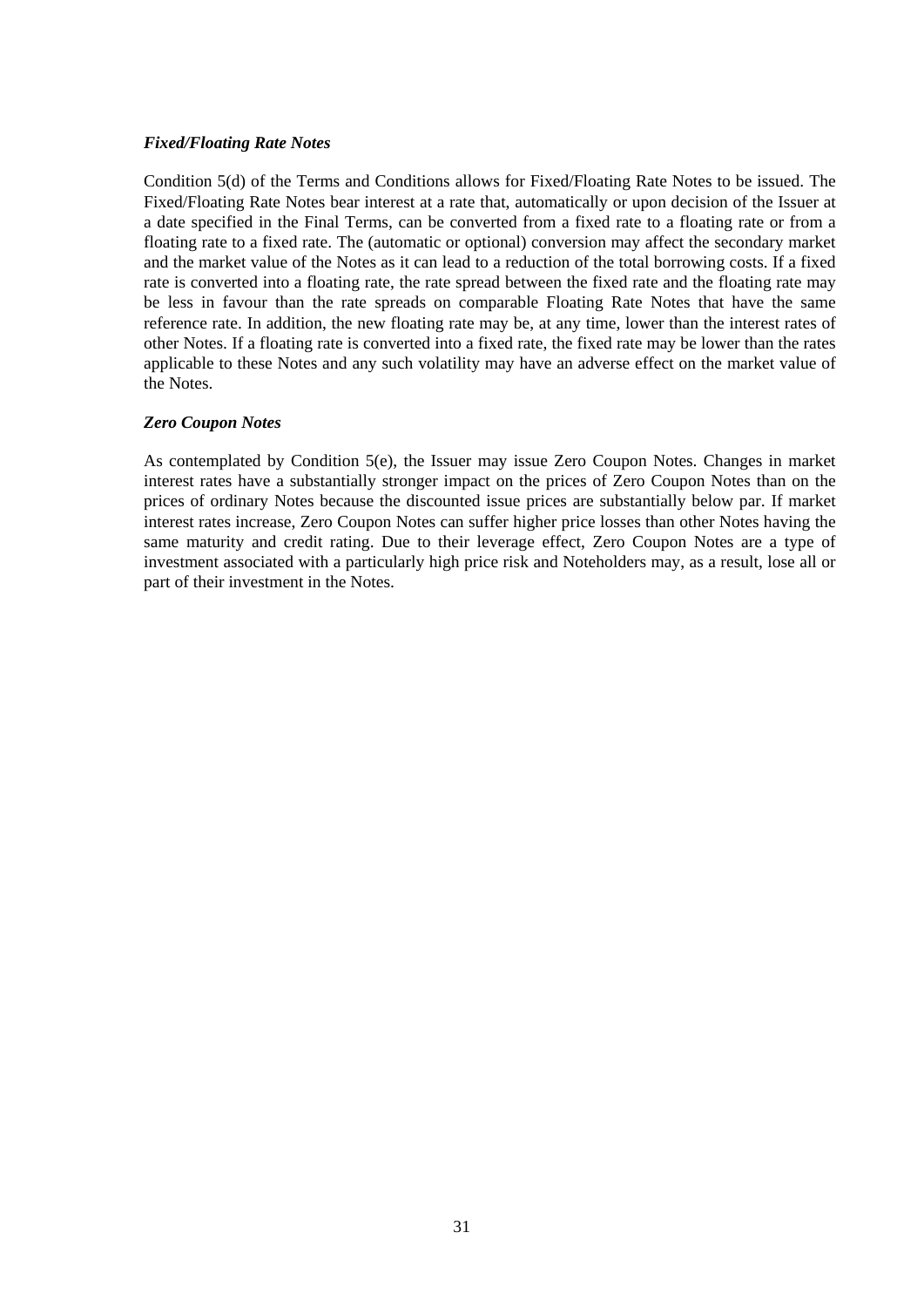### *Fixed/Floating Rate Notes*

Condition 5(d) of the Terms and Conditions allows for Fixed/Floating Rate Notes to be issued. The Fixed/Floating Rate Notes bear interest at a rate that, automatically or upon decision of the Issuer at a date specified in the Final Terms, can be converted from a fixed rate to a floating rate or from a floating rate to a fixed rate. The (automatic or optional) conversion may affect the secondary market and the market value of the Notes as it can lead to a reduction of the total borrowing costs. If a fixed rate is converted into a floating rate, the rate spread between the fixed rate and the floating rate may be less in favour than the rate spreads on comparable Floating Rate Notes that have the same reference rate. In addition, the new floating rate may be, at any time, lower than the interest rates of other Notes. If a floating rate is converted into a fixed rate, the fixed rate may be lower than the rates applicable to these Notes and any such volatility may have an adverse effect on the market value of the Notes.

#### *Zero Coupon Notes*

As contemplated by Condition 5(e), the Issuer may issue Zero Coupon Notes. Changes in market interest rates have a substantially stronger impact on the prices of Zero Coupon Notes than on the prices of ordinary Notes because the discounted issue prices are substantially below par. If market interest rates increase, Zero Coupon Notes can suffer higher price losses than other Notes having the same maturity and credit rating. Due to their leverage effect, Zero Coupon Notes are a type of investment associated with a particularly high price risk and Noteholders may, as a result, lose all or part of their investment in the Notes.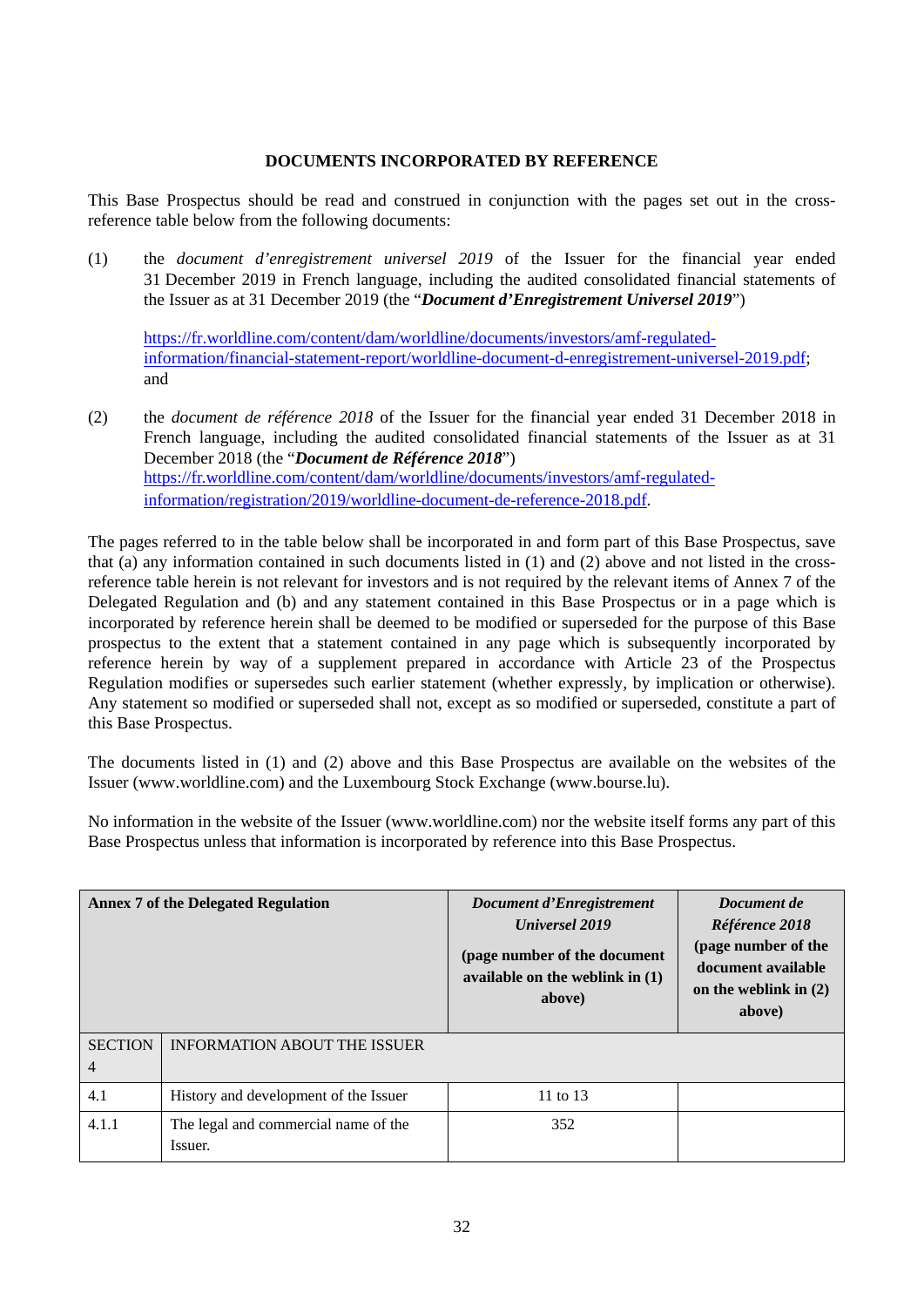### **DOCUMENTS INCORPORATED BY REFERENCE**

<span id="page-31-0"></span>This Base Prospectus should be read and construed in conjunction with the pages set out in the crossreference table below from the following documents:

(1) the *document d'enregistrement universel 2019* of the Issuer for the financial year ended 31 December 2019 in French language, including the audited consolidated financial statements of the Issuer as at 31 December 2019 (the "*Document d'Enregistrement Universel 2019*")

[https://fr.worldline.com/content/dam/worldline/documents/investors/amf-regulated](https://fr.worldline.com/content/dam/worldline/documents/investors/amf-regulated-information/financial-statement-report/worldline-document-d-enregistrement-universel-2019.pdf)[information/financial-statement-report/worldline-document-d-enregistrement-universel-2019.pdf;](https://fr.worldline.com/content/dam/worldline/documents/investors/amf-regulated-information/financial-statement-report/worldline-document-d-enregistrement-universel-2019.pdf) and

(2) the *document de référence 2018* of the Issuer for the financial year ended 31 December 2018 in French language, including the audited consolidated financial statements of the Issuer as at 31 December 2018 (the "*Document de Référence 2018*") [https://fr.worldline.com/content/dam/worldline/documents/investors/amf-regulated](https://fr.worldline.com/content/dam/worldline/documents/investors/amf-regulated-information/registration/2019/worldline-document-de-reference-2018.pdf)[information/registration/2019/worldline-document-de-reference-2018.pdf.](https://fr.worldline.com/content/dam/worldline/documents/investors/amf-regulated-information/registration/2019/worldline-document-de-reference-2018.pdf)

The pages referred to in the table below shall be incorporated in and form part of this Base Prospectus, save that (a) any information contained in such documents listed in (1) and (2) above and not listed in the crossreference table herein is not relevant for investors and is not required by the relevant items of Annex 7 of the Delegated Regulation and (b) and any statement contained in this Base Prospectus or in a page which is incorporated by reference herein shall be deemed to be modified or superseded for the purpose of this Base prospectus to the extent that a statement contained in any page which is subsequently incorporated by reference herein by way of a supplement prepared in accordance with Article 23 of the Prospectus Regulation modifies or supersedes such earlier statement (whether expressly, by implication or otherwise). Any statement so modified or superseded shall not, except as so modified or superseded, constitute a part of this Base Prospectus.

The documents listed in (1) and (2) above and this Base Prospectus are available on the websites of the Issuer (www.worldline.com) and the Luxembourg Stock Exchange (www.bourse.lu).

No information in the website of the Issuer (www.worldline.com) nor the website itself forms any part of this Base Prospectus unless that information is incorporated by reference into this Base Prospectus.

|                     | <b>Annex 7 of the Delegated Regulation</b>      | <b>Document d'Enregistrement</b><br><b>Universel 2019</b><br>(page number of the document<br>available on the weblink in $(1)$<br>above) | Document de<br>Référence 2018<br>(page number of the<br>document available<br>on the weblink in $(2)$<br>above) |
|---------------------|-------------------------------------------------|------------------------------------------------------------------------------------------------------------------------------------------|-----------------------------------------------------------------------------------------------------------------|
| <b>SECTION</b><br>4 | <b>INFORMATION ABOUT THE ISSUER</b>             |                                                                                                                                          |                                                                                                                 |
| 4.1                 | History and development of the Issuer           | 11 to 13                                                                                                                                 |                                                                                                                 |
| 4.1.1               | The legal and commercial name of the<br>Issuer. | 352                                                                                                                                      |                                                                                                                 |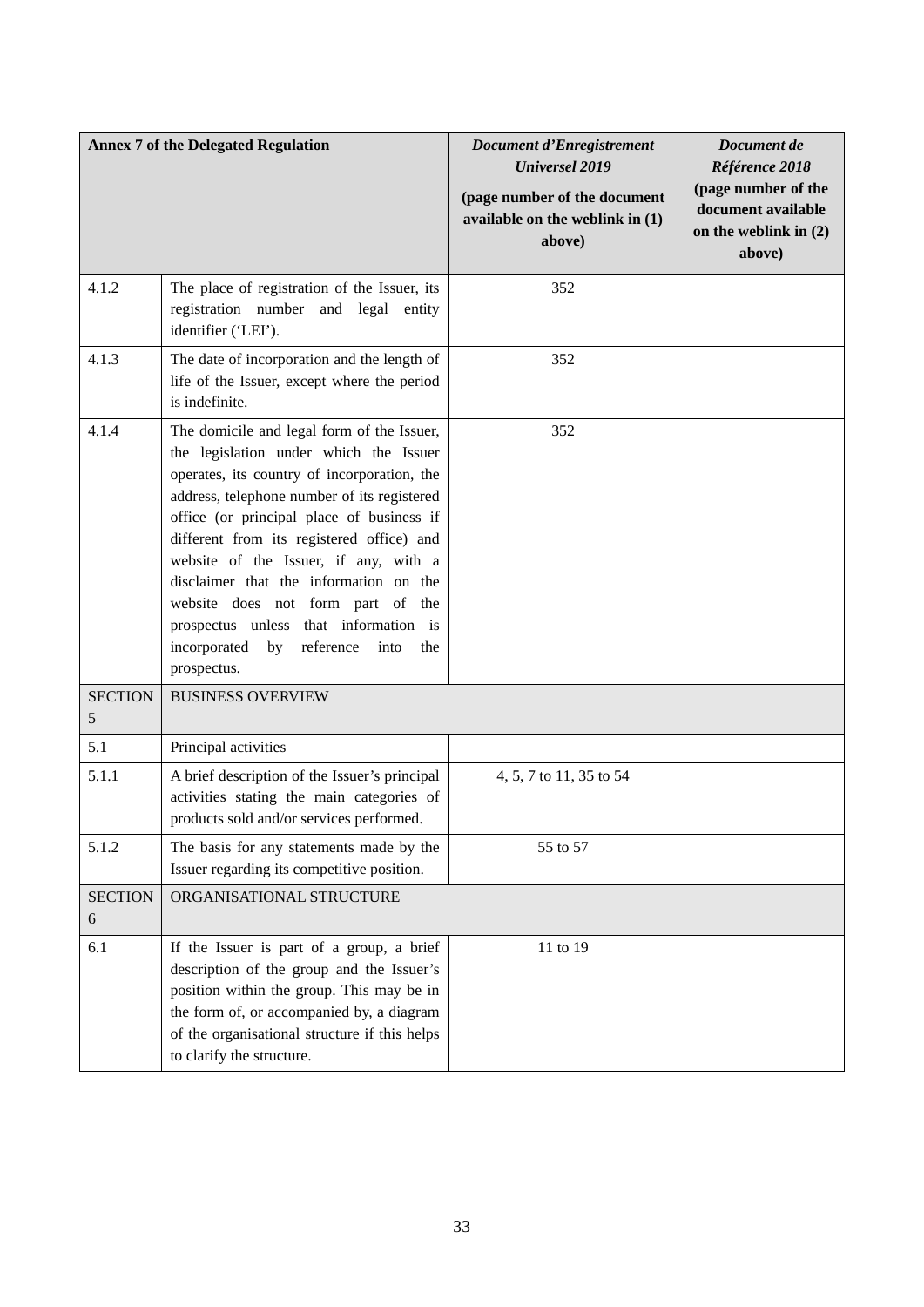|                                  | <b>Annex 7 of the Delegated Regulation</b>                                                                                                                                                                                                                                                                                                                                                                                                                                                                  | <b>Document d'Enregistrement</b><br><b>Universel 2019</b><br>(page number of the document<br>available on the weblink in (1)<br>above) | Document de<br>Référence 2018<br>(page number of the<br>document available<br>on the weblink in $(2)$<br>above) |
|----------------------------------|-------------------------------------------------------------------------------------------------------------------------------------------------------------------------------------------------------------------------------------------------------------------------------------------------------------------------------------------------------------------------------------------------------------------------------------------------------------------------------------------------------------|----------------------------------------------------------------------------------------------------------------------------------------|-----------------------------------------------------------------------------------------------------------------|
| 4.1.2                            | The place of registration of the Issuer, its<br>registration number and legal entity<br>identifier ('LEI').                                                                                                                                                                                                                                                                                                                                                                                                 | 352                                                                                                                                    |                                                                                                                 |
| 4.1.3                            | The date of incorporation and the length of<br>life of the Issuer, except where the period<br>is indefinite.                                                                                                                                                                                                                                                                                                                                                                                                | 352                                                                                                                                    |                                                                                                                 |
| 4.1.4                            | The domicile and legal form of the Issuer,<br>the legislation under which the Issuer<br>operates, its country of incorporation, the<br>address, telephone number of its registered<br>office (or principal place of business if<br>different from its registered office) and<br>website of the Issuer, if any, with a<br>disclaimer that the information on the<br>website does not form part of the<br>prospectus unless that information is<br>incorporated by<br>reference<br>into<br>the<br>prospectus. | 352                                                                                                                                    |                                                                                                                 |
| <b>SECTION</b><br>$\mathfrak{S}$ | <b>BUSINESS OVERVIEW</b>                                                                                                                                                                                                                                                                                                                                                                                                                                                                                    |                                                                                                                                        |                                                                                                                 |
| 5.1                              | Principal activities                                                                                                                                                                                                                                                                                                                                                                                                                                                                                        |                                                                                                                                        |                                                                                                                 |
| 5.1.1                            | A brief description of the Issuer's principal<br>activities stating the main categories of<br>products sold and/or services performed.                                                                                                                                                                                                                                                                                                                                                                      | 4, 5, 7 to 11, 35 to 54                                                                                                                |                                                                                                                 |
| 5.1.2                            | The basis for any statements made by the<br>Issuer regarding its competitive position.                                                                                                                                                                                                                                                                                                                                                                                                                      | 55 to 57                                                                                                                               |                                                                                                                 |
| <b>SECTION</b><br>6              | ORGANISATIONAL STRUCTURE                                                                                                                                                                                                                                                                                                                                                                                                                                                                                    |                                                                                                                                        |                                                                                                                 |
| 6.1                              | If the Issuer is part of a group, a brief<br>description of the group and the Issuer's<br>position within the group. This may be in<br>the form of, or accompanied by, a diagram<br>of the organisational structure if this helps<br>to clarify the structure.                                                                                                                                                                                                                                              | 11 to 19                                                                                                                               |                                                                                                                 |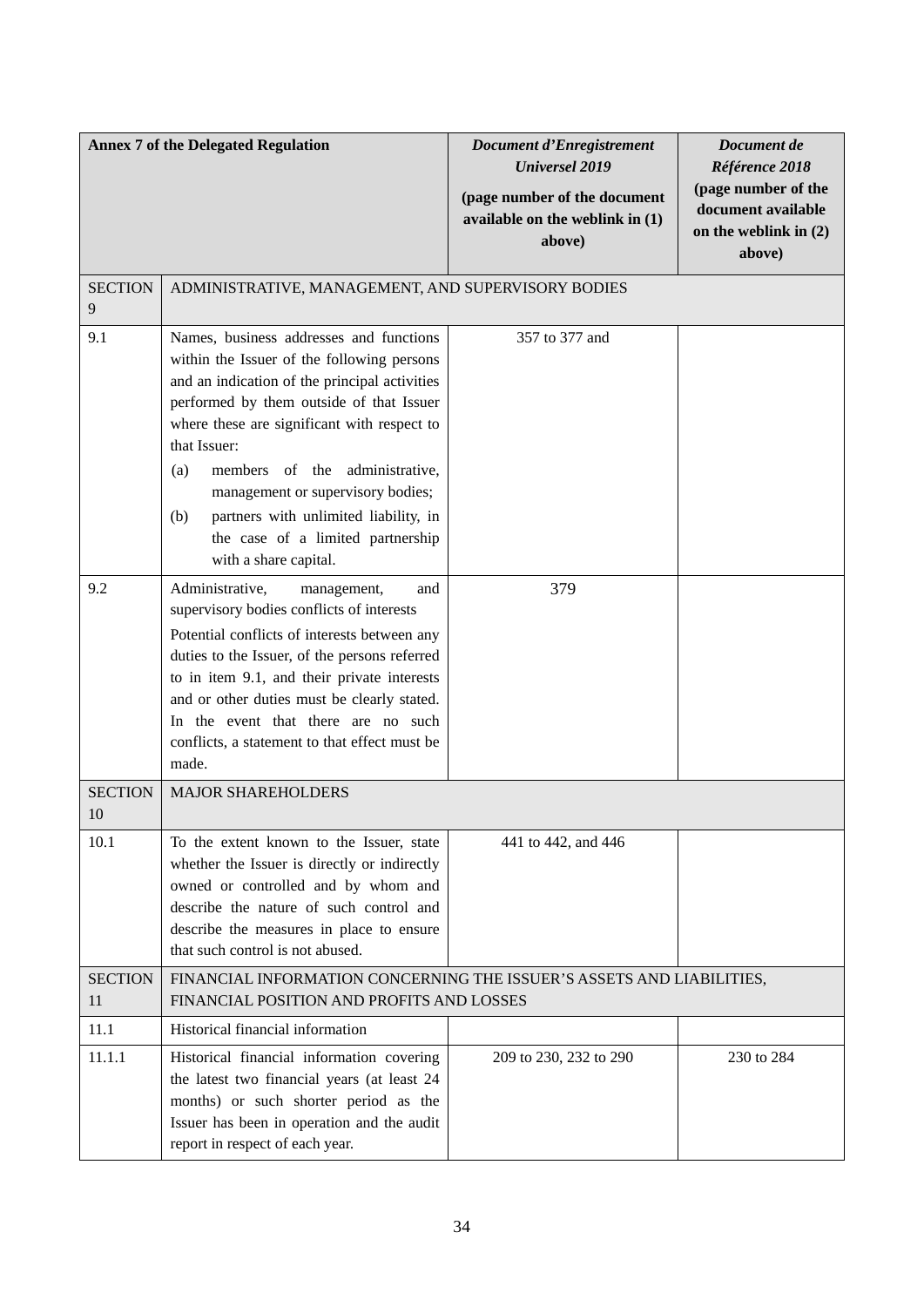|                      | <b>Annex 7 of the Delegated Regulation</b>                                                                                                                                                                                                                                                                                                                                                                                                    | Document d'Enregistrement<br><b>Universel 2019</b><br>(page number of the document<br>available on the weblink in (1)<br>above) | Document de<br>Référence 2018<br>(page number of the<br>document available<br>on the weblink in $(2)$<br>above) |
|----------------------|-----------------------------------------------------------------------------------------------------------------------------------------------------------------------------------------------------------------------------------------------------------------------------------------------------------------------------------------------------------------------------------------------------------------------------------------------|---------------------------------------------------------------------------------------------------------------------------------|-----------------------------------------------------------------------------------------------------------------|
| <b>SECTION</b><br>9  | ADMINISTRATIVE, MANAGEMENT, AND SUPERVISORY BODIES                                                                                                                                                                                                                                                                                                                                                                                            |                                                                                                                                 |                                                                                                                 |
| 9.1                  | Names, business addresses and functions<br>within the Issuer of the following persons<br>and an indication of the principal activities<br>performed by them outside of that Issuer<br>where these are significant with respect to<br>that Issuer:<br>members of the administrative,<br>(a)<br>management or supervisory bodies;<br>partners with unlimited liability, in<br>(b)<br>the case of a limited partnership<br>with a share capital. | 357 to 377 and                                                                                                                  |                                                                                                                 |
| 9.2                  | Administrative,<br>management,<br>and<br>supervisory bodies conflicts of interests<br>Potential conflicts of interests between any<br>duties to the Issuer, of the persons referred<br>to in item 9.1, and their private interests<br>and or other duties must be clearly stated.<br>In the event that there are no such<br>conflicts, a statement to that effect must be<br>made.                                                            | 379                                                                                                                             |                                                                                                                 |
| <b>SECTION</b><br>10 | <b>MAJOR SHAREHOLDERS</b>                                                                                                                                                                                                                                                                                                                                                                                                                     |                                                                                                                                 |                                                                                                                 |
| 10.1                 | To the extent known to the Issuer, state<br>whether the Issuer is directly or indirectly<br>owned or controlled and by whom and<br>describe the nature of such control and<br>describe the measures in place to ensure<br>that such control is not abused.                                                                                                                                                                                    | 441 to 442, and 446                                                                                                             |                                                                                                                 |
| <b>SECTION</b><br>11 | FINANCIAL INFORMATION CONCERNING THE ISSUER'S ASSETS AND LIABILITIES,<br>FINANCIAL POSITION AND PROFITS AND LOSSES                                                                                                                                                                                                                                                                                                                            |                                                                                                                                 |                                                                                                                 |
| 11.1                 | Historical financial information                                                                                                                                                                                                                                                                                                                                                                                                              |                                                                                                                                 |                                                                                                                 |
| 11.1.1               | Historical financial information covering<br>the latest two financial years (at least 24<br>months) or such shorter period as the<br>Issuer has been in operation and the audit<br>report in respect of each year.                                                                                                                                                                                                                            | 209 to 230, 232 to 290                                                                                                          | 230 to 284                                                                                                      |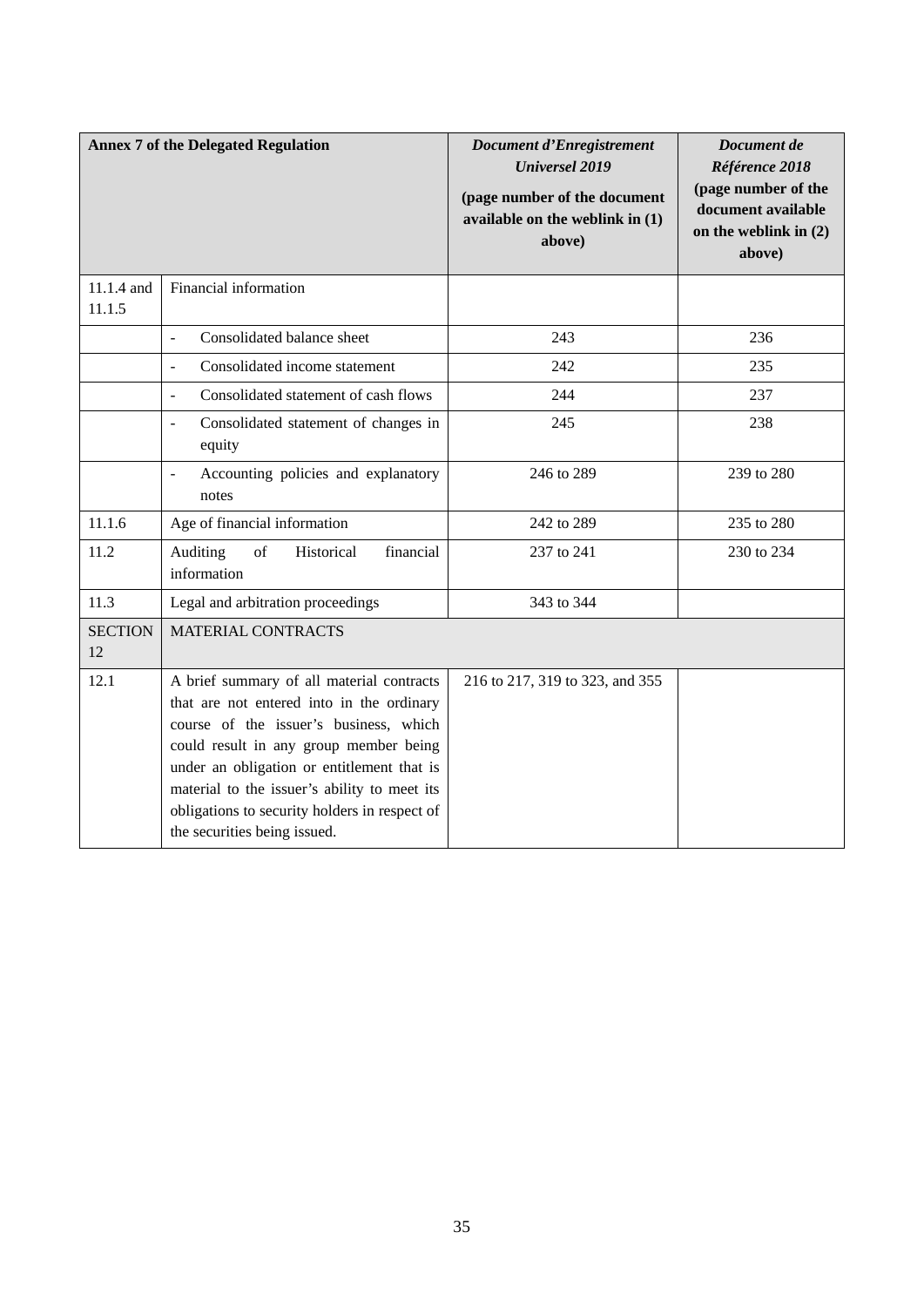|                      | <b>Annex 7 of the Delegated Regulation</b>                                                                                                                                                                                                                                                                                                                | Document d'Enregistrement<br><b>Universel 2019</b><br>(page number of the document<br>available on the weblink in (1)<br>above) | Document de<br>Référence 2018<br>(page number of the<br>document available<br>on the weblink in $(2)$<br>above) |
|----------------------|-----------------------------------------------------------------------------------------------------------------------------------------------------------------------------------------------------------------------------------------------------------------------------------------------------------------------------------------------------------|---------------------------------------------------------------------------------------------------------------------------------|-----------------------------------------------------------------------------------------------------------------|
| 11.1.4 and<br>11.1.5 | Financial information                                                                                                                                                                                                                                                                                                                                     |                                                                                                                                 |                                                                                                                 |
|                      | Consolidated balance sheet<br>$\overline{\phantom{a}}$                                                                                                                                                                                                                                                                                                    | 243                                                                                                                             | 236                                                                                                             |
|                      | Consolidated income statement<br>$\blacksquare$                                                                                                                                                                                                                                                                                                           | 242                                                                                                                             | 235                                                                                                             |
|                      | Consolidated statement of cash flows<br>$\blacksquare$                                                                                                                                                                                                                                                                                                    | 244                                                                                                                             | 237                                                                                                             |
|                      | Consolidated statement of changes in<br>$\overline{\phantom{a}}$<br>equity                                                                                                                                                                                                                                                                                | 245                                                                                                                             | 238                                                                                                             |
|                      | Accounting policies and explanatory<br>$\blacksquare$<br>notes                                                                                                                                                                                                                                                                                            | 246 to 289                                                                                                                      | 239 to 280                                                                                                      |
| 11.1.6               | Age of financial information                                                                                                                                                                                                                                                                                                                              | 242 to 289                                                                                                                      | 235 to 280                                                                                                      |
| 11.2                 | of<br>financial<br>Auditing<br>Historical<br>information                                                                                                                                                                                                                                                                                                  | 237 to 241                                                                                                                      | 230 to 234                                                                                                      |
| 11.3                 | Legal and arbitration proceedings                                                                                                                                                                                                                                                                                                                         | 343 to 344                                                                                                                      |                                                                                                                 |
| <b>SECTION</b><br>12 | <b>MATERIAL CONTRACTS</b>                                                                                                                                                                                                                                                                                                                                 |                                                                                                                                 |                                                                                                                 |
| 12.1                 | A brief summary of all material contracts<br>that are not entered into in the ordinary<br>course of the issuer's business, which<br>could result in any group member being<br>under an obligation or entitlement that is<br>material to the issuer's ability to meet its<br>obligations to security holders in respect of<br>the securities being issued. | 216 to 217, 319 to 323, and 355                                                                                                 |                                                                                                                 |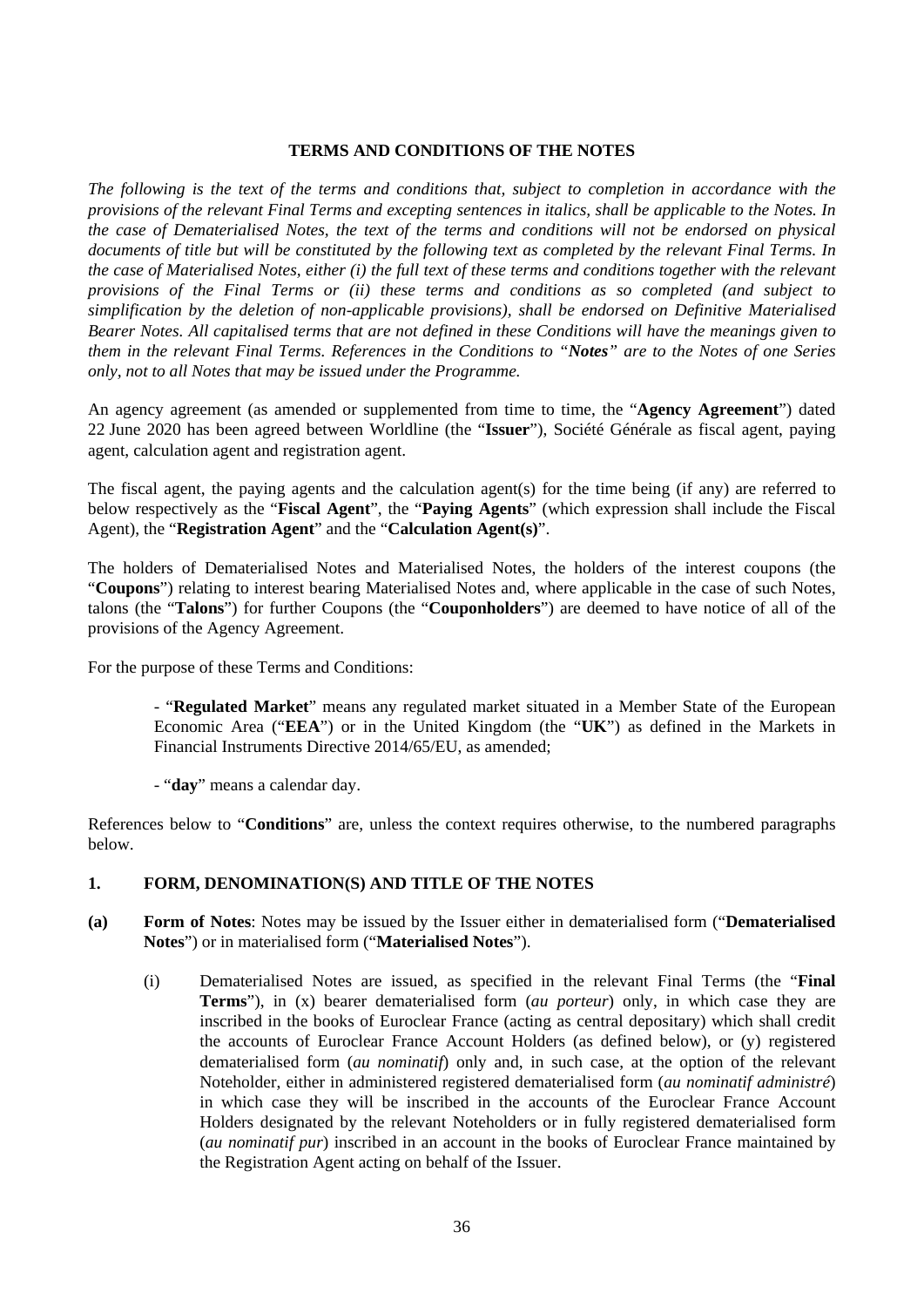### **TERMS AND CONDITIONS OF THE NOTES**

<span id="page-35-0"></span>*The following is the text of the terms and conditions that, subject to completion in accordance with the provisions of the relevant Final Terms and excepting sentences in italics, shall be applicable to the Notes. In the case of Dematerialised Notes, the text of the terms and conditions will not be endorsed on physical documents of title but will be constituted by the following text as completed by the relevant Final Terms. In the case of Materialised Notes, either (i) the full text of these terms and conditions together with the relevant provisions of the Final Terms or (ii) these terms and conditions as so completed (and subject to simplification by the deletion of non-applicable provisions), shall be endorsed on Definitive Materialised Bearer Notes. All capitalised terms that are not defined in these Conditions will have the meanings given to them in the relevant Final Terms. References in the Conditions to "Notes" are to the Notes of one Series only, not to all Notes that may be issued under the Programme.*

An agency agreement (as amended or supplemented from time to time, the "**Agency Agreement**") dated 22 June 2020 has been agreed between Worldline (the "**Issuer**"), Société Générale as fiscal agent, paying agent, calculation agent and registration agent.

The fiscal agent, the paying agents and the calculation agent(s) for the time being (if any) are referred to below respectively as the "**Fiscal Agent**", the "**Paying Agents**" (which expression shall include the Fiscal Agent), the "**Registration Agent**" and the "**Calculation Agent(s)**".

The holders of Dematerialised Notes and Materialised Notes, the holders of the interest coupons (the "**Coupons**") relating to interest bearing Materialised Notes and, where applicable in the case of such Notes, talons (the "**Talons**") for further Coupons (the "**Couponholders**") are deemed to have notice of all of the provisions of the Agency Agreement.

For the purpose of these Terms and Conditions:

- "**Regulated Market**" means any regulated market situated in a Member State of the European Economic Area ("**EEA**") or in the United Kingdom (the "**UK**") as defined in the Markets in Financial Instruments Directive 2014/65/EU, as amended;

- "**day**" means a calendar day.

References below to "**Conditions**" are, unless the context requires otherwise, to the numbered paragraphs below.

### **1. FORM, DENOMINATION(S) AND TITLE OF THE NOTES**

- **(a) Form of Notes**: Notes may be issued by the Issuer either in dematerialised form ("**Dematerialised Notes**") or in materialised form ("**Materialised Notes**").
	- (i) Dematerialised Notes are issued, as specified in the relevant Final Terms (the "**Final Terms**"), in (x) bearer dematerialised form (*au porteur*) only, in which case they are inscribed in the books of Euroclear France (acting as central depositary) which shall credit the accounts of Euroclear France Account Holders (as defined below), or (y) registered dematerialised form (*au nominatif*) only and, in such case, at the option of the relevant Noteholder, either in administered registered dematerialised form (*au nominatif administré*) in which case they will be inscribed in the accounts of the Euroclear France Account Holders designated by the relevant Noteholders or in fully registered dematerialised form (*au nominatif pur*) inscribed in an account in the books of Euroclear France maintained by the Registration Agent acting on behalf of the Issuer.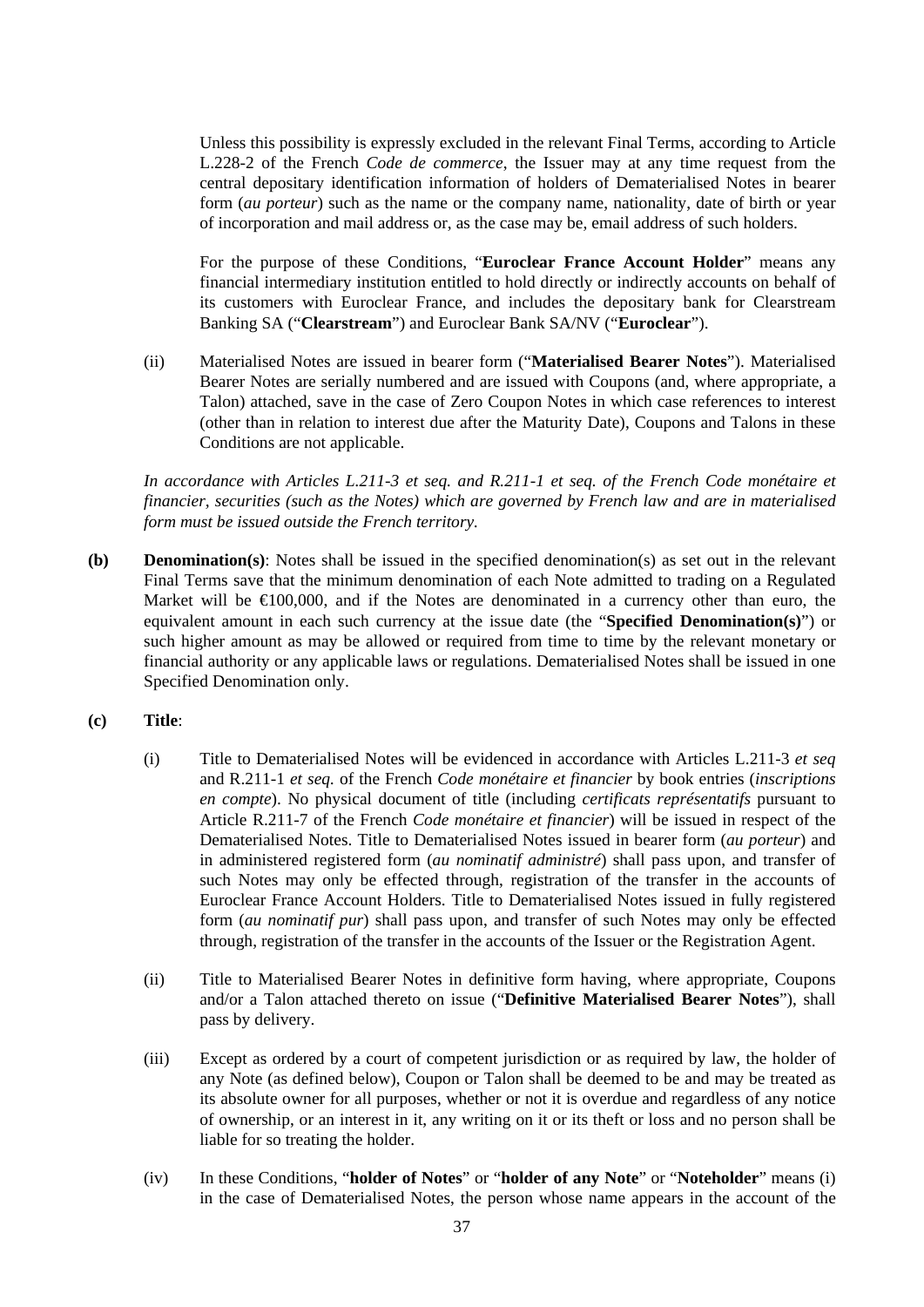Unless this possibility is expressly excluded in the relevant Final Terms, according to Article L.228-2 of the French *Code de commerce*, the Issuer may at any time request from the central depositary identification information of holders of Dematerialised Notes in bearer form (*au porteur*) such as the name or the company name, nationality, date of birth or year of incorporation and mail address or, as the case may be, email address of such holders.

For the purpose of these Conditions, "**Euroclear France Account Holder**" means any financial intermediary institution entitled to hold directly or indirectly accounts on behalf of its customers with Euroclear France, and includes the depositary bank for Clearstream Banking SA ("**Clearstream**") and Euroclear Bank SA/NV ("**Euroclear**").

(ii) Materialised Notes are issued in bearer form ("**Materialised Bearer Notes**"). Materialised Bearer Notes are serially numbered and are issued with Coupons (and, where appropriate, a Talon) attached, save in the case of Zero Coupon Notes in which case references to interest (other than in relation to interest due after the Maturity Date), Coupons and Talons in these Conditions are not applicable.

*In accordance with Articles L.211-3 et seq. and R.211-1 et seq. of the French Code monétaire et financier, securities (such as the Notes) which are governed by French law and are in materialised form must be issued outside the French territory.*

- **(b) Denomination(s)**: Notes shall be issued in the specified denomination(s) as set out in the relevant Final Terms save that the minimum denomination of each Note admitted to trading on a Regulated Market will be  $\epsilon 100,000$ , and if the Notes are denominated in a currency other than euro, the equivalent amount in each such currency at the issue date (the "**Specified Denomination(s)**") or such higher amount as may be allowed or required from time to time by the relevant monetary or financial authority or any applicable laws or regulations. Dematerialised Notes shall be issued in one Specified Denomination only.
- **(c) Title**:
	- (i) Title to Dematerialised Notes will be evidenced in accordance with Articles L.211-3 *et seq*  and R.211-1 *et seq.* of the French *Code monétaire et financier* by book entries (*inscriptions en compte*). No physical document of title (including *certificats représentatifs* pursuant to Article R.211-7 of the French *Code monétaire et financier*) will be issued in respect of the Dematerialised Notes. Title to Dematerialised Notes issued in bearer form (*au porteur*) and in administered registered form (*au nominatif administré*) shall pass upon, and transfer of such Notes may only be effected through, registration of the transfer in the accounts of Euroclear France Account Holders. Title to Dematerialised Notes issued in fully registered form (*au nominatif pur*) shall pass upon, and transfer of such Notes may only be effected through, registration of the transfer in the accounts of the Issuer or the Registration Agent.
	- (ii) Title to Materialised Bearer Notes in definitive form having, where appropriate, Coupons and/or a Talon attached thereto on issue ("**Definitive Materialised Bearer Notes**"), shall pass by delivery.
	- (iii) Except as ordered by a court of competent jurisdiction or as required by law, the holder of any Note (as defined below), Coupon or Talon shall be deemed to be and may be treated as its absolute owner for all purposes, whether or not it is overdue and regardless of any notice of ownership, or an interest in it, any writing on it or its theft or loss and no person shall be liable for so treating the holder.
	- (iv) In these Conditions, "**holder of Notes**" or "**holder of any Note**" or "**Noteholder**" means (i) in the case of Dematerialised Notes, the person whose name appears in the account of the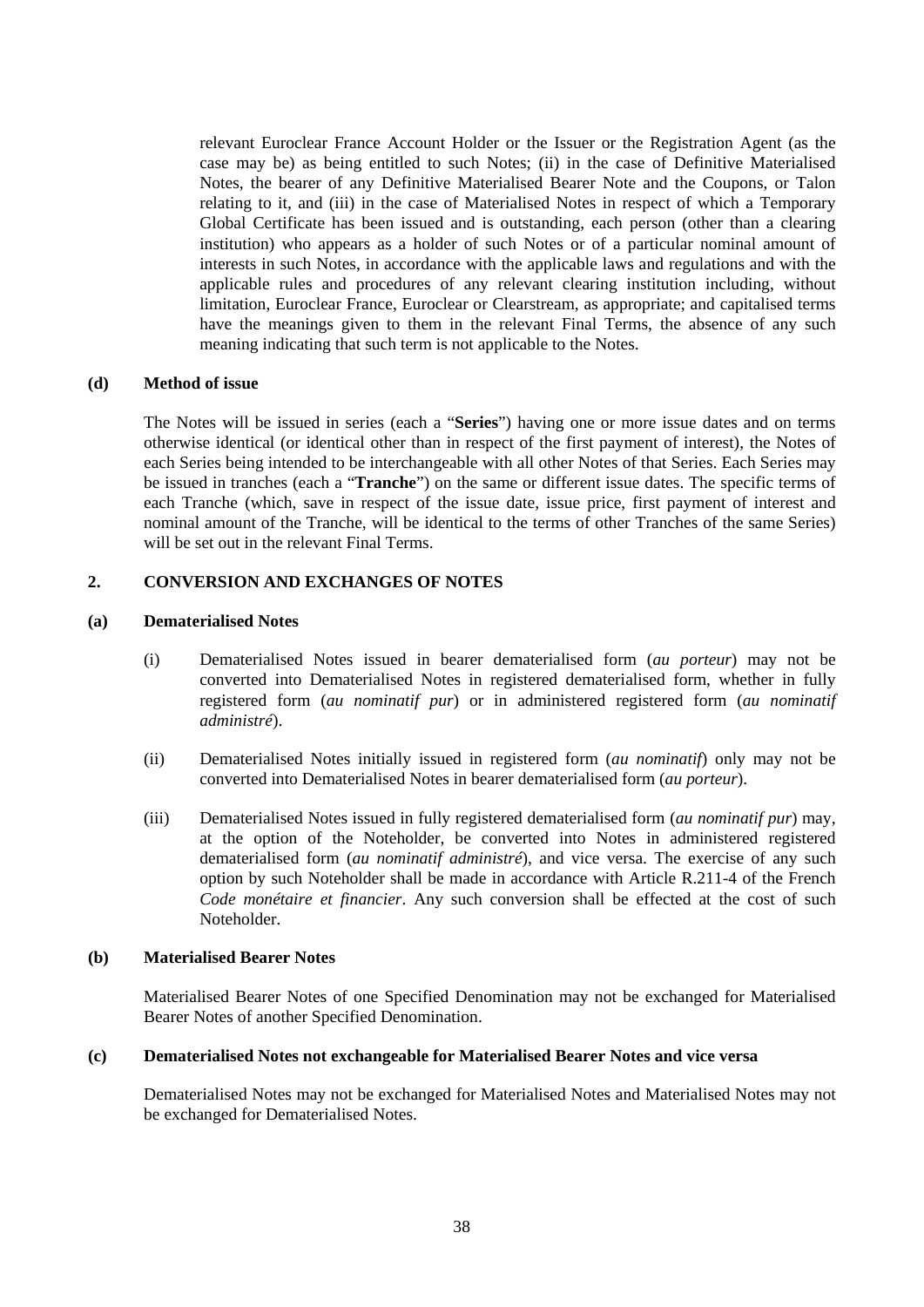relevant Euroclear France Account Holder or the Issuer or the Registration Agent (as the case may be) as being entitled to such Notes; (ii) in the case of Definitive Materialised Notes, the bearer of any Definitive Materialised Bearer Note and the Coupons, or Talon relating to it, and (iii) in the case of Materialised Notes in respect of which a Temporary Global Certificate has been issued and is outstanding, each person (other than a clearing institution) who appears as a holder of such Notes or of a particular nominal amount of interests in such Notes, in accordance with the applicable laws and regulations and with the applicable rules and procedures of any relevant clearing institution including, without limitation, Euroclear France, Euroclear or Clearstream, as appropriate; and capitalised terms have the meanings given to them in the relevant Final Terms, the absence of any such meaning indicating that such term is not applicable to the Notes.

#### **(d) Method of issue**

The Notes will be issued in series (each a "**Series**") having one or more issue dates and on terms otherwise identical (or identical other than in respect of the first payment of interest), the Notes of each Series being intended to be interchangeable with all other Notes of that Series. Each Series may be issued in tranches (each a "**Tranche**") on the same or different issue dates. The specific terms of each Tranche (which, save in respect of the issue date, issue price, first payment of interest and nominal amount of the Tranche, will be identical to the terms of other Tranches of the same Series) will be set out in the relevant Final Terms.

### **2. CONVERSION AND EXCHANGES OF NOTES**

#### **(a) Dematerialised Notes**

- (i) Dematerialised Notes issued in bearer dematerialised form (*au porteur*) may not be converted into Dematerialised Notes in registered dematerialised form, whether in fully registered form (*au nominatif pur*) or in administered registered form (*au nominatif administré*).
- (ii) Dematerialised Notes initially issued in registered form (*au nominatif*) only may not be converted into Dematerialised Notes in bearer dematerialised form (*au porteur*).
- (iii) Dematerialised Notes issued in fully registered dematerialised form (*au nominatif pur*) may, at the option of the Noteholder, be converted into Notes in administered registered dematerialised form (*au nominatif administré*), and vice versa. The exercise of any such option by such Noteholder shall be made in accordance with Article R.211-4 of the French *Code monétaire et financier*. Any such conversion shall be effected at the cost of such Noteholder.

#### **(b) Materialised Bearer Notes**

Materialised Bearer Notes of one Specified Denomination may not be exchanged for Materialised Bearer Notes of another Specified Denomination.

#### **(c) Dematerialised Notes not exchangeable for Materialised Bearer Notes and vice versa**

Dematerialised Notes may not be exchanged for Materialised Notes and Materialised Notes may not be exchanged for Dematerialised Notes.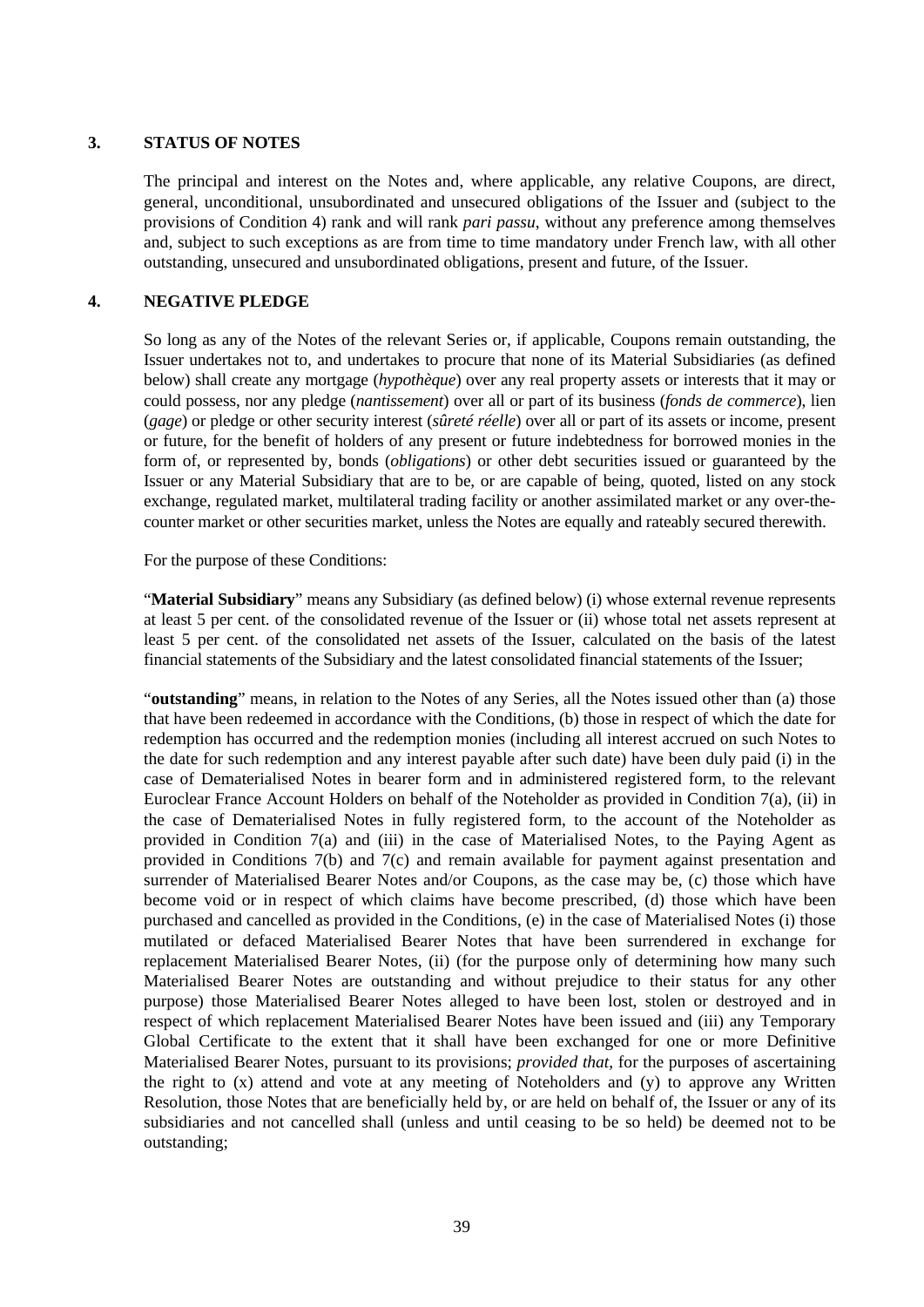### **3. STATUS OF NOTES**

The principal and interest on the Notes and, where applicable, any relative Coupons, are direct, general, unconditional, unsubordinated and unsecured obligations of the Issuer and (subject to the provisions of Condition 4) rank and will rank *pari passu*, without any preference among themselves and, subject to such exceptions as are from time to time mandatory under French law, with all other outstanding, unsecured and unsubordinated obligations, present and future, of the Issuer.

# **4. NEGATIVE PLEDGE**

So long as any of the Notes of the relevant Series or, if applicable, Coupons remain outstanding, the Issuer undertakes not to, and undertakes to procure that none of its Material Subsidiaries (as defined below) shall create any mortgage (*hypothèque*) over any real property assets or interests that it may or could possess, nor any pledge (*nantissement*) over all or part of its business (*fonds de commerce*), lien (*gage*) or pledge or other security interest (*sûreté réelle*) over all or part of its assets or income, present or future, for the benefit of holders of any present or future indebtedness for borrowed monies in the form of, or represented by, bonds (*obligations*) or other debt securities issued or guaranteed by the Issuer or any Material Subsidiary that are to be, or are capable of being, quoted, listed on any stock exchange, regulated market, multilateral trading facility or another assimilated market or any over-thecounter market or other securities market, unless the Notes are equally and rateably secured therewith.

For the purpose of these Conditions:

"**Material Subsidiary**" means any Subsidiary (as defined below) (i) whose external revenue represents at least 5 per cent. of the consolidated revenue of the Issuer or (ii) whose total net assets represent at least 5 per cent. of the consolidated net assets of the Issuer, calculated on the basis of the latest financial statements of the Subsidiary and the latest consolidated financial statements of the Issuer;

"**outstanding**" means, in relation to the Notes of any Series, all the Notes issued other than (a) those that have been redeemed in accordance with the Conditions, (b) those in respect of which the date for redemption has occurred and the redemption monies (including all interest accrued on such Notes to the date for such redemption and any interest payable after such date) have been duly paid (i) in the case of Dematerialised Notes in bearer form and in administered registered form, to the relevant Euroclear France Account Holders on behalf of the Noteholder as provided in Condition 7(a), (ii) in the case of Dematerialised Notes in fully registered form, to the account of the Noteholder as provided in Condition 7(a) and (iii) in the case of Materialised Notes, to the Paying Agent as provided in Conditions 7(b) and 7(c) and remain available for payment against presentation and surrender of Materialised Bearer Notes and/or Coupons, as the case may be, (c) those which have become void or in respect of which claims have become prescribed, (d) those which have been purchased and cancelled as provided in the Conditions, (e) in the case of Materialised Notes (i) those mutilated or defaced Materialised Bearer Notes that have been surrendered in exchange for replacement Materialised Bearer Notes, (ii) (for the purpose only of determining how many such Materialised Bearer Notes are outstanding and without prejudice to their status for any other purpose) those Materialised Bearer Notes alleged to have been lost, stolen or destroyed and in respect of which replacement Materialised Bearer Notes have been issued and (iii) any Temporary Global Certificate to the extent that it shall have been exchanged for one or more Definitive Materialised Bearer Notes, pursuant to its provisions; *provided that*, for the purposes of ascertaining the right to (x) attend and vote at any meeting of Noteholders and (y) to approve any Written Resolution, those Notes that are beneficially held by, or are held on behalf of, the Issuer or any of its subsidiaries and not cancelled shall (unless and until ceasing to be so held) be deemed not to be outstanding;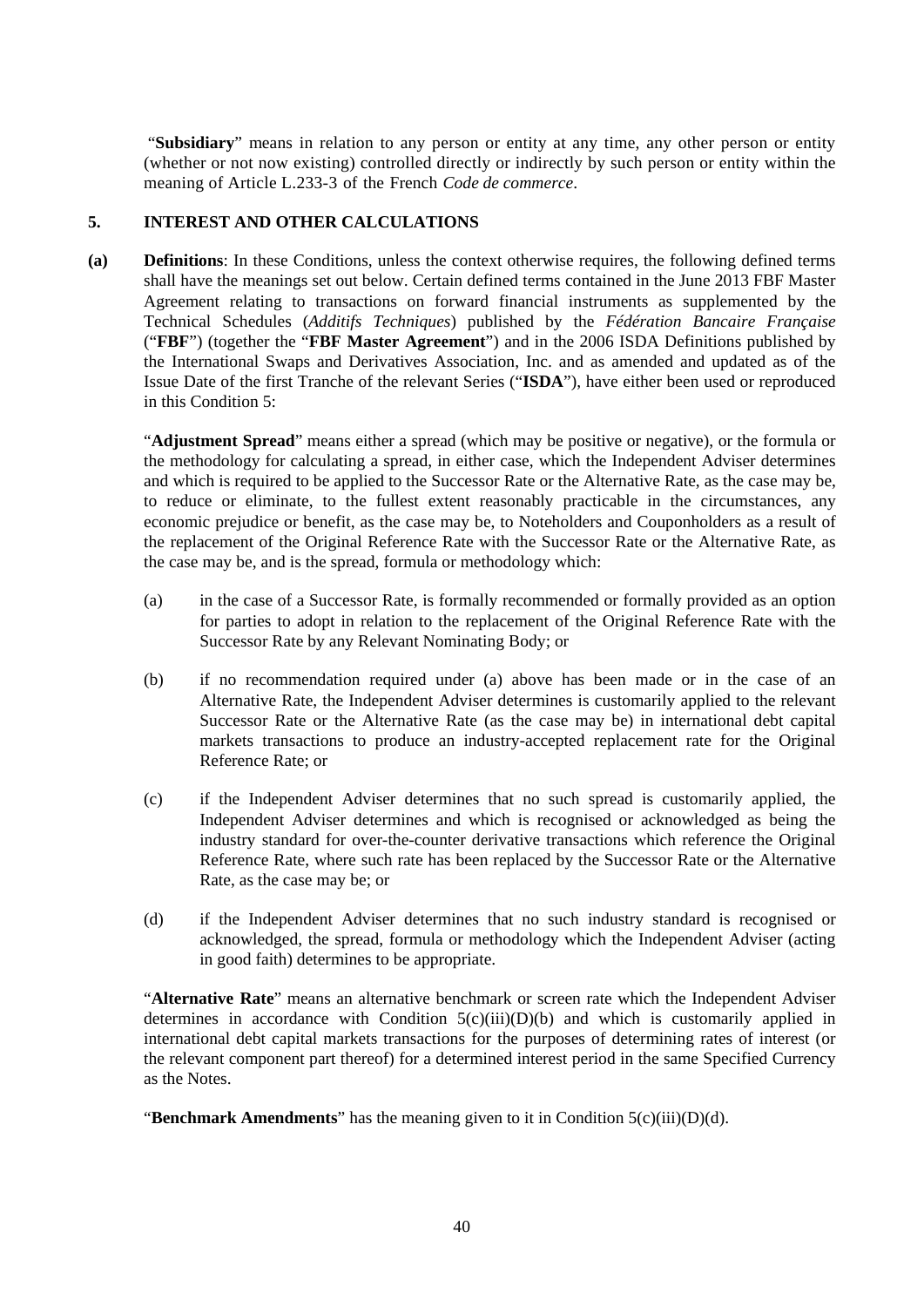"**Subsidiary**" means in relation to any person or entity at any time, any other person or entity (whether or not now existing) controlled directly or indirectly by such person or entity within the meaning of Article L.233-3 of the French *Code de commerce*.

# **5. INTEREST AND OTHER CALCULATIONS**

**(a) Definitions**: In these Conditions, unless the context otherwise requires, the following defined terms shall have the meanings set out below. Certain defined terms contained in the June 2013 FBF Master Agreement relating to transactions on forward financial instruments as supplemented by the Technical Schedules (*Additifs Techniques*) published by the *Fédération Bancaire Française* ("**FBF**") (together the "**FBF Master Agreement**") and in the 2006 ISDA Definitions published by the International Swaps and Derivatives Association, Inc. and as amended and updated as of the Issue Date of the first Tranche of the relevant Series ("**ISDA**"), have either been used or reproduced in this Condition 5:

"**Adjustment Spread**" means either a spread (which may be positive or negative), or the formula or the methodology for calculating a spread, in either case, which the Independent Adviser determines and which is required to be applied to the Successor Rate or the Alternative Rate, as the case may be, to reduce or eliminate, to the fullest extent reasonably practicable in the circumstances, any economic prejudice or benefit, as the case may be, to Noteholders and Couponholders as a result of the replacement of the Original Reference Rate with the Successor Rate or the Alternative Rate, as the case may be, and is the spread, formula or methodology which:

- (a) in the case of a Successor Rate, is formally recommended or formally provided as an option for parties to adopt in relation to the replacement of the Original Reference Rate with the Successor Rate by any Relevant Nominating Body; or
- (b) if no recommendation required under (a) above has been made or in the case of an Alternative Rate, the Independent Adviser determines is customarily applied to the relevant Successor Rate or the Alternative Rate (as the case may be) in international debt capital markets transactions to produce an industry-accepted replacement rate for the Original Reference Rate; or
- (c) if the Independent Adviser determines that no such spread is customarily applied, the Independent Adviser determines and which is recognised or acknowledged as being the industry standard for over-the-counter derivative transactions which reference the Original Reference Rate, where such rate has been replaced by the Successor Rate or the Alternative Rate, as the case may be; or
- (d) if the Independent Adviser determines that no such industry standard is recognised or acknowledged, the spread, formula or methodology which the Independent Adviser (acting in good faith) determines to be appropriate.

"**Alternative Rate**" means an alternative benchmark or screen rate which the Independent Adviser determines in accordance with Condition  $5(c)(iii)(D)(b)$  and which is customarily applied in international debt capital markets transactions for the purposes of determining rates of interest (or the relevant component part thereof) for a determined interest period in the same Specified Currency as the Notes.

"**Benchmark Amendments**" has the meaning given to it in Condition 5(c)(iii)(D)(d).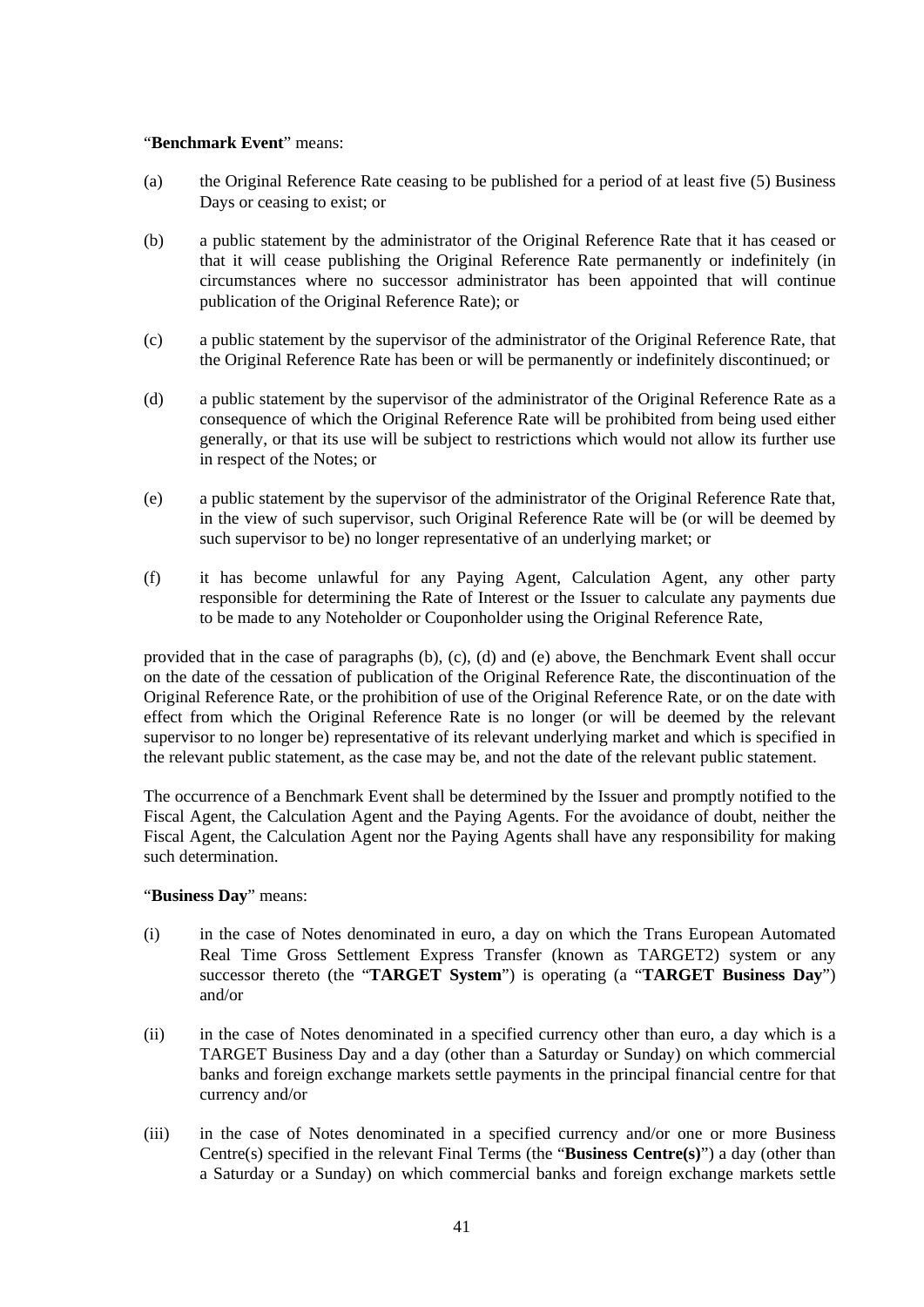#### "**Benchmark Event**" means:

- (a) the Original Reference Rate ceasing to be published for a period of at least five (5) Business Days or ceasing to exist; or
- (b) a public statement by the administrator of the Original Reference Rate that it has ceased or that it will cease publishing the Original Reference Rate permanently or indefinitely (in circumstances where no successor administrator has been appointed that will continue publication of the Original Reference Rate); or
- (c) a public statement by the supervisor of the administrator of the Original Reference Rate, that the Original Reference Rate has been or will be permanently or indefinitely discontinued; or
- (d) a public statement by the supervisor of the administrator of the Original Reference Rate as a consequence of which the Original Reference Rate will be prohibited from being used either generally, or that its use will be subject to restrictions which would not allow its further use in respect of the Notes; or
- (e) a public statement by the supervisor of the administrator of the Original Reference Rate that, in the view of such supervisor, such Original Reference Rate will be (or will be deemed by such supervisor to be) no longer representative of an underlying market; or
- (f) it has become unlawful for any Paying Agent, Calculation Agent, any other party responsible for determining the Rate of Interest or the Issuer to calculate any payments due to be made to any Noteholder or Couponholder using the Original Reference Rate,

provided that in the case of paragraphs (b), (c), (d) and (e) above, the Benchmark Event shall occur on the date of the cessation of publication of the Original Reference Rate, the discontinuation of the Original Reference Rate, or the prohibition of use of the Original Reference Rate, or on the date with effect from which the Original Reference Rate is no longer (or will be deemed by the relevant supervisor to no longer be) representative of its relevant underlying market and which is specified in the relevant public statement, as the case may be, and not the date of the relevant public statement.

The occurrence of a Benchmark Event shall be determined by the Issuer and promptly notified to the Fiscal Agent, the Calculation Agent and the Paying Agents. For the avoidance of doubt, neither the Fiscal Agent, the Calculation Agent nor the Paying Agents shall have any responsibility for making such determination.

### "**Business Day**" means:

- (i) in the case of Notes denominated in euro, a day on which the Trans European Automated Real Time Gross Settlement Express Transfer (known as TARGET2) system or any successor thereto (the "**TARGET System**") is operating (a "**TARGET Business Day**") and/or
- (ii) in the case of Notes denominated in a specified currency other than euro, a day which is a TARGET Business Day and a day (other than a Saturday or Sunday) on which commercial banks and foreign exchange markets settle payments in the principal financial centre for that currency and/or
- (iii) in the case of Notes denominated in a specified currency and/or one or more Business Centre(s) specified in the relevant Final Terms (the "**Business Centre(s)**") a day (other than a Saturday or a Sunday) on which commercial banks and foreign exchange markets settle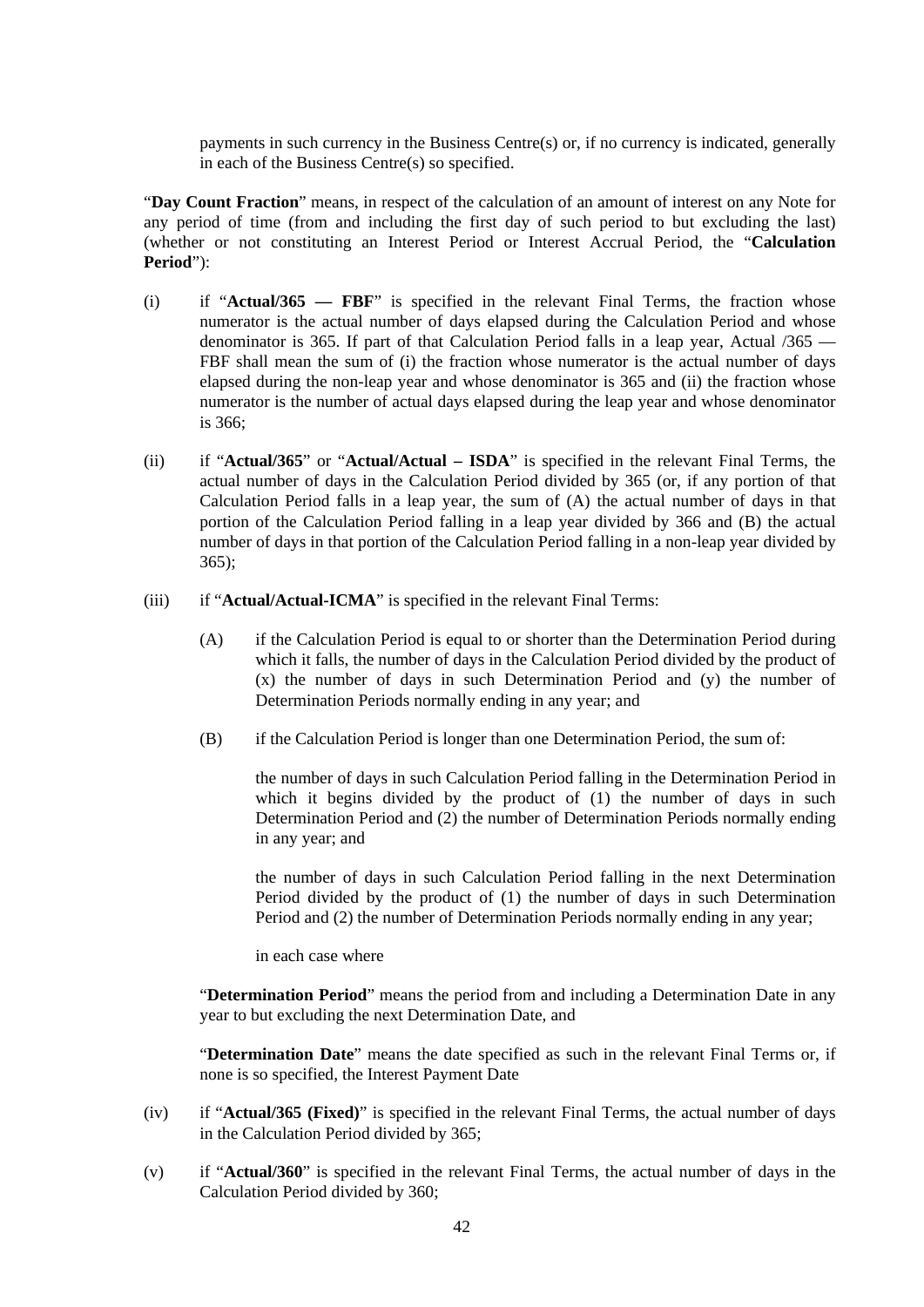payments in such currency in the Business Centre(s) or, if no currency is indicated, generally in each of the Business Centre(s) so specified.

"**Day Count Fraction**" means, in respect of the calculation of an amount of interest on any Note for any period of time (from and including the first day of such period to but excluding the last) (whether or not constituting an Interest Period or Interest Accrual Period, the "**Calculation Period**"):

- (i) if "**Actual/365 — FBF**" is specified in the relevant Final Terms, the fraction whose numerator is the actual number of days elapsed during the Calculation Period and whose denominator is 365. If part of that Calculation Period falls in a leap year, Actual /365 — FBF shall mean the sum of (i) the fraction whose numerator is the actual number of days elapsed during the non-leap year and whose denominator is 365 and (ii) the fraction whose numerator is the number of actual days elapsed during the leap year and whose denominator is 366;
- (ii) if "**Actual/365**" or "**Actual/Actual – ISDA**" is specified in the relevant Final Terms, the actual number of days in the Calculation Period divided by 365 (or, if any portion of that Calculation Period falls in a leap year, the sum of (A) the actual number of days in that portion of the Calculation Period falling in a leap year divided by 366 and (B) the actual number of days in that portion of the Calculation Period falling in a non-leap year divided by 365);
- (iii) if "**Actual/Actual-ICMA**" is specified in the relevant Final Terms:
	- (A) if the Calculation Period is equal to or shorter than the Determination Period during which it falls, the number of days in the Calculation Period divided by the product of (x) the number of days in such Determination Period and (y) the number of Determination Periods normally ending in any year; and
	- (B) if the Calculation Period is longer than one Determination Period, the sum of:

the number of days in such Calculation Period falling in the Determination Period in which it begins divided by the product of (1) the number of days in such Determination Period and (2) the number of Determination Periods normally ending in any year; and

the number of days in such Calculation Period falling in the next Determination Period divided by the product of (1) the number of days in such Determination Period and (2) the number of Determination Periods normally ending in any year;

in each case where

"**Determination Period**" means the period from and including a Determination Date in any year to but excluding the next Determination Date, and

"**Determination Date**" means the date specified as such in the relevant Final Terms or, if none is so specified, the Interest Payment Date

- (iv) if "**Actual/365 (Fixed)**" is specified in the relevant Final Terms, the actual number of days in the Calculation Period divided by 365;
- (v) if "**Actual/360**" is specified in the relevant Final Terms, the actual number of days in the Calculation Period divided by 360;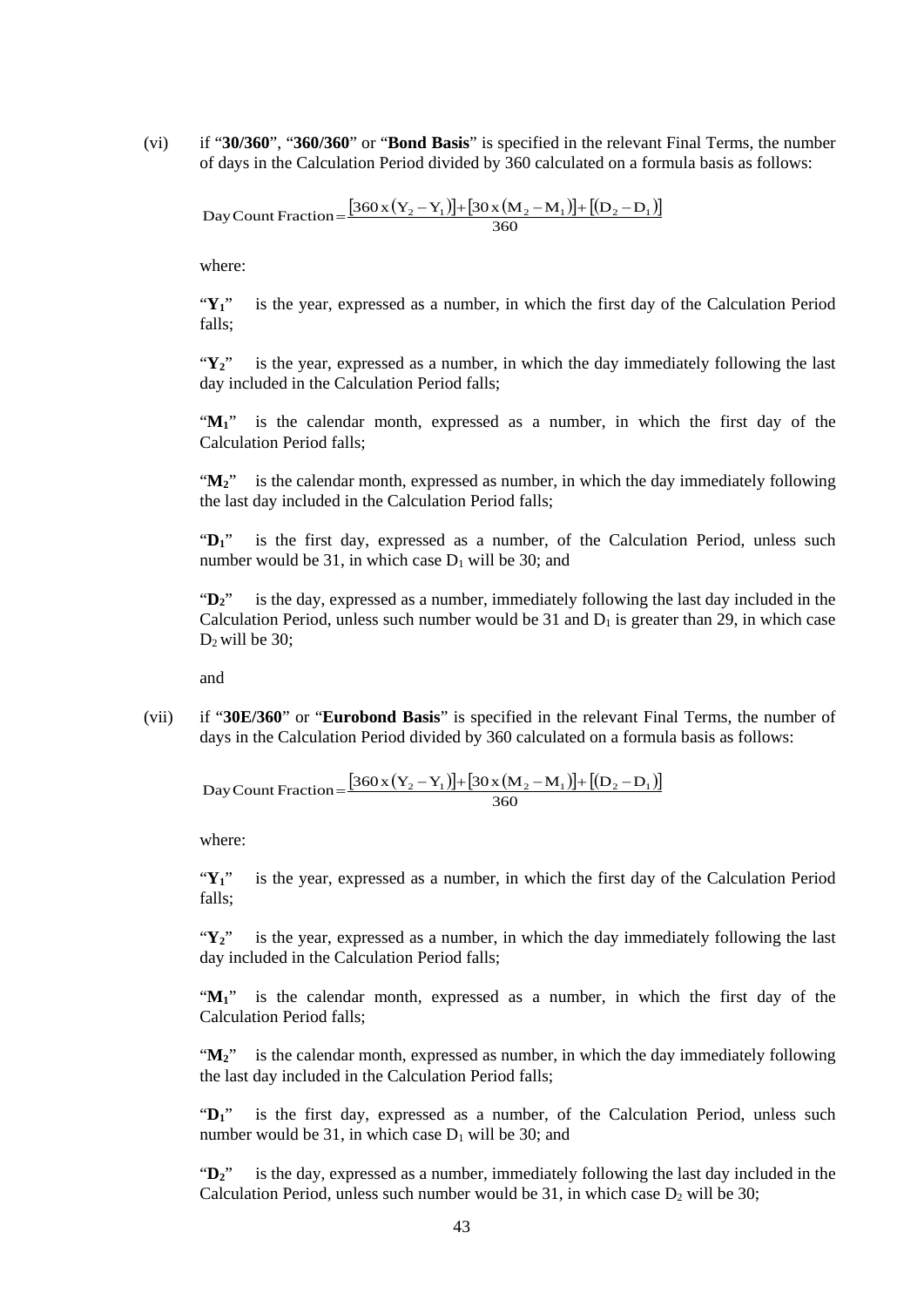(vi) if "**30/360**", "**360/360**" or "**Bond Basis**" is specified in the relevant Final Terms, the number of days in the Calculation Period divided by 360 calculated on a formula basis as follows:

 $[360x(Y_2-Y_1)]+[30x(M_2-M_1)]+[(D_2-D_1)]$ Day Count Fraction =  $\frac{[360 \times (Y_2 - Y_1)] + [30 \times (M_2 - M_1)] + [(D_2 - D_1)] + [(D_2 - D_1)] + [(D_2 - D_1)] + [(D_2 - D_2)] + [(D_2 - D_2)] + [(D_2 - D_1)] + [(D_2 - D_2)] + [(D_2 - D_1)] + [(D_2 - D_2)] + [(D_2 - D_1)] + [(D_2 - D_2)] + [(D_2 - D_1)] + [(D_2 - D_2)]$ 

where:

"**Y1**" is the year, expressed as a number, in which the first day of the Calculation Period falls;

"**Y2**" is the year, expressed as a number, in which the day immediately following the last day included in the Calculation Period falls;

"M<sub>1</sub>" is the calendar month, expressed as a number, in which the first day of the Calculation Period falls;

"M<sub>2</sub>" is the calendar month, expressed as number, in which the day immediately following the last day included in the Calculation Period falls;

"D<sub>1</sub>" is the first day, expressed as a number, of the Calculation Period, unless such number would be 31, in which case  $D_1$  will be 30; and

" $D_2$ " is the day, expressed as a number, immediately following the last day included in the Calculation Period, unless such number would be 31 and  $D_1$  is greater than 29, in which case  $D_2$  will be 30;

and

(vii) if "**30E/360**" or "**Eurobond Basis**" is specified in the relevant Final Terms, the number of days in the Calculation Period divided by 360 calculated on a formula basis as follows:

Day Count Fraction = 
$$
\frac{[360x(Y_2 - Y_1)] + [30x(M_2 - M_1)] + [(D_2 - D_1)]}{360}
$$

where:

"**Y1**" is the year, expressed as a number, in which the first day of the Calculation Period falls;

"**Y2**" is the year, expressed as a number, in which the day immediately following the last day included in the Calculation Period falls;

"**M1**" is the calendar month, expressed as a number, in which the first day of the Calculation Period falls;

"M<sub>2</sub>" is the calendar month, expressed as number, in which the day immediately following the last day included in the Calculation Period falls;

" $D_1$ " is the first day, expressed as a number, of the Calculation Period, unless such number would be 31, in which case  $D_1$  will be 30; and

" $D_2$ " is the day, expressed as a number, immediately following the last day included in the Calculation Period, unless such number would be  $31$ , in which case  $D_2$  will be  $30$ ;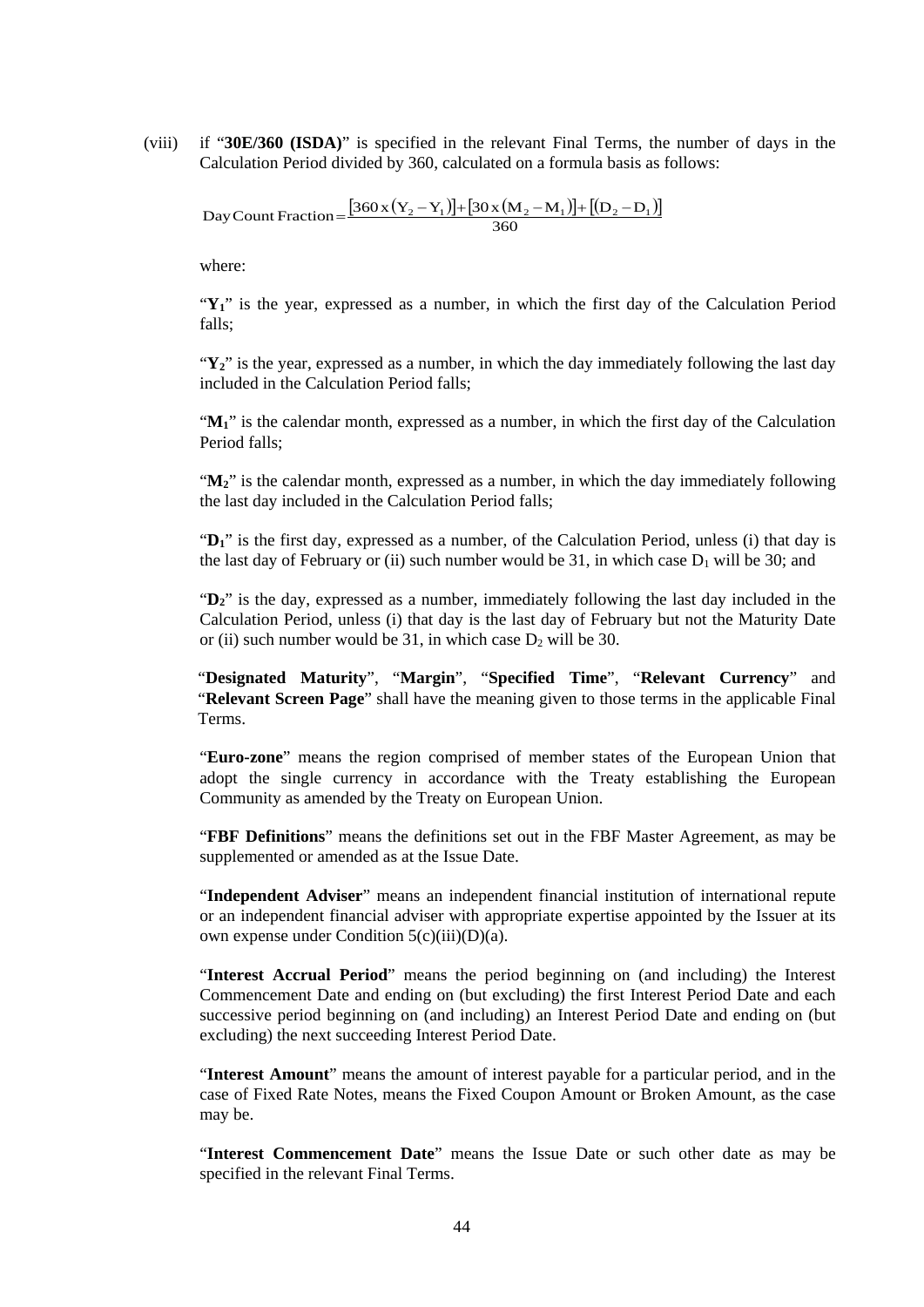(viii) if "**30E/360 (ISDA)**" is specified in the relevant Final Terms, the number of days in the Calculation Period divided by 360, calculated on a formula basis as follows:

 $[360x(Y_2-Y_1)]+[30x(M_2-M_1)]+[(D_2-D_1)]$ Day Count Fraction =  $\frac{[360 \times (Y_2 - Y_1)] + [30 \times (M_2 - M_1)] + [(D_2 - D_1)] + [(D_2 - D_1)] + [(D_2 - D_1)] + [(D_2 - D_2)] + [(D_2 - D_2)] + [(D_2 - D_1)] + [(D_2 - D_2)] + [(D_2 - D_1)] + [(D_2 - D_2)] + [(D_2 - D_1)] + [(D_2 - D_2)] + [(D_2 - D_1)] + [(D_2 - D_2)]$ 

where:

"**Y1**" is the year, expressed as a number, in which the first day of the Calculation Period falls;

 $\mathbf{Y}_2$ " is the year, expressed as a number, in which the day immediately following the last day included in the Calculation Period falls;

" $M<sub>1</sub>$ " is the calendar month, expressed as a number, in which the first day of the Calculation Period falls;

" $M_2$ " is the calendar month, expressed as a number, in which the day immediately following the last day included in the Calculation Period falls;

"**D1**" is the first day, expressed as a number, of the Calculation Period, unless (i) that day is the last day of February or (ii) such number would be 31, in which case  $D_1$  will be 30; and

"**D2**" is the day, expressed as a number, immediately following the last day included in the Calculation Period, unless (i) that day is the last day of February but not the Maturity Date or (ii) such number would be 31, in which case  $D_2$  will be 30.

"**Designated Maturity**", "**Margin**", "**Specified Time**", "**Relevant Currency**" and "**Relevant Screen Page**" shall have the meaning given to those terms in the applicable Final Terms.

"**Euro-zone**" means the region comprised of member states of the European Union that adopt the single currency in accordance with the Treaty establishing the European Community as amended by the Treaty on European Union.

"**FBF Definitions**" means the definitions set out in the FBF Master Agreement, as may be supplemented or amended as at the Issue Date.

"**Independent Adviser**" means an independent financial institution of international repute or an independent financial adviser with appropriate expertise appointed by the Issuer at its own expense under Condition 5(c)(iii)(D)(a).

"**Interest Accrual Period**" means the period beginning on (and including) the Interest Commencement Date and ending on (but excluding) the first Interest Period Date and each successive period beginning on (and including) an Interest Period Date and ending on (but excluding) the next succeeding Interest Period Date.

"**Interest Amount**" means the amount of interest payable for a particular period, and in the case of Fixed Rate Notes, means the Fixed Coupon Amount or Broken Amount, as the case may be.

"**Interest Commencement Date**" means the Issue Date or such other date as may be specified in the relevant Final Terms.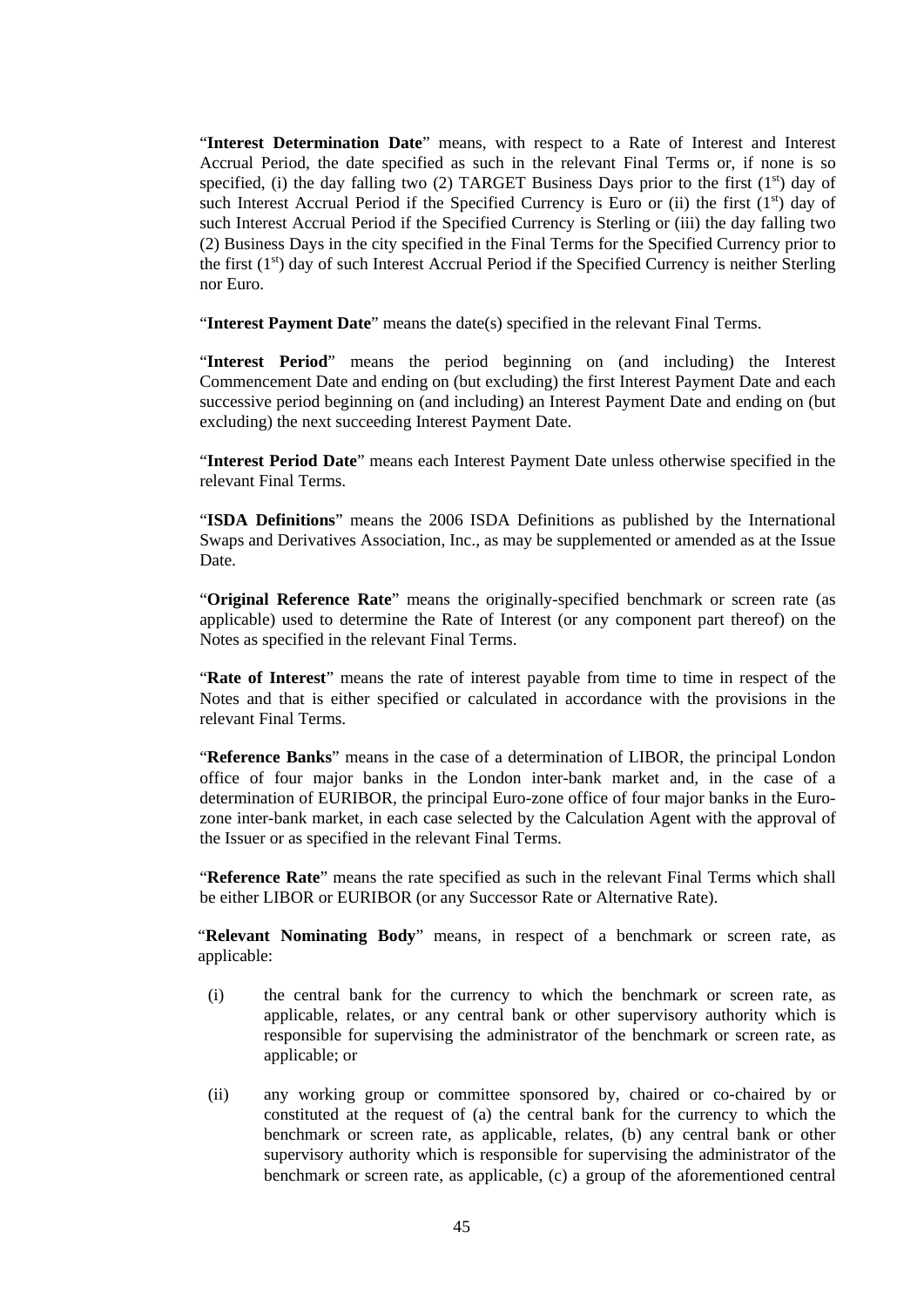"**Interest Determination Date**" means, with respect to a Rate of Interest and Interest Accrual Period, the date specified as such in the relevant Final Terms or, if none is so specified, (i) the day falling two (2) TARGET Business Days prior to the first  $(1<sup>st</sup>)$  day of such Interest Accrual Period if the Specified Currency is Euro or (ii) the first  $(1<sup>st</sup>)$  day of such Interest Accrual Period if the Specified Currency is Sterling or (iii) the day falling two (2) Business Days in the city specified in the Final Terms for the Specified Currency prior to the first  $(1<sup>st</sup>)$  day of such Interest Accrual Period if the Specified Currency is neither Sterling nor Euro.

"**Interest Payment Date**" means the date(s) specified in the relevant Final Terms.

"**Interest Period**" means the period beginning on (and including) the Interest Commencement Date and ending on (but excluding) the first Interest Payment Date and each successive period beginning on (and including) an Interest Payment Date and ending on (but excluding) the next succeeding Interest Payment Date.

"**Interest Period Date**" means each Interest Payment Date unless otherwise specified in the relevant Final Terms.

"**ISDA Definitions**" means the 2006 ISDA Definitions as published by the International Swaps and Derivatives Association, Inc., as may be supplemented or amended as at the Issue Date.

"**Original Reference Rate**" means the originally-specified benchmark or screen rate (as applicable) used to determine the Rate of Interest (or any component part thereof) on the Notes as specified in the relevant Final Terms.

"**Rate of Interest**" means the rate of interest payable from time to time in respect of the Notes and that is either specified or calculated in accordance with the provisions in the relevant Final Terms.

"**Reference Banks**" means in the case of a determination of LIBOR, the principal London office of four major banks in the London inter-bank market and, in the case of a determination of EURIBOR, the principal Euro-zone office of four major banks in the Eurozone inter-bank market, in each case selected by the Calculation Agent with the approval of the Issuer or as specified in the relevant Final Terms.

"**Reference Rate**" means the rate specified as such in the relevant Final Terms which shall be either LIBOR or EURIBOR (or any Successor Rate or Alternative Rate).

"**Relevant Nominating Body**" means, in respect of a benchmark or screen rate, as applicable:

- (i) the central bank for the currency to which the benchmark or screen rate, as applicable, relates, or any central bank or other supervisory authority which is responsible for supervising the administrator of the benchmark or screen rate, as applicable; or
- (ii) any working group or committee sponsored by, chaired or co-chaired by or constituted at the request of (a) the central bank for the currency to which the benchmark or screen rate, as applicable, relates, (b) any central bank or other supervisory authority which is responsible for supervising the administrator of the benchmark or screen rate, as applicable, (c) a group of the aforementioned central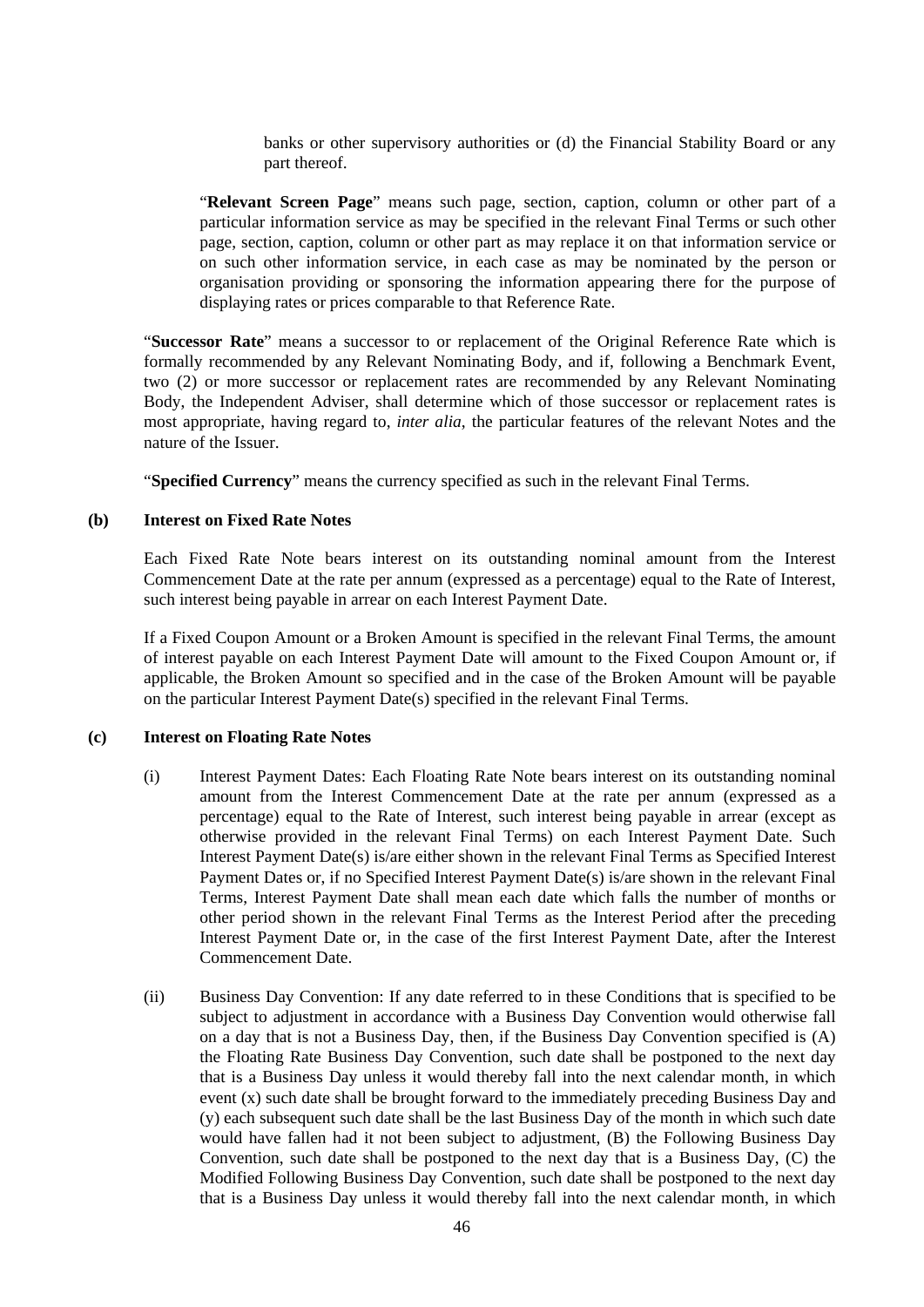banks or other supervisory authorities or (d) the Financial Stability Board or any part thereof.

"**Relevant Screen Page**" means such page, section, caption, column or other part of a particular information service as may be specified in the relevant Final Terms or such other page, section, caption, column or other part as may replace it on that information service or on such other information service, in each case as may be nominated by the person or organisation providing or sponsoring the information appearing there for the purpose of displaying rates or prices comparable to that Reference Rate.

"**Successor Rate**" means a successor to or replacement of the Original Reference Rate which is formally recommended by any Relevant Nominating Body, and if, following a Benchmark Event, two (2) or more successor or replacement rates are recommended by any Relevant Nominating Body, the Independent Adviser, shall determine which of those successor or replacement rates is most appropriate, having regard to, *inter alia*, the particular features of the relevant Notes and the nature of the Issuer.

"**Specified Currency**" means the currency specified as such in the relevant Final Terms.

### **(b) Interest on Fixed Rate Notes**

Each Fixed Rate Note bears interest on its outstanding nominal amount from the Interest Commencement Date at the rate per annum (expressed as a percentage) equal to the Rate of Interest, such interest being payable in arrear on each Interest Payment Date.

If a Fixed Coupon Amount or a Broken Amount is specified in the relevant Final Terms, the amount of interest payable on each Interest Payment Date will amount to the Fixed Coupon Amount or, if applicable, the Broken Amount so specified and in the case of the Broken Amount will be payable on the particular Interest Payment Date(s) specified in the relevant Final Terms.

### **(c) Interest on Floating Rate Notes**

- (i) Interest Payment Dates: Each Floating Rate Note bears interest on its outstanding nominal amount from the Interest Commencement Date at the rate per annum (expressed as a percentage) equal to the Rate of Interest, such interest being payable in arrear (except as otherwise provided in the relevant Final Terms) on each Interest Payment Date. Such Interest Payment Date(s) is/are either shown in the relevant Final Terms as Specified Interest Payment Dates or, if no Specified Interest Payment Date(s) is/are shown in the relevant Final Terms, Interest Payment Date shall mean each date which falls the number of months or other period shown in the relevant Final Terms as the Interest Period after the preceding Interest Payment Date or, in the case of the first Interest Payment Date, after the Interest Commencement Date.
- (ii) Business Day Convention: If any date referred to in these Conditions that is specified to be subject to adjustment in accordance with a Business Day Convention would otherwise fall on a day that is not a Business Day, then, if the Business Day Convention specified is (A) the Floating Rate Business Day Convention, such date shall be postponed to the next day that is a Business Day unless it would thereby fall into the next calendar month, in which event (x) such date shall be brought forward to the immediately preceding Business Day and (y) each subsequent such date shall be the last Business Day of the month in which such date would have fallen had it not been subject to adjustment, (B) the Following Business Day Convention, such date shall be postponed to the next day that is a Business Day, (C) the Modified Following Business Day Convention, such date shall be postponed to the next day that is a Business Day unless it would thereby fall into the next calendar month, in which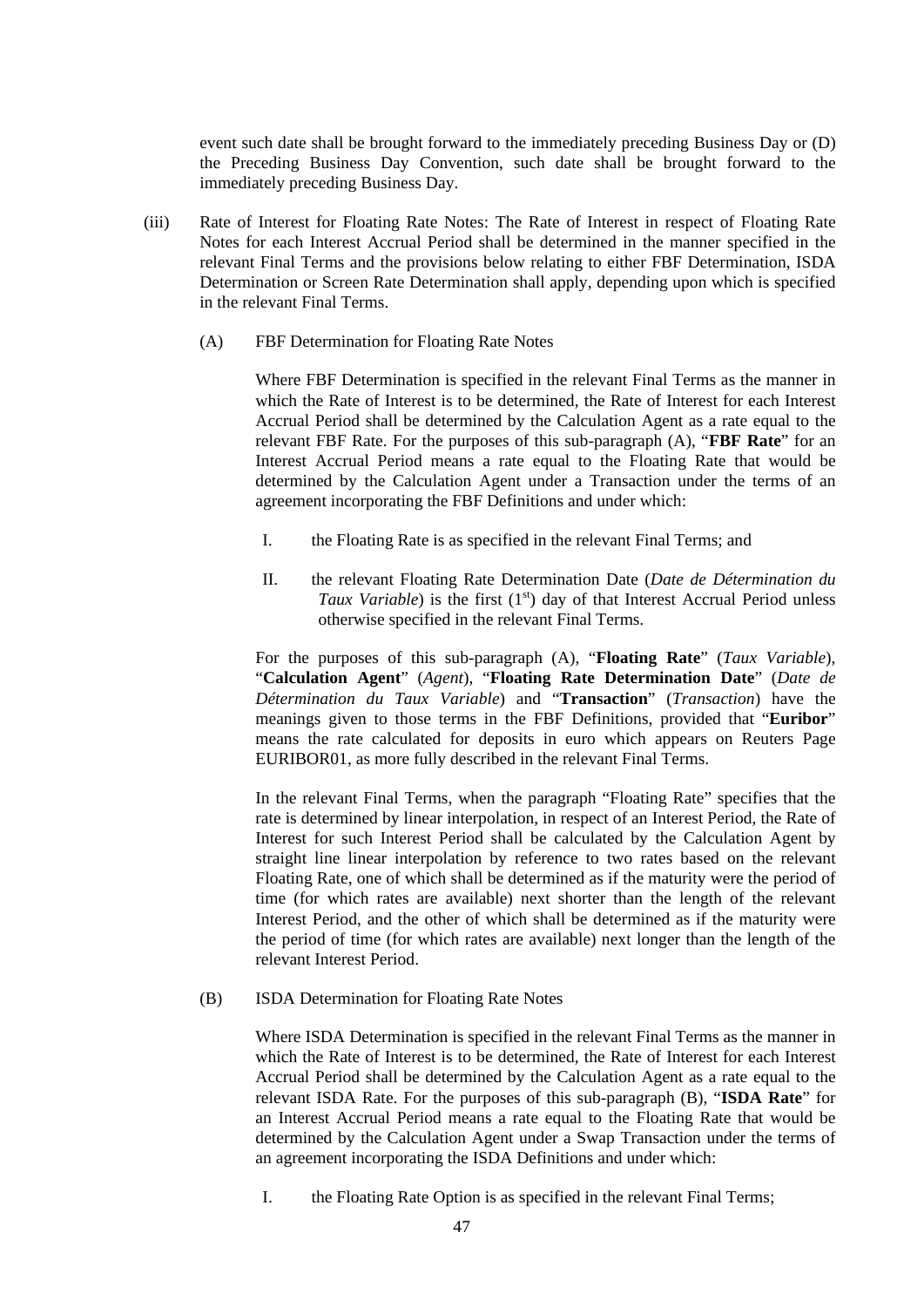event such date shall be brought forward to the immediately preceding Business Day or (D) the Preceding Business Day Convention, such date shall be brought forward to the immediately preceding Business Day.

- <span id="page-46-0"></span>(iii) Rate of Interest for Floating Rate Notes: The Rate of Interest in respect of Floating Rate Notes for each Interest Accrual Period shall be determined in the manner specified in the relevant Final Terms and the provisions below relating to either FBF Determination, ISDA Determination or Screen Rate Determination shall apply, depending upon which is specified in the relevant Final Terms.
	- (A) FBF Determination for Floating Rate Notes

Where FBF Determination is specified in the relevant Final Terms as the manner in which the Rate of Interest is to be determined, the Rate of Interest for each Interest Accrual Period shall be determined by the Calculation Agent as a rate equal to the relevant FBF Rate. For the purposes of this sub-paragraph [\(A\),](#page-46-0) "**FBF Rate**" for an Interest Accrual Period means a rate equal to the Floating Rate that would be determined by the Calculation Agent under a Transaction under the terms of an agreement incorporating the FBF Definitions and under which:

- I. the Floating Rate is as specified in the relevant Final Terms; and
- II. the relevant Floating Rate Determination Date (*Date de Détermination du Taux Variable*) is the first (1<sup>st</sup>) day of that Interest Accrual Period unless otherwise specified in the relevant Final Terms.

For the purposes of this sub-paragraph [\(A\),](#page-46-0) "**Floating Rate**" (*Taux Variable*), "**Calculation Agent**" (*Agent*), "**Floating Rate Determination Date**" (*Date de Détermination du Taux Variable*) and "**Transaction**" (*Transaction*) have the meanings given to those terms in the FBF Definitions, provided that "**Euribor**" means the rate calculated for deposits in euro which appears on Reuters Page EURIBOR01, as more fully described in the relevant Final Terms.

In the relevant Final Terms, when the paragraph "Floating Rate" specifies that the rate is determined by linear interpolation, in respect of an Interest Period, the Rate of Interest for such Interest Period shall be calculated by the Calculation Agent by straight line linear interpolation by reference to two rates based on the relevant Floating Rate, one of which shall be determined as if the maturity were the period of time (for which rates are available) next shorter than the length of the relevant Interest Period, and the other of which shall be determined as if the maturity were the period of time (for which rates are available) next longer than the length of the relevant Interest Period.

<span id="page-46-1"></span>(B) ISDA Determination for Floating Rate Notes

Where ISDA Determination is specified in the relevant Final Terms as the manner in which the Rate of Interest is to be determined, the Rate of Interest for each Interest Accrual Period shall be determined by the Calculation Agent as a rate equal to the relevant ISDA Rate. For the purposes of this sub-paragraph [\(B\),](#page-46-1) "**ISDA Rate**" for an Interest Accrual Period means a rate equal to the Floating Rate that would be determined by the Calculation Agent under a Swap Transaction under the terms of an agreement incorporating the ISDA Definitions and under which:

I. the Floating Rate Option is as specified in the relevant Final Terms;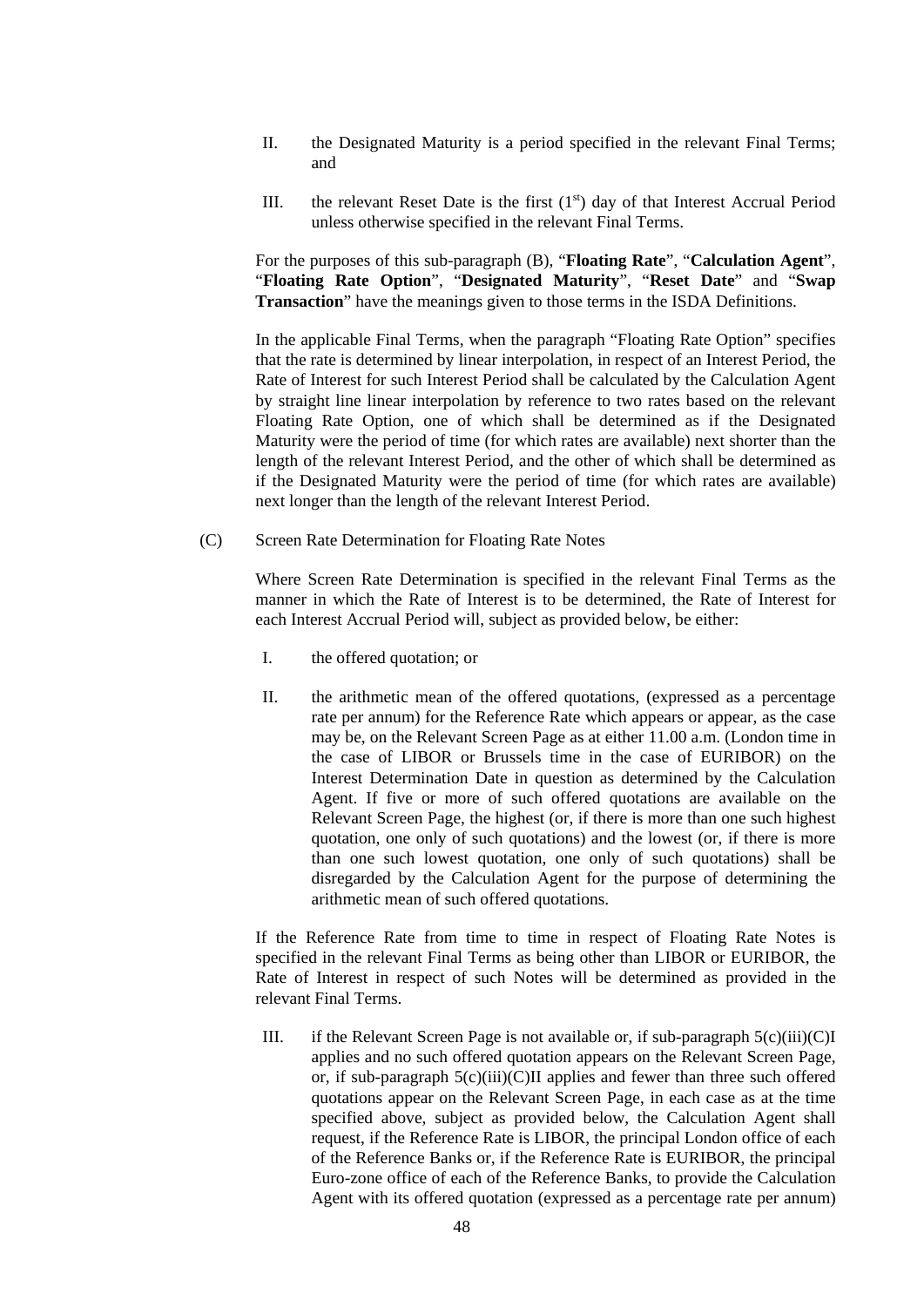- II. the Designated Maturity is a period specified in the relevant Final Terms; and
- III. the relevant Reset Date is the first  $(1<sup>st</sup>)$  day of that Interest Accrual Period unless otherwise specified in the relevant Final Terms.

For the purposes of this sub-paragraph [\(B\),](#page-46-1) "**Floating Rate**", "**Calculation Agent**", "**Floating Rate Option**", "**Designated Maturity**", "**Reset Date**" and "**Swap Transaction**" have the meanings given to those terms in the ISDA Definitions.

In the applicable Final Terms, when the paragraph "Floating Rate Option" specifies that the rate is determined by linear interpolation, in respect of an Interest Period, the Rate of Interest for such Interest Period shall be calculated by the Calculation Agent by straight line linear interpolation by reference to two rates based on the relevant Floating Rate Option, one of which shall be determined as if the Designated Maturity were the period of time (for which rates are available) next shorter than the length of the relevant Interest Period, and the other of which shall be determined as if the Designated Maturity were the period of time (for which rates are available) next longer than the length of the relevant Interest Period.

<span id="page-47-1"></span><span id="page-47-0"></span>(C) Screen Rate Determination for Floating Rate Notes

Where Screen Rate Determination is specified in the relevant Final Terms as the manner in which the Rate of Interest is to be determined, the Rate of Interest for each Interest Accrual Period will, subject as provided below, be either:

- I. the offered quotation; or
- II. the arithmetic mean of the offered quotations, (expressed as a percentage rate per annum) for the Reference Rate which appears or appear, as the case may be, on the Relevant Screen Page as at either 11.00 a.m. (London time in the case of LIBOR or Brussels time in the case of EURIBOR) on the Interest Determination Date in question as determined by the Calculation Agent. If five or more of such offered quotations are available on the Relevant Screen Page, the highest (or, if there is more than one such highest quotation, one only of such quotations) and the lowest (or, if there is more than one such lowest quotation, one only of such quotations) shall be disregarded by the Calculation Agent for the purpose of determining the arithmetic mean of such offered quotations.

If the Reference Rate from time to time in respect of Floating Rate Notes is specified in the relevant Final Terms as being other than LIBOR or EURIBOR, the Rate of Interest in respect of such Notes will be determined as provided in the relevant Final Terms.

III. if the Relevant Screen Page is not available or, if sub-paragraph  $5(c)(iii)(C)I$ applies and no such offered quotation appears on the Relevant Screen Page, or, if sub-paragraph [5\(c\)\(iii\)\(C\)II](#page-47-1) applies and fewer than three such offered quotations appear on the Relevant Screen Page, in each case as at the time specified above, subject as provided below, the Calculation Agent shall request, if the Reference Rate is LIBOR, the principal London office of each of the Reference Banks or, if the Reference Rate is EURIBOR, the principal Euro-zone office of each of the Reference Banks, to provide the Calculation Agent with its offered quotation (expressed as a percentage rate per annum)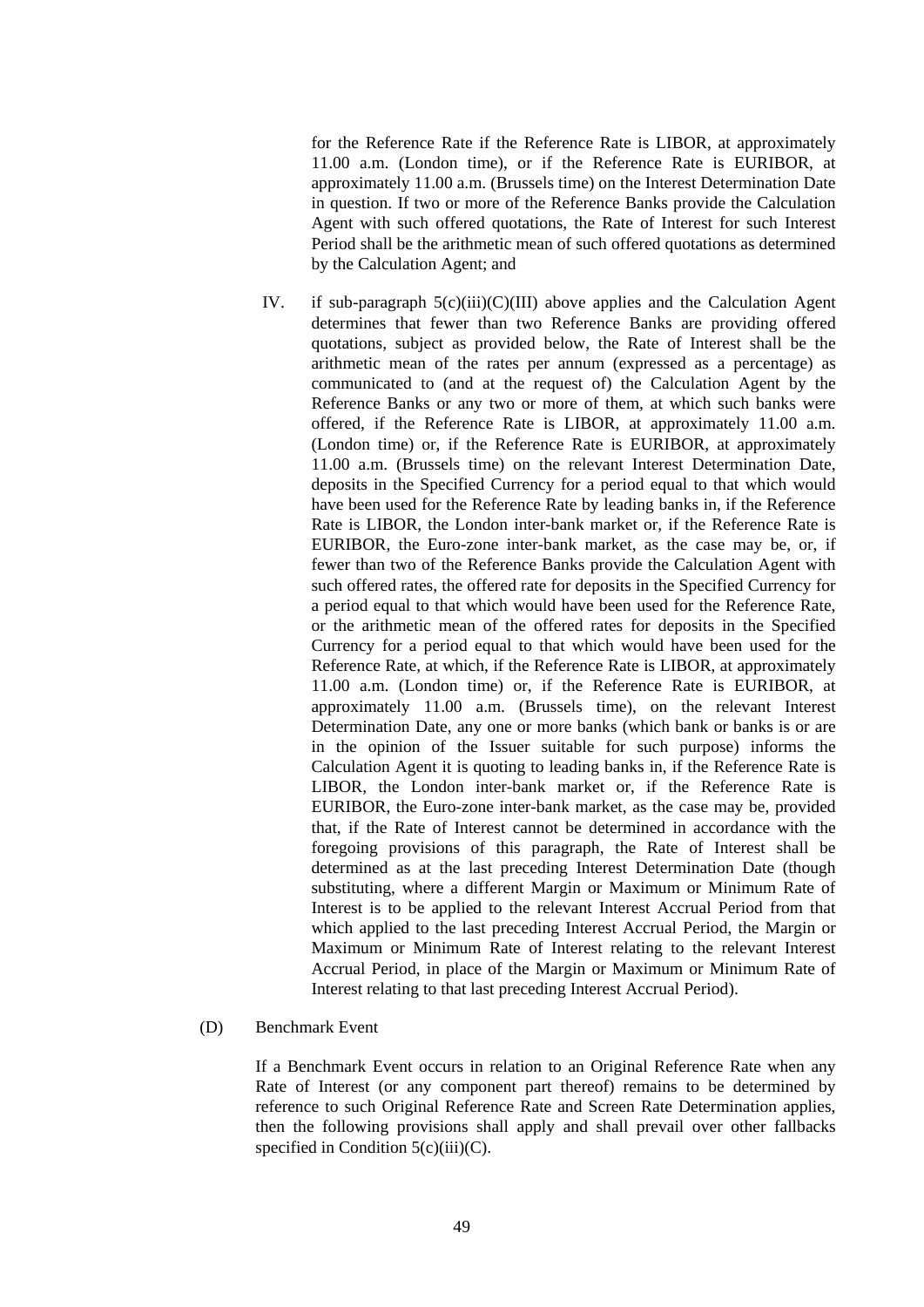for the Reference Rate if the Reference Rate is LIBOR, at approximately 11.00 a.m. (London time), or if the Reference Rate is EURIBOR, at approximately 11.00 a.m. (Brussels time) on the Interest Determination Date in question. If two or more of the Reference Banks provide the Calculation Agent with such offered quotations, the Rate of Interest for such Interest Period shall be the arithmetic mean of such offered quotations as determined by the Calculation Agent; and

IV. if sub-paragraph  $5(c)(iii)(C)(III)$  above applies and the Calculation Agent determines that fewer than two Reference Banks are providing offered quotations, subject as provided below, the Rate of Interest shall be the arithmetic mean of the rates per annum (expressed as a percentage) as communicated to (and at the request of) the Calculation Agent by the Reference Banks or any two or more of them, at which such banks were offered, if the Reference Rate is LIBOR, at approximately 11.00 a.m. (London time) or, if the Reference Rate is EURIBOR, at approximately 11.00 a.m. (Brussels time) on the relevant Interest Determination Date, deposits in the Specified Currency for a period equal to that which would have been used for the Reference Rate by leading banks in, if the Reference Rate is LIBOR, the London inter-bank market or, if the Reference Rate is EURIBOR, the Euro-zone inter-bank market, as the case may be, or, if fewer than two of the Reference Banks provide the Calculation Agent with such offered rates, the offered rate for deposits in the Specified Currency for a period equal to that which would have been used for the Reference Rate, or the arithmetic mean of the offered rates for deposits in the Specified Currency for a period equal to that which would have been used for the Reference Rate, at which, if the Reference Rate is LIBOR, at approximately 11.00 a.m. (London time) or, if the Reference Rate is EURIBOR, at approximately 11.00 a.m. (Brussels time), on the relevant Interest Determination Date, any one or more banks (which bank or banks is or are in the opinion of the Issuer suitable for such purpose) informs the Calculation Agent it is quoting to leading banks in, if the Reference Rate is LIBOR, the London inter-bank market or, if the Reference Rate is EURIBOR, the Euro-zone inter-bank market, as the case may be, provided that, if the Rate of Interest cannot be determined in accordance with the foregoing provisions of this paragraph, the Rate of Interest shall be determined as at the last preceding Interest Determination Date (though substituting, where a different Margin or Maximum or Minimum Rate of Interest is to be applied to the relevant Interest Accrual Period from that which applied to the last preceding Interest Accrual Period, the Margin or Maximum or Minimum Rate of Interest relating to the relevant Interest Accrual Period, in place of the Margin or Maximum or Minimum Rate of Interest relating to that last preceding Interest Accrual Period).

#### (D) Benchmark Event

If a Benchmark Event occurs in relation to an Original Reference Rate when any Rate of Interest (or any component part thereof) remains to be determined by reference to such Original Reference Rate and Screen Rate Determination applies, then the following provisions shall apply and shall prevail over other fallbacks specified in Condition  $5(c)(iii)(C)$ .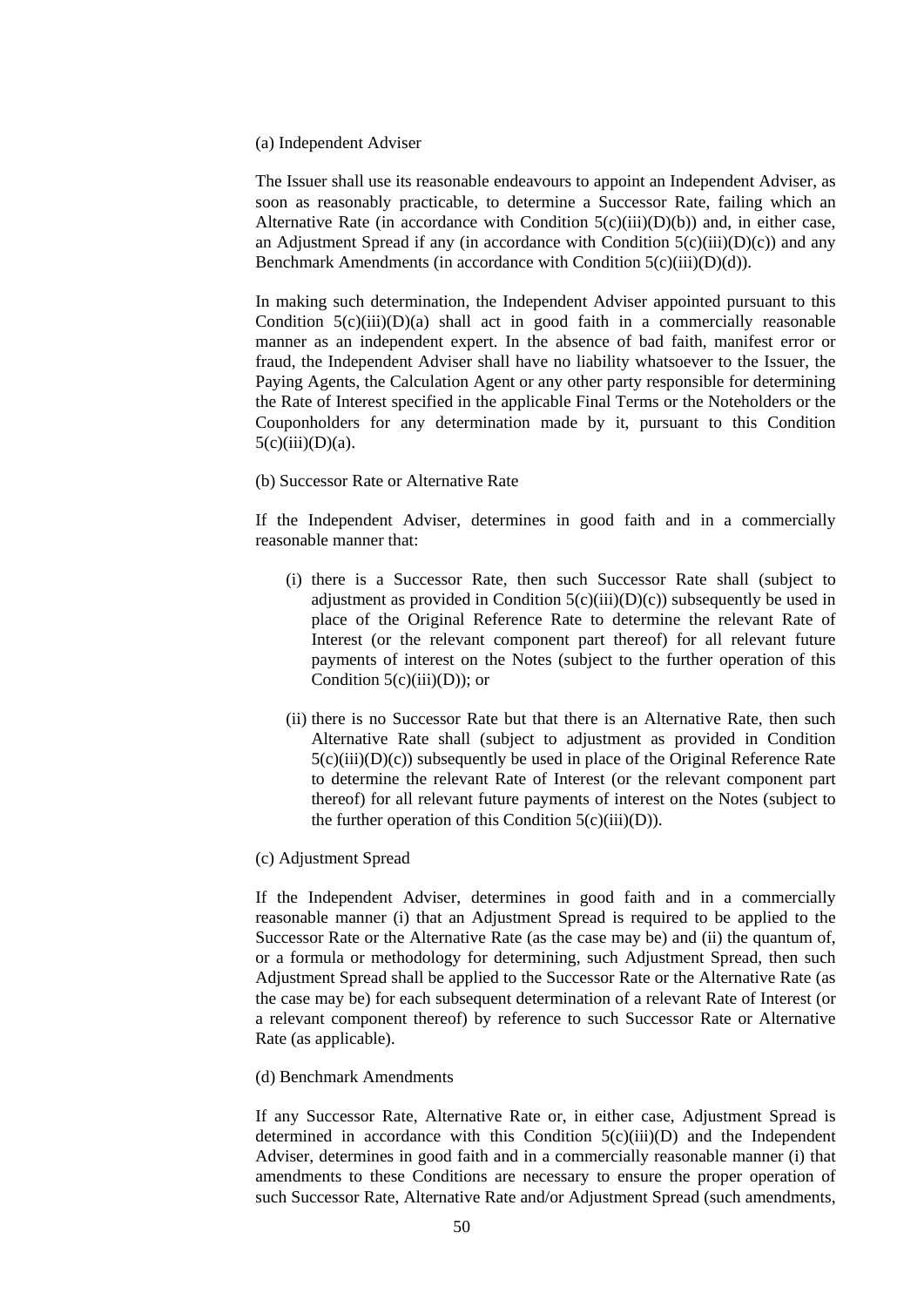#### (a) Independent Adviser

The Issuer shall use its reasonable endeavours to appoint an Independent Adviser, as soon as reasonably practicable, to determine a Successor Rate, failing which an Alternative Rate (in accordance with Condition  $5(c)(iii)(D)(b)$ ) and, in either case, an Adjustment Spread if any (in accordance with Condition  $5(c)(iii)(D)(c))$  and any Benchmark Amendments (in accordance with Condition 5(c)(iii)(D)(d)).

In making such determination, the Independent Adviser appointed pursuant to this Condition  $5(c)(iii)(D)(a)$  shall act in good faith in a commercially reasonable manner as an independent expert. In the absence of bad faith, manifest error or fraud, the Independent Adviser shall have no liability whatsoever to the Issuer, the Paying Agents, the Calculation Agent or any other party responsible for determining the Rate of Interest specified in the applicable Final Terms or the Noteholders or the Couponholders for any determination made by it, pursuant to this Condition  $5(c)(iii)(D)(a)$ .

#### (b) Successor Rate or Alternative Rate

If the Independent Adviser, determines in good faith and in a commercially reasonable manner that:

- (i) there is a Successor Rate, then such Successor Rate shall (subject to adjustment as provided in Condition  $5(c)(iii)(D)(c))$  subsequently be used in place of the Original Reference Rate to determine the relevant Rate of Interest (or the relevant component part thereof) for all relevant future payments of interest on the Notes (subject to the further operation of this Condition  $5(c)(iii)(D)$ ; or
- (ii) there is no Successor Rate but that there is an Alternative Rate, then such Alternative Rate shall (subject to adjustment as provided in Condition  $5(c)(iii)(D)(c)$ ) subsequently be used in place of the Original Reference Rate to determine the relevant Rate of Interest (or the relevant component part thereof) for all relevant future payments of interest on the Notes (subject to the further operation of this Condition  $5(c)(iii)(D)$ ).

#### (c) Adjustment Spread

If the Independent Adviser, determines in good faith and in a commercially reasonable manner (i) that an Adjustment Spread is required to be applied to the Successor Rate or the Alternative Rate (as the case may be) and (ii) the quantum of, or a formula or methodology for determining, such Adjustment Spread, then such Adjustment Spread shall be applied to the Successor Rate or the Alternative Rate (as the case may be) for each subsequent determination of a relevant Rate of Interest (or a relevant component thereof) by reference to such Successor Rate or Alternative Rate (as applicable).

### (d) Benchmark Amendments

If any Successor Rate, Alternative Rate or, in either case, Adjustment Spread is determined in accordance with this Condition  $5(c)(iii)(D)$  and the Independent Adviser, determines in good faith and in a commercially reasonable manner (i) that amendments to these Conditions are necessary to ensure the proper operation of such Successor Rate, Alternative Rate and/or Adjustment Spread (such amendments,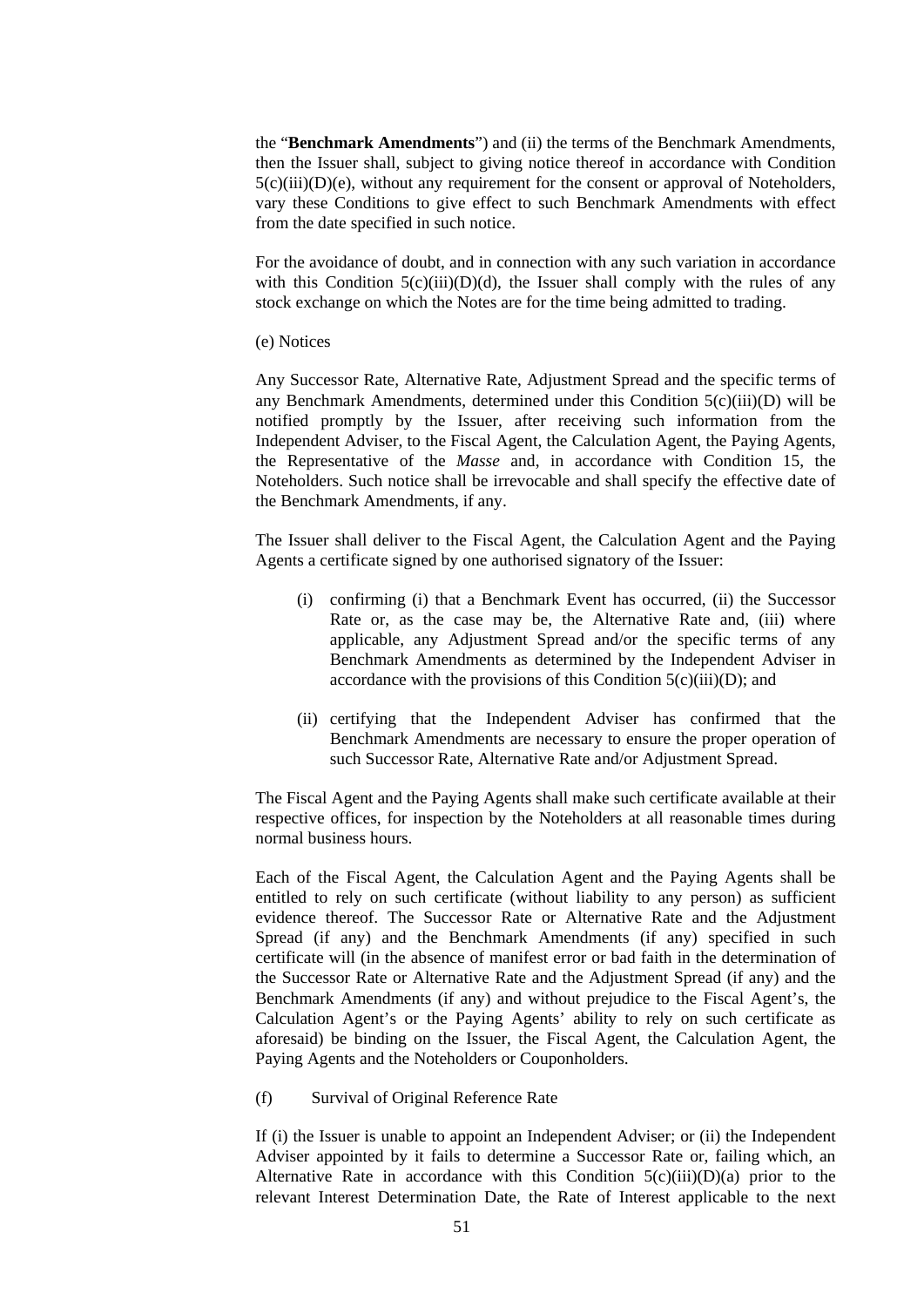the "**Benchmark Amendments**") and (ii) the terms of the Benchmark Amendments, then the Issuer shall, subject to giving notice thereof in accordance with Condition  $5(c)(iii)(D)(e)$ , without any requirement for the consent or approval of Noteholders, vary these Conditions to give effect to such Benchmark Amendments with effect from the date specified in such notice.

For the avoidance of doubt, and in connection with any such variation in accordance with this Condition  $5(c)(iii)(D)(d)$ , the Issuer shall comply with the rules of any stock exchange on which the Notes are for the time being admitted to trading.

(e) Notices

Any Successor Rate, Alternative Rate, Adjustment Spread and the specific terms of any Benchmark Amendments, determined under this Condition  $5(c)(iii)(D)$  will be notified promptly by the Issuer, after receiving such information from the Independent Adviser, to the Fiscal Agent, the Calculation Agent, the Paying Agents, the Representative of the *Masse* and, in accordance with Condition 15, the Noteholders. Such notice shall be irrevocable and shall specify the effective date of the Benchmark Amendments, if any.

The Issuer shall deliver to the Fiscal Agent, the Calculation Agent and the Paying Agents a certificate signed by one authorised signatory of the Issuer:

- (i) confirming (i) that a Benchmark Event has occurred, (ii) the Successor Rate or, as the case may be, the Alternative Rate and, (iii) where applicable, any Adjustment Spread and/or the specific terms of any Benchmark Amendments as determined by the Independent Adviser in accordance with the provisions of this Condition  $5(c)(iii)(D)$ ; and
- (ii) certifying that the Independent Adviser has confirmed that the Benchmark Amendments are necessary to ensure the proper operation of such Successor Rate, Alternative Rate and/or Adjustment Spread.

The Fiscal Agent and the Paying Agents shall make such certificate available at their respective offices, for inspection by the Noteholders at all reasonable times during normal business hours.

Each of the Fiscal Agent, the Calculation Agent and the Paying Agents shall be entitled to rely on such certificate (without liability to any person) as sufficient evidence thereof. The Successor Rate or Alternative Rate and the Adjustment Spread (if any) and the Benchmark Amendments (if any) specified in such certificate will (in the absence of manifest error or bad faith in the determination of the Successor Rate or Alternative Rate and the Adjustment Spread (if any) and the Benchmark Amendments (if any) and without prejudice to the Fiscal Agent's, the Calculation Agent's or the Paying Agents' ability to rely on such certificate as aforesaid) be binding on the Issuer, the Fiscal Agent, the Calculation Agent, the Paying Agents and the Noteholders or Couponholders.

(f) Survival of Original Reference Rate

If (i) the Issuer is unable to appoint an Independent Adviser; or (ii) the Independent Adviser appointed by it fails to determine a Successor Rate or, failing which, an Alternative Rate in accordance with this Condition  $5(c)(iii)(D)(a)$  prior to the relevant Interest Determination Date, the Rate of Interest applicable to the next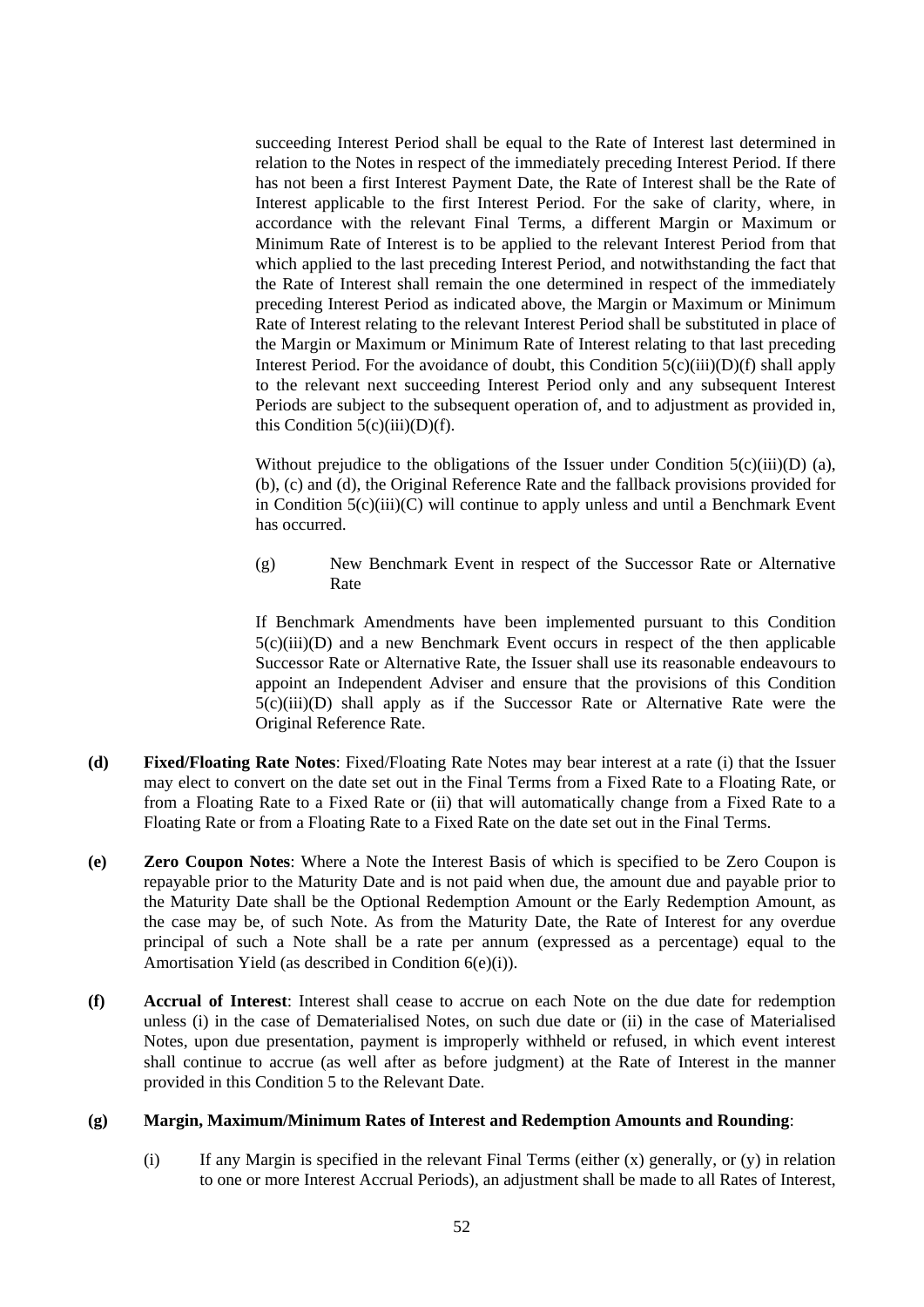succeeding Interest Period shall be equal to the Rate of Interest last determined in relation to the Notes in respect of the immediately preceding Interest Period. If there has not been a first Interest Payment Date, the Rate of Interest shall be the Rate of Interest applicable to the first Interest Period. For the sake of clarity, where, in accordance with the relevant Final Terms, a different Margin or Maximum or Minimum Rate of Interest is to be applied to the relevant Interest Period from that which applied to the last preceding Interest Period, and notwithstanding the fact that the Rate of Interest shall remain the one determined in respect of the immediately preceding Interest Period as indicated above, the Margin or Maximum or Minimum Rate of Interest relating to the relevant Interest Period shall be substituted in place of the Margin or Maximum or Minimum Rate of Interest relating to that last preceding Interest Period. For the avoidance of doubt, this Condition  $5(c)(iii)(D)(f)$  shall apply to the relevant next succeeding Interest Period only and any subsequent Interest Periods are subject to the subsequent operation of, and to adjustment as provided in, this Condition  $5(c)(iii)(D)(f)$ .

Without prejudice to the obligations of the Issuer under Condition  $5(c)(iii)(D)$  (a), (b), (c) and (d), the Original Reference Rate and the fallback provisions provided for in Condition 5(c)(iii)(C) will continue to apply unless and until a Benchmark Event has occurred.

(g) New Benchmark Event in respect of the Successor Rate or Alternative Rate

If Benchmark Amendments have been implemented pursuant to this Condition  $5(c)(iii)(D)$  and a new Benchmark Event occurs in respect of the then applicable Successor Rate or Alternative Rate, the Issuer shall use its reasonable endeavours to appoint an Independent Adviser and ensure that the provisions of this Condition  $5(c)(iii)(D)$  shall apply as if the Successor Rate or Alternative Rate were the Original Reference Rate.

- **(d) Fixed/Floating Rate Notes**: Fixed/Floating Rate Notes may bear interest at a rate (i) that the Issuer may elect to convert on the date set out in the Final Terms from a Fixed Rate to a Floating Rate, or from a Floating Rate to a Fixed Rate or (ii) that will automatically change from a Fixed Rate to a Floating Rate or from a Floating Rate to a Fixed Rate on the date set out in the Final Terms.
- **(e) Zero Coupon Notes**: Where a Note the Interest Basis of which is specified to be Zero Coupon is repayable prior to the Maturity Date and is not paid when due, the amount due and payable prior to the Maturity Date shall be the Optional Redemption Amount or the Early Redemption Amount, as the case may be, of such Note. As from the Maturity Date, the Rate of Interest for any overdue principal of such a Note shall be a rate per annum (expressed as a percentage) equal to the Amortisation Yield (as described in Condition 6(e)(i)).
- **(f) Accrual of Interest**: Interest shall cease to accrue on each Note on the due date for redemption unless (i) in the case of Dematerialised Notes, on such due date or (ii) in the case of Materialised Notes, upon due presentation, payment is improperly withheld or refused, in which event interest shall continue to accrue (as well after as before judgment) at the Rate of Interest in the manner provided in this Condition 5 to the Relevant Date.

#### **(g) Margin, Maximum/Minimum Rates of Interest and Redemption Amounts and Rounding**:

(i) If any Margin is specified in the relevant Final Terms (either  $(x)$  generally, or  $(y)$  in relation to one or more Interest Accrual Periods), an adjustment shall be made to all Rates of Interest,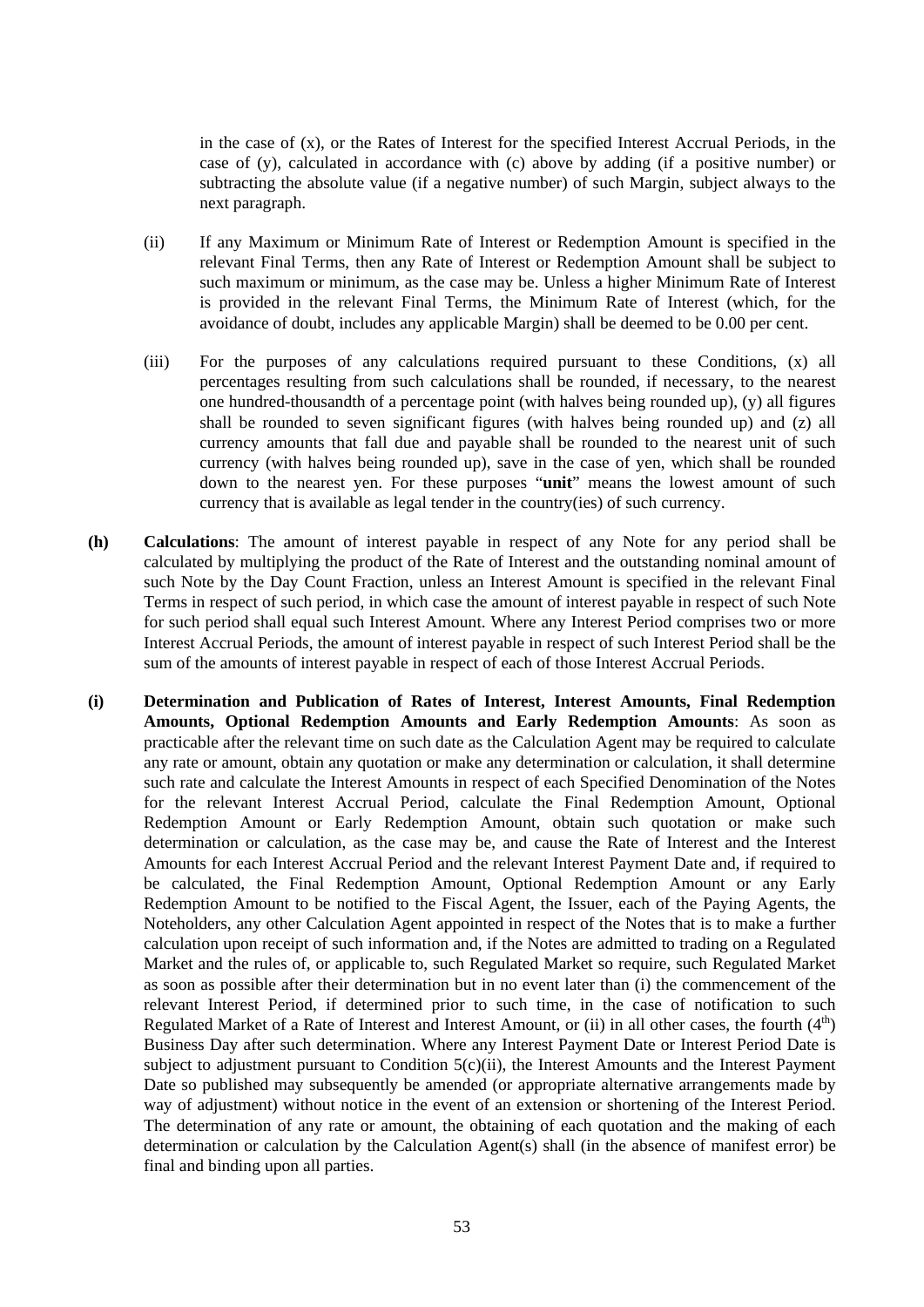in the case of (x), or the Rates of Interest for the specified Interest Accrual Periods, in the case of (y), calculated in accordance with (c) above by adding (if a positive number) or subtracting the absolute value (if a negative number) of such Margin, subject always to the next paragraph.

- (ii) If any Maximum or Minimum Rate of Interest or Redemption Amount is specified in the relevant Final Terms, then any Rate of Interest or Redemption Amount shall be subject to such maximum or minimum, as the case may be. Unless a higher Minimum Rate of Interest is provided in the relevant Final Terms, the Minimum Rate of Interest (which, for the avoidance of doubt, includes any applicable Margin) shall be deemed to be 0.00 per cent.
- (iii) For the purposes of any calculations required pursuant to these Conditions, (x) all percentages resulting from such calculations shall be rounded, if necessary, to the nearest one hundred-thousandth of a percentage point (with halves being rounded up), (y) all figures shall be rounded to seven significant figures (with halves being rounded up) and (z) all currency amounts that fall due and payable shall be rounded to the nearest unit of such currency (with halves being rounded up), save in the case of yen, which shall be rounded down to the nearest yen. For these purposes "**unit**" means the lowest amount of such currency that is available as legal tender in the country(ies) of such currency.
- **(h) Calculations**: The amount of interest payable in respect of any Note for any period shall be calculated by multiplying the product of the Rate of Interest and the outstanding nominal amount of such Note by the Day Count Fraction, unless an Interest Amount is specified in the relevant Final Terms in respect of such period, in which case the amount of interest payable in respect of such Note for such period shall equal such Interest Amount. Where any Interest Period comprises two or more Interest Accrual Periods, the amount of interest payable in respect of such Interest Period shall be the sum of the amounts of interest payable in respect of each of those Interest Accrual Periods.
- **(i) Determination and Publication of Rates of Interest, Interest Amounts, Final Redemption Amounts, Optional Redemption Amounts and Early Redemption Amounts**: As soon as practicable after the relevant time on such date as the Calculation Agent may be required to calculate any rate or amount, obtain any quotation or make any determination or calculation, it shall determine such rate and calculate the Interest Amounts in respect of each Specified Denomination of the Notes for the relevant Interest Accrual Period, calculate the Final Redemption Amount, Optional Redemption Amount or Early Redemption Amount, obtain such quotation or make such determination or calculation, as the case may be, and cause the Rate of Interest and the Interest Amounts for each Interest Accrual Period and the relevant Interest Payment Date and, if required to be calculated, the Final Redemption Amount, Optional Redemption Amount or any Early Redemption Amount to be notified to the Fiscal Agent, the Issuer, each of the Paying Agents, the Noteholders, any other Calculation Agent appointed in respect of the Notes that is to make a further calculation upon receipt of such information and, if the Notes are admitted to trading on a Regulated Market and the rules of, or applicable to, such Regulated Market so require, such Regulated Market as soon as possible after their determination but in no event later than (i) the commencement of the relevant Interest Period, if determined prior to such time, in the case of notification to such Regulated Market of a Rate of Interest and Interest Amount, or (ii) in all other cases, the fourth  $(4<sup>th</sup>)$ Business Day after such determination. Where any Interest Payment Date or Interest Period Date is subject to adjustment pursuant to Condition  $5(c)(ii)$ , the Interest Amounts and the Interest Payment Date so published may subsequently be amended (or appropriate alternative arrangements made by way of adjustment) without notice in the event of an extension or shortening of the Interest Period. The determination of any rate or amount, the obtaining of each quotation and the making of each determination or calculation by the Calculation Agent(s) shall (in the absence of manifest error) be final and binding upon all parties.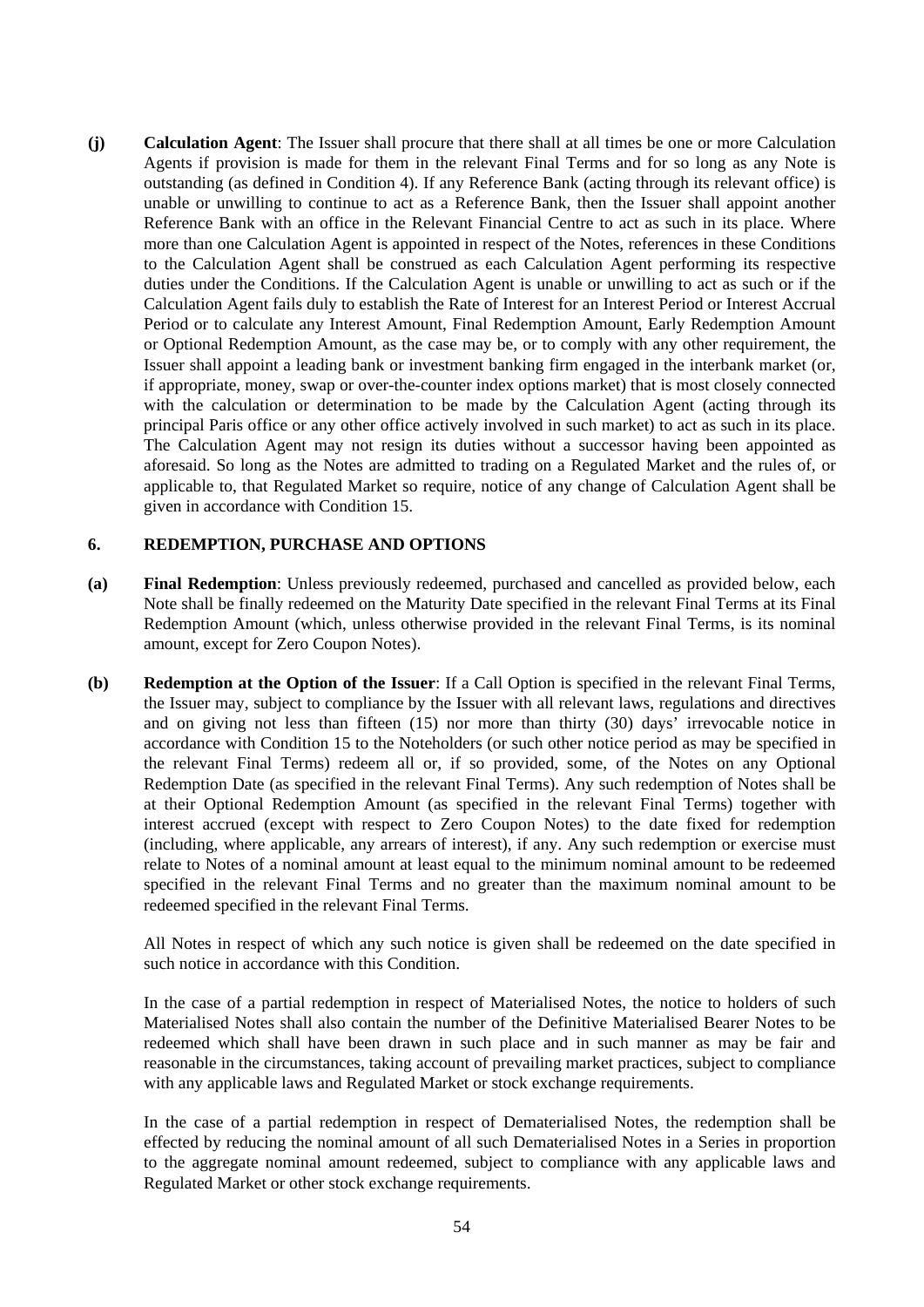**(j) Calculation Agent**: The Issuer shall procure that there shall at all times be one or more Calculation Agents if provision is made for them in the relevant Final Terms and for so long as any Note is outstanding (as defined in Condition 4). If any Reference Bank (acting through its relevant office) is unable or unwilling to continue to act as a Reference Bank, then the Issuer shall appoint another Reference Bank with an office in the Relevant Financial Centre to act as such in its place. Where more than one Calculation Agent is appointed in respect of the Notes, references in these Conditions to the Calculation Agent shall be construed as each Calculation Agent performing its respective duties under the Conditions. If the Calculation Agent is unable or unwilling to act as such or if the Calculation Agent fails duly to establish the Rate of Interest for an Interest Period or Interest Accrual Period or to calculate any Interest Amount, Final Redemption Amount, Early Redemption Amount or Optional Redemption Amount, as the case may be, or to comply with any other requirement, the Issuer shall appoint a leading bank or investment banking firm engaged in the interbank market (or, if appropriate, money, swap or over-the-counter index options market) that is most closely connected with the calculation or determination to be made by the Calculation Agent (acting through its principal Paris office or any other office actively involved in such market) to act as such in its place. The Calculation Agent may not resign its duties without a successor having been appointed as aforesaid. So long as the Notes are admitted to trading on a Regulated Market and the rules of, or applicable to, that Regulated Market so require, notice of any change of Calculation Agent shall be given in accordance with Condition 15.

### **6. REDEMPTION, PURCHASE AND OPTIONS**

- **(a) Final Redemption**: Unless previously redeemed, purchased and cancelled as provided below, each Note shall be finally redeemed on the Maturity Date specified in the relevant Final Terms at its Final Redemption Amount (which, unless otherwise provided in the relevant Final Terms, is its nominal amount, except for Zero Coupon Notes).
- **(b) Redemption at the Option of the Issuer**: If a Call Option is specified in the relevant Final Terms, the Issuer may, subject to compliance by the Issuer with all relevant laws, regulations and directives and on giving not less than fifteen (15) nor more than thirty (30) days' irrevocable notice in accordance with Condition 15 to the Noteholders (or such other notice period as may be specified in the relevant Final Terms) redeem all or, if so provided, some, of the Notes on any Optional Redemption Date (as specified in the relevant Final Terms). Any such redemption of Notes shall be at their Optional Redemption Amount (as specified in the relevant Final Terms) together with interest accrued (except with respect to Zero Coupon Notes) to the date fixed for redemption (including, where applicable, any arrears of interest), if any. Any such redemption or exercise must relate to Notes of a nominal amount at least equal to the minimum nominal amount to be redeemed specified in the relevant Final Terms and no greater than the maximum nominal amount to be redeemed specified in the relevant Final Terms.

All Notes in respect of which any such notice is given shall be redeemed on the date specified in such notice in accordance with this Condition.

In the case of a partial redemption in respect of Materialised Notes, the notice to holders of such Materialised Notes shall also contain the number of the Definitive Materialised Bearer Notes to be redeemed which shall have been drawn in such place and in such manner as may be fair and reasonable in the circumstances, taking account of prevailing market practices, subject to compliance with any applicable laws and Regulated Market or stock exchange requirements.

In the case of a partial redemption in respect of Dematerialised Notes, the redemption shall be effected by reducing the nominal amount of all such Dematerialised Notes in a Series in proportion to the aggregate nominal amount redeemed, subject to compliance with any applicable laws and Regulated Market or other stock exchange requirements.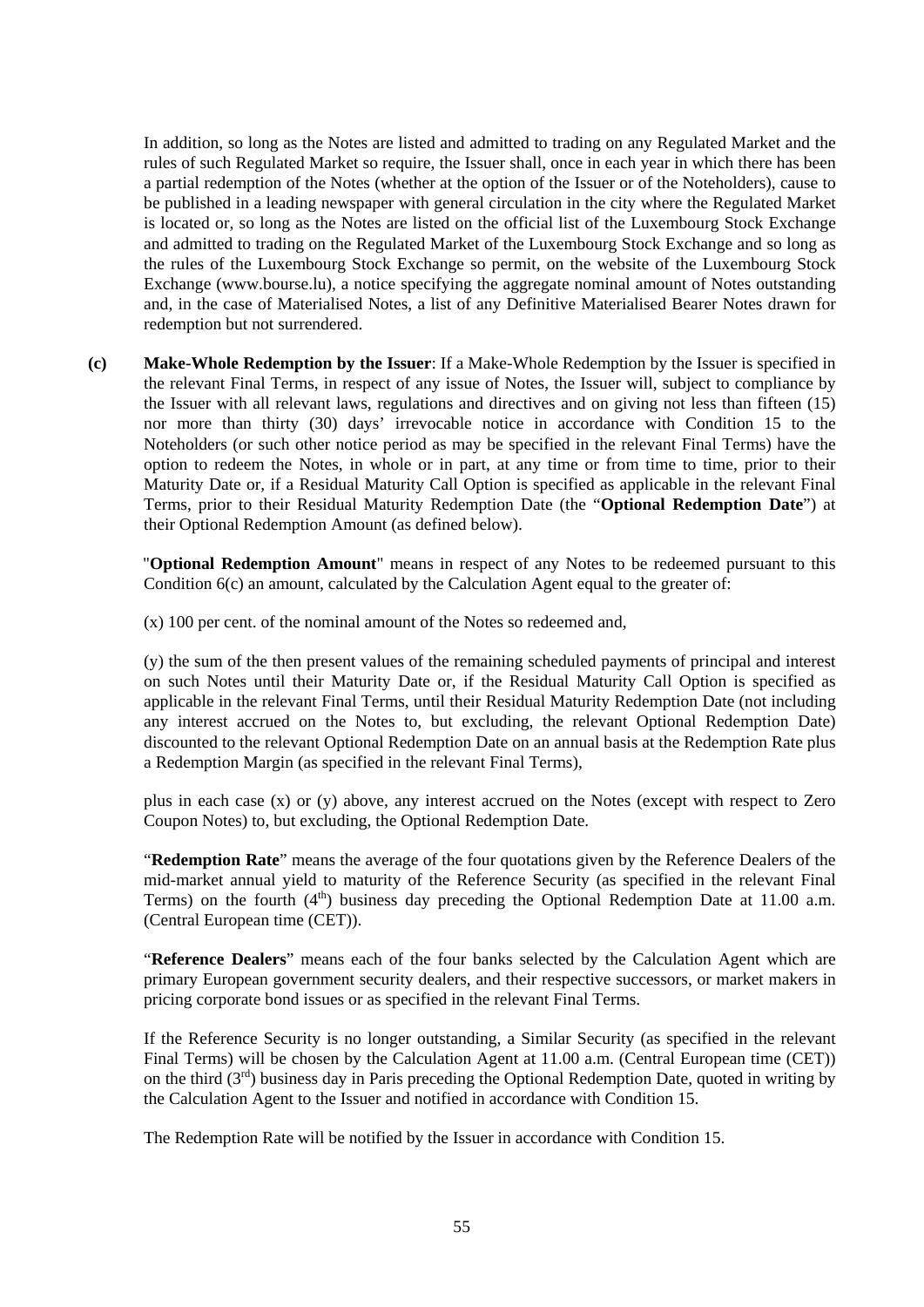In addition, so long as the Notes are listed and admitted to trading on any Regulated Market and the rules of such Regulated Market so require, the Issuer shall, once in each year in which there has been a partial redemption of the Notes (whether at the option of the Issuer or of the Noteholders), cause to be published in a leading newspaper with general circulation in the city where the Regulated Market is located or, so long as the Notes are listed on the official list of the Luxembourg Stock Exchange and admitted to trading on the Regulated Market of the Luxembourg Stock Exchange and so long as the rules of the Luxembourg Stock Exchange so permit, on the website of the Luxembourg Stock Exchange (www.bourse.lu), a notice specifying the aggregate nominal amount of Notes outstanding and, in the case of Materialised Notes, a list of any Definitive Materialised Bearer Notes drawn for redemption but not surrendered.

**(c) Make-Whole Redemption by the Issuer**: If a Make-Whole Redemption by the Issuer is specified in the relevant Final Terms, in respect of any issue of Notes, the Issuer will, subject to compliance by the Issuer with all relevant laws, regulations and directives and on giving not less than fifteen (15) nor more than thirty (30) days' irrevocable notice in accordance with Condition 15 to the Noteholders (or such other notice period as may be specified in the relevant Final Terms) have the option to redeem the Notes, in whole or in part, at any time or from time to time, prior to their Maturity Date or, if a Residual Maturity Call Option is specified as applicable in the relevant Final Terms, prior to their Residual Maturity Redemption Date (the "**Optional Redemption Date**") at their Optional Redemption Amount (as defined below).

"**Optional Redemption Amount**" means in respect of any Notes to be redeemed pursuant to this Condition 6(c) an amount, calculated by the Calculation Agent equal to the greater of:

(x) 100 per cent. of the nominal amount of the Notes so redeemed and,

(y) the sum of the then present values of the remaining scheduled payments of principal and interest on such Notes until their Maturity Date or, if the Residual Maturity Call Option is specified as applicable in the relevant Final Terms, until their Residual Maturity Redemption Date (not including any interest accrued on the Notes to, but excluding, the relevant Optional Redemption Date) discounted to the relevant Optional Redemption Date on an annual basis at the Redemption Rate plus a Redemption Margin (as specified in the relevant Final Terms),

plus in each case (x) or (y) above, any interest accrued on the Notes (except with respect to Zero Coupon Notes) to, but excluding, the Optional Redemption Date.

"**Redemption Rate**" means the average of the four quotations given by the Reference Dealers of the mid-market annual yield to maturity of the Reference Security (as specified in the relevant Final Terms) on the fourth  $(4<sup>th</sup>)$  business day preceding the Optional Redemption Date at 11.00 a.m. (Central European time (CET)).

"**Reference Dealers**" means each of the four banks selected by the Calculation Agent which are primary European government security dealers, and their respective successors, or market makers in pricing corporate bond issues or as specified in the relevant Final Terms.

If the Reference Security is no longer outstanding, a Similar Security (as specified in the relevant Final Terms) will be chosen by the Calculation Agent at 11.00 a.m. (Central European time (CET)) on the third  $(3<sup>rd</sup>)$  business day in Paris preceding the Optional Redemption Date, quoted in writing by the Calculation Agent to the Issuer and notified in accordance with Condition 15.

The Redemption Rate will be notified by the Issuer in accordance with Condition 15.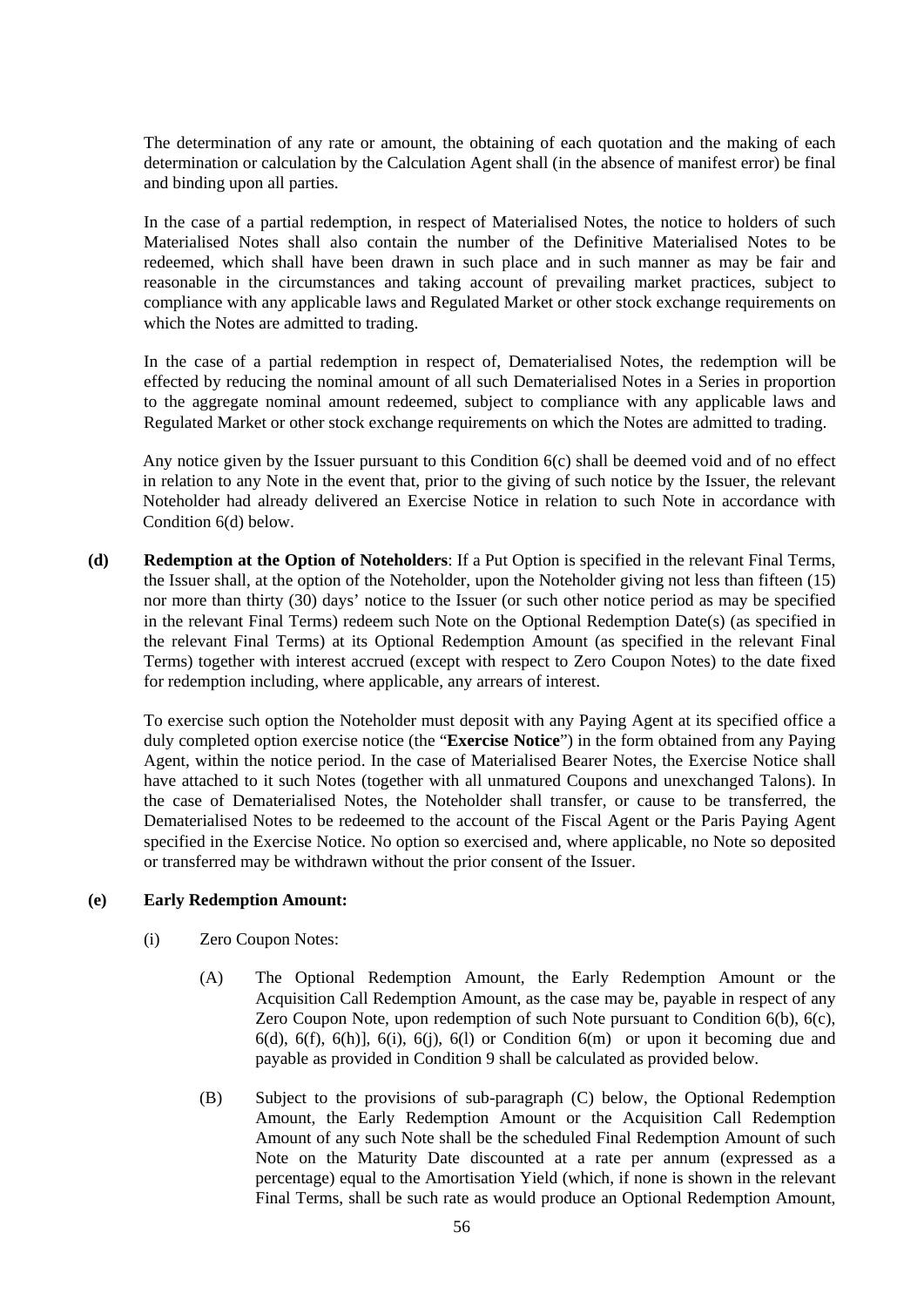The determination of any rate or amount, the obtaining of each quotation and the making of each determination or calculation by the Calculation Agent shall (in the absence of manifest error) be final and binding upon all parties.

In the case of a partial redemption, in respect of Materialised Notes, the notice to holders of such Materialised Notes shall also contain the number of the Definitive Materialised Notes to be redeemed, which shall have been drawn in such place and in such manner as may be fair and reasonable in the circumstances and taking account of prevailing market practices, subject to compliance with any applicable laws and Regulated Market or other stock exchange requirements on which the Notes are admitted to trading.

In the case of a partial redemption in respect of, Dematerialised Notes, the redemption will be effected by reducing the nominal amount of all such Dematerialised Notes in a Series in proportion to the aggregate nominal amount redeemed, subject to compliance with any applicable laws and Regulated Market or other stock exchange requirements on which the Notes are admitted to trading.

Any notice given by the Issuer pursuant to this Condition 6(c) shall be deemed void and of no effect in relation to any Note in the event that, prior to the giving of such notice by the Issuer, the relevant Noteholder had already delivered an Exercise Notice in relation to such Note in accordance with Condition 6(d) below.

**(d) Redemption at the Option of Noteholders**: If a Put Option is specified in the relevant Final Terms, the Issuer shall, at the option of the Noteholder, upon the Noteholder giving not less than fifteen (15) nor more than thirty (30) days' notice to the Issuer (or such other notice period as may be specified in the relevant Final Terms) redeem such Note on the Optional Redemption Date(s) (as specified in the relevant Final Terms) at its Optional Redemption Amount (as specified in the relevant Final Terms) together with interest accrued (except with respect to Zero Coupon Notes) to the date fixed for redemption including, where applicable, any arrears of interest.

To exercise such option the Noteholder must deposit with any Paying Agent at its specified office a duly completed option exercise notice (the "**Exercise Notice**") in the form obtained from any Paying Agent, within the notice period. In the case of Materialised Bearer Notes, the Exercise Notice shall have attached to it such Notes (together with all unmatured Coupons and unexchanged Talons). In the case of Dematerialised Notes, the Noteholder shall transfer, or cause to be transferred, the Dematerialised Notes to be redeemed to the account of the Fiscal Agent or the Paris Paying Agent specified in the Exercise Notice. No option so exercised and, where applicable, no Note so deposited or transferred may be withdrawn without the prior consent of the Issuer.

### **(e) Early Redemption Amount:**

- (i) Zero Coupon Notes:
	- (A) The Optional Redemption Amount, the Early Redemption Amount or the Acquisition Call Redemption Amount, as the case may be, payable in respect of any Zero Coupon Note, upon redemption of such Note pursuant to Condition 6(b), 6(c),  $6(d)$ ,  $6(f)$ ,  $6(h)$ ],  $6(i)$ ,  $6(i)$ ,  $6(l)$  or Condition  $6(m)$  or upon it becoming due and payable as provided in Condition 9 shall be calculated as provided below.
	- (B) Subject to the provisions of sub-paragraph (C) below, the Optional Redemption Amount, the Early Redemption Amount or the Acquisition Call Redemption Amount of any such Note shall be the scheduled Final Redemption Amount of such Note on the Maturity Date discounted at a rate per annum (expressed as a percentage) equal to the Amortisation Yield (which, if none is shown in the relevant Final Terms, shall be such rate as would produce an Optional Redemption Amount,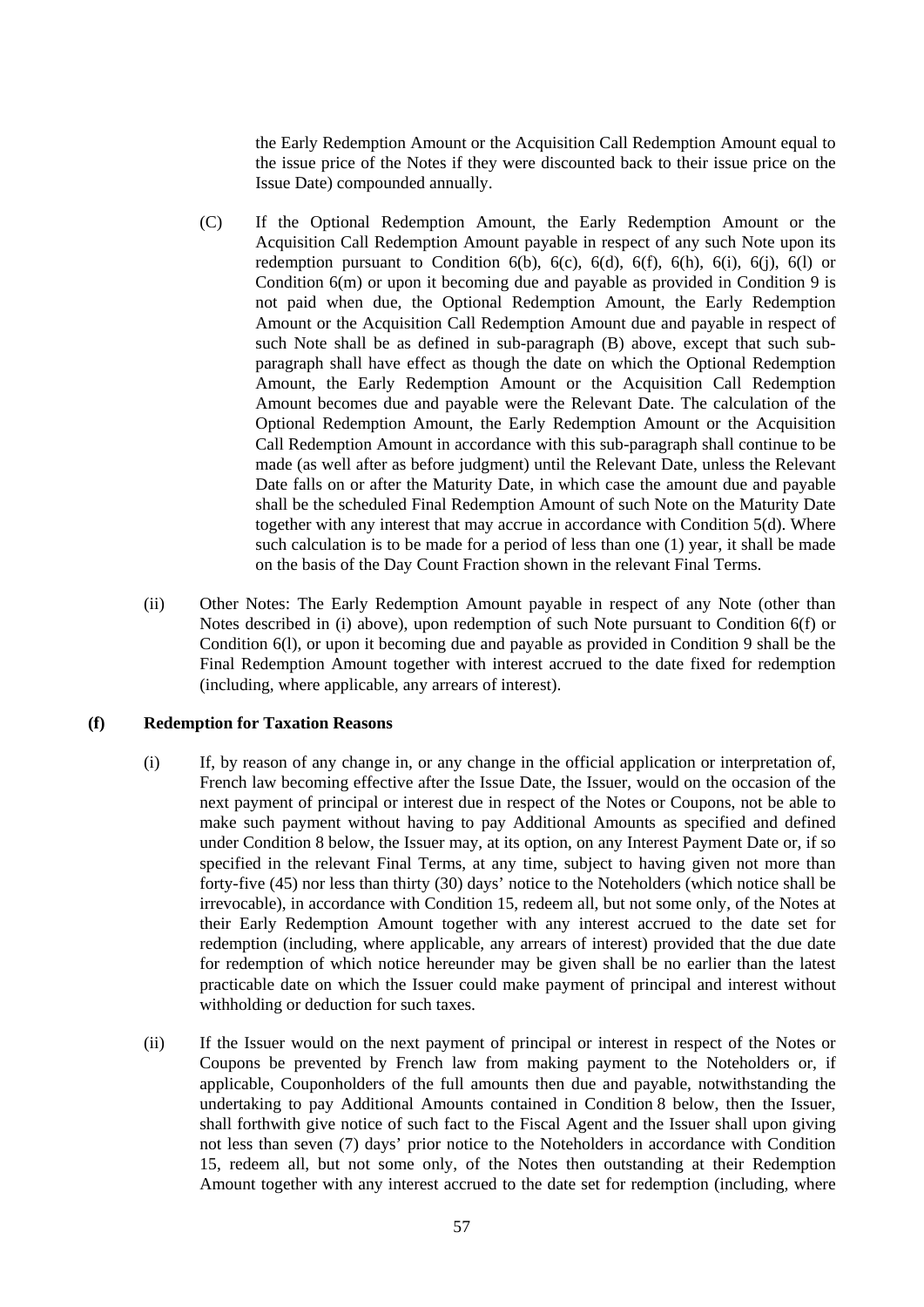the Early Redemption Amount or the Acquisition Call Redemption Amount equal to the issue price of the Notes if they were discounted back to their issue price on the Issue Date) compounded annually.

- (C) If the Optional Redemption Amount, the Early Redemption Amount or the Acquisition Call Redemption Amount payable in respect of any such Note upon its redemption pursuant to Condition  $6(b)$ ,  $6(c)$ ,  $6(d)$ ,  $6(f)$ ,  $6(h)$ ,  $6(i)$ ,  $6(i)$ ,  $6(l)$  or Condition 6(m) or upon it becoming due and payable as provided in Condition 9 is not paid when due, the Optional Redemption Amount, the Early Redemption Amount or the Acquisition Call Redemption Amount due and payable in respect of such Note shall be as defined in sub-paragraph (B) above, except that such subparagraph shall have effect as though the date on which the Optional Redemption Amount, the Early Redemption Amount or the Acquisition Call Redemption Amount becomes due and payable were the Relevant Date. The calculation of the Optional Redemption Amount, the Early Redemption Amount or the Acquisition Call Redemption Amount in accordance with this sub-paragraph shall continue to be made (as well after as before judgment) until the Relevant Date, unless the Relevant Date falls on or after the Maturity Date, in which case the amount due and payable shall be the scheduled Final Redemption Amount of such Note on the Maturity Date together with any interest that may accrue in accordance with Condition 5(d). Where such calculation is to be made for a period of less than one (1) year, it shall be made on the basis of the Day Count Fraction shown in the relevant Final Terms.
- (ii) Other Notes: The Early Redemption Amount payable in respect of any Note (other than Notes described in (i) above), upon redemption of such Note pursuant to Condition 6(f) or Condition 6(l), or upon it becoming due and payable as provided in Condition 9 shall be the Final Redemption Amount together with interest accrued to the date fixed for redemption (including, where applicable, any arrears of interest).

#### **(f) Redemption for Taxation Reasons**

- (i) If, by reason of any change in, or any change in the official application or interpretation of, French law becoming effective after the Issue Date, the Issuer, would on the occasion of the next payment of principal or interest due in respect of the Notes or Coupons, not be able to make such payment without having to pay Additional Amounts as specified and defined under Condition 8 below, the Issuer may, at its option, on any Interest Payment Date or, if so specified in the relevant Final Terms, at any time, subject to having given not more than forty-five (45) nor less than thirty (30) days' notice to the Noteholders (which notice shall be irrevocable), in accordance with Condition 15, redeem all, but not some only, of the Notes at their Early Redemption Amount together with any interest accrued to the date set for redemption (including, where applicable, any arrears of interest) provided that the due date for redemption of which notice hereunder may be given shall be no earlier than the latest practicable date on which the Issuer could make payment of principal and interest without withholding or deduction for such taxes.
- (ii) If the Issuer would on the next payment of principal or interest in respect of the Notes or Coupons be prevented by French law from making payment to the Noteholders or, if applicable, Couponholders of the full amounts then due and payable, notwithstanding the undertaking to pay Additional Amounts contained in Condition 8 below, then the Issuer, shall forthwith give notice of such fact to the Fiscal Agent and the Issuer shall upon giving not less than seven (7) days' prior notice to the Noteholders in accordance with Condition 15, redeem all, but not some only, of the Notes then outstanding at their Redemption Amount together with any interest accrued to the date set for redemption (including, where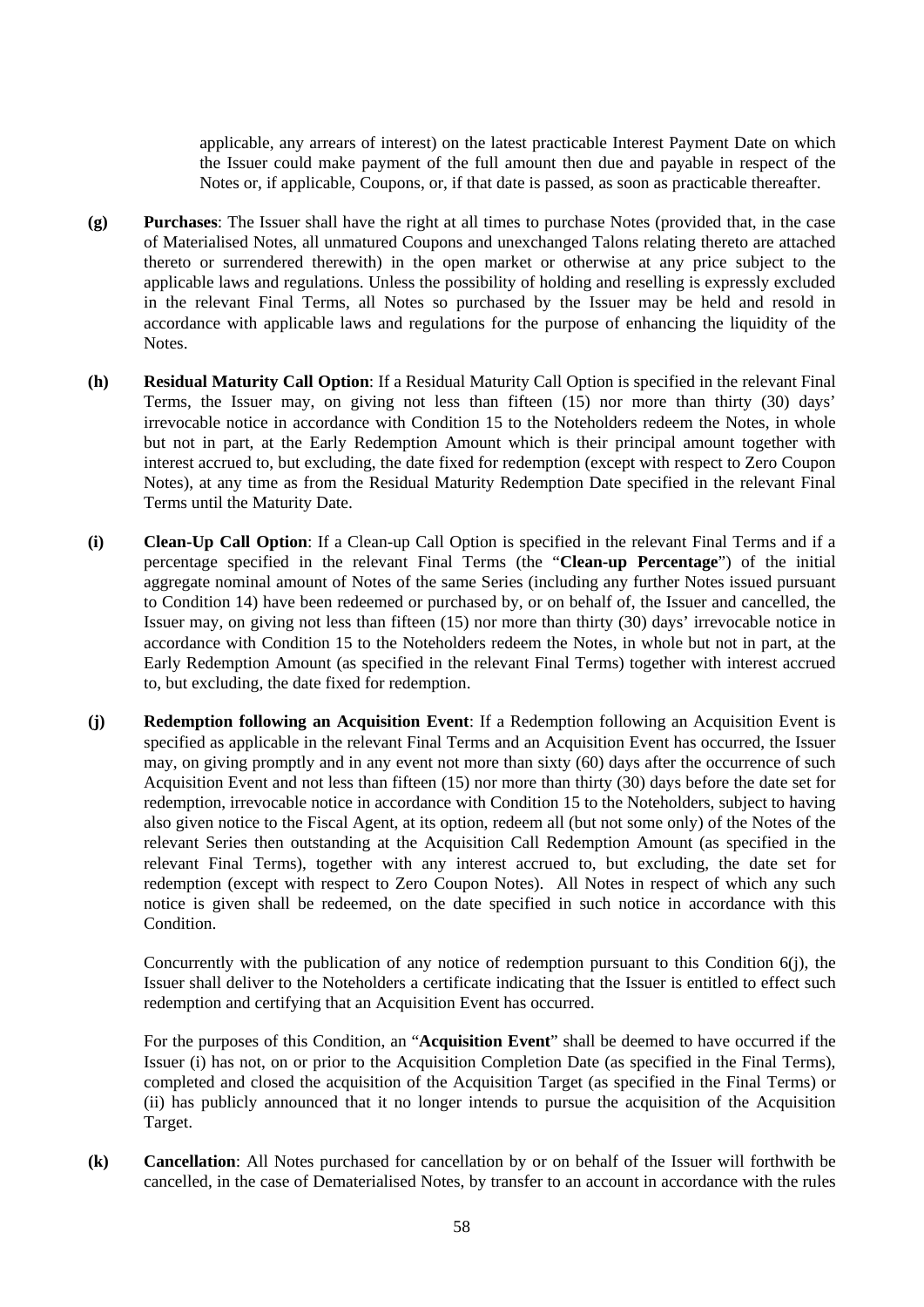applicable, any arrears of interest) on the latest practicable Interest Payment Date on which the Issuer could make payment of the full amount then due and payable in respect of the Notes or, if applicable, Coupons, or, if that date is passed, as soon as practicable thereafter.

- **(g) Purchases**: The Issuer shall have the right at all times to purchase Notes (provided that, in the case of Materialised Notes, all unmatured Coupons and unexchanged Talons relating thereto are attached thereto or surrendered therewith) in the open market or otherwise at any price subject to the applicable laws and regulations. Unless the possibility of holding and reselling is expressly excluded in the relevant Final Terms, all Notes so purchased by the Issuer may be held and resold in accordance with applicable laws and regulations for the purpose of enhancing the liquidity of the Notes.
- **(h) Residual Maturity Call Option**: If a Residual Maturity Call Option is specified in the relevant Final Terms, the Issuer may, on giving not less than fifteen (15) nor more than thirty (30) days' irrevocable notice in accordance with Condition 15 to the Noteholders redeem the Notes, in whole but not in part, at the Early Redemption Amount which is their principal amount together with interest accrued to, but excluding, the date fixed for redemption (except with respect to Zero Coupon Notes), at any time as from the Residual Maturity Redemption Date specified in the relevant Final Terms until the Maturity Date.
- **(i) Clean-Up Call Option**: If a Clean-up Call Option is specified in the relevant Final Terms and if a percentage specified in the relevant Final Terms (the "**Clean-up Percentage**") of the initial aggregate nominal amount of Notes of the same Series (including any further Notes issued pursuant to Condition 14) have been redeemed or purchased by, or on behalf of, the Issuer and cancelled, the Issuer may, on giving not less than fifteen (15) nor more than thirty (30) days' irrevocable notice in accordance with Condition 15 to the Noteholders redeem the Notes, in whole but not in part, at the Early Redemption Amount (as specified in the relevant Final Terms) together with interest accrued to, but excluding, the date fixed for redemption.
- **(j) Redemption following an Acquisition Event**: If a Redemption following an Acquisition Event is specified as applicable in the relevant Final Terms and an Acquisition Event has occurred, the Issuer may, on giving promptly and in any event not more than sixty (60) days after the occurrence of such Acquisition Event and not less than fifteen (15) nor more than thirty (30) days before the date set for redemption, irrevocable notice in accordance with Condition 15 to the Noteholders, subject to having also given notice to the Fiscal Agent, at its option, redeem all (but not some only) of the Notes of the relevant Series then outstanding at the Acquisition Call Redemption Amount (as specified in the relevant Final Terms), together with any interest accrued to, but excluding, the date set for redemption (except with respect to Zero Coupon Notes). All Notes in respect of which any such notice is given shall be redeemed, on the date specified in such notice in accordance with this Condition.

Concurrently with the publication of any notice of redemption pursuant to this Condition 6(j), the Issuer shall deliver to the Noteholders a certificate indicating that the Issuer is entitled to effect such redemption and certifying that an Acquisition Event has occurred.

For the purposes of this Condition, an "**Acquisition Event**" shall be deemed to have occurred if the Issuer (i) has not, on or prior to the Acquisition Completion Date (as specified in the Final Terms), completed and closed the acquisition of the Acquisition Target (as specified in the Final Terms) or (ii) has publicly announced that it no longer intends to pursue the acquisition of the Acquisition Target.

**(k) Cancellation**: All Notes purchased for cancellation by or on behalf of the Issuer will forthwith be cancelled, in the case of Dematerialised Notes, by transfer to an account in accordance with the rules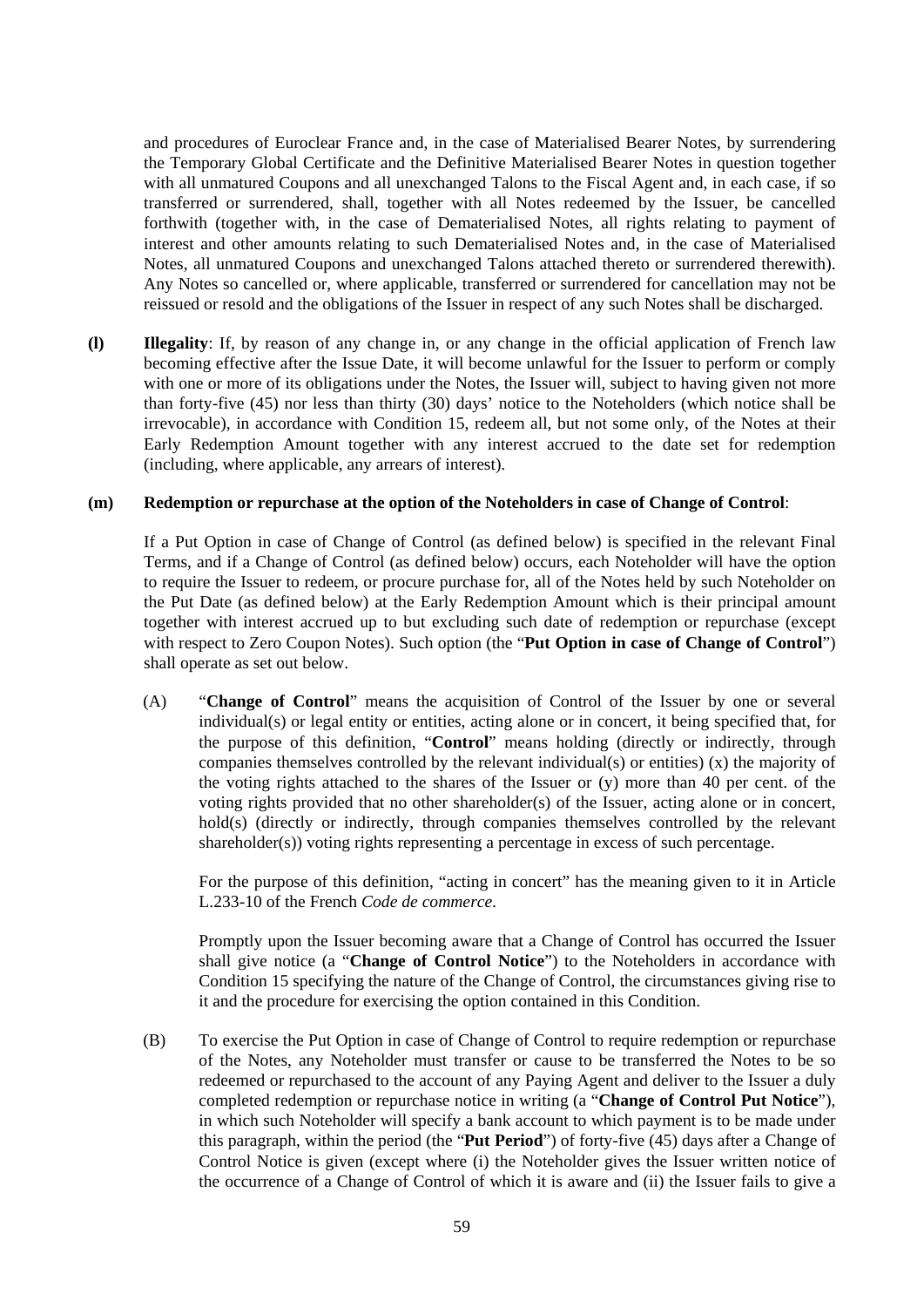and procedures of Euroclear France and, in the case of Materialised Bearer Notes, by surrendering the Temporary Global Certificate and the Definitive Materialised Bearer Notes in question together with all unmatured Coupons and all unexchanged Talons to the Fiscal Agent and, in each case, if so transferred or surrendered, shall, together with all Notes redeemed by the Issuer, be cancelled forthwith (together with, in the case of Dematerialised Notes, all rights relating to payment of interest and other amounts relating to such Dematerialised Notes and, in the case of Materialised Notes, all unmatured Coupons and unexchanged Talons attached thereto or surrendered therewith). Any Notes so cancelled or, where applicable, transferred or surrendered for cancellation may not be reissued or resold and the obligations of the Issuer in respect of any such Notes shall be discharged.

**(l) Illegality**: If, by reason of any change in, or any change in the official application of French law becoming effective after the Issue Date, it will become unlawful for the Issuer to perform or comply with one or more of its obligations under the Notes, the Issuer will, subject to having given not more than forty-five (45) nor less than thirty (30) days' notice to the Noteholders (which notice shall be irrevocable), in accordance with Condition 15, redeem all, but not some only, of the Notes at their Early Redemption Amount together with any interest accrued to the date set for redemption (including, where applicable, any arrears of interest).

#### **(m) Redemption or repurchase at the option of the Noteholders in case of Change of Control**:

If a Put Option in case of Change of Control (as defined below) is specified in the relevant Final Terms, and if a Change of Control (as defined below) occurs, each Noteholder will have the option to require the Issuer to redeem, or procure purchase for, all of the Notes held by such Noteholder on the Put Date (as defined below) at the Early Redemption Amount which is their principal amount together with interest accrued up to but excluding such date of redemption or repurchase (except with respect to Zero Coupon Notes). Such option (the "**Put Option in case of Change of Control**") shall operate as set out below.

(A) "**Change of Control**" means the acquisition of Control of the Issuer by one or several individual(s) or legal entity or entities, acting alone or in concert, it being specified that, for the purpose of this definition, "**Control**" means holding (directly or indirectly, through companies themselves controlled by the relevant individual(s) or entities) (x) the majority of the voting rights attached to the shares of the Issuer or (y) more than 40 per cent. of the voting rights provided that no other shareholder(s) of the Issuer, acting alone or in concert, hold(s) (directly or indirectly, through companies themselves controlled by the relevant shareholder(s)) voting rights representing a percentage in excess of such percentage.

For the purpose of this definition, "acting in concert" has the meaning given to it in Article L.233-10 of the French *Code de commerce*.

Promptly upon the Issuer becoming aware that a Change of Control has occurred the Issuer shall give notice (a "**Change of Control Notice**") to the Noteholders in accordance with Condition 15 specifying the nature of the Change of Control, the circumstances giving rise to it and the procedure for exercising the option contained in this Condition.

(B) To exercise the Put Option in case of Change of Control to require redemption or repurchase of the Notes, any Noteholder must transfer or cause to be transferred the Notes to be so redeemed or repurchased to the account of any Paying Agent and deliver to the Issuer a duly completed redemption or repurchase notice in writing (a "**Change of Control Put Notice**"), in which such Noteholder will specify a bank account to which payment is to be made under this paragraph, within the period (the "**Put Period**") of forty-five (45) days after a Change of Control Notice is given (except where (i) the Noteholder gives the Issuer written notice of the occurrence of a Change of Control of which it is aware and (ii) the Issuer fails to give a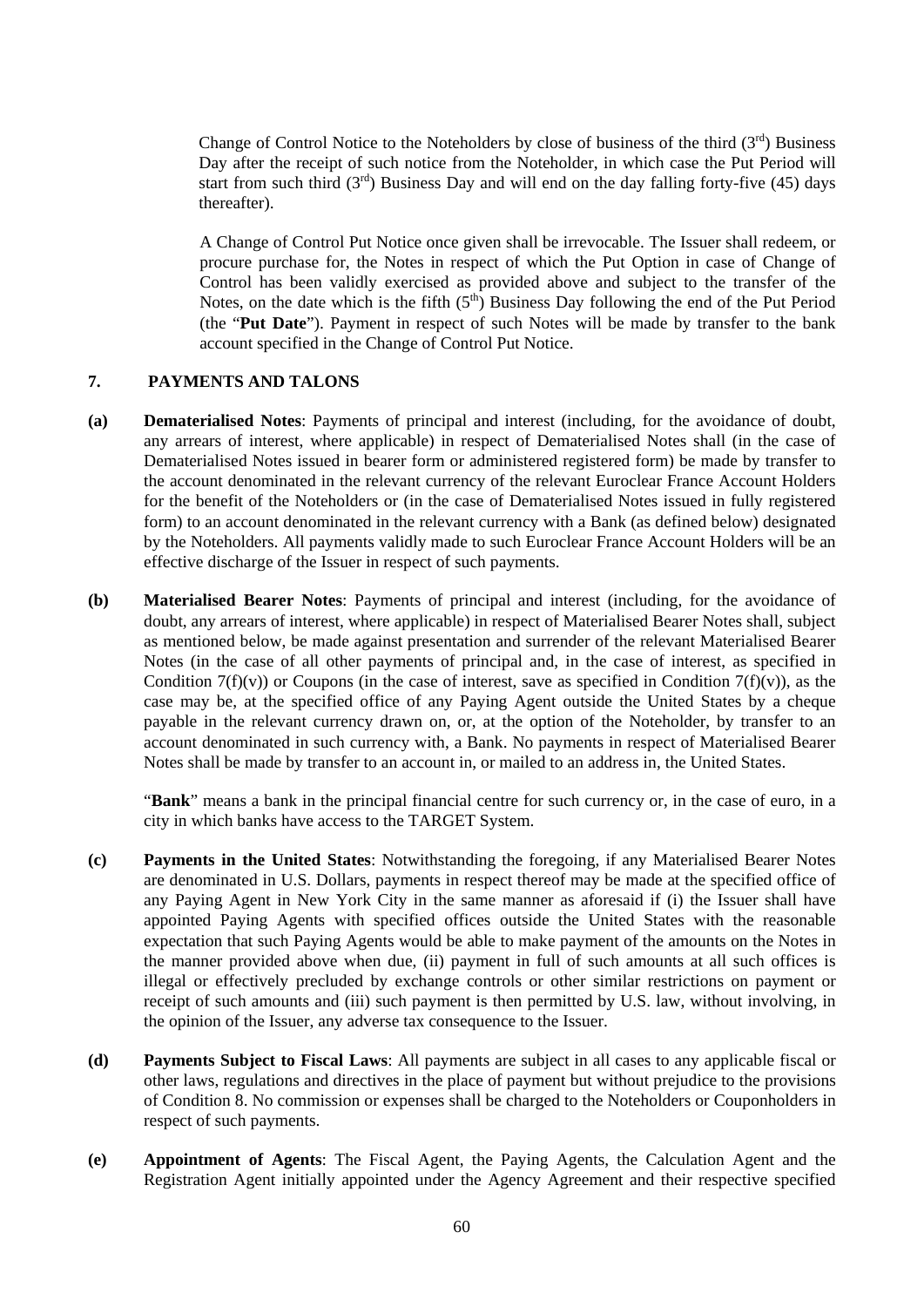Change of Control Notice to the Noteholders by close of business of the third  $(3<sup>rd</sup>)$  Business Day after the receipt of such notice from the Noteholder, in which case the Put Period will start from such third  $(3<sup>rd</sup>)$  Business Day and will end on the day falling forty-five (45) days thereafter).

A Change of Control Put Notice once given shall be irrevocable. The Issuer shall redeem, or procure purchase for, the Notes in respect of which the Put Option in case of Change of Control has been validly exercised as provided above and subject to the transfer of the Notes, on the date which is the fifth  $(5<sup>th</sup>)$  Business Day following the end of the Put Period (the "**Put Date**"). Payment in respect of such Notes will be made by transfer to the bank account specified in the Change of Control Put Notice.

# **7. PAYMENTS AND TALONS**

- **(a) Dematerialised Notes**: Payments of principal and interest (including, for the avoidance of doubt, any arrears of interest, where applicable) in respect of Dematerialised Notes shall (in the case of Dematerialised Notes issued in bearer form or administered registered form) be made by transfer to the account denominated in the relevant currency of the relevant Euroclear France Account Holders for the benefit of the Noteholders or (in the case of Dematerialised Notes issued in fully registered form) to an account denominated in the relevant currency with a Bank (as defined below) designated by the Noteholders. All payments validly made to such Euroclear France Account Holders will be an effective discharge of the Issuer in respect of such payments.
- **(b) Materialised Bearer Notes**: Payments of principal and interest (including, for the avoidance of doubt, any arrears of interest, where applicable) in respect of Materialised Bearer Notes shall, subject as mentioned below, be made against presentation and surrender of the relevant Materialised Bearer Notes (in the case of all other payments of principal and, in the case of interest, as specified in Condition  $7(f)(v)$  or Coupons (in the case of interest, save as specified in Condition  $7(f)(v)$ ), as the case may be, at the specified office of any Paying Agent outside the United States by a cheque payable in the relevant currency drawn on, or, at the option of the Noteholder, by transfer to an account denominated in such currency with, a Bank. No payments in respect of Materialised Bearer Notes shall be made by transfer to an account in, or mailed to an address in, the United States.

"**Bank**" means a bank in the principal financial centre for such currency or, in the case of euro, in a city in which banks have access to the TARGET System.

- **(c) Payments in the United States**: Notwithstanding the foregoing, if any Materialised Bearer Notes are denominated in U.S. Dollars, payments in respect thereof may be made at the specified office of any Paying Agent in New York City in the same manner as aforesaid if (i) the Issuer shall have appointed Paying Agents with specified offices outside the United States with the reasonable expectation that such Paying Agents would be able to make payment of the amounts on the Notes in the manner provided above when due, (ii) payment in full of such amounts at all such offices is illegal or effectively precluded by exchange controls or other similar restrictions on payment or receipt of such amounts and (iii) such payment is then permitted by U.S. law, without involving, in the opinion of the Issuer, any adverse tax consequence to the Issuer.
- **(d) Payments Subject to Fiscal Laws**: All payments are subject in all cases to any applicable fiscal or other laws, regulations and directives in the place of payment but without prejudice to the provisions of Condition 8. No commission or expenses shall be charged to the Noteholders or Couponholders in respect of such payments.
- **(e) Appointment of Agents**: The Fiscal Agent, the Paying Agents, the Calculation Agent and the Registration Agent initially appointed under the Agency Agreement and their respective specified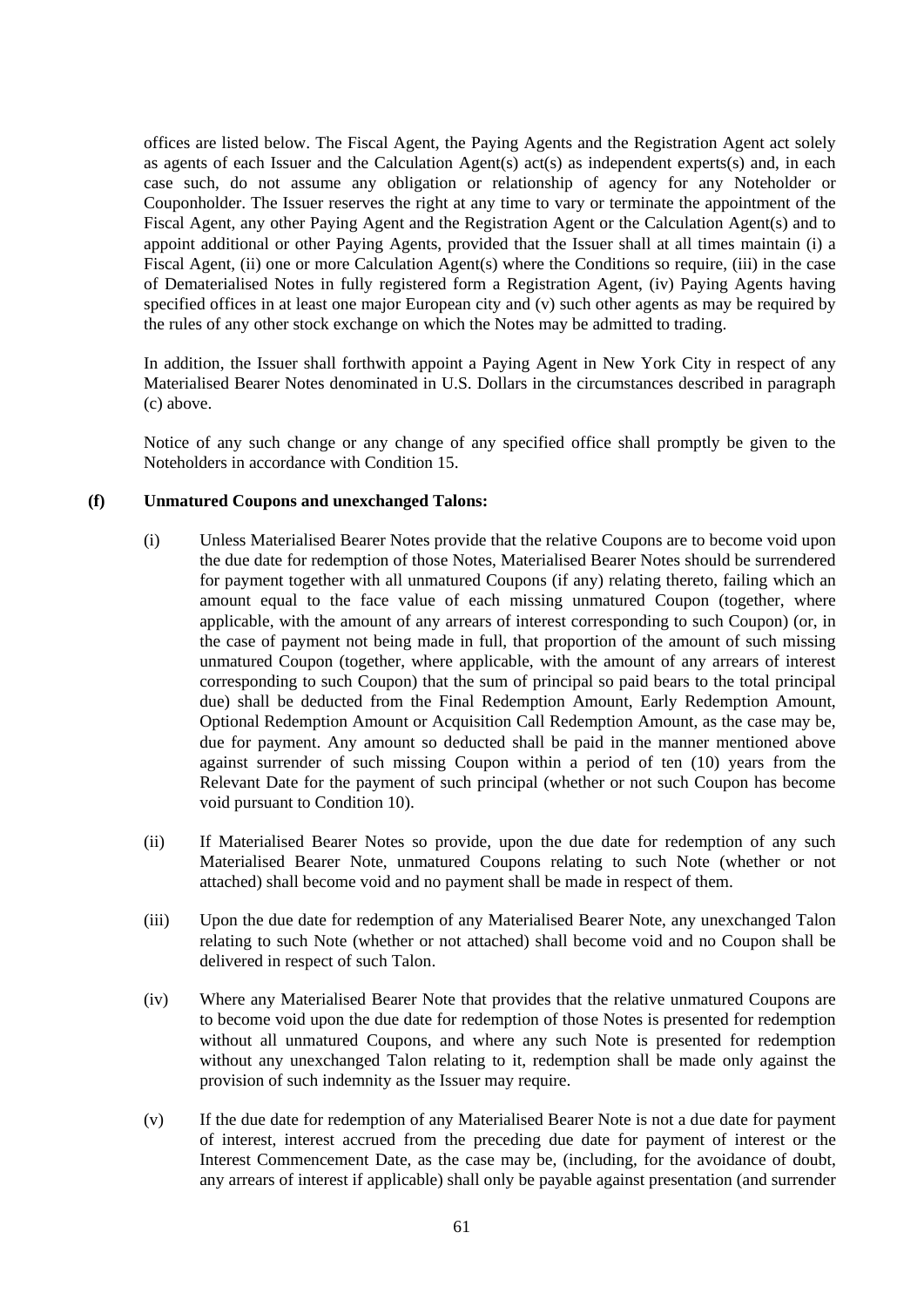offices are listed below. The Fiscal Agent, the Paying Agents and the Registration Agent act solely as agents of each Issuer and the Calculation Agent(s) act(s) as independent experts(s) and, in each case such, do not assume any obligation or relationship of agency for any Noteholder or Couponholder. The Issuer reserves the right at any time to vary or terminate the appointment of the Fiscal Agent, any other Paying Agent and the Registration Agent or the Calculation Agent(s) and to appoint additional or other Paying Agents, provided that the Issuer shall at all times maintain (i) a Fiscal Agent, (ii) one or more Calculation Agent(s) where the Conditions so require, (iii) in the case of Dematerialised Notes in fully registered form a Registration Agent, (iv) Paying Agents having specified offices in at least one major European city and (v) such other agents as may be required by the rules of any other stock exchange on which the Notes may be admitted to trading.

In addition, the Issuer shall forthwith appoint a Paying Agent in New York City in respect of any Materialised Bearer Notes denominated in U.S. Dollars in the circumstances described in paragraph (c) above.

Notice of any such change or any change of any specified office shall promptly be given to the Noteholders in accordance with Condition 15.

### **(f) Unmatured Coupons and unexchanged Talons:**

- (i) Unless Materialised Bearer Notes provide that the relative Coupons are to become void upon the due date for redemption of those Notes, Materialised Bearer Notes should be surrendered for payment together with all unmatured Coupons (if any) relating thereto, failing which an amount equal to the face value of each missing unmatured Coupon (together, where applicable, with the amount of any arrears of interest corresponding to such Coupon) (or, in the case of payment not being made in full, that proportion of the amount of such missing unmatured Coupon (together, where applicable, with the amount of any arrears of interest corresponding to such Coupon) that the sum of principal so paid bears to the total principal due) shall be deducted from the Final Redemption Amount, Early Redemption Amount, Optional Redemption Amount or Acquisition Call Redemption Amount, as the case may be, due for payment. Any amount so deducted shall be paid in the manner mentioned above against surrender of such missing Coupon within a period of ten (10) years from the Relevant Date for the payment of such principal (whether or not such Coupon has become void pursuant to Condition 10).
- (ii) If Materialised Bearer Notes so provide, upon the due date for redemption of any such Materialised Bearer Note, unmatured Coupons relating to such Note (whether or not attached) shall become void and no payment shall be made in respect of them.
- (iii) Upon the due date for redemption of any Materialised Bearer Note, any unexchanged Talon relating to such Note (whether or not attached) shall become void and no Coupon shall be delivered in respect of such Talon.
- (iv) Where any Materialised Bearer Note that provides that the relative unmatured Coupons are to become void upon the due date for redemption of those Notes is presented for redemption without all unmatured Coupons, and where any such Note is presented for redemption without any unexchanged Talon relating to it, redemption shall be made only against the provision of such indemnity as the Issuer may require.
- (v) If the due date for redemption of any Materialised Bearer Note is not a due date for payment of interest, interest accrued from the preceding due date for payment of interest or the Interest Commencement Date, as the case may be, (including, for the avoidance of doubt, any arrears of interest if applicable) shall only be payable against presentation (and surrender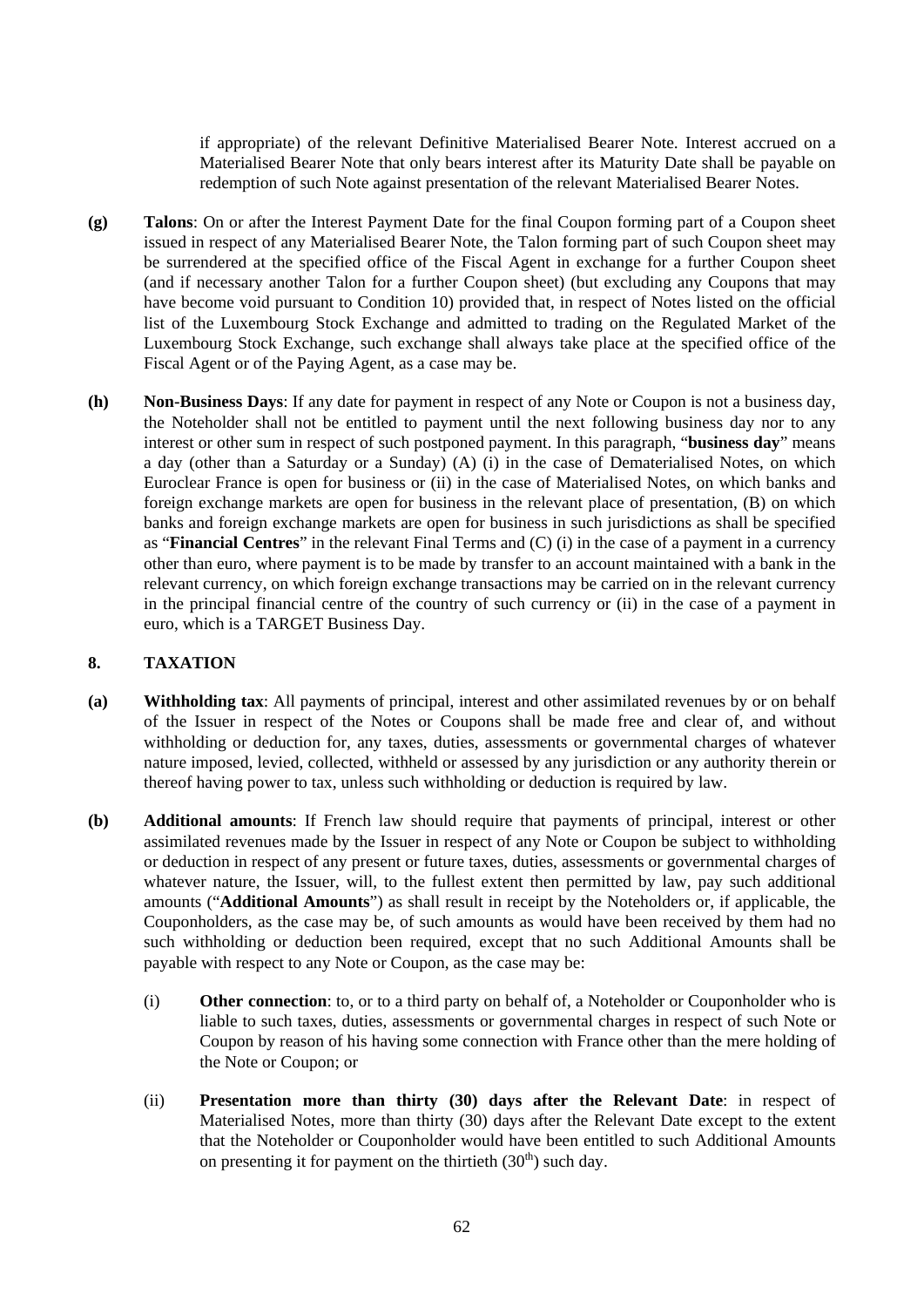if appropriate) of the relevant Definitive Materialised Bearer Note. Interest accrued on a Materialised Bearer Note that only bears interest after its Maturity Date shall be payable on redemption of such Note against presentation of the relevant Materialised Bearer Notes.

- **(g) Talons**: On or after the Interest Payment Date for the final Coupon forming part of a Coupon sheet issued in respect of any Materialised Bearer Note, the Talon forming part of such Coupon sheet may be surrendered at the specified office of the Fiscal Agent in exchange for a further Coupon sheet (and if necessary another Talon for a further Coupon sheet) (but excluding any Coupons that may have become void pursuant to Condition 10) provided that, in respect of Notes listed on the official list of the Luxembourg Stock Exchange and admitted to trading on the Regulated Market of the Luxembourg Stock Exchange, such exchange shall always take place at the specified office of the Fiscal Agent or of the Paying Agent, as a case may be.
- **(h) Non-Business Days**: If any date for payment in respect of any Note or Coupon is not a business day, the Noteholder shall not be entitled to payment until the next following business day nor to any interest or other sum in respect of such postponed payment. In this paragraph, "**business day**" means a day (other than a Saturday or a Sunday) (A) (i) in the case of Dematerialised Notes, on which Euroclear France is open for business or (ii) in the case of Materialised Notes, on which banks and foreign exchange markets are open for business in the relevant place of presentation, (B) on which banks and foreign exchange markets are open for business in such jurisdictions as shall be specified as "**Financial Centres**" in the relevant Final Terms and (C) (i) in the case of a payment in a currency other than euro, where payment is to be made by transfer to an account maintained with a bank in the relevant currency, on which foreign exchange transactions may be carried on in the relevant currency in the principal financial centre of the country of such currency or (ii) in the case of a payment in euro, which is a TARGET Business Day.

### **8. TAXATION**

- **(a) Withholding tax**: All payments of principal, interest and other assimilated revenues by or on behalf of the Issuer in respect of the Notes or Coupons shall be made free and clear of, and without withholding or deduction for, any taxes, duties, assessments or governmental charges of whatever nature imposed, levied, collected, withheld or assessed by any jurisdiction or any authority therein or thereof having power to tax, unless such withholding or deduction is required by law.
- **(b) Additional amounts**: If French law should require that payments of principal, interest or other assimilated revenues made by the Issuer in respect of any Note or Coupon be subject to withholding or deduction in respect of any present or future taxes, duties, assessments or governmental charges of whatever nature, the Issuer, will, to the fullest extent then permitted by law, pay such additional amounts ("**Additional Amounts**") as shall result in receipt by the Noteholders or, if applicable, the Couponholders, as the case may be, of such amounts as would have been received by them had no such withholding or deduction been required, except that no such Additional Amounts shall be payable with respect to any Note or Coupon, as the case may be:
	- (i) **Other connection**: to, or to a third party on behalf of, a Noteholder or Couponholder who is liable to such taxes, duties, assessments or governmental charges in respect of such Note or Coupon by reason of his having some connection with France other than the mere holding of the Note or Coupon; or
	- (ii) **Presentation more than thirty (30) days after the Relevant Date**: in respect of Materialised Notes, more than thirty (30) days after the Relevant Date except to the extent that the Noteholder or Couponholder would have been entitled to such Additional Amounts on presenting it for payment on the thirtieth  $(30<sup>th</sup>)$  such day.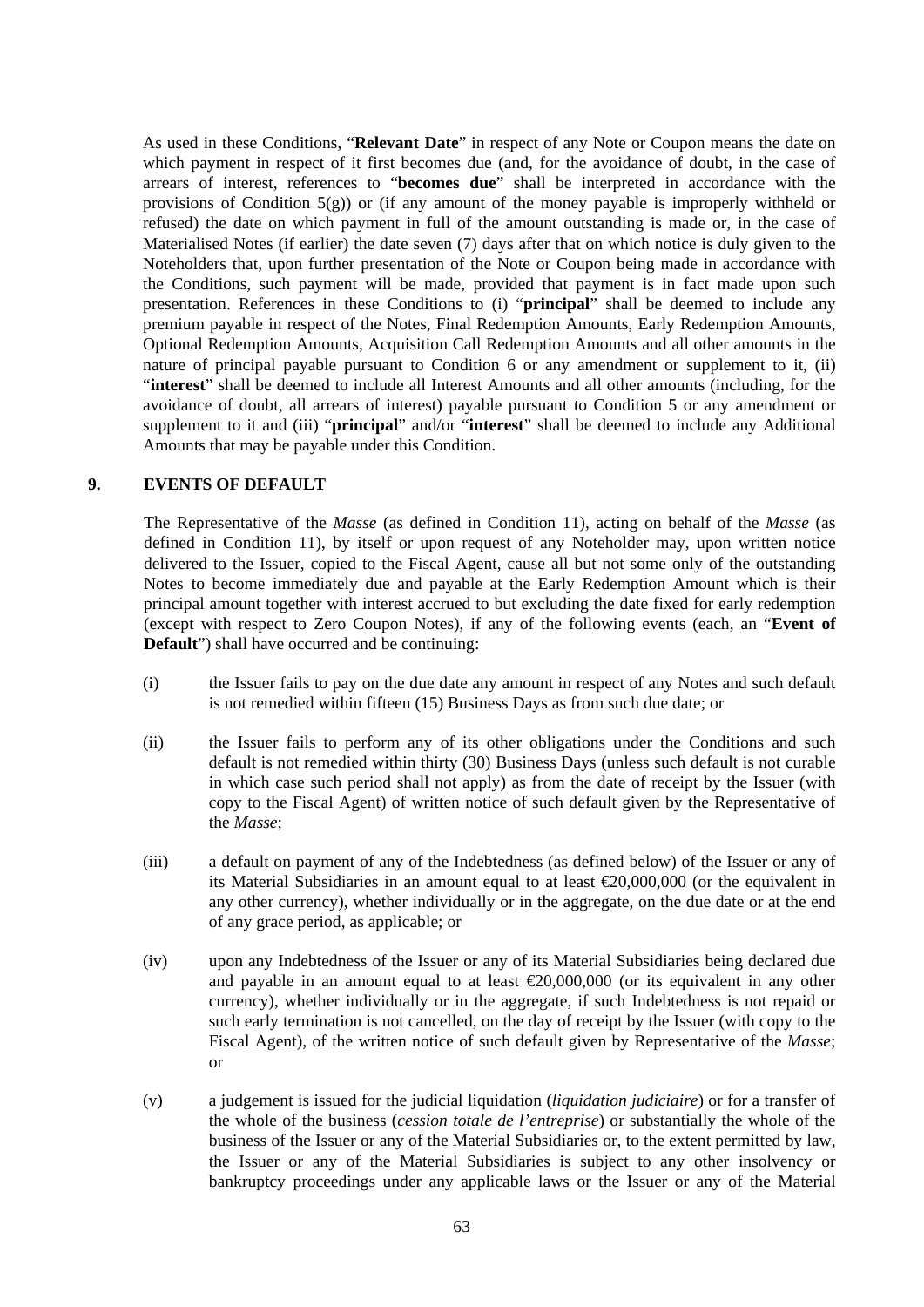As used in these Conditions, "**Relevant Date**" in respect of any Note or Coupon means the date on which payment in respect of it first becomes due (and, for the avoidance of doubt, in the case of arrears of interest, references to "**becomes due**" shall be interpreted in accordance with the provisions of Condition  $5(g)$ ) or (if any amount of the money payable is improperly withheld or refused) the date on which payment in full of the amount outstanding is made or, in the case of Materialised Notes (if earlier) the date seven (7) days after that on which notice is duly given to the Noteholders that, upon further presentation of the Note or Coupon being made in accordance with the Conditions, such payment will be made, provided that payment is in fact made upon such presentation. References in these Conditions to (i) "**principal**" shall be deemed to include any premium payable in respect of the Notes, Final Redemption Amounts, Early Redemption Amounts, Optional Redemption Amounts, Acquisition Call Redemption Amounts and all other amounts in the nature of principal payable pursuant to Condition 6 or any amendment or supplement to it, (ii) "**interest**" shall be deemed to include all Interest Amounts and all other amounts (including, for the avoidance of doubt, all arrears of interest) payable pursuant to Condition 5 or any amendment or supplement to it and (iii) "**principal**" and/or "**interest**" shall be deemed to include any Additional Amounts that may be payable under this Condition.

# **9. EVENTS OF DEFAULT**

The Representative of the *Masse* (as defined in Condition 11), acting on behalf of the *Masse* (as defined in Condition 11), by itself or upon request of any Noteholder may, upon written notice delivered to the Issuer, copied to the Fiscal Agent, cause all but not some only of the outstanding Notes to become immediately due and payable at the Early Redemption Amount which is their principal amount together with interest accrued to but excluding the date fixed for early redemption (except with respect to Zero Coupon Notes), if any of the following events (each, an "**Event of Default**") shall have occurred and be continuing:

- (i) the Issuer fails to pay on the due date any amount in respect of any Notes and such default is not remedied within fifteen (15) Business Days as from such due date; or
- (ii) the Issuer fails to perform any of its other obligations under the Conditions and such default is not remedied within thirty (30) Business Days (unless such default is not curable in which case such period shall not apply) as from the date of receipt by the Issuer (with copy to the Fiscal Agent) of written notice of such default given by the Representative of the *Masse*;
- (iii) a default on payment of any of the Indebtedness (as defined below) of the Issuer or any of its Material Subsidiaries in an amount equal to at least €20,000,000 (or the equivalent in any other currency), whether individually or in the aggregate, on the due date or at the end of any grace period, as applicable; or
- (iv) upon any Indebtedness of the Issuer or any of its Material Subsidiaries being declared due and payable in an amount equal to at least  $\epsilon 20,000,000$  (or its equivalent in any other currency), whether individually or in the aggregate, if such Indebtedness is not repaid or such early termination is not cancelled, on the day of receipt by the Issuer (with copy to the Fiscal Agent), of the written notice of such default given by Representative of the *Masse*; or
- (v) a judgement is issued for the judicial liquidation (*liquidation judiciaire*) or for a transfer of the whole of the business (*cession totale de l'entreprise*) or substantially the whole of the business of the Issuer or any of the Material Subsidiaries or, to the extent permitted by law, the Issuer or any of the Material Subsidiaries is subject to any other insolvency or bankruptcy proceedings under any applicable laws or the Issuer or any of the Material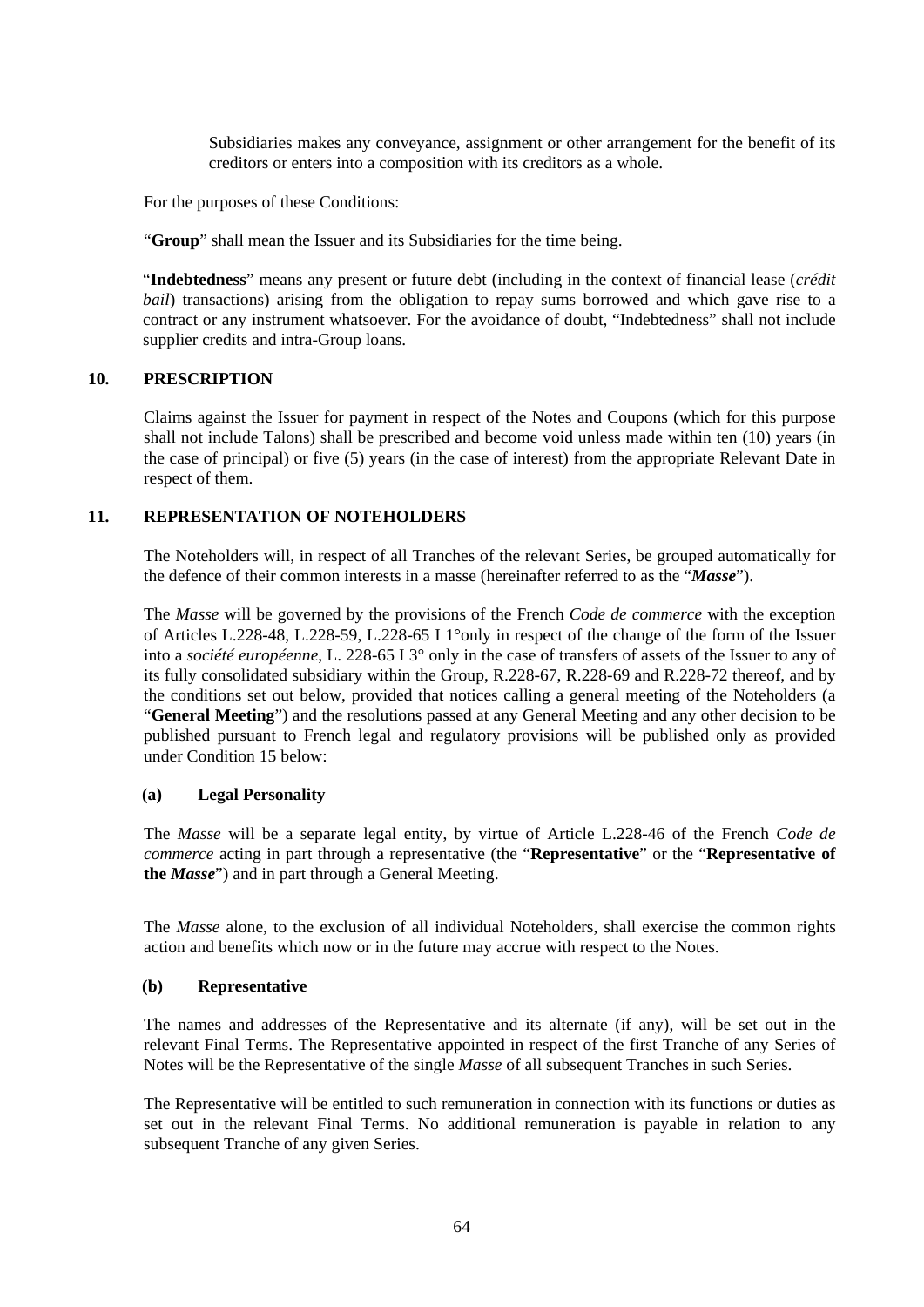Subsidiaries makes any conveyance, assignment or other arrangement for the benefit of its creditors or enters into a composition with its creditors as a whole.

For the purposes of these Conditions:

"**Group**" shall mean the Issuer and its Subsidiaries for the time being.

"**Indebtedness**" means any present or future debt (including in the context of financial lease (*crédit bail*) transactions) arising from the obligation to repay sums borrowed and which gave rise to a contract or any instrument whatsoever. For the avoidance of doubt, "Indebtedness" shall not include supplier credits and intra-Group loans.

# **10. PRESCRIPTION**

Claims against the Issuer for payment in respect of the Notes and Coupons (which for this purpose shall not include Talons) shall be prescribed and become void unless made within ten (10) years (in the case of principal) or five (5) years (in the case of interest) from the appropriate Relevant Date in respect of them.

# **11. REPRESENTATION OF NOTEHOLDERS**

The Noteholders will, in respect of all Tranches of the relevant Series, be grouped automatically for the defence of their common interests in a masse (hereinafter referred to as the "*Masse*").

The *Masse* will be governed by the provisions of the French *Code de commerce* with the exception of Articles L.228-48, L.228-59, L.228-65 I 1°only in respect of the change of the form of the Issuer into a *société européenne*, L. 228-65 I 3° only in the case of transfers of assets of the Issuer to any of its fully consolidated subsidiary within the Group, R.228-67, R.228-69 and R.228-72 thereof, and by the conditions set out below, provided that notices calling a general meeting of the Noteholders (a "**General Meeting**") and the resolutions passed at any General Meeting and any other decision to be published pursuant to French legal and regulatory provisions will be published only as provided under Condition 15 below:

### **(a) Legal Personality**

The *Masse* will be a separate legal entity, by virtue of Article L.228-46 of the French *Code de commerce* acting in part through a representative (the "**Representative**" or the "**Representative of the** *Masse*") and in part through a General Meeting.

The *Masse* alone, to the exclusion of all individual Noteholders, shall exercise the common rights action and benefits which now or in the future may accrue with respect to the Notes.

### **(b) Representative**

The names and addresses of the Representative and its alternate (if any), will be set out in the relevant Final Terms. The Representative appointed in respect of the first Tranche of any Series of Notes will be the Representative of the single *Masse* of all subsequent Tranches in such Series.

The Representative will be entitled to such remuneration in connection with its functions or duties as set out in the relevant Final Terms. No additional remuneration is payable in relation to any subsequent Tranche of any given Series.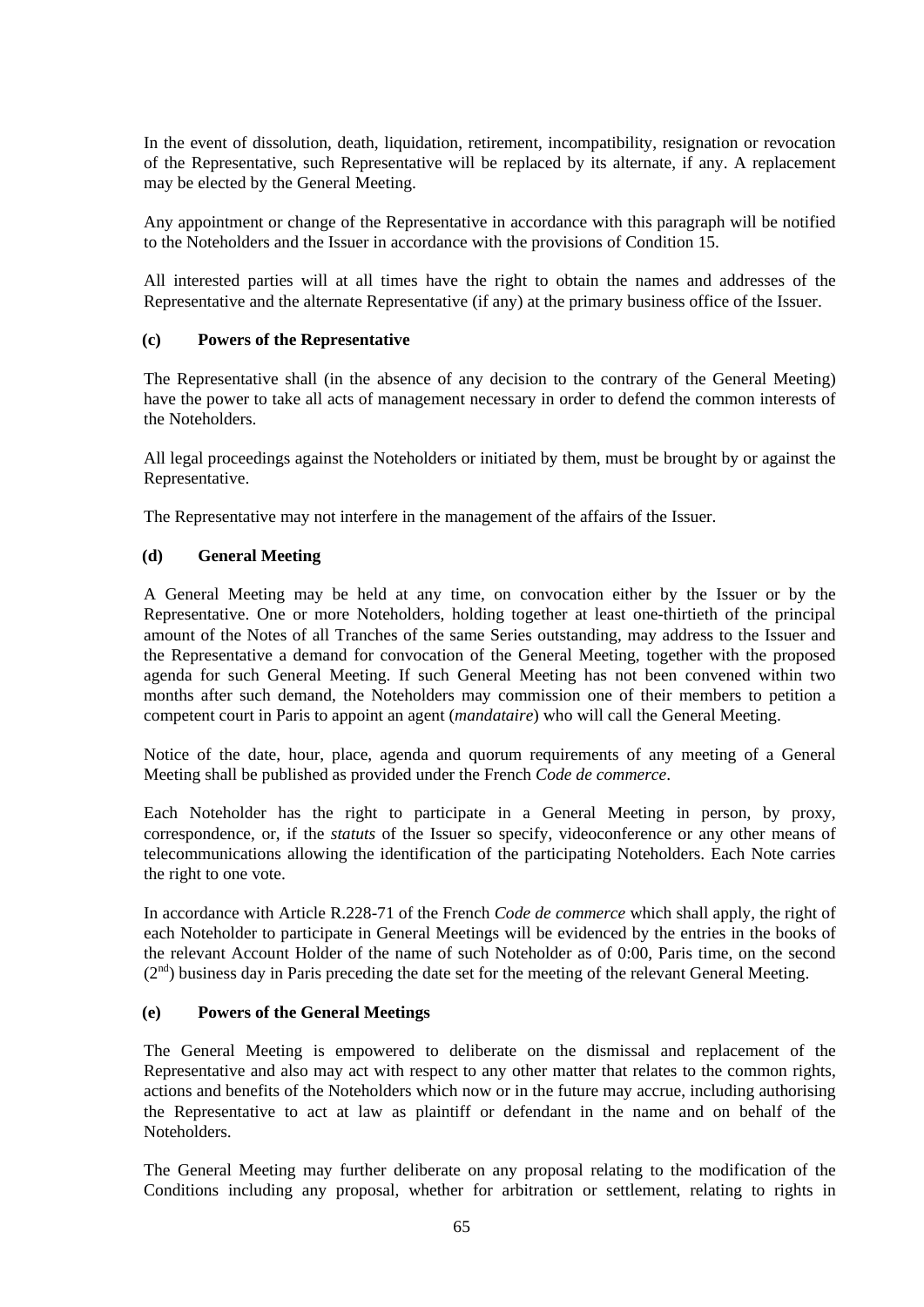In the event of dissolution, death, liquidation, retirement, incompatibility, resignation or revocation of the Representative, such Representative will be replaced by its alternate, if any. A replacement may be elected by the General Meeting.

Any appointment or change of the Representative in accordance with this paragraph will be notified to the Noteholders and the Issuer in accordance with the provisions of Condition 15.

All interested parties will at all times have the right to obtain the names and addresses of the Representative and the alternate Representative (if any) at the primary business office of the Issuer.

### **(c) Powers of the Representative**

The Representative shall (in the absence of any decision to the contrary of the General Meeting) have the power to take all acts of management necessary in order to defend the common interests of the Noteholders.

All legal proceedings against the Noteholders or initiated by them, must be brought by or against the Representative.

The Representative may not interfere in the management of the affairs of the Issuer.

# **(d) General Meeting**

A General Meeting may be held at any time, on convocation either by the Issuer or by the Representative. One or more Noteholders, holding together at least one-thirtieth of the principal amount of the Notes of all Tranches of the same Series outstanding, may address to the Issuer and the Representative a demand for convocation of the General Meeting, together with the proposed agenda for such General Meeting. If such General Meeting has not been convened within two months after such demand, the Noteholders may commission one of their members to petition a competent court in Paris to appoint an agent (*mandataire*) who will call the General Meeting.

Notice of the date, hour, place, agenda and quorum requirements of any meeting of a General Meeting shall be published as provided under the French *Code de commerce*.

Each Noteholder has the right to participate in a General Meeting in person, by proxy, correspondence, or, if the *statuts* of the Issuer so specify, videoconference or any other means of telecommunications allowing the identification of the participating Noteholders. Each Note carries the right to one vote.

In accordance with Article R.228-71 of the French *Code de commerce* which shall apply, the right of each Noteholder to participate in General Meetings will be evidenced by the entries in the books of the relevant Account Holder of the name of such Noteholder as of 0:00, Paris time, on the second  $(2<sup>nd</sup>)$  business day in Paris preceding the date set for the meeting of the relevant General Meeting.

### **(e) Powers of the General Meetings**

The General Meeting is empowered to deliberate on the dismissal and replacement of the Representative and also may act with respect to any other matter that relates to the common rights, actions and benefits of the Noteholders which now or in the future may accrue, including authorising the Representative to act at law as plaintiff or defendant in the name and on behalf of the Noteholders.

The General Meeting may further deliberate on any proposal relating to the modification of the Conditions including any proposal, whether for arbitration or settlement, relating to rights in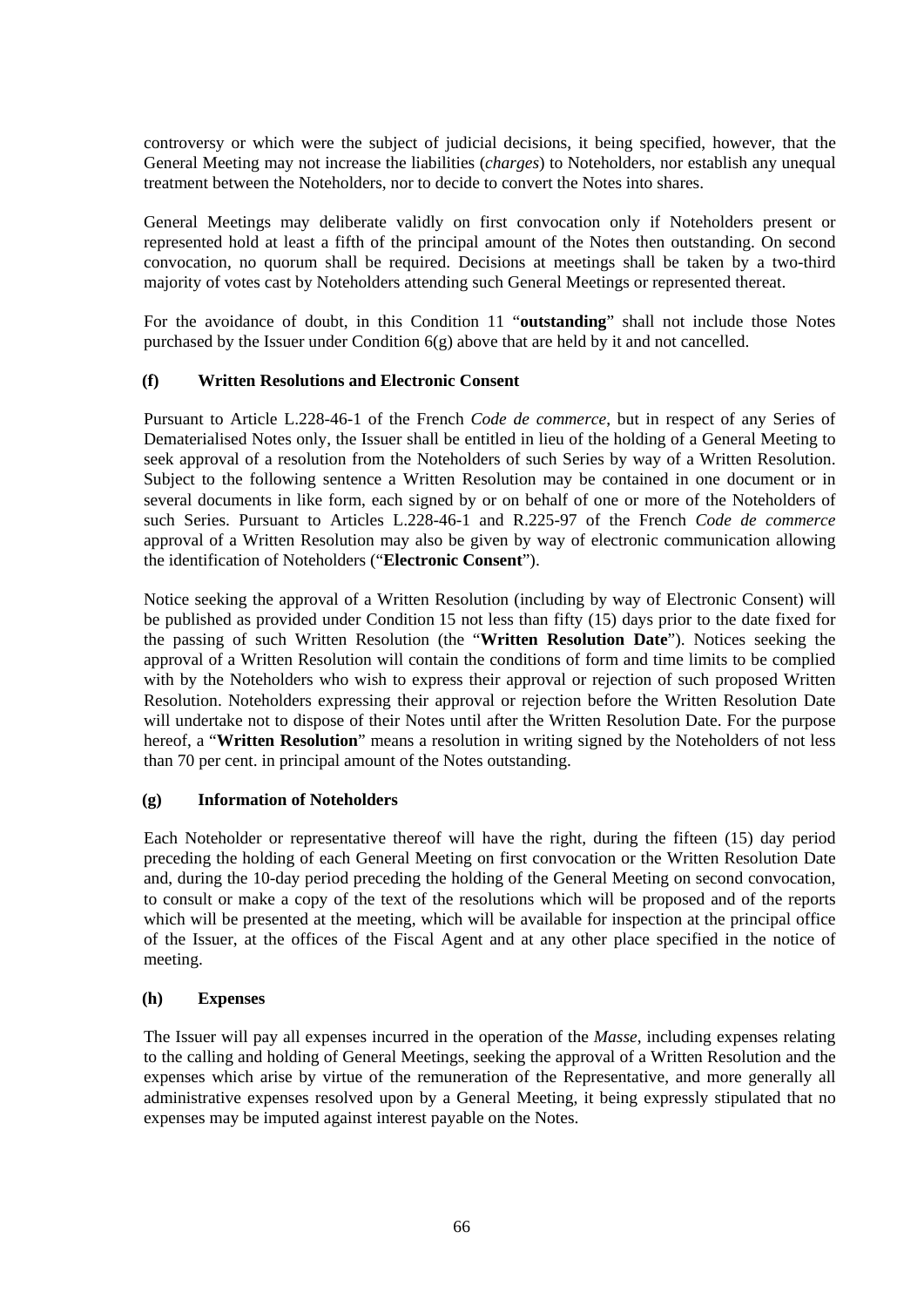controversy or which were the subject of judicial decisions, it being specified, however, that the General Meeting may not increase the liabilities (*charges*) to Noteholders, nor establish any unequal treatment between the Noteholders, nor to decide to convert the Notes into shares.

General Meetings may deliberate validly on first convocation only if Noteholders present or represented hold at least a fifth of the principal amount of the Notes then outstanding. On second convocation, no quorum shall be required. Decisions at meetings shall be taken by a two-third majority of votes cast by Noteholders attending such General Meetings or represented thereat.

For the avoidance of doubt, in this Condition 11 "**outstanding**" shall not include those Notes purchased by the Issuer under Condition  $6(g)$  above that are held by it and not cancelled.

# **(f) Written Resolutions and Electronic Consent**

Pursuant to Article L.228-46-1 of the French *Code de commerce*, but in respect of any Series of Dematerialised Notes only, the Issuer shall be entitled in lieu of the holding of a General Meeting to seek approval of a resolution from the Noteholders of such Series by way of a Written Resolution. Subject to the following sentence a Written Resolution may be contained in one document or in several documents in like form, each signed by or on behalf of one or more of the Noteholders of such Series. Pursuant to Articles L.228-46-1 and R.225-97 of the French *Code de commerce* approval of a Written Resolution may also be given by way of electronic communication allowing the identification of Noteholders ("**Electronic Consent**").

Notice seeking the approval of a Written Resolution (including by way of Electronic Consent) will be published as provided under Condition 15 not less than fifty (15) days prior to the date fixed for the passing of such Written Resolution (the "**Written Resolution Date**"). Notices seeking the approval of a Written Resolution will contain the conditions of form and time limits to be complied with by the Noteholders who wish to express their approval or rejection of such proposed Written Resolution. Noteholders expressing their approval or rejection before the Written Resolution Date will undertake not to dispose of their Notes until after the Written Resolution Date. For the purpose hereof, a "**Written Resolution**" means a resolution in writing signed by the Noteholders of not less than 70 per cent. in principal amount of the Notes outstanding.

### **(g) Information of Noteholders**

Each Noteholder or representative thereof will have the right, during the fifteen (15) day period preceding the holding of each General Meeting on first convocation or the Written Resolution Date and, during the 10-day period preceding the holding of the General Meeting on second convocation, to consult or make a copy of the text of the resolutions which will be proposed and of the reports which will be presented at the meeting, which will be available for inspection at the principal office of the Issuer, at the offices of the Fiscal Agent and at any other place specified in the notice of meeting.

### **(h) Expenses**

The Issuer will pay all expenses incurred in the operation of the *Masse*, including expenses relating to the calling and holding of General Meetings, seeking the approval of a Written Resolution and the expenses which arise by virtue of the remuneration of the Representative, and more generally all administrative expenses resolved upon by a General Meeting, it being expressly stipulated that no expenses may be imputed against interest payable on the Notes.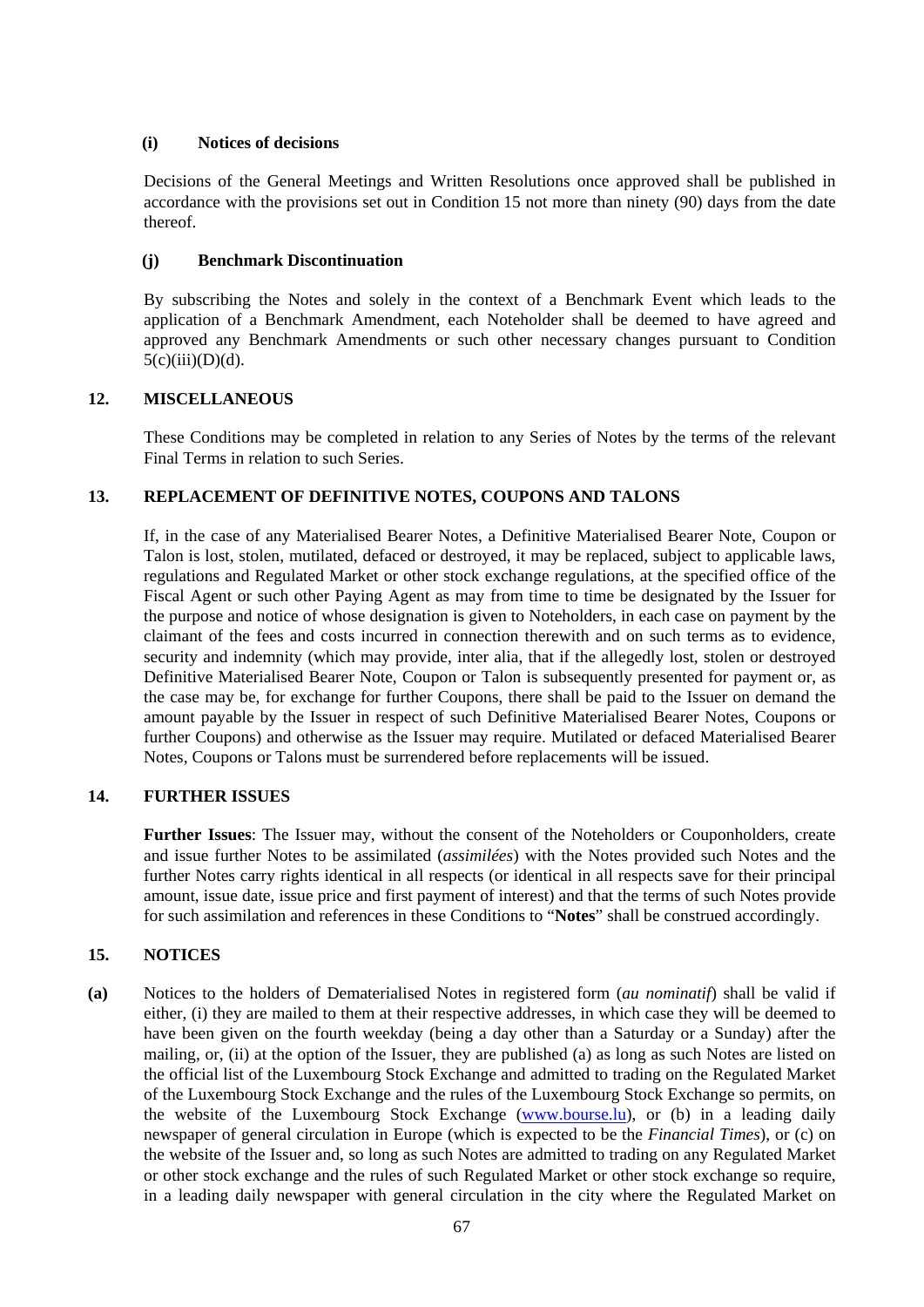### **(i) Notices of decisions**

Decisions of the General Meetings and Written Resolutions once approved shall be published in accordance with the provisions set out in Condition 15 not more than ninety (90) days from the date thereof.

# **(j) Benchmark Discontinuation**

By subscribing the Notes and solely in the context of a Benchmark Event which leads to the application of a Benchmark Amendment, each Noteholder shall be deemed to have agreed and approved any Benchmark Amendments or such other necessary changes pursuant to Condition  $5(c)(iii)(D)(d)$ .

# **12. MISCELLANEOUS**

These Conditions may be completed in relation to any Series of Notes by the terms of the relevant Final Terms in relation to such Series.

# **13. REPLACEMENT OF DEFINITIVE NOTES, COUPONS AND TALONS**

If, in the case of any Materialised Bearer Notes, a Definitive Materialised Bearer Note, Coupon or Talon is lost, stolen, mutilated, defaced or destroyed, it may be replaced, subject to applicable laws, regulations and Regulated Market or other stock exchange regulations, at the specified office of the Fiscal Agent or such other Paying Agent as may from time to time be designated by the Issuer for the purpose and notice of whose designation is given to Noteholders, in each case on payment by the claimant of the fees and costs incurred in connection therewith and on such terms as to evidence, security and indemnity (which may provide, inter alia, that if the allegedly lost, stolen or destroyed Definitive Materialised Bearer Note, Coupon or Talon is subsequently presented for payment or, as the case may be, for exchange for further Coupons, there shall be paid to the Issuer on demand the amount payable by the Issuer in respect of such Definitive Materialised Bearer Notes, Coupons or further Coupons) and otherwise as the Issuer may require. Mutilated or defaced Materialised Bearer Notes, Coupons or Talons must be surrendered before replacements will be issued.

### **14. FURTHER ISSUES**

**Further Issues**: The Issuer may, without the consent of the Noteholders or Couponholders, create and issue further Notes to be assimilated (*assimilées*) with the Notes provided such Notes and the further Notes carry rights identical in all respects (or identical in all respects save for their principal amount, issue date, issue price and first payment of interest) and that the terms of such Notes provide for such assimilation and references in these Conditions to "**Notes**" shall be construed accordingly.

# **15. NOTICES**

**(a)** Notices to the holders of Dematerialised Notes in registered form (*au nominatif*) shall be valid if either, (i) they are mailed to them at their respective addresses, in which case they will be deemed to have been given on the fourth weekday (being a day other than a Saturday or a Sunday) after the mailing, or, (ii) at the option of the Issuer, they are published (a) as long as such Notes are listed on the official list of the Luxembourg Stock Exchange and admitted to trading on the Regulated Market of the Luxembourg Stock Exchange and the rules of the Luxembourg Stock Exchange so permits, on the website of the Luxembourg Stock Exchange [\(www.bourse.lu\)](http://www.bourse.lu/), or (b) in a leading daily newspaper of general circulation in Europe (which is expected to be the *Financial Times*), or (c) on the website of the Issuer and, so long as such Notes are admitted to trading on any Regulated Market or other stock exchange and the rules of such Regulated Market or other stock exchange so require, in a leading daily newspaper with general circulation in the city where the Regulated Market on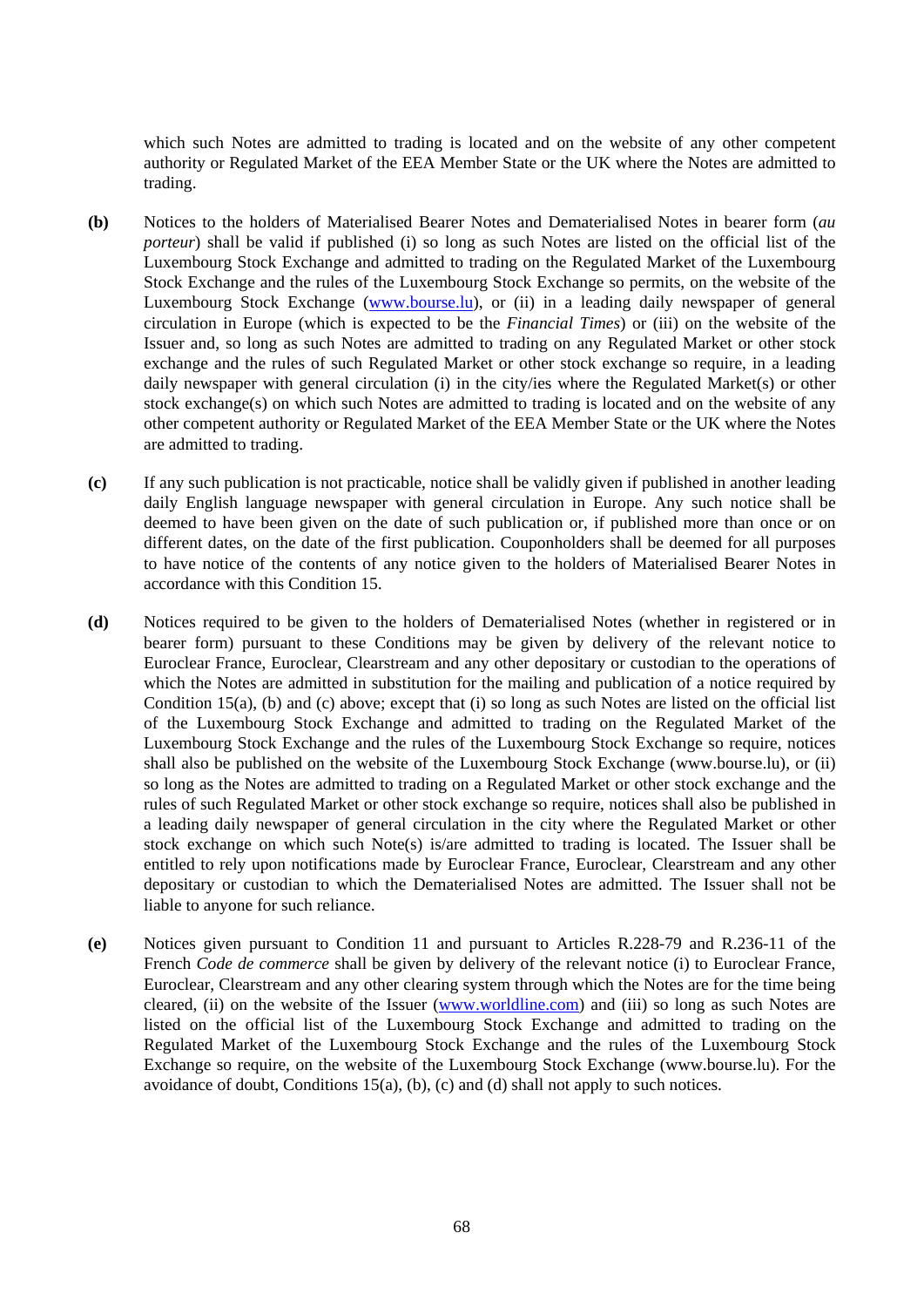which such Notes are admitted to trading is located and on the website of any other competent authority or Regulated Market of the EEA Member State or the UK where the Notes are admitted to trading.

- **(b)** Notices to the holders of Materialised Bearer Notes and Dematerialised Notes in bearer form (*au porteur*) shall be valid if published (i) so long as such Notes are listed on the official list of the Luxembourg Stock Exchange and admitted to trading on the Regulated Market of the Luxembourg Stock Exchange and the rules of the Luxembourg Stock Exchange so permits, on the website of the Luxembourg Stock Exchange [\(www.bourse.lu\)](http://www.bourse.lu/), or (ii) in a leading daily newspaper of general circulation in Europe (which is expected to be the *Financial Times*) or (iii) on the website of the Issuer and, so long as such Notes are admitted to trading on any Regulated Market or other stock exchange and the rules of such Regulated Market or other stock exchange so require, in a leading daily newspaper with general circulation (i) in the city/ies where the Regulated Market(s) or other stock exchange(s) on which such Notes are admitted to trading is located and on the website of any other competent authority or Regulated Market of the EEA Member State or the UK where the Notes are admitted to trading.
- **(c)** If any such publication is not practicable, notice shall be validly given if published in another leading daily English language newspaper with general circulation in Europe. Any such notice shall be deemed to have been given on the date of such publication or, if published more than once or on different dates, on the date of the first publication. Couponholders shall be deemed for all purposes to have notice of the contents of any notice given to the holders of Materialised Bearer Notes in accordance with this Condition 15.
- **(d)** Notices required to be given to the holders of Dematerialised Notes (whether in registered or in bearer form) pursuant to these Conditions may be given by delivery of the relevant notice to Euroclear France, Euroclear, Clearstream and any other depositary or custodian to the operations of which the Notes are admitted in substitution for the mailing and publication of a notice required by Condition 15(a), (b) and (c) above; except that (i) so long as such Notes are listed on the official list of the Luxembourg Stock Exchange and admitted to trading on the Regulated Market of the Luxembourg Stock Exchange and the rules of the Luxembourg Stock Exchange so require, notices shall also be published on the website of the Luxembourg Stock Exchange (www.bourse.lu), or (ii) so long as the Notes are admitted to trading on a Regulated Market or other stock exchange and the rules of such Regulated Market or other stock exchange so require, notices shall also be published in a leading daily newspaper of general circulation in the city where the Regulated Market or other stock exchange on which such Note(s) is/are admitted to trading is located. The Issuer shall be entitled to rely upon notifications made by Euroclear France, Euroclear, Clearstream and any other depositary or custodian to which the Dematerialised Notes are admitted. The Issuer shall not be liable to anyone for such reliance.
- **(e)** Notices given pursuant to Condition 11 and pursuant to Articles R.228-79 and R.236-11 of the French *Code de commerce* shall be given by delivery of the relevant notice (i) to Euroclear France, Euroclear, Clearstream and any other clearing system through which the Notes are for the time being cleared, (ii) on the website of the Issuer [\(www.worldline.com\)](http://www.worldline.com/) and (iii) so long as such Notes are listed on the official list of the Luxembourg Stock Exchange and admitted to trading on the Regulated Market of the Luxembourg Stock Exchange and the rules of the Luxembourg Stock Exchange so require, on the website of the Luxembourg Stock Exchange (www.bourse.lu). For the avoidance of doubt, Conditions 15(a), (b), (c) and (d) shall not apply to such notices.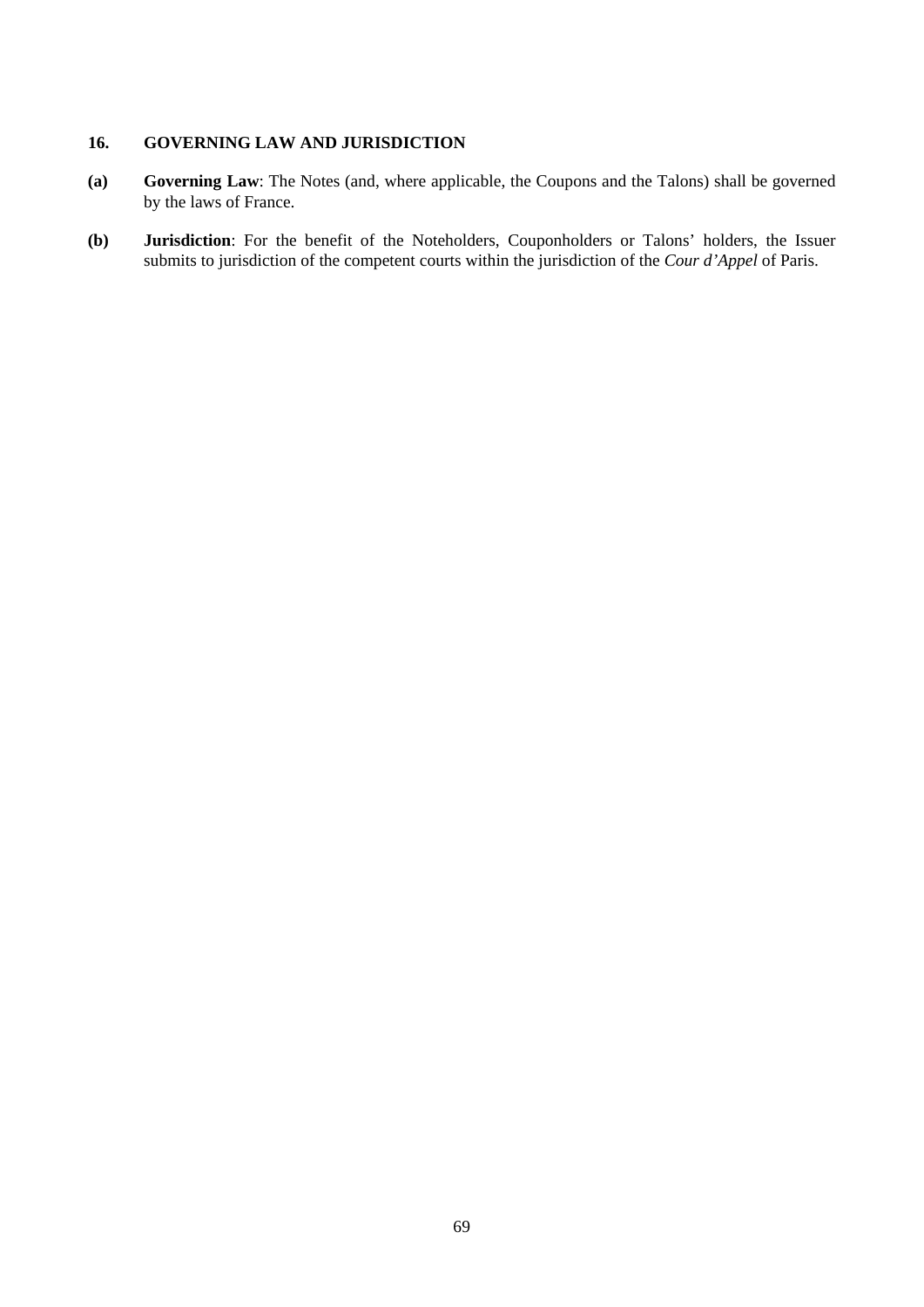### **16. GOVERNING LAW AND JURISDICTION**

- **(a) Governing Law**: The Notes (and, where applicable, the Coupons and the Talons) shall be governed by the laws of France.
- **(b) Jurisdiction**: For the benefit of the Noteholders, Couponholders or Talons' holders, the Issuer submits to jurisdiction of the competent courts within the jurisdiction of the *Cour d'Appel* of Paris.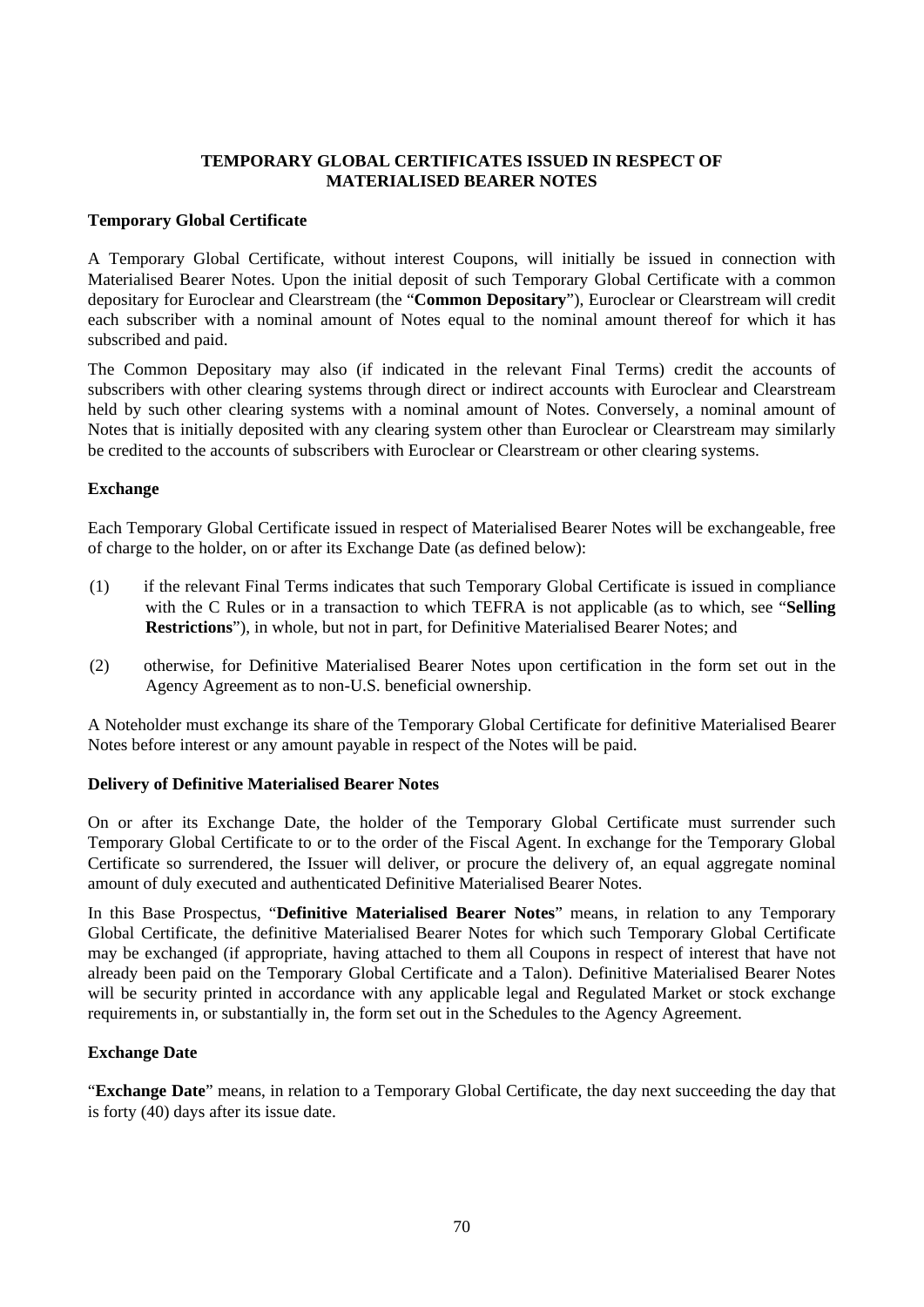# **TEMPORARY GLOBAL CERTIFICATES ISSUED IN RESPECT OF MATERIALISED BEARER NOTES**

# **Temporary Global Certificate**

A Temporary Global Certificate, without interest Coupons, will initially be issued in connection with Materialised Bearer Notes. Upon the initial deposit of such Temporary Global Certificate with a common depositary for Euroclear and Clearstream (the "**Common Depositary**"), Euroclear or Clearstream will credit each subscriber with a nominal amount of Notes equal to the nominal amount thereof for which it has subscribed and paid.

The Common Depositary may also (if indicated in the relevant Final Terms) credit the accounts of subscribers with other clearing systems through direct or indirect accounts with Euroclear and Clearstream held by such other clearing systems with a nominal amount of Notes. Conversely, a nominal amount of Notes that is initially deposited with any clearing system other than Euroclear or Clearstream may similarly be credited to the accounts of subscribers with Euroclear or Clearstream or other clearing systems.

# **Exchange**

Each Temporary Global Certificate issued in respect of Materialised Bearer Notes will be exchangeable, free of charge to the holder, on or after its Exchange Date (as defined below):

- (1) if the relevant Final Terms indicates that such Temporary Global Certificate is issued in compliance with the C Rules or in a transaction to which TEFRA is not applicable (as to which, see "**Selling Restrictions**"), in whole, but not in part, for Definitive Materialised Bearer Notes; and
- (2) otherwise, for Definitive Materialised Bearer Notes upon certification in the form set out in the Agency Agreement as to non-U.S. beneficial ownership.

A Noteholder must exchange its share of the Temporary Global Certificate for definitive Materialised Bearer Notes before interest or any amount payable in respect of the Notes will be paid.

### **Delivery of Definitive Materialised Bearer Notes**

On or after its Exchange Date, the holder of the Temporary Global Certificate must surrender such Temporary Global Certificate to or to the order of the Fiscal Agent. In exchange for the Temporary Global Certificate so surrendered, the Issuer will deliver, or procure the delivery of, an equal aggregate nominal amount of duly executed and authenticated Definitive Materialised Bearer Notes.

In this Base Prospectus, "**Definitive Materialised Bearer Notes**" means, in relation to any Temporary Global Certificate, the definitive Materialised Bearer Notes for which such Temporary Global Certificate may be exchanged (if appropriate, having attached to them all Coupons in respect of interest that have not already been paid on the Temporary Global Certificate and a Talon). Definitive Materialised Bearer Notes will be security printed in accordance with any applicable legal and Regulated Market or stock exchange requirements in, or substantially in, the form set out in the Schedules to the Agency Agreement.

# **Exchange Date**

"**Exchange Date**" means, in relation to a Temporary Global Certificate, the day next succeeding the day that is forty (40) days after its issue date.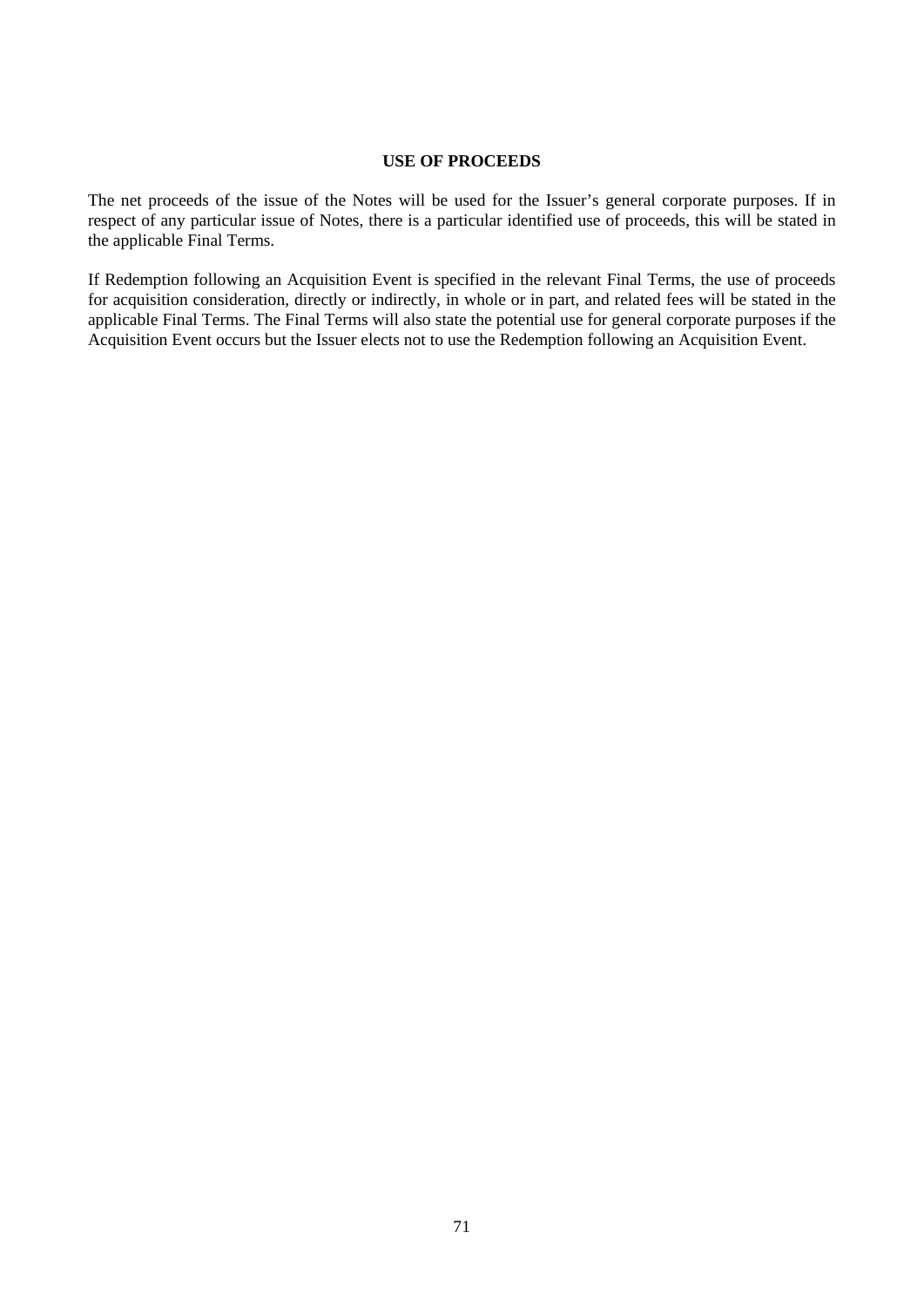#### **USE OF PROCEEDS**

The net proceeds of the issue of the Notes will be used for the Issuer's general corporate purposes. If in respect of any particular issue of Notes, there is a particular identified use of proceeds, this will be stated in the applicable Final Terms.

If Redemption following an Acquisition Event is specified in the relevant Final Terms, the use of proceeds for acquisition consideration, directly or indirectly, in whole or in part, and related fees will be stated in the applicable Final Terms. The Final Terms will also state the potential use for general corporate purposes if the Acquisition Event occurs but the Issuer elects not to use the Redemption following an Acquisition Event.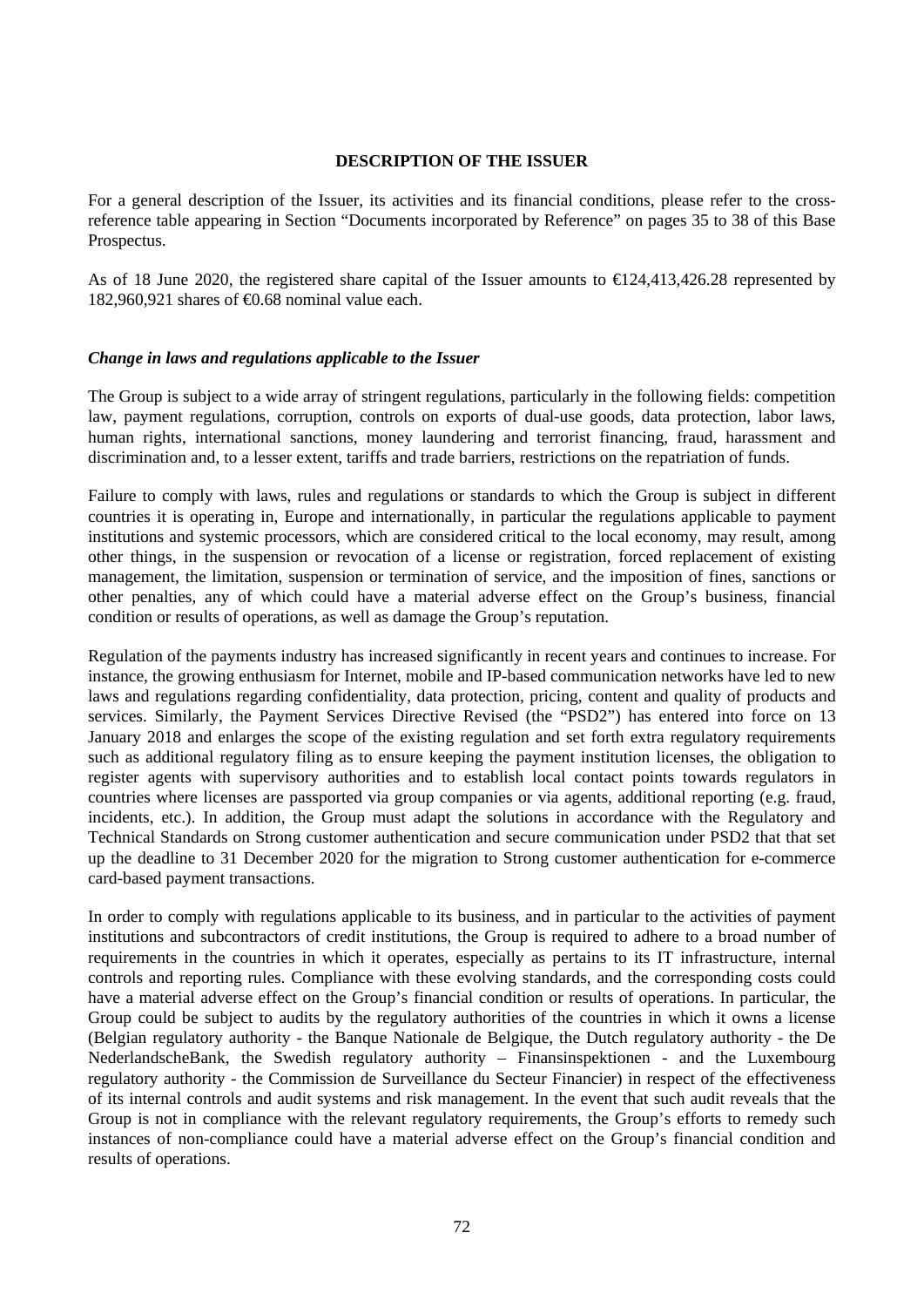### **DESCRIPTION OF THE ISSUER**

For a general description of the Issuer, its activities and its financial conditions, please refer to the crossreference table appearing in Section "Documents incorporated by Reference" on pages 35 to 38 of this Base Prospectus.

As of 18 June 2020, the registered share capital of the Issuer amounts to €124,413,426.28 represented by 182,960,921 shares of  $\text{\textsterling}0.68$  nominal value each.

### *Change in laws and regulations applicable to the Issuer*

The Group is subject to a wide array of stringent regulations, particularly in the following fields: competition law, payment regulations, corruption, controls on exports of dual-use goods, data protection, labor laws, human rights, international sanctions, money laundering and terrorist financing, fraud, harassment and discrimination and, to a lesser extent, tariffs and trade barriers, restrictions on the repatriation of funds.

Failure to comply with laws, rules and regulations or standards to which the Group is subject in different countries it is operating in, Europe and internationally, in particular the regulations applicable to payment institutions and systemic processors, which are considered critical to the local economy, may result, among other things, in the suspension or revocation of a license or registration, forced replacement of existing management, the limitation, suspension or termination of service, and the imposition of fines, sanctions or other penalties, any of which could have a material adverse effect on the Group's business, financial condition or results of operations, as well as damage the Group's reputation.

Regulation of the payments industry has increased significantly in recent years and continues to increase. For instance, the growing enthusiasm for Internet, mobile and IP-based communication networks have led to new laws and regulations regarding confidentiality, data protection, pricing, content and quality of products and services. Similarly, the Payment Services Directive Revised (the "PSD2") has entered into force on 13 January 2018 and enlarges the scope of the existing regulation and set forth extra regulatory requirements such as additional regulatory filing as to ensure keeping the payment institution licenses, the obligation to register agents with supervisory authorities and to establish local contact points towards regulators in countries where licenses are passported via group companies or via agents, additional reporting (e.g. fraud, incidents, etc.). In addition, the Group must adapt the solutions in accordance with the Regulatory and Technical Standards on Strong customer authentication and secure communication under PSD2 that that set up the deadline to 31 December 2020 for the migration to Strong customer authentication for e-commerce card-based payment transactions.

In order to comply with regulations applicable to its business, and in particular to the activities of payment institutions and subcontractors of credit institutions, the Group is required to adhere to a broad number of requirements in the countries in which it operates, especially as pertains to its IT infrastructure, internal controls and reporting rules. Compliance with these evolving standards, and the corresponding costs could have a material adverse effect on the Group's financial condition or results of operations. In particular, the Group could be subject to audits by the regulatory authorities of the countries in which it owns a license (Belgian regulatory authority - the Banque Nationale de Belgique, the Dutch regulatory authority - the De NederlandscheBank, the Swedish regulatory authority – Finansinspektionen - and the Luxembourg regulatory authority - the Commission de Surveillance du Secteur Financier) in respect of the effectiveness of its internal controls and audit systems and risk management. In the event that such audit reveals that the Group is not in compliance with the relevant regulatory requirements, the Group's efforts to remedy such instances of non-compliance could have a material adverse effect on the Group's financial condition and results of operations.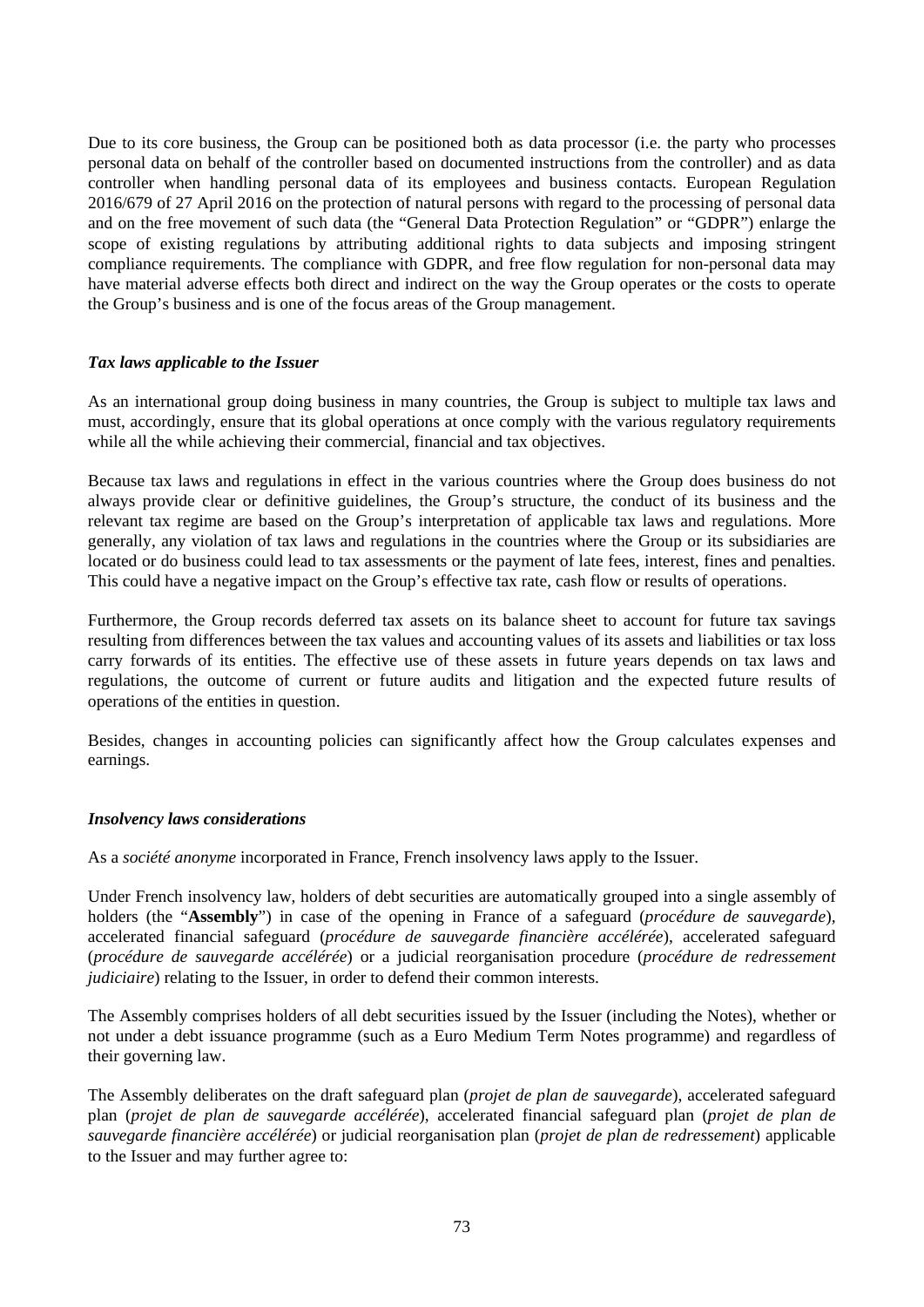Due to its core business, the Group can be positioned both as data processor (i.e. the party who processes personal data on behalf of the controller based on documented instructions from the controller) and as data controller when handling personal data of its employees and business contacts. European Regulation 2016/679 of 27 April 2016 on the protection of natural persons with regard to the processing of personal data and on the free movement of such data (the "General Data Protection Regulation" or "GDPR") enlarge the scope of existing regulations by attributing additional rights to data subjects and imposing stringent compliance requirements. The compliance with GDPR, and free flow regulation for non-personal data may have material adverse effects both direct and indirect on the way the Group operates or the costs to operate the Group's business and is one of the focus areas of the Group management.

# *Tax laws applicable to the Issuer*

As an international group doing business in many countries, the Group is subject to multiple tax laws and must, accordingly, ensure that its global operations at once comply with the various regulatory requirements while all the while achieving their commercial, financial and tax objectives.

Because tax laws and regulations in effect in the various countries where the Group does business do not always provide clear or definitive guidelines, the Group's structure, the conduct of its business and the relevant tax regime are based on the Group's interpretation of applicable tax laws and regulations. More generally, any violation of tax laws and regulations in the countries where the Group or its subsidiaries are located or do business could lead to tax assessments or the payment of late fees, interest, fines and penalties. This could have a negative impact on the Group's effective tax rate, cash flow or results of operations.

Furthermore, the Group records deferred tax assets on its balance sheet to account for future tax savings resulting from differences between the tax values and accounting values of its assets and liabilities or tax loss carry forwards of its entities. The effective use of these assets in future years depends on tax laws and regulations, the outcome of current or future audits and litigation and the expected future results of operations of the entities in question.

Besides, changes in accounting policies can significantly affect how the Group calculates expenses and earnings.

# *Insolvency laws considerations*

As a *société anonyme* incorporated in France, French insolvency laws apply to the Issuer.

Under French insolvency law, holders of debt securities are automatically grouped into a single assembly of holders (the "**Assembly**") in case of the opening in France of a safeguard (*procédure de sauvegarde*)*,*  accelerated financial safeguard (*procédure de sauvegarde financière accélérée*), accelerated safeguard (*procédure de sauvegarde accélérée*) or a judicial reorganisation procedure (*procédure de redressement judiciaire*) relating to the Issuer, in order to defend their common interests.

The Assembly comprises holders of all debt securities issued by the Issuer (including the Notes), whether or not under a debt issuance programme (such as a Euro Medium Term Notes programme) and regardless of their governing law.

The Assembly deliberates on the draft safeguard plan (*projet de plan de sauvegarde*), accelerated safeguard plan (*projet de plan de sauvegarde accélérée*), accelerated financial safeguard plan (*projet de plan de sauvegarde financière accélérée*) or judicial reorganisation plan (*projet de plan de redressement*) applicable to the Issuer and may further agree to: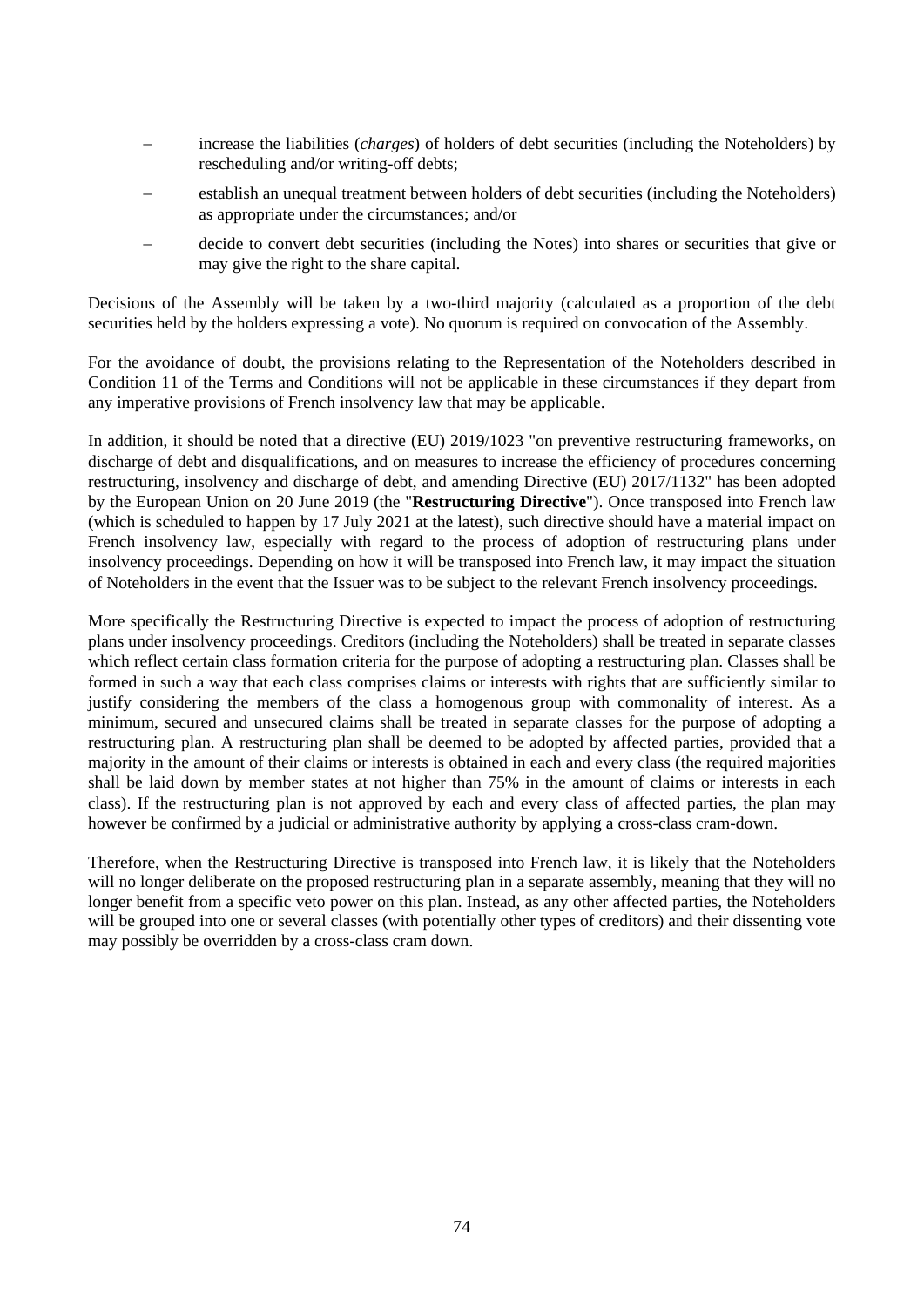- − increase the liabilities (*charges*) of holders of debt securities (including the Noteholders) by rescheduling and/or writing-off debts;
- establish an unequal treatment between holders of debt securities (including the Noteholders) as appropriate under the circumstances; and/or
- − decide to convert debt securities (including the Notes) into shares or securities that give or may give the right to the share capital.

Decisions of the Assembly will be taken by a two-third majority (calculated as a proportion of the debt securities held by the holders expressing a vote). No quorum is required on convocation of the Assembly.

For the avoidance of doubt, the provisions relating to the Representation of the Noteholders described in Condition 11 of the Terms and Conditions will not be applicable in these circumstances if they depart from any imperative provisions of French insolvency law that may be applicable.

In addition, it should be noted that a directive (EU) 2019/1023 "on preventive restructuring frameworks, on discharge of debt and disqualifications, and on measures to increase the efficiency of procedures concerning restructuring, insolvency and discharge of debt, and amending Directive (EU) 2017/1132" has been adopted by the European Union on 20 June 2019 (the "**Restructuring Directive**"). Once transposed into French law (which is scheduled to happen by 17 July 2021 at the latest), such directive should have a material impact on French insolvency law, especially with regard to the process of adoption of restructuring plans under insolvency proceedings. Depending on how it will be transposed into French law, it may impact the situation of Noteholders in the event that the Issuer was to be subject to the relevant French insolvency proceedings.

More specifically the Restructuring Directive is expected to impact the process of adoption of restructuring plans under insolvency proceedings. Creditors (including the Noteholders) shall be treated in separate classes which reflect certain class formation criteria for the purpose of adopting a restructuring plan. Classes shall be formed in such a way that each class comprises claims or interests with rights that are sufficiently similar to justify considering the members of the class a homogenous group with commonality of interest. As a minimum, secured and unsecured claims shall be treated in separate classes for the purpose of adopting a restructuring plan. A restructuring plan shall be deemed to be adopted by affected parties, provided that a majority in the amount of their claims or interests is obtained in each and every class (the required majorities shall be laid down by member states at not higher than 75% in the amount of claims or interests in each class). If the restructuring plan is not approved by each and every class of affected parties, the plan may however be confirmed by a judicial or administrative authority by applying a cross-class cram-down.

Therefore, when the Restructuring Directive is transposed into French law, it is likely that the Noteholders will no longer deliberate on the proposed restructuring plan in a separate assembly, meaning that they will no longer benefit from a specific veto power on this plan. Instead, as any other affected parties, the Noteholders will be grouped into one or several classes (with potentially other types of creditors) and their dissenting vote may possibly be overridden by a cross-class cram down.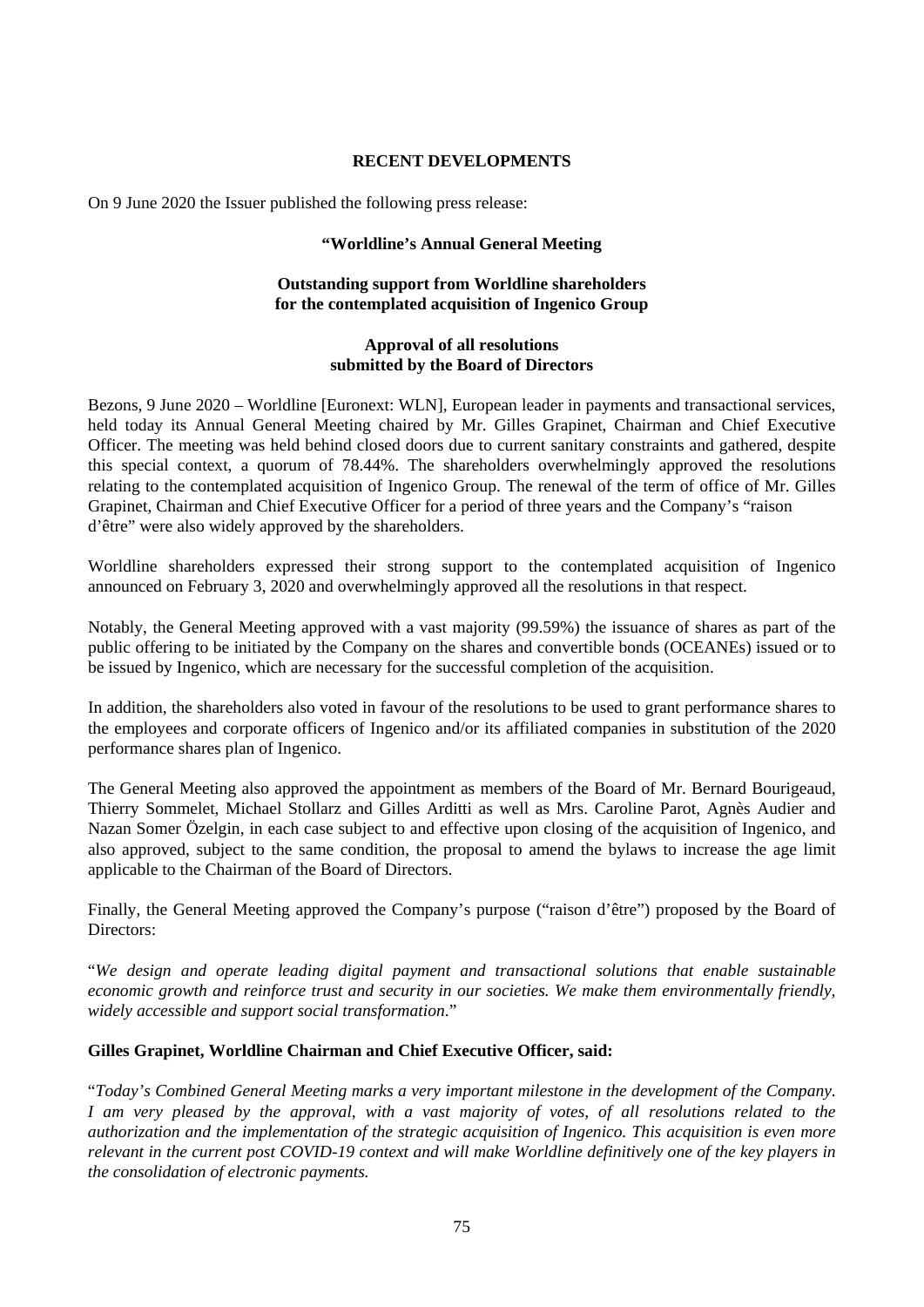# **RECENT DEVELOPMENTS**

On 9 June 2020 the Issuer published the following press release:

# **"Worldline's Annual General Meeting**

# **Outstanding support from Worldline shareholders for the contemplated acquisition of Ingenico Group**

# **Approval of all resolutions submitted by the Board of Directors**

Bezons, 9 June 2020 – Worldline [Euronext: WLN], European leader in payments and transactional services, held today its Annual General Meeting chaired by Mr. Gilles Grapinet, Chairman and Chief Executive Officer. The meeting was held behind closed doors due to current sanitary constraints and gathered, despite this special context, a quorum of 78.44%. The shareholders overwhelmingly approved the resolutions relating to the contemplated acquisition of Ingenico Group. The renewal of the term of office of Mr. Gilles Grapinet, Chairman and Chief Executive Officer for a period of three years and the Company's "raison d'être" were also widely approved by the shareholders.

Worldline shareholders expressed their strong support to the contemplated acquisition of Ingenico announced on February 3, 2020 and overwhelmingly approved all the resolutions in that respect.

Notably, the General Meeting approved with a vast majority (99.59%) the issuance of shares as part of the public offering to be initiated by the Company on the shares and convertible bonds (OCEANEs) issued or to be issued by Ingenico, which are necessary for the successful completion of the acquisition.

In addition, the shareholders also voted in favour of the resolutions to be used to grant performance shares to the employees and corporate officers of Ingenico and/or its affiliated companies in substitution of the 2020 performance shares plan of Ingenico.

The General Meeting also approved the appointment as members of the Board of Mr. Bernard Bourigeaud, Thierry Sommelet, Michael Stollarz and Gilles Arditti as well as Mrs. Caroline Parot, Agnès Audier and Nazan Somer Özelgin, in each case subject to and effective upon closing of the acquisition of Ingenico, and also approved, subject to the same condition, the proposal to amend the bylaws to increase the age limit applicable to the Chairman of the Board of Directors.

Finally, the General Meeting approved the Company's purpose ("raison d'être") proposed by the Board of Directors<sup>.</sup>

"*We design and operate leading digital payment and transactional solutions that enable sustainable economic growth and reinforce trust and security in our societies. We make them environmentally friendly, widely accessible and support social transformation*."

# **Gilles Grapinet, Worldline Chairman and Chief Executive Officer, said:**

"*Today's Combined General Meeting marks a very important milestone in the development of the Company. I am very pleased by the approval, with a vast majority of votes, of all resolutions related to the authorization and the implementation of the strategic acquisition of Ingenico. This acquisition is even more relevant in the current post COVID-19 context and will make Worldline definitively one of the key players in the consolidation of electronic payments.*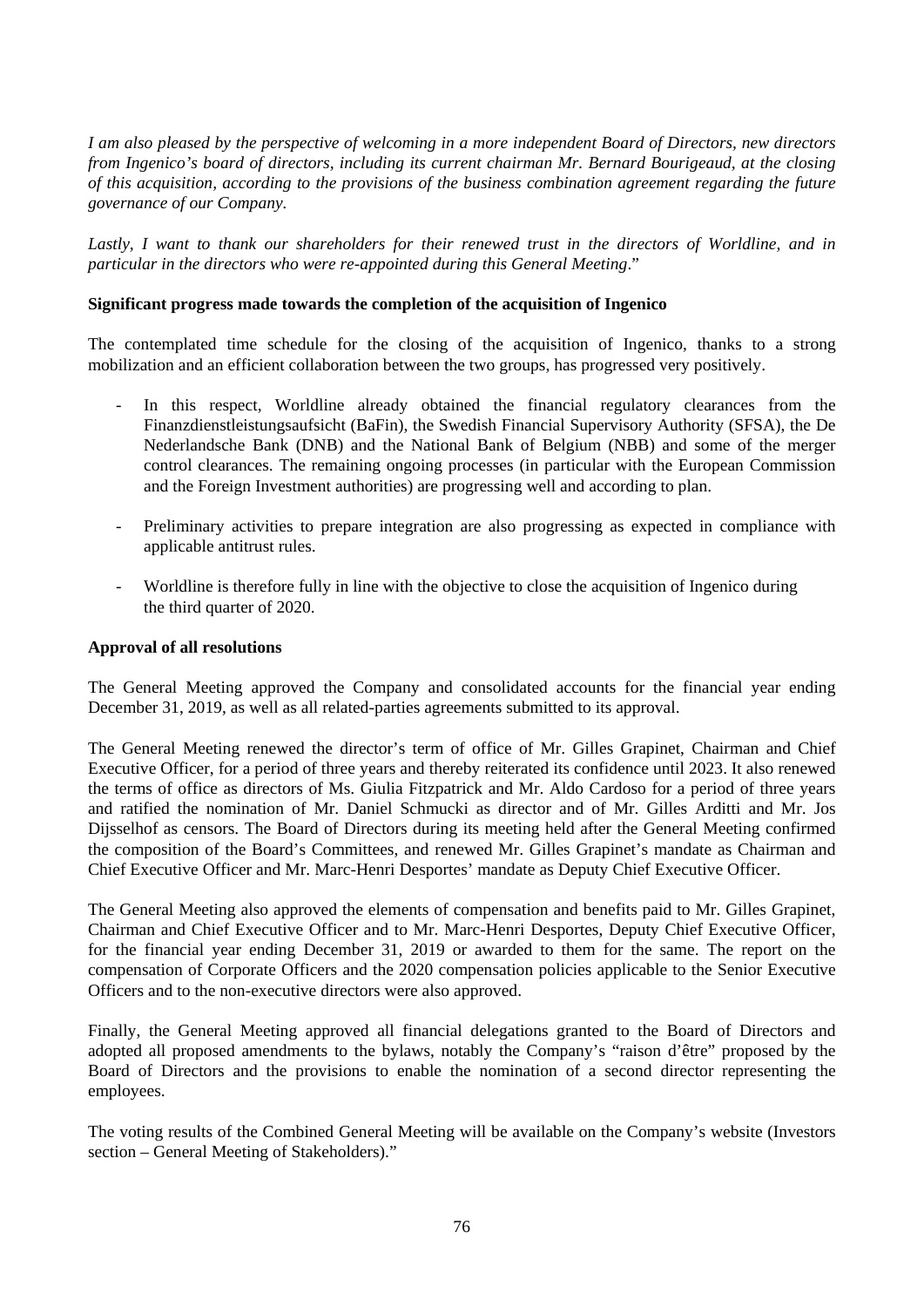*I am also pleased by the perspective of welcoming in a more independent Board of Directors, new directors from Ingenico's board of directors, including its current chairman Mr. Bernard Bourigeaud, at the closing of this acquisition, according to the provisions of the business combination agreement regarding the future governance of our Company.*

Lastly, I want to thank our shareholders for their renewed trust in the directors of Worldline, and in *particular in the directors who were re-appointed during this General Meeting*."

# **Significant progress made towards the completion of the acquisition of Ingenico**

The contemplated time schedule for the closing of the acquisition of Ingenico, thanks to a strong mobilization and an efficient collaboration between the two groups, has progressed very positively.

- In this respect, Worldline already obtained the financial regulatory clearances from the Finanzdienstleistungsaufsicht (BaFin), the Swedish Financial Supervisory Authority (SFSA), the De Nederlandsche Bank (DNB) and the National Bank of Belgium (NBB) and some of the merger control clearances. The remaining ongoing processes (in particular with the European Commission and the Foreign Investment authorities) are progressing well and according to plan.
- Preliminary activities to prepare integration are also progressing as expected in compliance with applicable antitrust rules.
- Worldline is therefore fully in line with the objective to close the acquisition of Ingenico during the third quarter of 2020.

# **Approval of all resolutions**

The General Meeting approved the Company and consolidated accounts for the financial year ending December 31, 2019, as well as all related-parties agreements submitted to its approval.

The General Meeting renewed the director's term of office of Mr. Gilles Grapinet, Chairman and Chief Executive Officer, for a period of three years and thereby reiterated its confidence until 2023. It also renewed the terms of office as directors of Ms. Giulia Fitzpatrick and Mr. Aldo Cardoso for a period of three years and ratified the nomination of Mr. Daniel Schmucki as director and of Mr. Gilles Arditti and Mr. Jos Dijsselhof as censors. The Board of Directors during its meeting held after the General Meeting confirmed the composition of the Board's Committees, and renewed Mr. Gilles Grapinet's mandate as Chairman and Chief Executive Officer and Mr. Marc-Henri Desportes' mandate as Deputy Chief Executive Officer.

The General Meeting also approved the elements of compensation and benefits paid to Mr. Gilles Grapinet, Chairman and Chief Executive Officer and to Mr. Marc-Henri Desportes, Deputy Chief Executive Officer, for the financial year ending December 31, 2019 or awarded to them for the same. The report on the compensation of Corporate Officers and the 2020 compensation policies applicable to the Senior Executive Officers and to the non-executive directors were also approved.

Finally, the General Meeting approved all financial delegations granted to the Board of Directors and adopted all proposed amendments to the bylaws, notably the Company's "raison d'être" proposed by the Board of Directors and the provisions to enable the nomination of a second director representing the employees.

The voting results of the Combined General Meeting will be available on the Company's website (Investors section – General Meeting of Stakeholders)."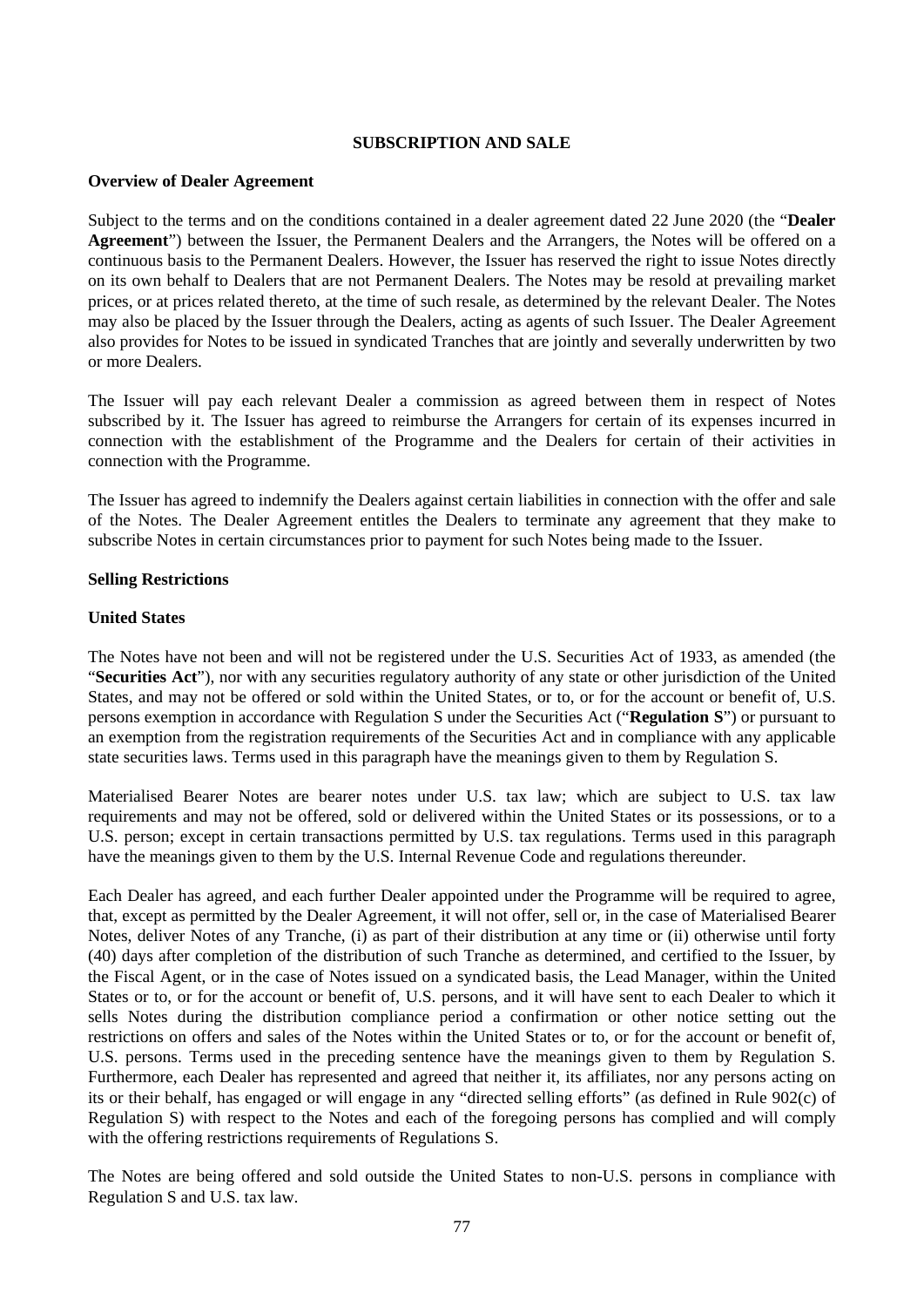## **SUBSCRIPTION AND SALE**

### **Overview of Dealer Agreement**

Subject to the terms and on the conditions contained in a dealer agreement dated 22 June 2020 (the "**Dealer Agreement**") between the Issuer, the Permanent Dealers and the Arrangers, the Notes will be offered on a continuous basis to the Permanent Dealers. However, the Issuer has reserved the right to issue Notes directly on its own behalf to Dealers that are not Permanent Dealers. The Notes may be resold at prevailing market prices, or at prices related thereto, at the time of such resale, as determined by the relevant Dealer. The Notes may also be placed by the Issuer through the Dealers, acting as agents of such Issuer. The Dealer Agreement also provides for Notes to be issued in syndicated Tranches that are jointly and severally underwritten by two or more Dealers.

The Issuer will pay each relevant Dealer a commission as agreed between them in respect of Notes subscribed by it. The Issuer has agreed to reimburse the Arrangers for certain of its expenses incurred in connection with the establishment of the Programme and the Dealers for certain of their activities in connection with the Programme.

The Issuer has agreed to indemnify the Dealers against certain liabilities in connection with the offer and sale of the Notes. The Dealer Agreement entitles the Dealers to terminate any agreement that they make to subscribe Notes in certain circumstances prior to payment for such Notes being made to the Issuer.

### **Selling Restrictions**

### **United States**

The Notes have not been and will not be registered under the U.S. Securities Act of 1933, as amended (the "**Securities Act**"), nor with any securities regulatory authority of any state or other jurisdiction of the United States, and may not be offered or sold within the United States, or to, or for the account or benefit of, U.S. persons exemption in accordance with Regulation S under the Securities Act ("**Regulation S**") or pursuant to an exemption from the registration requirements of the Securities Act and in compliance with any applicable state securities laws. Terms used in this paragraph have the meanings given to them by Regulation S.

Materialised Bearer Notes are bearer notes under U.S. tax law; which are subject to U.S. tax law requirements and may not be offered, sold or delivered within the United States or its possessions, or to a U.S. person; except in certain transactions permitted by U.S. tax regulations. Terms used in this paragraph have the meanings given to them by the U.S. Internal Revenue Code and regulations thereunder.

Each Dealer has agreed, and each further Dealer appointed under the Programme will be required to agree, that, except as permitted by the Dealer Agreement, it will not offer, sell or, in the case of Materialised Bearer Notes, deliver Notes of any Tranche, (i) as part of their distribution at any time or (ii) otherwise until forty (40) days after completion of the distribution of such Tranche as determined, and certified to the Issuer, by the Fiscal Agent, or in the case of Notes issued on a syndicated basis, the Lead Manager, within the United States or to, or for the account or benefit of, U.S. persons, and it will have sent to each Dealer to which it sells Notes during the distribution compliance period a confirmation or other notice setting out the restrictions on offers and sales of the Notes within the United States or to, or for the account or benefit of, U.S. persons. Terms used in the preceding sentence have the meanings given to them by Regulation S. Furthermore, each Dealer has represented and agreed that neither it, its affiliates, nor any persons acting on its or their behalf, has engaged or will engage in any "directed selling efforts" (as defined in Rule 902(c) of Regulation S) with respect to the Notes and each of the foregoing persons has complied and will comply with the offering restrictions requirements of Regulations S.

The Notes are being offered and sold outside the United States to non-U.S. persons in compliance with Regulation S and U.S. tax law.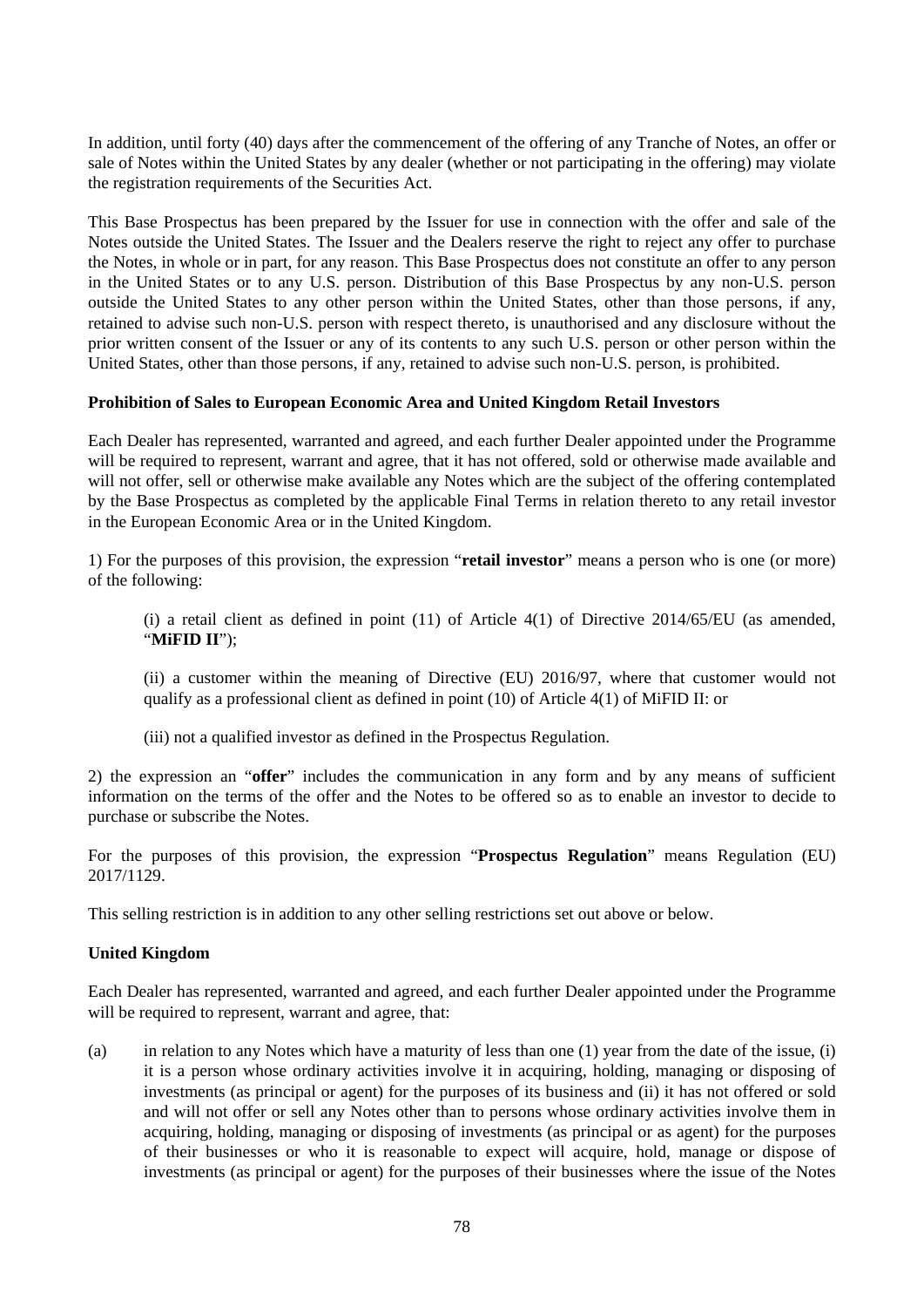In addition, until forty (40) days after the commencement of the offering of any Tranche of Notes, an offer or sale of Notes within the United States by any dealer (whether or not participating in the offering) may violate the registration requirements of the Securities Act.

This Base Prospectus has been prepared by the Issuer for use in connection with the offer and sale of the Notes outside the United States. The Issuer and the Dealers reserve the right to reject any offer to purchase the Notes, in whole or in part, for any reason. This Base Prospectus does not constitute an offer to any person in the United States or to any U.S. person. Distribution of this Base Prospectus by any non-U.S. person outside the United States to any other person within the United States, other than those persons, if any, retained to advise such non-U.S. person with respect thereto, is unauthorised and any disclosure without the prior written consent of the Issuer or any of its contents to any such U.S. person or other person within the United States, other than those persons, if any, retained to advise such non-U.S. person, is prohibited.

# **Prohibition of Sales to European Economic Area and United Kingdom Retail Investors**

Each Dealer has represented, warranted and agreed, and each further Dealer appointed under the Programme will be required to represent, warrant and agree, that it has not offered, sold or otherwise made available and will not offer, sell or otherwise make available any Notes which are the subject of the offering contemplated by the Base Prospectus as completed by the applicable Final Terms in relation thereto to any retail investor in the European Economic Area or in the United Kingdom.

1) For the purposes of this provision, the expression "**retail investor**" means a person who is one (or more) of the following:

(i) a retail client as defined in point (11) of Article 4(1) of Directive 2014/65/EU (as amended, "**MiFID II**");

(ii) a customer within the meaning of Directive (EU) 2016/97, where that customer would not qualify as a professional client as defined in point (10) of Article 4(1) of MiFID II: or

(iii) not a qualified investor as defined in the Prospectus Regulation.

2) the expression an "**offer**" includes the communication in any form and by any means of sufficient information on the terms of the offer and the Notes to be offered so as to enable an investor to decide to purchase or subscribe the Notes.

For the purposes of this provision, the expression "**Prospectus Regulation**" means Regulation (EU) 2017/1129.

This selling restriction is in addition to any other selling restrictions set out above or below.

# **United Kingdom**

Each Dealer has represented, warranted and agreed, and each further Dealer appointed under the Programme will be required to represent, warrant and agree, that:

(a) in relation to any Notes which have a maturity of less than one (1) year from the date of the issue, (i) it is a person whose ordinary activities involve it in acquiring, holding, managing or disposing of investments (as principal or agent) for the purposes of its business and (ii) it has not offered or sold and will not offer or sell any Notes other than to persons whose ordinary activities involve them in acquiring, holding, managing or disposing of investments (as principal or as agent) for the purposes of their businesses or who it is reasonable to expect will acquire, hold, manage or dispose of investments (as principal or agent) for the purposes of their businesses where the issue of the Notes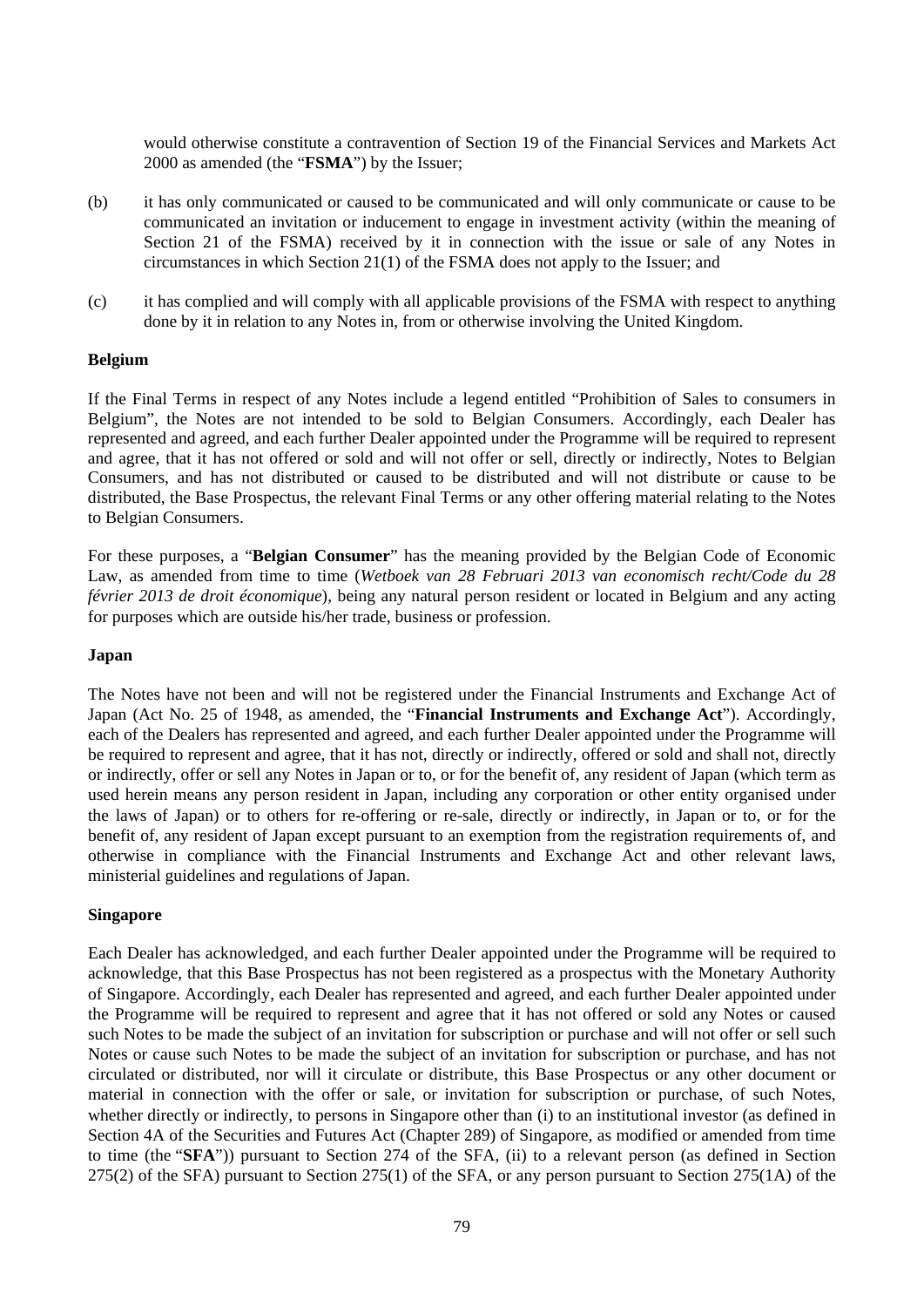would otherwise constitute a contravention of Section 19 of the Financial Services and Markets Act 2000 as amended (the "**FSMA**") by the Issuer;

- (b) it has only communicated or caused to be communicated and will only communicate or cause to be communicated an invitation or inducement to engage in investment activity (within the meaning of Section 21 of the FSMA) received by it in connection with the issue or sale of any Notes in circumstances in which Section 21(1) of the FSMA does not apply to the Issuer; and
- (c) it has complied and will comply with all applicable provisions of the FSMA with respect to anything done by it in relation to any Notes in, from or otherwise involving the United Kingdom.

### **Belgium**

If the Final Terms in respect of any Notes include a legend entitled "Prohibition of Sales to consumers in Belgium", the Notes are not intended to be sold to Belgian Consumers. Accordingly, each Dealer has represented and agreed, and each further Dealer appointed under the Programme will be required to represent and agree, that it has not offered or sold and will not offer or sell, directly or indirectly, Notes to Belgian Consumers, and has not distributed or caused to be distributed and will not distribute or cause to be distributed, the Base Prospectus, the relevant Final Terms or any other offering material relating to the Notes to Belgian Consumers.

For these purposes, a "**Belgian Consumer**" has the meaning provided by the Belgian Code of Economic Law, as amended from time to time (*Wetboek van 28 Februari 2013 van economisch recht/Code du 28 février 2013 de droit économique*), being any natural person resident or located in Belgium and any acting for purposes which are outside his/her trade, business or profession.

### **Japan**

The Notes have not been and will not be registered under the Financial Instruments and Exchange Act of Japan (Act No. 25 of 1948, as amended, the "**Financial Instruments and Exchange Act**"). Accordingly, each of the Dealers has represented and agreed, and each further Dealer appointed under the Programme will be required to represent and agree, that it has not, directly or indirectly, offered or sold and shall not, directly or indirectly, offer or sell any Notes in Japan or to, or for the benefit of, any resident of Japan (which term as used herein means any person resident in Japan, including any corporation or other entity organised under the laws of Japan) or to others for re-offering or re-sale, directly or indirectly, in Japan or to, or for the benefit of, any resident of Japan except pursuant to an exemption from the registration requirements of, and otherwise in compliance with the Financial Instruments and Exchange Act and other relevant laws, ministerial guidelines and regulations of Japan.

# **Singapore**

Each Dealer has acknowledged, and each further Dealer appointed under the Programme will be required to acknowledge, that this Base Prospectus has not been registered as a prospectus with the Monetary Authority of Singapore. Accordingly, each Dealer has represented and agreed, and each further Dealer appointed under the Programme will be required to represent and agree that it has not offered or sold any Notes or caused such Notes to be made the subject of an invitation for subscription or purchase and will not offer or sell such Notes or cause such Notes to be made the subject of an invitation for subscription or purchase, and has not circulated or distributed, nor will it circulate or distribute, this Base Prospectus or any other document or material in connection with the offer or sale, or invitation for subscription or purchase, of such Notes, whether directly or indirectly, to persons in Singapore other than (i) to an institutional investor (as defined in Section 4A of the Securities and Futures Act (Chapter 289) of Singapore, as modified or amended from time to time (the "**SFA**")) pursuant to Section 274 of the SFA, (ii) to a relevant person (as defined in Section 275(2) of the SFA) pursuant to Section 275(1) of the SFA, or any person pursuant to Section 275(1A) of the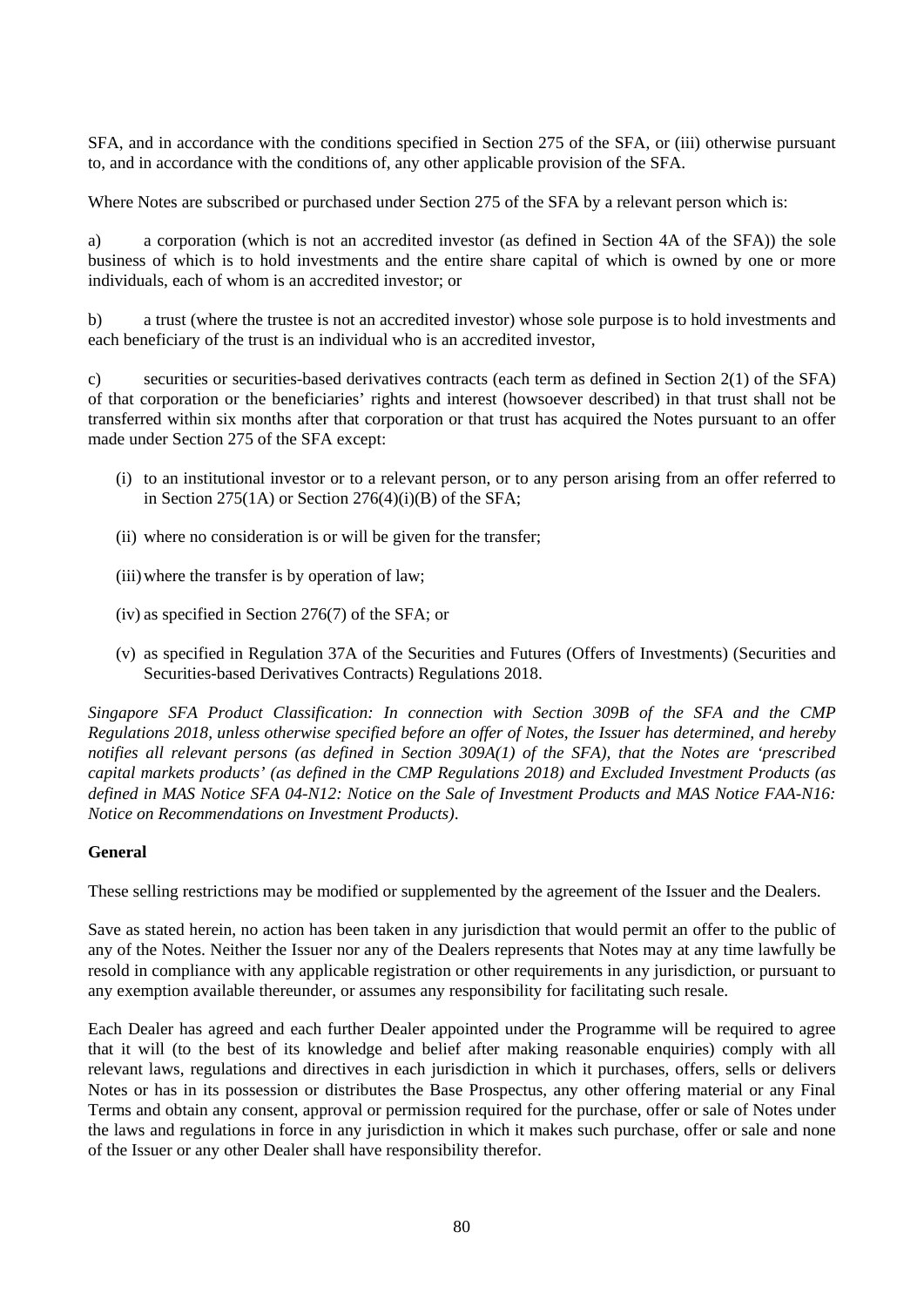SFA, and in accordance with the conditions specified in Section 275 of the SFA, or (iii) otherwise pursuant to, and in accordance with the conditions of, any other applicable provision of the SFA.

Where Notes are subscribed or purchased under Section 275 of the SFA by a relevant person which is:

a) a corporation (which is not an accredited investor (as defined in Section 4A of the SFA)) the sole business of which is to hold investments and the entire share capital of which is owned by one or more individuals, each of whom is an accredited investor; or

b) a trust (where the trustee is not an accredited investor) whose sole purpose is to hold investments and each beneficiary of the trust is an individual who is an accredited investor,

c) securities or securities-based derivatives contracts (each term as defined in Section 2(1) of the SFA) of that corporation or the beneficiaries' rights and interest (howsoever described) in that trust shall not be transferred within six months after that corporation or that trust has acquired the Notes pursuant to an offer made under Section 275 of the SFA except:

- (i) to an institutional investor or to a relevant person, or to any person arising from an offer referred to in Section 275(1A) or Section 276(4)(i)(B) of the SFA;
- (ii) where no consideration is or will be given for the transfer;
- (iii)where the transfer is by operation of law;
- (iv) as specified in Section 276(7) of the SFA; or
- (v) as specified in Regulation 37A of the Securities and Futures (Offers of Investments) (Securities and Securities-based Derivatives Contracts) Regulations 2018.

*Singapore SFA Product Classification: In connection with Section 309B of the SFA and the CMP Regulations 2018, unless otherwise specified before an offer of Notes, the Issuer has determined, and hereby notifies all relevant persons (as defined in Section 309A(1) of the SFA), that the Notes are 'prescribed capital markets products' (as defined in the CMP Regulations 2018) and Excluded Investment Products (as defined in MAS Notice SFA 04-N12: Notice on the Sale of Investment Products and MAS Notice FAA-N16: Notice on Recommendations on Investment Products)*.

# **General**

These selling restrictions may be modified or supplemented by the agreement of the Issuer and the Dealers.

Save as stated herein, no action has been taken in any jurisdiction that would permit an offer to the public of any of the Notes. Neither the Issuer nor any of the Dealers represents that Notes may at any time lawfully be resold in compliance with any applicable registration or other requirements in any jurisdiction, or pursuant to any exemption available thereunder, or assumes any responsibility for facilitating such resale.

Each Dealer has agreed and each further Dealer appointed under the Programme will be required to agree that it will (to the best of its knowledge and belief after making reasonable enquiries) comply with all relevant laws, regulations and directives in each jurisdiction in which it purchases, offers, sells or delivers Notes or has in its possession or distributes the Base Prospectus, any other offering material or any Final Terms and obtain any consent, approval or permission required for the purchase, offer or sale of Notes under the laws and regulations in force in any jurisdiction in which it makes such purchase, offer or sale and none of the Issuer or any other Dealer shall have responsibility therefor.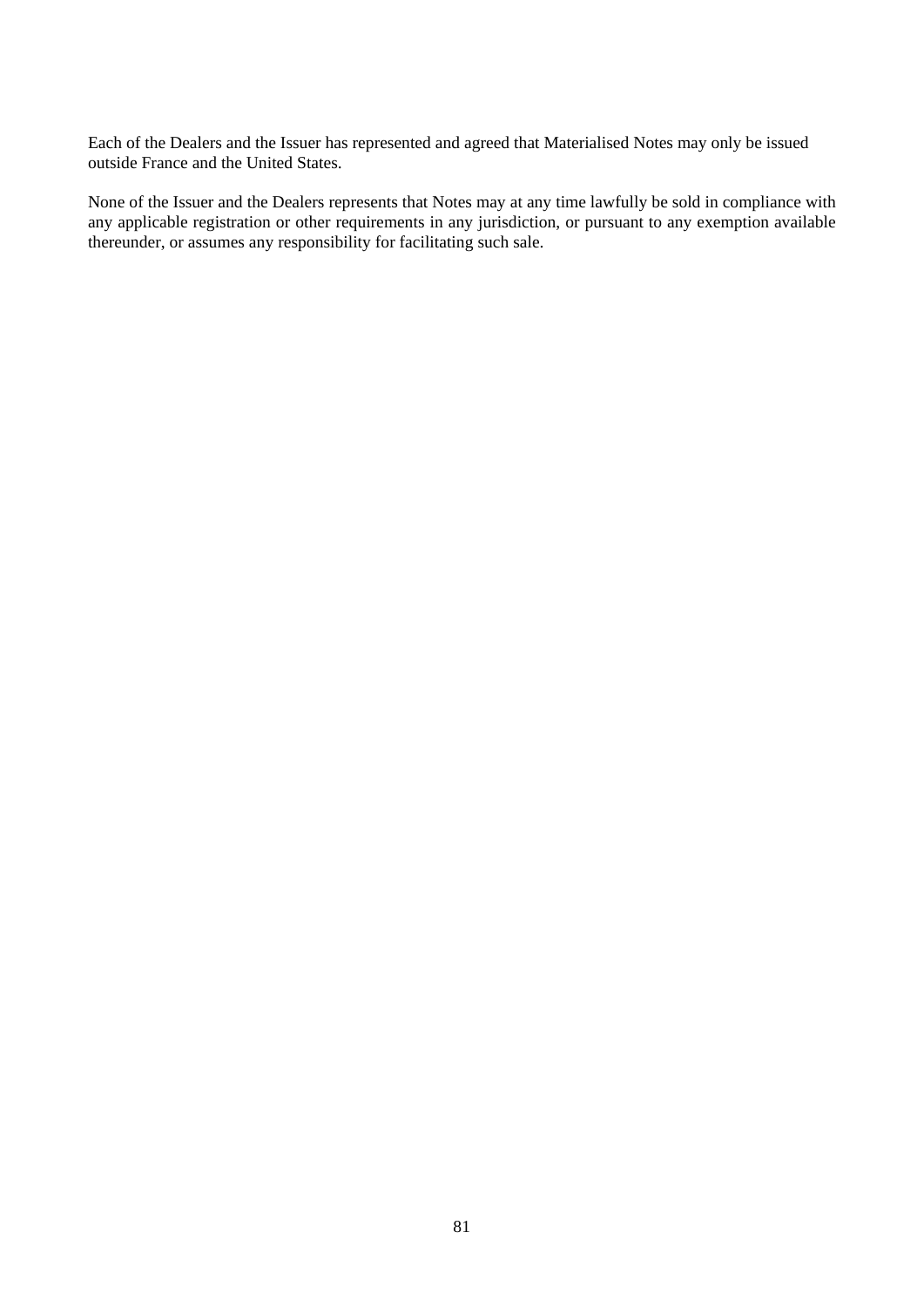Each of the Dealers and the Issuer has represented and agreed that Materialised Notes may only be issued outside France and the United States.

None of the Issuer and the Dealers represents that Notes may at any time lawfully be sold in compliance with any applicable registration or other requirements in any jurisdiction, or pursuant to any exemption available thereunder, or assumes any responsibility for facilitating such sale.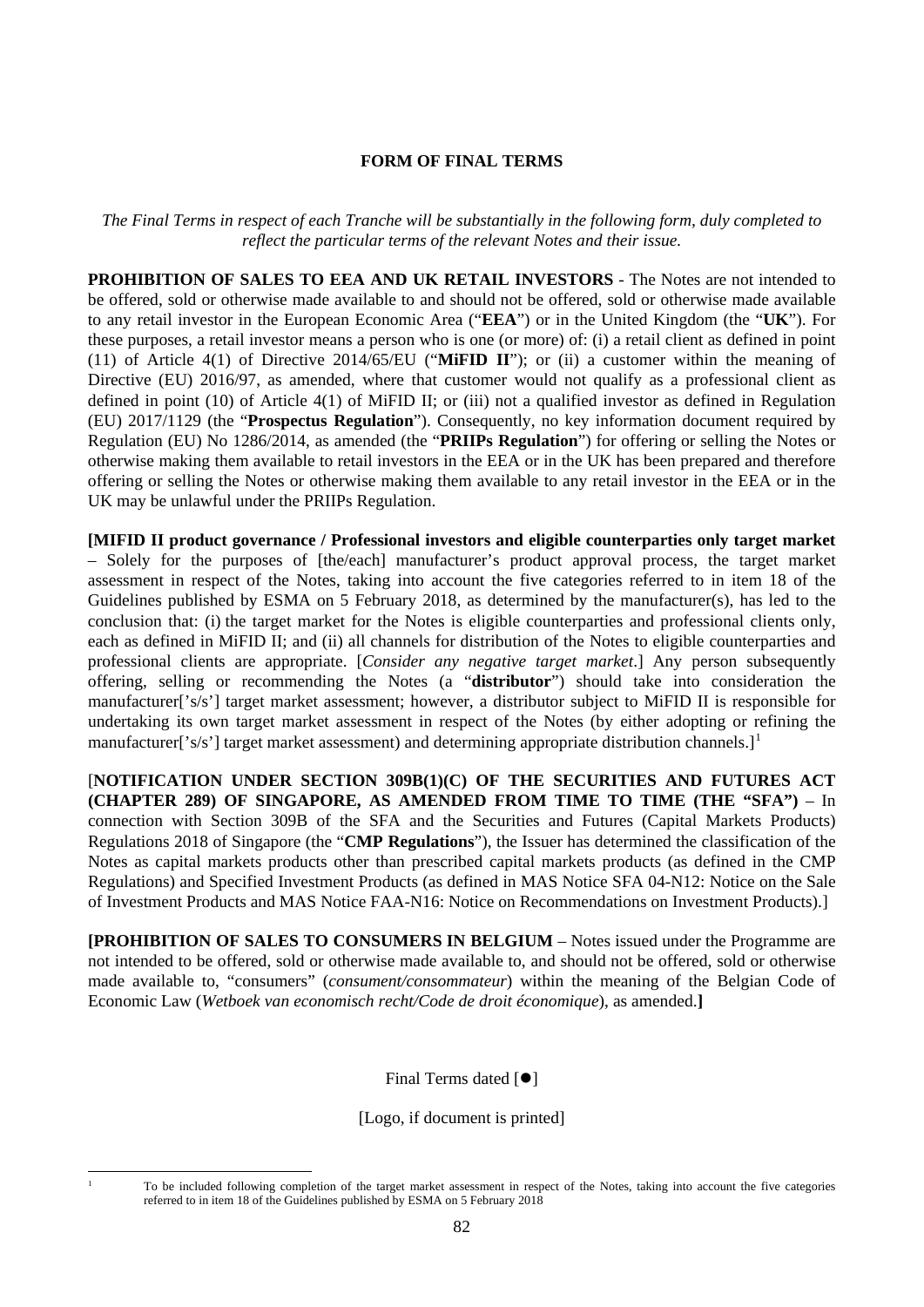# **FORM OF FINAL TERMS**

*The Final Terms in respect of each Tranche will be substantially in the following form, duly completed to reflect the particular terms of the relevant Notes and their issue.*

**PROHIBITION OF SALES TO EEA AND UK RETAIL INVESTORS** - The Notes are not intended to be offered, sold or otherwise made available to and should not be offered, sold or otherwise made available to any retail investor in the European Economic Area ("**EEA**") or in the United Kingdom (the "**UK**"). For these purposes, a retail investor means a person who is one (or more) of: (i) a retail client as defined in point (11) of Article 4(1) of Directive 2014/65/EU ("**MiFID II**"); or (ii) a customer within the meaning of Directive (EU) 2016/97, as amended, where that customer would not qualify as a professional client as defined in point (10) of Article 4(1) of MiFID II; or (iii) not a qualified investor as defined in Regulation (EU) 2017/1129 (the "**Prospectus Regulation**"). Consequently, no key information document required by Regulation (EU) No 1286/2014, as amended (the "**PRIIPs Regulation**") for offering or selling the Notes or otherwise making them available to retail investors in the EEA or in the UK has been prepared and therefore offering or selling the Notes or otherwise making them available to any retail investor in the EEA or in the UK may be unlawful under the PRIIPs Regulation.

**[MIFID II product governance / Professional investors and eligible counterparties only target market** – Solely for the purposes of [the/each] manufacturer's product approval process, the target market assessment in respect of the Notes, taking into account the five categories referred to in item 18 of the Guidelines published by ESMA on 5 February 2018, as determined by the manufacturer(s), has led to the conclusion that: (i) the target market for the Notes is eligible counterparties and professional clients only, each as defined in MiFID II; and (ii) all channels for distribution of the Notes to eligible counterparties and professional clients are appropriate. [*Consider any negative target market*.] Any person subsequently offering, selling or recommending the Notes (a "**distributor**") should take into consideration the manufacturer['s/s'] target market assessment; however, a distributor subject to MiFID II is responsible for undertaking its own target market assessment in respect of the Notes (by either adopting or refining the manufacturer['s/s'] target market assessment) and determining appropriate distribution channels.]<sup>[1](#page-81-0)</sup>

[**NOTIFICATION UNDER SECTION 309B(1)(C) OF THE SECURITIES AND FUTURES ACT (CHAPTER 289) OF SINGAPORE, AS AMENDED FROM TIME TO TIME (THE "SFA")** – In connection with Section 309B of the SFA and the Securities and Futures (Capital Markets Products) Regulations 2018 of Singapore (the "**CMP Regulations**"), the Issuer has determined the classification of the Notes as capital markets products other than prescribed capital markets products (as defined in the CMP Regulations) and Specified Investment Products (as defined in MAS Notice SFA 04-N12: Notice on the Sale of Investment Products and MAS Notice FAA-N16: Notice on Recommendations on Investment Products).]

**[PROHIBITION OF SALES TO CONSUMERS IN BELGIUM** – Notes issued under the Programme are not intended to be offered, sold or otherwise made available to, and should not be offered, sold or otherwise made available to, "consumers" (*consument/consommateur*) within the meaning of the Belgian Code of Economic Law (*Wetboek van economisch recht/Code de droit économique*), as amended.**]**

Final Terms dated  $[①]$ 

[Logo, if document is printed]

<span id="page-81-0"></span>

 <sup>1</sup> To be included following completion of the target market assessment in respect of the Notes, taking into account the five categories referred to in item 18 of the Guidelines published by ESMA on 5 February 2018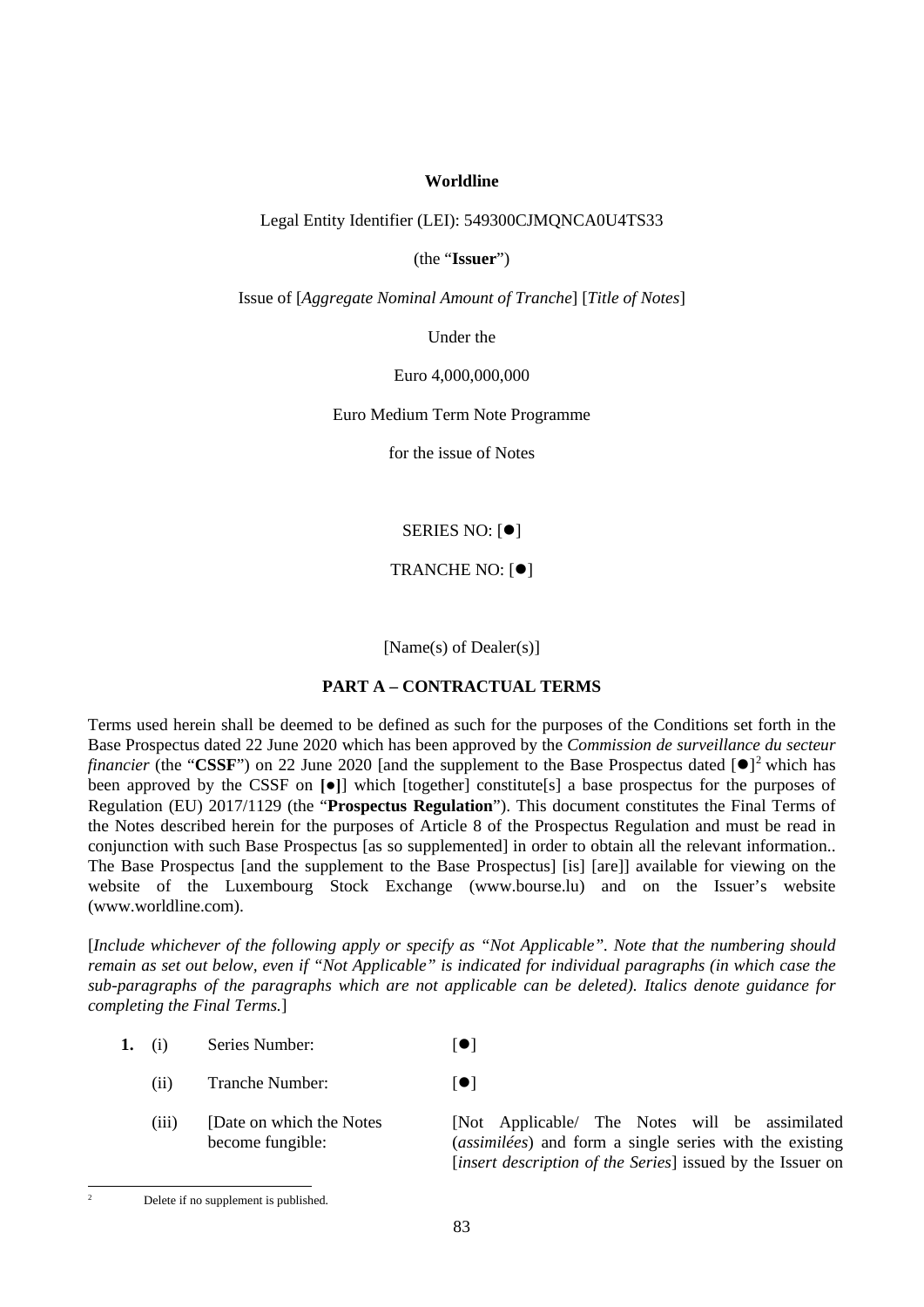## **Worldline**

## Legal Entity Identifier (LEI): 549300CJMQNCA0U4TS33

(the "**Issuer**")

Issue of [*Aggregate Nominal Amount of Tranche*] [*Title of Notes*]

Under the

Euro 4,000,000,000

Euro Medium Term Note Programme

for the issue of Notes

SERIES NO:  $[•]$ 

TRANCHE NO: [<sup>0</sup>]

[Name(s) of Dealer(s)]

### **PART A – CONTRACTUAL TERMS**

Terms used herein shall be deemed to be defined as such for the purposes of the Conditions set forth in the Base Prospectus dated 22 June 2020 which has been approved by the *Commission de surveillance du secteur financier* (the "CSSF") on [2](#page-82-0)2 June 2020 [and the supplement to the Base Prospectus dated  $[•]$ <sup>2</sup> which has been approved by the CSSF on **[●]**] which [together] constitute[s] a base prospectus for the purposes of Regulation (EU) 2017/1129 (the "**Prospectus Regulation**"). This document constitutes the Final Terms of the Notes described herein for the purposes of Article 8 of the Prospectus Regulation and must be read in conjunction with such Base Prospectus [as so supplemented] in order to obtain all the relevant information.. The Base Prospectus [and the supplement to the Base Prospectus] [is] [are]] available for viewing on the website of the Luxembourg Stock Exchange (www.bourse.lu) and on the Issuer's website (www.worldline.com).

[*Include whichever of the following apply or specify as "Not Applicable". Note that the numbering should remain as set out below, even if "Not Applicable" is indicated for individual paragraphs (in which case the sub-paragraphs of the paragraphs which are not applicable can be deleted). Italics denote guidance for completing the Final Terms.*]

- 1. (i) Series Number:  $\begin{bmatrix} \bullet \\ \bullet \end{bmatrix}$ 
	- (ii) Tranche Number:  $[•]$
	- (iii) [Date on which the Notes become fungible:

[Not Applicable/ The Notes will be assimilated (*assimilées*) and form a single series with the existing [*insert description of the Series*] issued by the Issuer on

<span id="page-82-0"></span> <sup>2</sup> Delete if no supplement is published*.*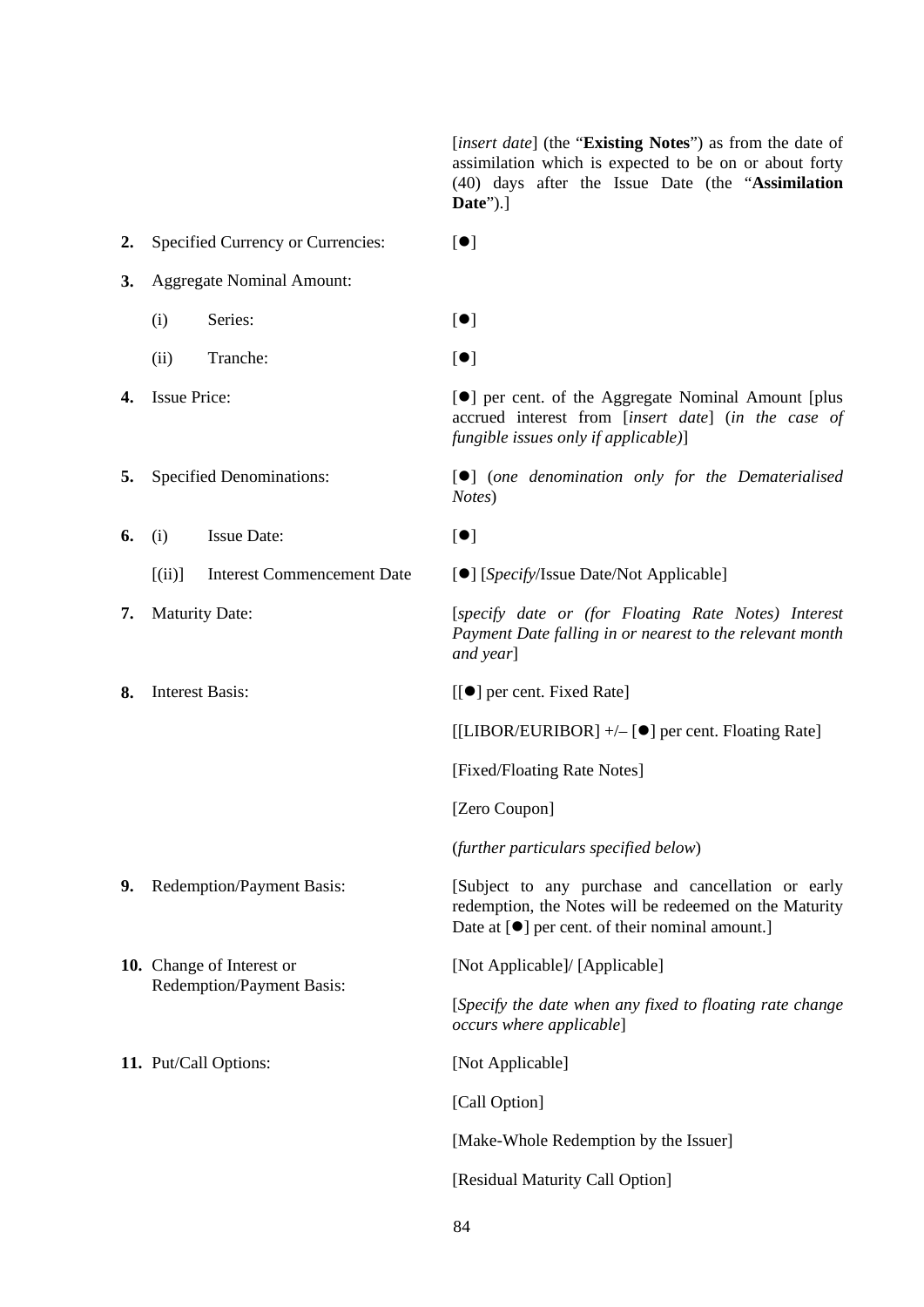[*insert date*] (the "**Existing Notes**") as from the date of assimilation which is expected to be on or about forty (40) days after the Issue Date (the "**Assimilation Date**").]

2. Specified Currency or Currencies:  $[①]$ **3.** Aggregate Nominal Amount: (i) Series:  $[①]$ (ii) Tranche:  $[•]$ **4.** Issue Price:  $[①]$  per cent. of the Aggregate Nominal Amount [plus] accrued interest from [*insert date*] (*in the case of fungible issues only if applicable)*] **5.** Specified Denominations:  $\begin{bmatrix} \bullet \\ \bullet \end{bmatrix}$  (*one denomination only for the Dematerialised Notes*) **6.** (i) Issue Date:  $[•]$ [(ii)] Interest Commencement Date [] [*Specify*/Issue Date/Not Applicable] **7.** Maturity Date: [*specify date or (for Floating Rate Notes) Interest Payment Date falling in or nearest to the relevant month and year*] **8.** Interest Basis:  $\begin{bmatrix} \boxed{\bullet} \end{bmatrix}$  per cent. Fixed Rate  $[|LIBOR/EURIBOR]$  +/- $[①]$  per cent. Floating Rate] [Fixed/Floating Rate Notes] [Zero Coupon] (*further particulars specified below*) **9.** Redemption/Payment Basis: [Subject to any purchase and cancellation or early redemption, the Notes will be redeemed on the Maturity Date at  $[①]$  per cent. of their nominal amount. **10.** Change of Interest or Redemption/Payment Basis: [Not Applicable]/ [Applicable] [*Specify the date when any fixed to floating rate change occurs where applicable*] **11.** Put/Call Options: [Not Applicable] [Call Option] [Make-Whole Redemption by the Issuer] [Residual Maturity Call Option]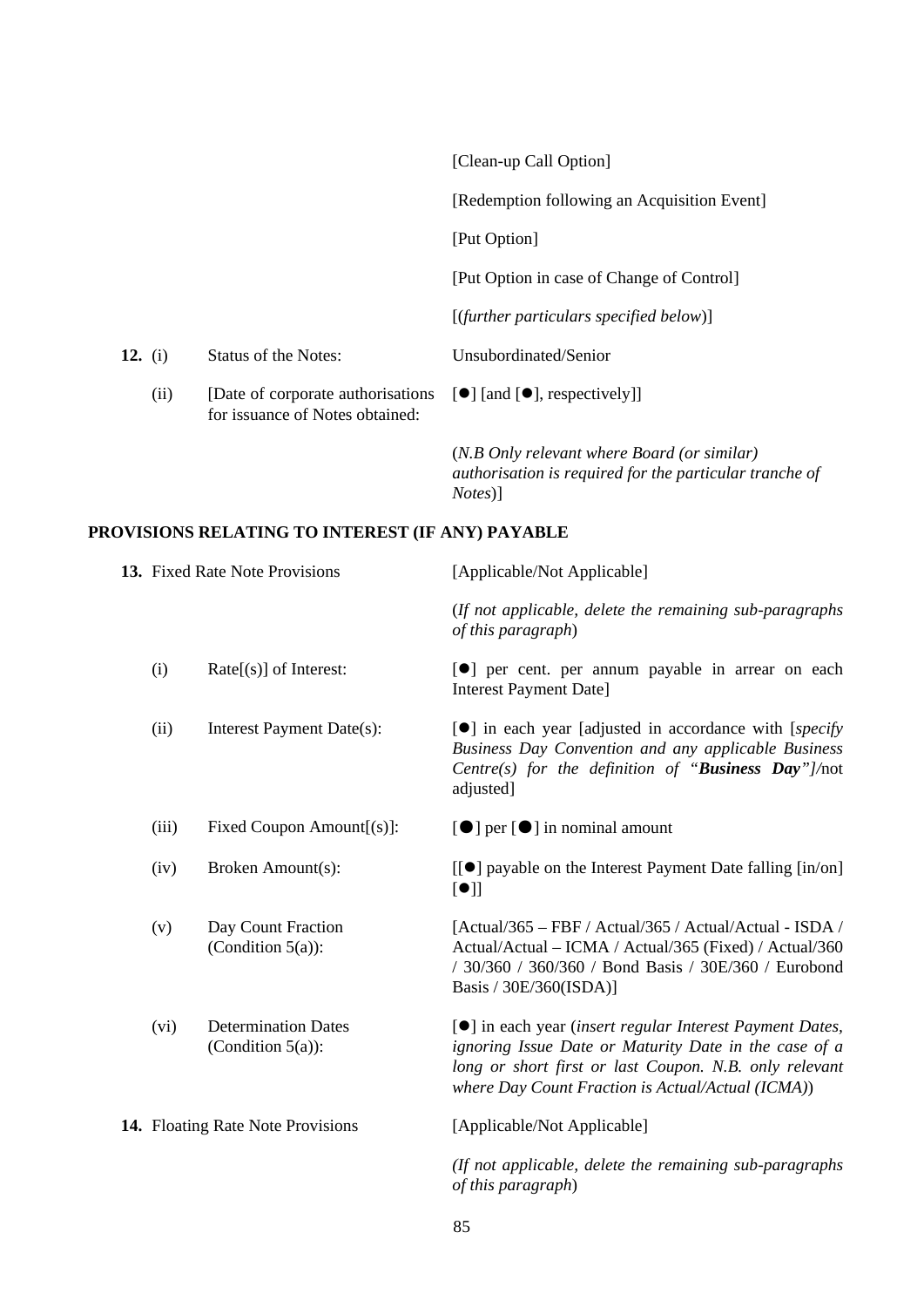|         |      |                                                                                                   | [Clean-up Call Option]                                                                                                   |
|---------|------|---------------------------------------------------------------------------------------------------|--------------------------------------------------------------------------------------------------------------------------|
|         |      |                                                                                                   | [Redemption following an Acquisition Event]                                                                              |
|         |      |                                                                                                   | [Put Option]                                                                                                             |
|         |      |                                                                                                   | [Put Option in case of Change of Control]                                                                                |
|         |      |                                                                                                   | $[$ (further particulars specified below) $]$                                                                            |
| 12. (i) |      | Status of the Notes:                                                                              | Unsubordinated/Senior                                                                                                    |
|         | (ii) | [Date of corporate authorisations [●] [and [●], respectively]]<br>for issuance of Notes obtained: |                                                                                                                          |
|         |      |                                                                                                   | (N.B Only relevant where Board (or similar)<br>authorisation is required for the particular tranche of<br><i>Notes</i> ) |

# **PROVISIONS RELATING TO INTEREST (IF ANY) PAYABLE**

|  |                                   | 13. Fixed Rate Note Provisions                     | [Applicable/Not Applicable]                                                                                                                                                                                                                |
|--|-----------------------------------|----------------------------------------------------|--------------------------------------------------------------------------------------------------------------------------------------------------------------------------------------------------------------------------------------------|
|  |                                   |                                                    | (If not applicable, delete the remaining sub-paragraphs)<br>of this paragraph)                                                                                                                                                             |
|  | (i)                               | $Rate[(s)]$ of Interest:                           | <b>[</b> •] per cent. per annum payable in arrear on each<br><b>Interest Payment Date]</b>                                                                                                                                                 |
|  | (ii)                              | Interest Payment Date(s):                          | $\lceil \bullet \rceil$ in each year [adjusted in accordance with [ <i>specify</i> ]<br>Business Day Convention and any applicable Business<br>Centre(s) for the definition of "Business Day"]/not<br>adjusted]                            |
|  | (iii)                             | Fixed Coupon Amount $[(s)]$ :                      | $\left[\bullet\right]$ per $\left[\bullet\right]$ in nominal amount                                                                                                                                                                        |
|  | (iv)                              | Broken Amount(s):                                  | [[●] payable on the Interest Payment Date falling [in/on]<br>[•]                                                                                                                                                                           |
|  | (v)                               | Day Count Fraction<br>(Condition $5(a)$ ):         | [Actual/365 – FBF / Actual/365 / Actual/Actual - ISDA /<br>Actual/Actual – ICMA / Actual/365 (Fixed) / Actual/360<br>/ 30/360 / 360/360 / Bond Basis / 30E/360 / Eurobond<br>Basis / 30E/360(ISDA)]                                        |
|  | (vi)                              | <b>Determination Dates</b><br>(Condition $5(a)$ ): | [ $\bullet$ ] in each year (insert regular Interest Payment Dates,<br>ignoring Issue Date or Maturity Date in the case of a<br>long or short first or last Coupon. N.B. only relevant<br>where Day Count Fraction is Actual/Actual (ICMA)) |
|  | 14. Floating Rate Note Provisions |                                                    | [Applicable/Not Applicable]                                                                                                                                                                                                                |
|  |                                   |                                                    | (If not applicable, delete the remaining sub-paragraphs)<br>of this paragraph)                                                                                                                                                             |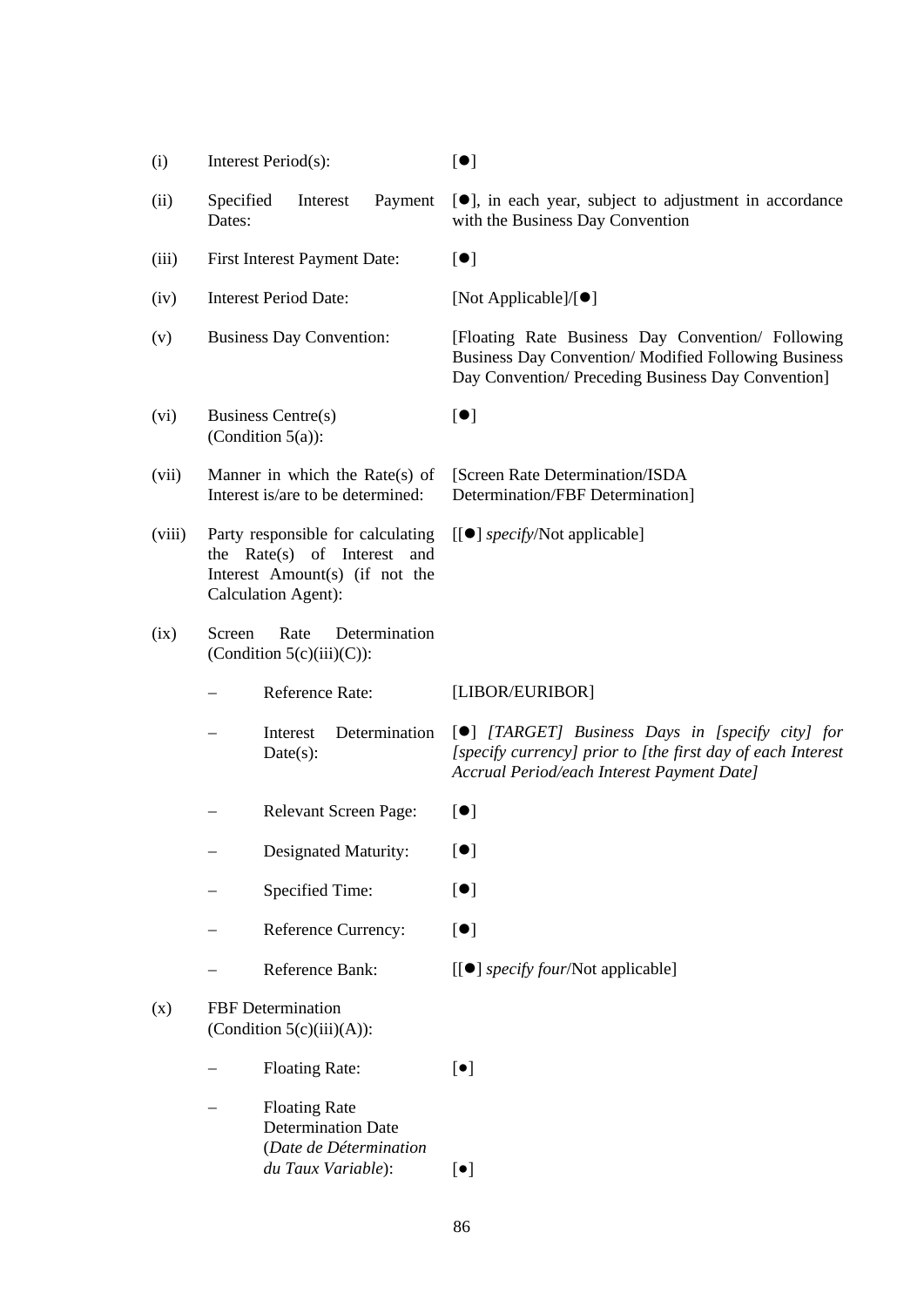- (i) Interest Period(s):  $\lceil \bullet \rceil$
- (ii) Specified Interest Payment Dates:
- (iii) First Interest Payment Date:  $[•]$
- (iv) Interest Period Date: [Not Applicable]/ $[ \bullet ]$
- 
- (vi) Business Centre(s) (Condition 5(a)):
- (vii) Manner in which the Rate(s) of Interest is/are to be determined:
- (viii) Party responsible for calculating the Rate(s) of Interest and Interest Amount(s) (if not the Calculation Agent):
- (ix) Screen Rate Determination (Condition  $5(c)(iii)(C)$ ):
	-
	- Interest Determination Date(s):
	- − Relevant Screen Page: [<sup>●</sup>]
	- Designated Maturity: [<sup>●</sup>]
	- − Specified Time: [<sup>●</sup>]
	- − Reference Currency: [<sup>●</sup>]
	- − Reference Bank:  $[[\bullet]]$  *specify four*/Not applicable]
- (x) FBF Determination (Condition  $5(c)(iii)(A)$ ):
	- − Floating Rate: [●]
	- − Floating Rate Determination Date (*Date de Détermination du Taux Variable*): [●]

[], in each year, subject to adjustment in accordance with the Business Day Convention

(v) Business Day Convention: [Floating Rate Business Day Convention/ Following Business Day Convention/ Modified Following Business Day Convention/ Preceding Business Day Convention]

 $[•]$ 

[Screen Rate Determination/ISDA Determination/FBF Determination]

[[] *specify*/Not applicable]

− Reference Rate: [LIBOR/EURIBOR]

[] *[TARGET] Business Days in [specify city] for [specify currency] prior to [the first day of each Interest Accrual Period/each Interest Payment Date]*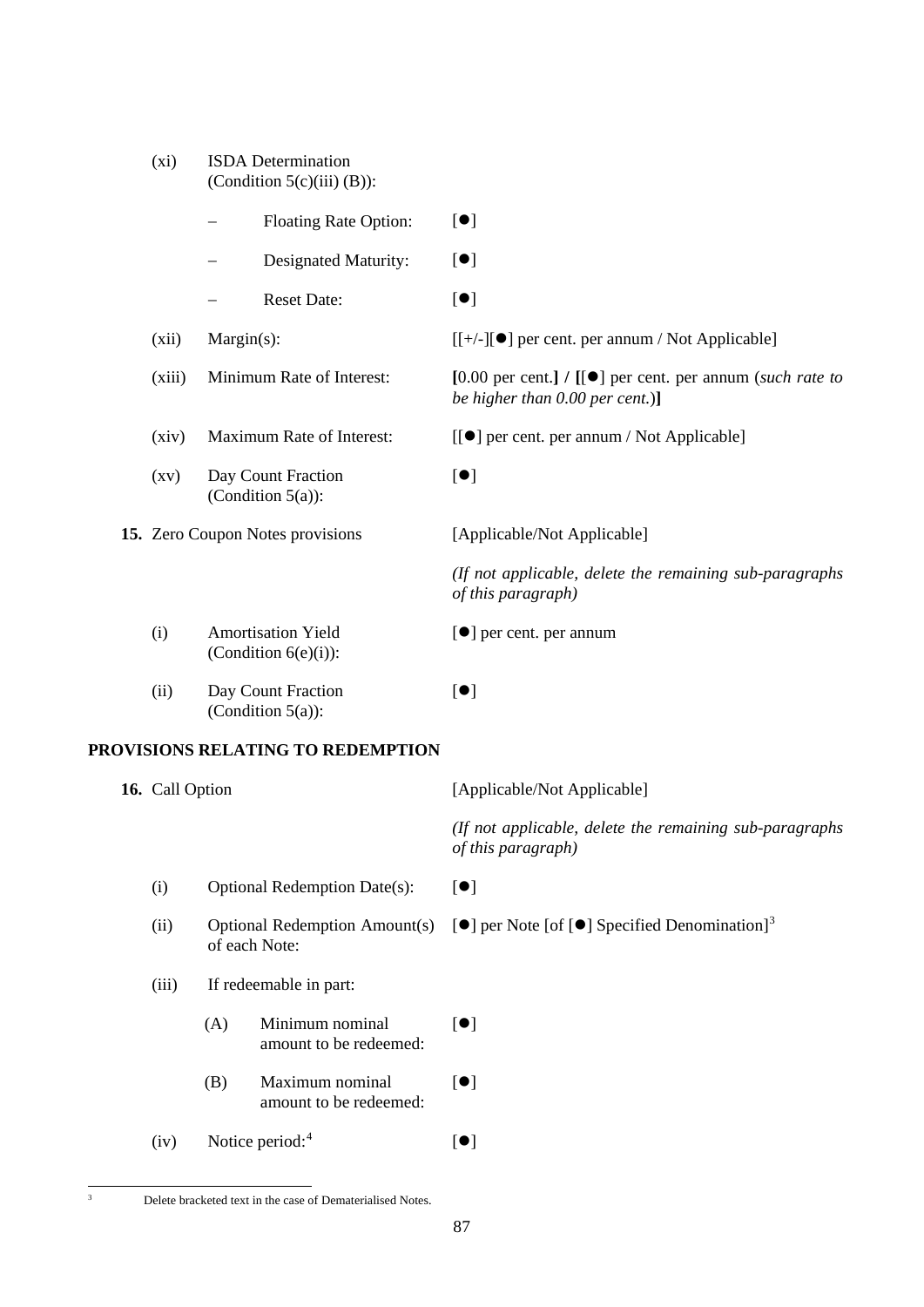| (xi)                             | <b>ISDA</b> Determination<br>(Condition $5(c)(iii)(B)$ ): |                                                                                                       |
|----------------------------------|-----------------------------------------------------------|-------------------------------------------------------------------------------------------------------|
|                                  | <b>Floating Rate Option:</b>                              | $[\bullet]$                                                                                           |
|                                  | Designated Maturity:                                      | $[\bullet]$                                                                                           |
|                                  | <b>Reset Date:</b>                                        | $\left[ \bullet \right]$                                                                              |
| (xii)                            | $Margin(s)$ :                                             | [[+/-][●] per cent. per annum / Not Applicable]                                                       |
| (xiii)                           | Minimum Rate of Interest:                                 | [0.00 per cent.] / $[[\bullet]]$ per cent. per annum (such rate to<br>be higher than 0.00 per cent.)] |
| (xiv)                            | Maximum Rate of Interest:                                 | [[ $\bullet$ ] per cent. per annum / Not Applicable]                                                  |
| $\left( xy\right)$               | Day Count Fraction<br>(Condition $5(a)$ ):                | [•]                                                                                                   |
| 15. Zero Coupon Notes provisions |                                                           | [Applicable/Not Applicable]                                                                           |
|                                  |                                                           | (If not applicable, delete the remaining sub-paragraphs<br>of this paragraph)                         |
| (i)                              | <b>Amortisation Yield</b><br>(Condition $6(e)(i)$ ):      | [●] per cent. per annum                                                                               |
| (ii)                             | Day Count Fraction<br>(Condition $5(a)$ ):                | $\lbrack \bullet \rbrack$                                                                             |

# **PROVISIONS RELATING TO REDEMPTION**

| 16. Call Option |                                     |                                                       | [Applicable/Not Applicable]                                                    |
|-----------------|-------------------------------------|-------------------------------------------------------|--------------------------------------------------------------------------------|
|                 |                                     |                                                       | (If not applicable, delete the remaining sub-paragraphs)<br>of this paragraph) |
| (i)             | <b>Optional Redemption Date(s):</b> |                                                       | $\lbrack \bullet \rbrack$                                                      |
| (ii)            |                                     | <b>Optional Redemption Amount(s)</b><br>of each Note: | [ $\bullet$ ] per Note [of [ $\bullet$ ] Specified Denomination] <sup>3</sup>  |
| (iii)           | If redeemable in part:              |                                                       |                                                                                |
|                 | (A)                                 | Minimum nominal<br>amount to be redeemed:             | $\lbrack \bullet \rbrack$                                                      |
|                 | (B)                                 | Maximum nominal<br>amount to be redeemed:             | $\left[ \bullet \right]$                                                       |
| (iv)            |                                     | Notice period: $4$                                    | $\left[ \bullet \right]$                                                       |

<span id="page-86-1"></span><span id="page-86-0"></span> $\overline{\text{3}}$  Delete bracketed text in the case of Dematerialised Notes.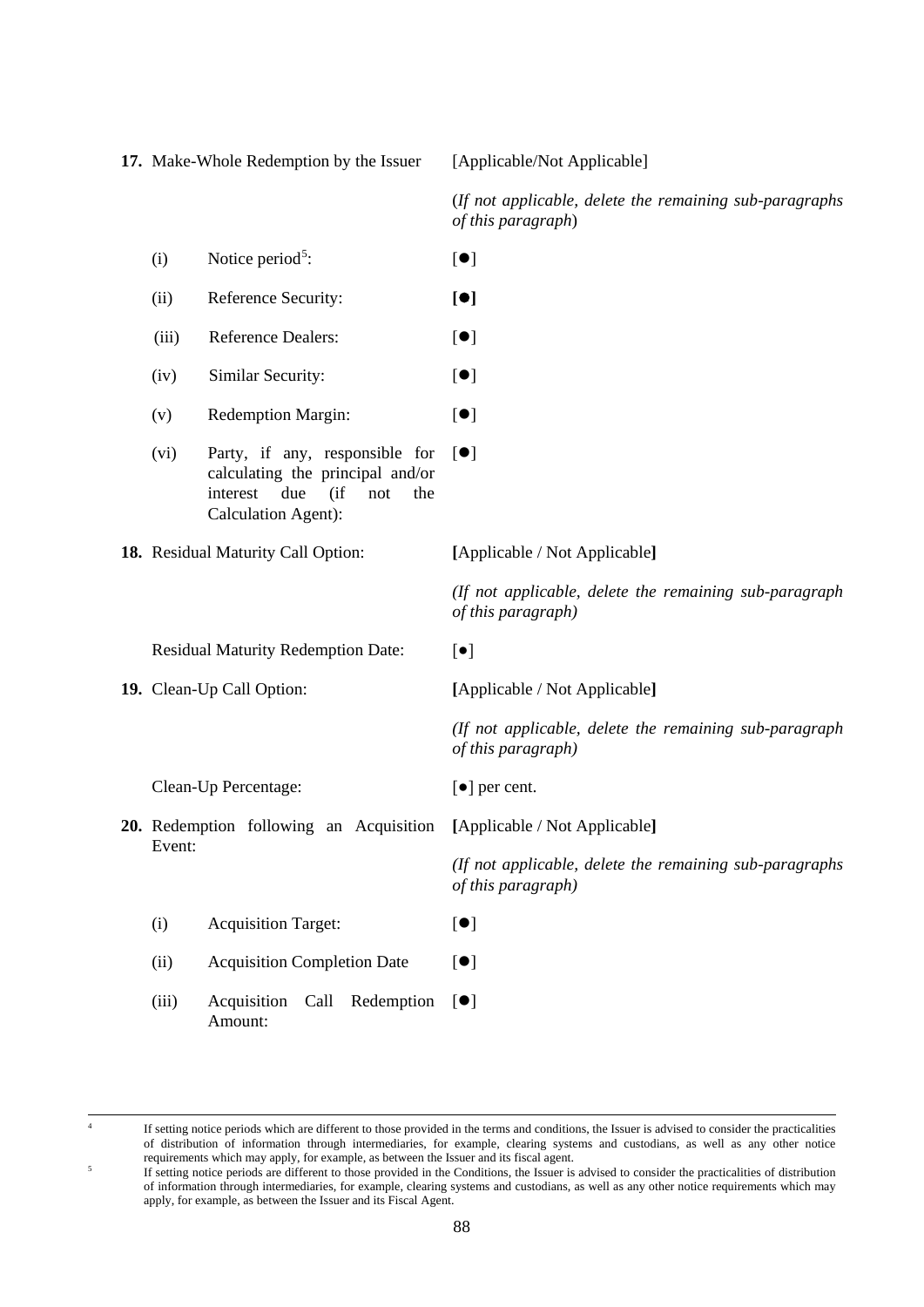**17.** Make-Whole Redemption by the Issuer [Applicable/Not Applicable] (*If not applicable, delete the remaining sub-paragraphs of this paragraph*) (i) Notice period<sup>[5](#page-87-0)</sup>:  $[•]$ (ii) Reference Security: **[]** (iii) Reference Dealers:  $[•]$ (iv) Similar Security:  $[•]$ (v) Redemption Margin:  $[•]$ (vi) Party, if any, responsible for calculating the principal and/or interest due (if not the Calculation Agent):  $[$   $\bullet$   $]$ **18.** Residual Maturity Call Option: **[**Applicable / Not Applicable**]** *(If not applicable, delete the remaining sub-paragraph of this paragraph)* Residual Maturity Redemption Date:  $[•]$ **19.** Clean-Up Call Option: **[**Applicable / Not Applicable**]** *(If not applicable, delete the remaining sub-paragraph of this paragraph)* Clean-Up Percentage: [●] per cent. **20.** Redemption following an Acquisition **[**Applicable / Not Applicable**]** Event: *(If not applicable, delete the remaining sub-paragraphs of this paragraph)* (i) Acquisition Target:  $[•]$ (ii) Acquisition Completion Date  $[•]$ (iii) Acquisition Call Redemption [ $\bullet$ ] Amount:

<span id="page-87-0"></span>

 <sup>4</sup> If setting notice periods which are different to those provided in the terms and conditions, the Issuer is advised to consider the practicalities of distribution of information through intermediaries, for example, clearing systems and custodians, as well as any other notice requirements which may apply, for example, as between the Issuer and its fiscal agent.

<sup>5</sup> If setting notice periods are different to those provided in the Conditions, the Issuer is advised to consider the practicalities of distribution of information through intermediaries, for example, clearing systems and custodians, as well as any other notice requirements which may apply, for example, as between the Issuer and its Fiscal Agent.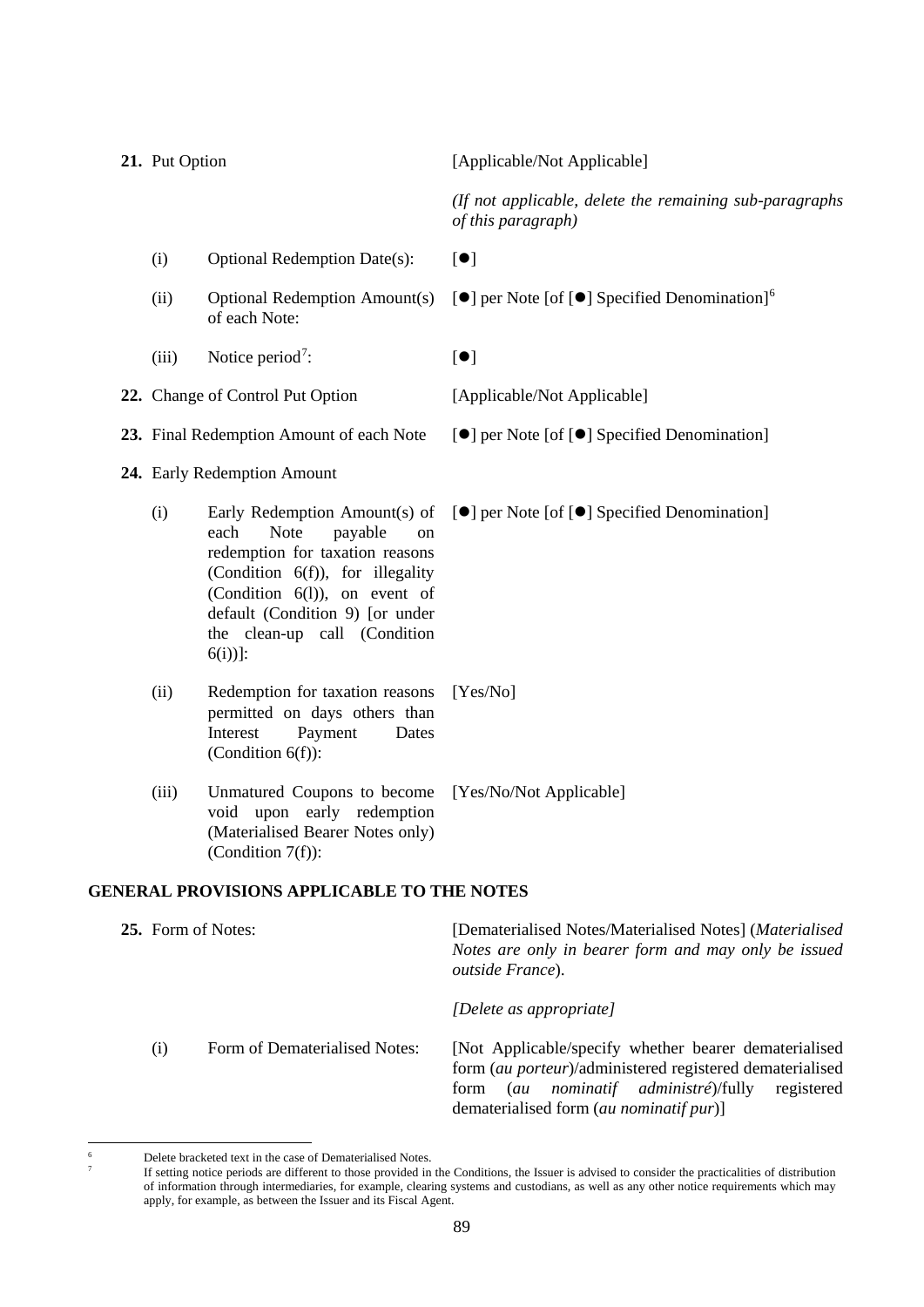| 21. Put Option                           |                                                                                                                                                                                                                                                                  | [Applicable/Not Applicable]                                                                     |
|------------------------------------------|------------------------------------------------------------------------------------------------------------------------------------------------------------------------------------------------------------------------------------------------------------------|-------------------------------------------------------------------------------------------------|
|                                          |                                                                                                                                                                                                                                                                  | (If not applicable, delete the remaining sub-paragraphs<br>of this paragraph)                   |
| (i)                                      | <b>Optional Redemption Date(s):</b>                                                                                                                                                                                                                              | [•]                                                                                             |
| (ii)                                     | <b>Optional Redemption Amount(s)</b><br>of each Note:                                                                                                                                                                                                            | $\left[\bullet\right]$ per Note [of $\left[\bullet\right]$ Specified Denomination] <sup>6</sup> |
| (iii)                                    | Notice period <sup>7</sup> :                                                                                                                                                                                                                                     | $\lbrack \bullet \rbrack$                                                                       |
|                                          | 22. Change of Control Put Option                                                                                                                                                                                                                                 | [Applicable/Not Applicable]                                                                     |
| 23. Final Redemption Amount of each Note |                                                                                                                                                                                                                                                                  | [●] per Note [of [●] Specified Denomination]                                                    |
| 24. Early Redemption Amount              |                                                                                                                                                                                                                                                                  |                                                                                                 |
| (i)                                      | Early Redemption Amount(s) of<br><b>Note</b><br>each<br>payable<br>on<br>redemption for taxation reasons<br>(Condition 6(f)), for illegality<br>(Condition $6(1)$ ), on event of<br>default (Condition 9) [or under<br>the clean-up call (Condition<br>$6(i))$ : | [●] per Note [of [●] Specified Denomination]                                                    |
| (ii)                                     | Redemption for taxation reasons<br>permitted on days others than<br>Interest<br>Payment<br>Dates<br>(Condition $6(f)$ ):                                                                                                                                         | [Yes/No]                                                                                        |
| (iii)                                    | Unmatured Coupons to become<br>upon early redemption<br>void<br>(Materialised Bearer Notes only)<br>(Condition $7(f)$ ):                                                                                                                                         | [Yes/No/Not Applicable]                                                                         |

# **GENERAL PROVISIONS APPLICABLE TO THE NOTES**

| <b>25.</b> Form of Notes: |                               | [Dematerialised Notes/Materialised Notes] (Materialised<br>Notes are only in bearer form and may only be issued<br><i>outside France</i> ).                                                                               |
|---------------------------|-------------------------------|---------------------------------------------------------------------------------------------------------------------------------------------------------------------------------------------------------------------------|
|                           |                               | [Delete as appropriate]                                                                                                                                                                                                   |
| (i)                       | Form of Dematerialised Notes: | [Not Applicable/specify whether bearer dematerialised]<br>form (au porteur)/administered registered dematerialised<br>nominatif administré)/fully<br>registered<br>(au<br>form<br>dematerialised form (au nominatif pur)] |

<span id="page-88-1"></span><span id="page-88-0"></span><sup>&</sup>lt;sup>6</sup><br>Delete bracketed text in the case of Dematerialised Notes.<br> $\frac{7}{100}$  is esting notice periods are different to those provided in

If setting notice periods are different to those provided in the Conditions, the Issuer is advised to consider the practicalities of distribution of information through intermediaries, for example, clearing systems and custodians, as well as any other notice requirements which may apply, for example, as between the Issuer and its Fiscal Agent.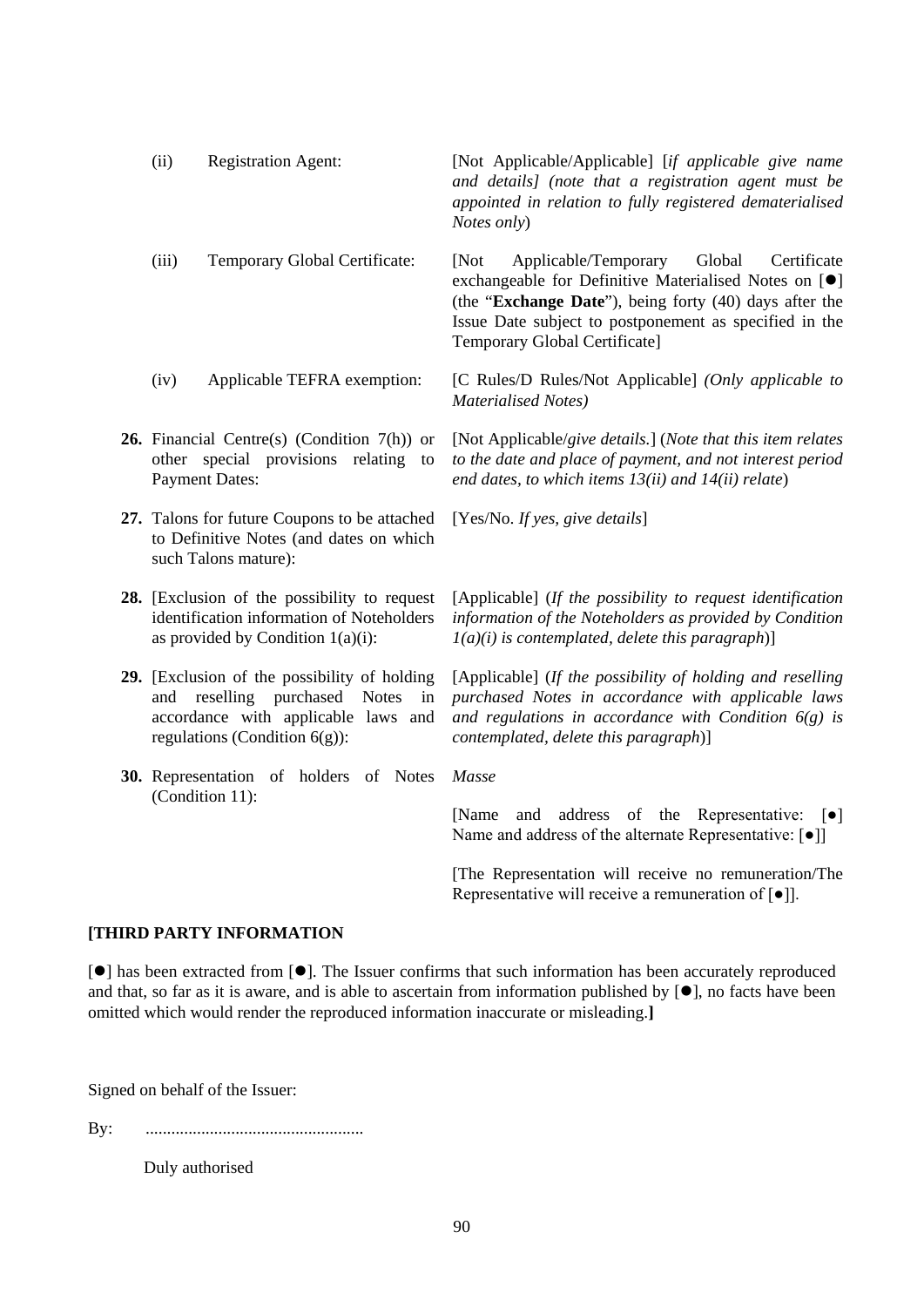| (ii)            | <b>Registration Agent:</b>                                                                                                                                    | [Not Applicable/Applicable] [if applicable give name<br>and details] (note that a registration agent must be<br>appointed in relation to fully registered dematerialised<br>Notes only)                                                                                           |
|-----------------|---------------------------------------------------------------------------------------------------------------------------------------------------------------|-----------------------------------------------------------------------------------------------------------------------------------------------------------------------------------------------------------------------------------------------------------------------------------|
| (iii)           | Temporary Global Certificate:                                                                                                                                 | [Not]<br>Applicable/Temporary<br>Global<br>Certificate<br>exchangeable for Definitive Materialised Notes on [ <sup>•</sup> ]<br>(the "Exchange Date"), being forty (40) days after the<br>Issue Date subject to postponement as specified in the<br>Temporary Global Certificate] |
| (iv)            | Applicable TEFRA exemption:                                                                                                                                   | [C Rules/D Rules/Not Applicable] (Only applicable to<br><b>Materialised Notes</b> )                                                                                                                                                                                               |
|                 | <b>26.</b> Financial Centre(s) (Condition $7(h)$ ) or<br>other special provisions relating to<br><b>Payment Dates:</b>                                        | [Not Applicable/give details.] (Note that this item relates<br>to the date and place of payment, and not interest period<br>end dates, to which items $13(ii)$ and $14(ii)$ relate)                                                                                               |
|                 | 27. Talons for future Coupons to be attached<br>to Definitive Notes (and dates on which<br>such Talons mature):                                               | [Yes/No. If yes, give details]                                                                                                                                                                                                                                                    |
|                 | 28. [Exclusion of the possibility to request<br>identification information of Noteholders<br>as provided by Condition $1(a)(i)$ :                             | [Applicable] (If the possibility to request identification<br>information of the Noteholders as provided by Condition<br>$I(a)(i)$ is contemplated, delete this paragraph)]                                                                                                       |
| and             | 29. [Exclusion of the possibility of holding<br>purchased Notes<br>reselling<br>in<br>accordance with applicable laws and<br>regulations (Condition $6(g)$ ): | [Applicable] (If the possibility of holding and reselling<br>purchased Notes in accordance with applicable laws<br>and regulations in accordance with Condition $6(g)$ is<br>contemplated, delete this paragraph)]                                                                |
|                 | 30. Representation of holders of Notes                                                                                                                        | Masse                                                                                                                                                                                                                                                                             |
| (Condition 11): |                                                                                                                                                               | address of the Representative: $\lceil \bullet \rceil$<br>[Name]<br>and<br>Name and address of the alternate Representative: [ $\bullet$ ]]                                                                                                                                       |
|                 |                                                                                                                                                               | [The Representation will receive no remuneration/The<br>Representative will receive a remuneration of $\lceil \bullet \rceil$ .                                                                                                                                                   |

# **[THIRD PARTY INFORMATION**

[ $\bullet$ ] has been extracted from [ $\bullet$ ]. The Issuer confirms that such information has been accurately reproduced and that, so far as it is aware, and is able to ascertain from information published by  $[•]$ , no facts have been omitted which would render the reproduced information inaccurate or misleading.**]**

Signed on behalf of the Issuer:

By: ...................................................

Duly authorised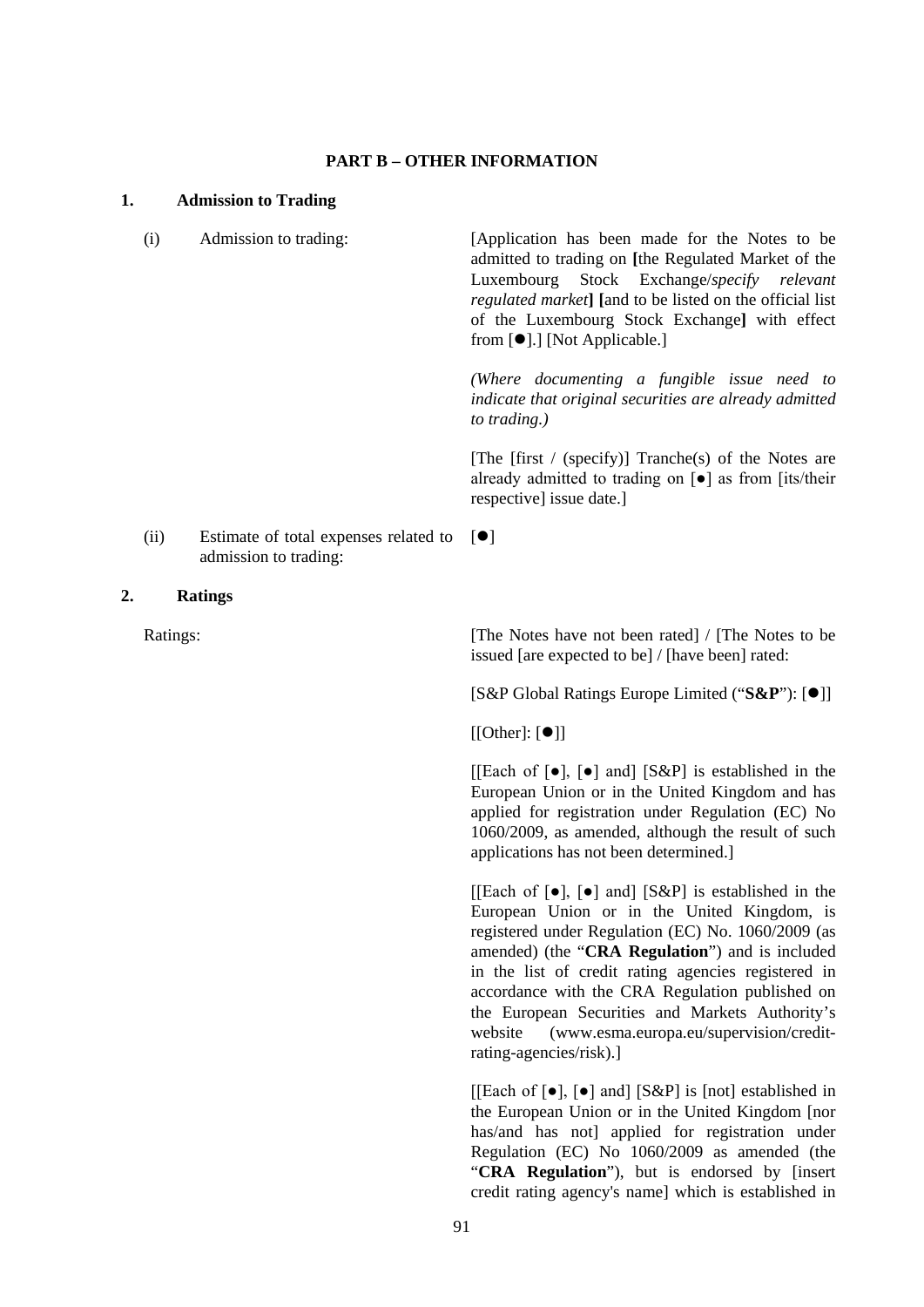## **PART B – OTHER INFORMATION**

### **1. Admission to Trading**

(i) Admission to trading: [Application has been made for the Notes to be admitted to trading on **[**the Regulated Market of the Luxembourg Stock Exchange/*specify relevant regulated market***] [**and to be listed on the official list of the Luxembourg Stock Exchange**]** with effect from  $[\bullet]$ .] [Not Applicable.] *(Where documenting a fungible issue need to indicate that original securities are already admitted* 

*to trading.)*

[The  $[first / (specificity)]$  Tranche(s) of the Notes are already admitted to trading on [●] as from [its/their respective] issue date.]

(ii) Estimate of total expenses related to  $[\bullet]$ admission to trading:

### **2. Ratings**

Ratings: [The Notes have not been rated] / [The Notes to be issued [are expected to be] / [have been] rated:

[S&P Global Ratings Europe Limited ("S&P"):  $[①]$ ]

 $[[Other]: [①]]$ 

[[Each of  $[\bullet]$ ,  $[\bullet]$  and] [S&P] is established in the European Union or in the United Kingdom and has applied for registration under Regulation (EC) No 1060/2009, as amended, although the result of such applications has not been determined.]

[[Each of  $\lceil \bullet \rceil$ ,  $\lceil \bullet \rceil$  and]  $\lceil S\&P \rceil$  is established in the European Union or in the United Kingdom, is registered under Regulation (EC) No. 1060/2009 (as amended) (the "**CRA Regulation**") and is included in the list of credit rating agencies registered in accordance with the CRA Regulation published on the European Securities and Markets Authority's website (www.esma.europa.eu/supervision/creditrating-agencies/risk).]

[[Each of  $\lceil \bullet \rceil$ ,  $\lceil \bullet \rceil$  and] [S&P] is [not] established in the European Union or in the United Kingdom [nor has/and has not] applied for registration under Regulation (EC) No 1060/2009 as amended (the "**CRA Regulation**"), but is endorsed by [insert credit rating agency's name] which is established in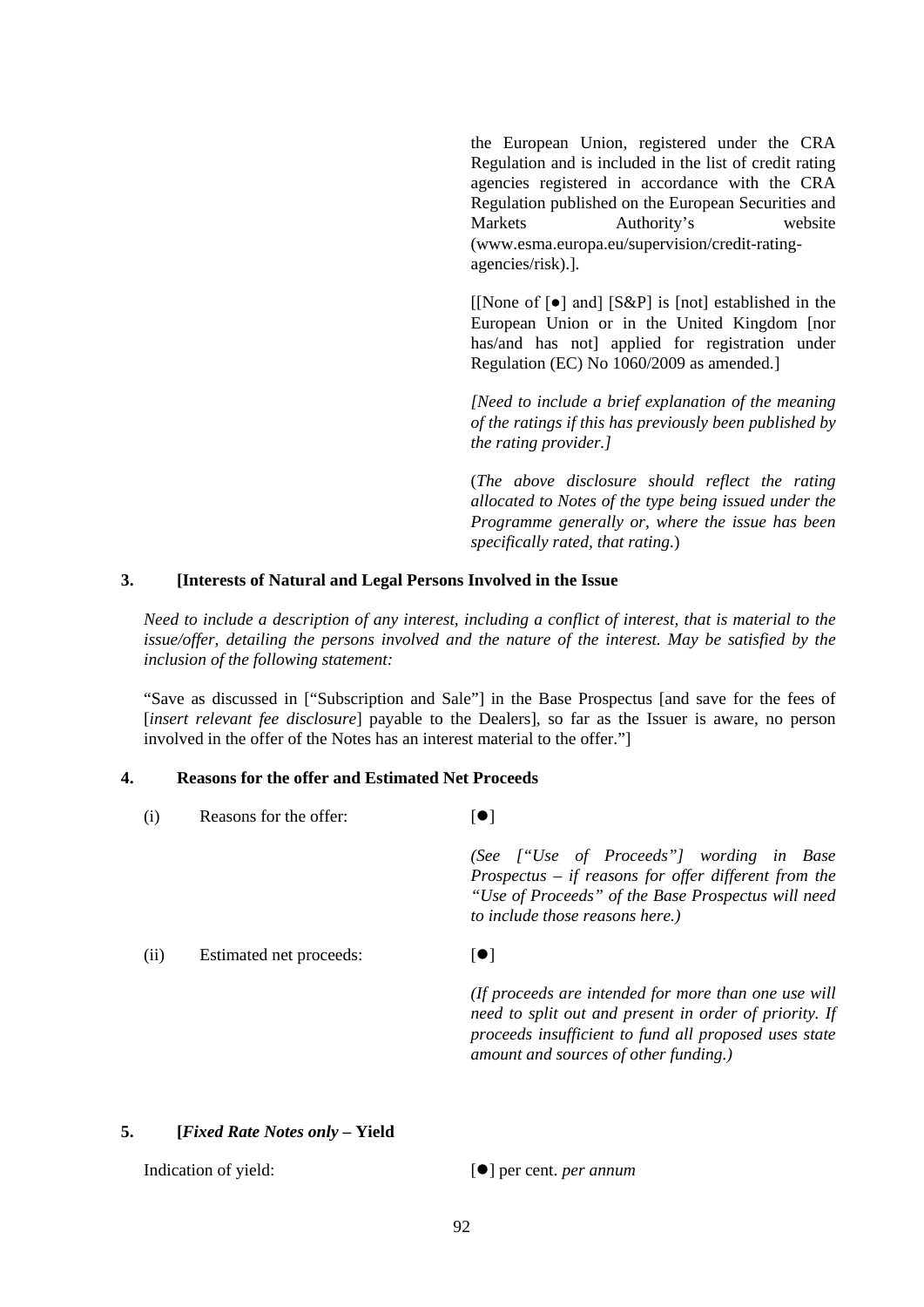the European Union, registered under the CRA Regulation and is included in the list of credit rating agencies registered in accordance with the CRA Regulation published on the European Securities and Markets Authority's website (www.esma.europa.eu/supervision/credit-ratingagencies/risk).].

[[None of [●] and] [S&P] is [not] established in the European Union or in the United Kingdom [nor has/and has not] applied for registration under Regulation (EC) No 1060/2009 as amended.]

*[Need to include a brief explanation of the meaning of the ratings if this has previously been published by the rating provider.]* 

(*The above disclosure should reflect the rating allocated to Notes of the type being issued under the Programme generally or, where the issue has been specifically rated, that rating.*)

# **3. [Interests of Natural and Legal Persons Involved in the Issue**

*Need to include a description of any interest, including a conflict of interest, that is material to the issue/offer, detailing the persons involved and the nature of the interest. May be satisfied by the inclusion of the following statement:*

"Save as discussed in ["Subscription and Sale"] in the Base Prospectus [and save for the fees of [*insert relevant fee disclosure*] payable to the Dealers], so far as the Issuer is aware, no person involved in the offer of the Notes has an interest material to the offer."]

# **4. Reasons for the offer and Estimated Net Proceeds**

| (1)  | Reasons for the offer:  | $ \bullet $                                                                                                                                                                                                      |
|------|-------------------------|------------------------------------------------------------------------------------------------------------------------------------------------------------------------------------------------------------------|
|      |                         | (See ["Use of Proceeds"] wording in Base<br>Prospectus $-$ if reasons for offer different from the<br>"Use of Proceeds" of the Base Prospectus will need<br>to include those reasons here.)                      |
| (ii) | Estimated net proceeds: | $\lceil \bullet \rceil$                                                                                                                                                                                          |
|      |                         | (If proceeds are intended for more than one use will<br>need to split out and present in order of priority. If<br>proceeds insufficient to fund all proposed uses state<br>amount and sources of other funding.) |

# **5. [***Fixed Rate Notes only* **– Yield**

Indication of yield:  $[\bullet]$  per cent. *per annum*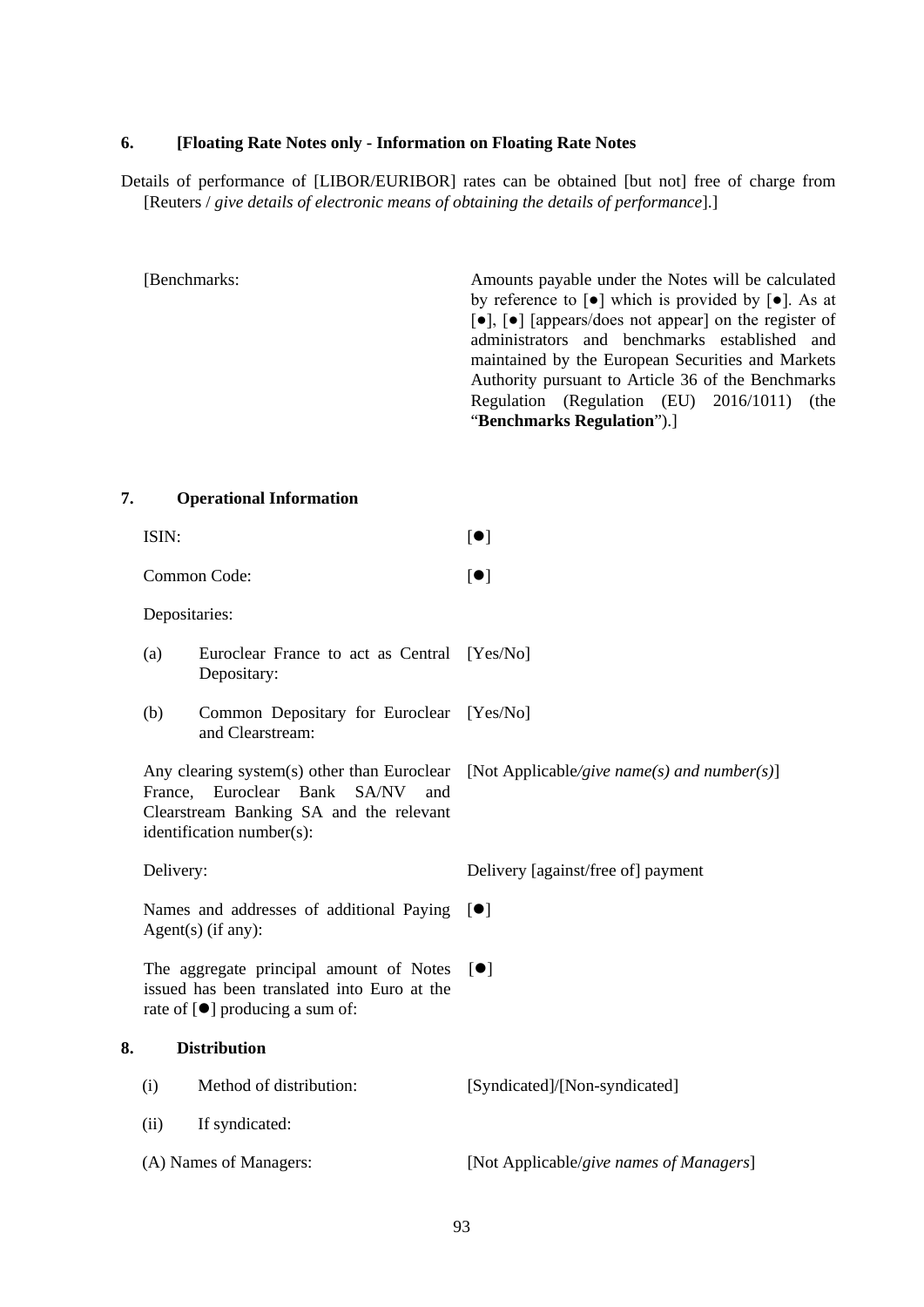## **6. [Floating Rate Notes only - Information on Floating Rate Notes**

Details of performance of [LIBOR/EURIBOR] rates can be obtained [but not] free of charge from [Reuters / *give details of electronic means of obtaining the details of performance*].]

[Benchmarks: Amounts payable under the Notes will be calculated by reference to  $\lceil \bullet \rceil$  which is provided by  $\lceil \bullet \rceil$ . As at [●], [●] [appears/does not appear] on the register of administrators and benchmarks established and maintained by the European Securities and Markets Authority pursuant to Article 36 of the Benchmarks Regulation (Regulation (EU) 2016/1011) (the "**Benchmarks Regulation**").]

**7. Operational Information**

|    | ISIN:               |                                                                                                                                   | $\lceil \bullet \rceil$                                                                 |
|----|---------------------|-----------------------------------------------------------------------------------------------------------------------------------|-----------------------------------------------------------------------------------------|
|    |                     | Common Code:                                                                                                                      | $\lbrack \bullet \rbrack$                                                               |
|    | Depositaries:       |                                                                                                                                   |                                                                                         |
|    | (a)                 | Euroclear France to act as Central [Yes/No]<br>Depositary:                                                                        |                                                                                         |
|    | (b)                 | Common Depositary for Euroclear [Yes/No]<br>and Clearstream:                                                                      |                                                                                         |
|    |                     | France, Euroclear Bank SA/NV<br>and<br>Clearstream Banking SA and the relevant<br>identification number(s):                       | Any clearing system(s) other than Euroclear [Not Applicable/give name(s) and number(s)] |
|    | Delivery:           |                                                                                                                                   | Delivery [against/free of] payment                                                      |
|    |                     | Names and addresses of additional Paying $[\bullet]$<br>Agent(s) (if any):                                                        |                                                                                         |
|    |                     | The aggregate principal amount of Notes<br>issued has been translated into Euro at the<br>rate of $[\bullet]$ producing a sum of: | $\lceil \bullet \rceil$                                                                 |
| 8. | <b>Distribution</b> |                                                                                                                                   |                                                                                         |
|    | (i)                 | Method of distribution:                                                                                                           | [Syndicated]/[Non-syndicated]                                                           |
|    | (ii)                | If syndicated:                                                                                                                    |                                                                                         |
|    |                     | (A) Names of Managers:                                                                                                            | [Not Applicable/give names of Managers]                                                 |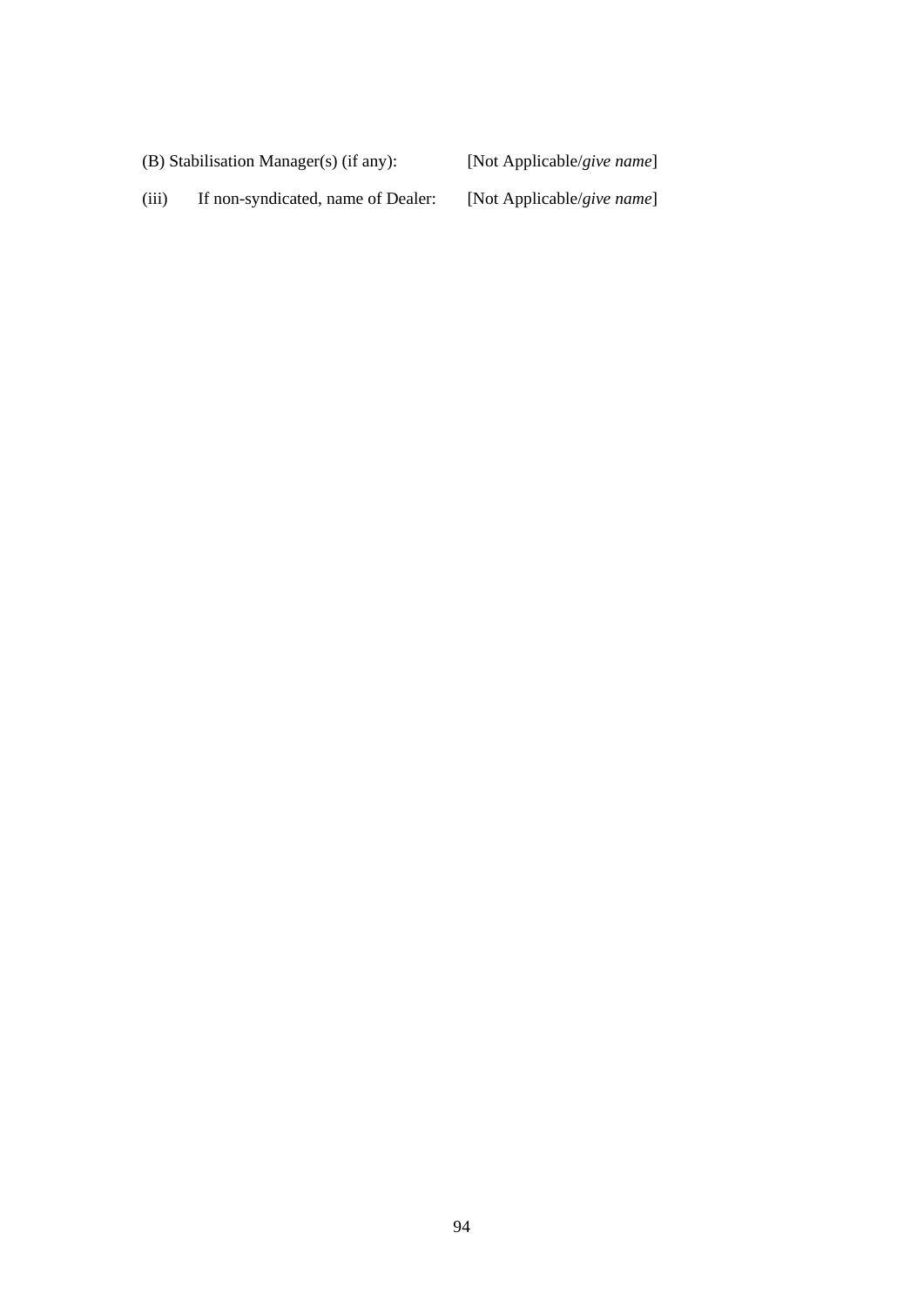(B) Stabilisation Manager(s) (if any): [Not Applicable/*give name*]

(iii) If non-syndicated, name of Dealer: [Not Applicable/*give name*]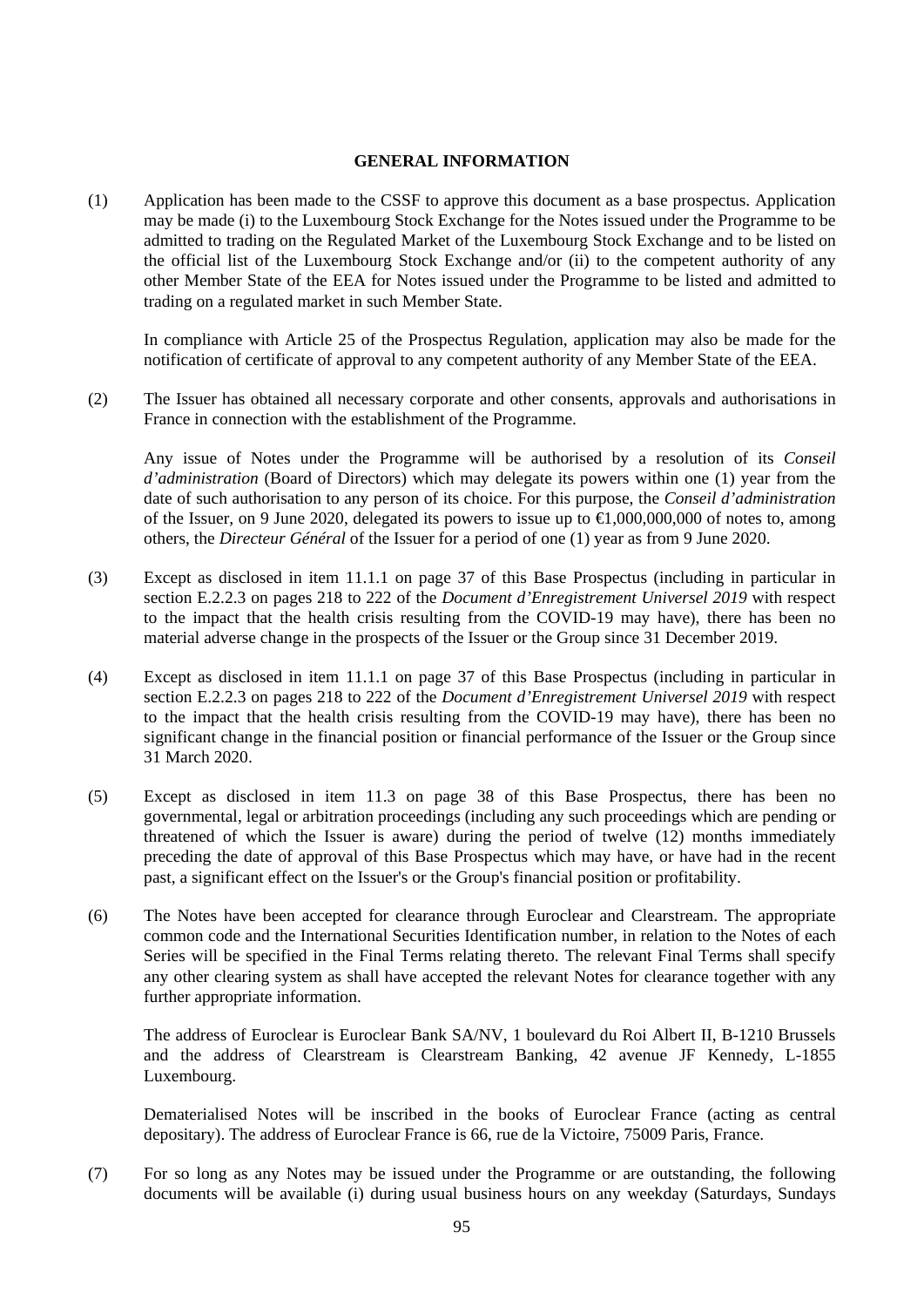## **GENERAL INFORMATION**

(1) Application has been made to the CSSF to approve this document as a base prospectus. Application may be made (i) to the Luxembourg Stock Exchange for the Notes issued under the Programme to be admitted to trading on the Regulated Market of the Luxembourg Stock Exchange and to be listed on the official list of the Luxembourg Stock Exchange and/or (ii) to the competent authority of any other Member State of the EEA for Notes issued under the Programme to be listed and admitted to trading on a regulated market in such Member State.

In compliance with Article 25 of the Prospectus Regulation, application may also be made for the notification of certificate of approval to any competent authority of any Member State of the EEA.

(2) The Issuer has obtained all necessary corporate and other consents, approvals and authorisations in France in connection with the establishment of the Programme.

Any issue of Notes under the Programme will be authorised by a resolution of its *Conseil d'administration* (Board of Directors) which may delegate its powers within one (1) year from the date of such authorisation to any person of its choice. For this purpose, the *Conseil d'administration* of the Issuer, on 9 June 2020, delegated its powers to issue up to  $\in$ 1,000,000,000 of notes to, among others, the *Directeur Général* of the Issuer for a period of one (1) year as from 9 June 2020.

- (3) Except as disclosed in item 11.1.1 on page 37 of this Base Prospectus (including in particular in section E.2.2.3 on pages 218 to 222 of the *Document d'Enregistrement Universel 2019* with respect to the impact that the health crisis resulting from the COVID-19 may have), there has been no material adverse change in the prospects of the Issuer or the Group since 31 December 2019.
- (4) Except as disclosed in item 11.1.1 on page 37 of this Base Prospectus (including in particular in section E.2.2.3 on pages 218 to 222 of the *Document d'Enregistrement Universel 2019* with respect to the impact that the health crisis resulting from the COVID-19 may have), there has been no significant change in the financial position or financial performance of the Issuer or the Group since 31 March 2020.
- (5) Except as disclosed in item 11.3 on page 38 of this Base Prospectus, there has been no governmental, legal or arbitration proceedings (including any such proceedings which are pending or threatened of which the Issuer is aware) during the period of twelve (12) months immediately preceding the date of approval of this Base Prospectus which may have, or have had in the recent past, a significant effect on the Issuer's or the Group's financial position or profitability.
- (6) The Notes have been accepted for clearance through Euroclear and Clearstream. The appropriate common code and the International Securities Identification number, in relation to the Notes of each Series will be specified in the Final Terms relating thereto. The relevant Final Terms shall specify any other clearing system as shall have accepted the relevant Notes for clearance together with any further appropriate information.

The address of Euroclear is Euroclear Bank SA/NV, 1 boulevard du Roi Albert II, B-1210 Brussels and the address of Clearstream is Clearstream Banking, 42 avenue JF Kennedy, L-1855 Luxembourg.

Dematerialised Notes will be inscribed in the books of Euroclear France (acting as central depositary). The address of Euroclear France is 66, rue de la Victoire, 75009 Paris, France.

(7) For so long as any Notes may be issued under the Programme or are outstanding, the following documents will be available (i) during usual business hours on any weekday (Saturdays, Sundays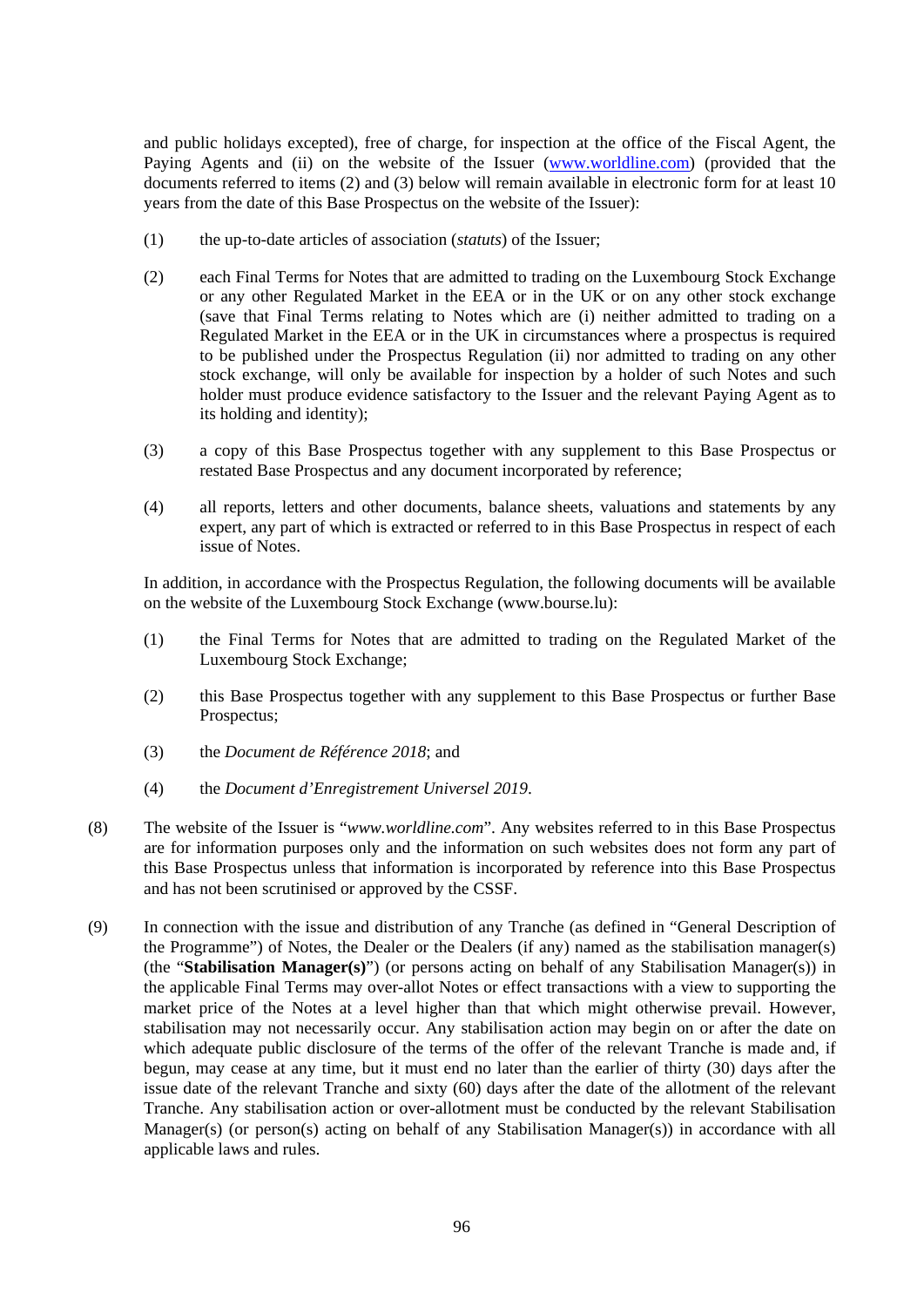and public holidays excepted), free of charge, for inspection at the office of the Fiscal Agent, the Paying Agents and (ii) on the website of the Issuer [\(www.worldline.com\)](http://www.worldline.com/) (provided that the documents referred to items (2) and (3) below will remain available in electronic form for at least 10 years from the date of this Base Prospectus on the website of the Issuer):

- (1) the up-to-date articles of association (*statuts*) of the Issuer;
- (2) each Final Terms for Notes that are admitted to trading on the Luxembourg Stock Exchange or any other Regulated Market in the EEA or in the UK or on any other stock exchange (save that Final Terms relating to Notes which are (i) neither admitted to trading on a Regulated Market in the EEA or in the UK in circumstances where a prospectus is required to be published under the Prospectus Regulation (ii) nor admitted to trading on any other stock exchange, will only be available for inspection by a holder of such Notes and such holder must produce evidence satisfactory to the Issuer and the relevant Paying Agent as to its holding and identity);
- (3) a copy of this Base Prospectus together with any supplement to this Base Prospectus or restated Base Prospectus and any document incorporated by reference;
- (4) all reports, letters and other documents, balance sheets, valuations and statements by any expert, any part of which is extracted or referred to in this Base Prospectus in respect of each issue of Notes.

In addition, in accordance with the Prospectus Regulation, the following documents will be available on the website of the Luxembourg Stock Exchange (www.bourse.lu):

- (1) the Final Terms for Notes that are admitted to trading on the Regulated Market of the Luxembourg Stock Exchange;
- (2) this Base Prospectus together with any supplement to this Base Prospectus or further Base Prospectus;
- (3) the *Document de Référence 2018*; and
- (4) the *Document d'Enregistrement Universel 2019*.
- (8) The website of the Issuer is "*www.worldline.com*". Any websites referred to in this Base Prospectus are for information purposes only and the information on such websites does not form any part of this Base Prospectus unless that information is incorporated by reference into this Base Prospectus and has not been scrutinised or approved by the CSSF.
- (9) In connection with the issue and distribution of any Tranche (as defined in "General Description of the Programme") of Notes, the Dealer or the Dealers (if any) named as the stabilisation manager(s) (the "**Stabilisation Manager(s)**") (or persons acting on behalf of any Stabilisation Manager(s)) in the applicable Final Terms may over-allot Notes or effect transactions with a view to supporting the market price of the Notes at a level higher than that which might otherwise prevail. However, stabilisation may not necessarily occur. Any stabilisation action may begin on or after the date on which adequate public disclosure of the terms of the offer of the relevant Tranche is made and, if begun, may cease at any time, but it must end no later than the earlier of thirty (30) days after the issue date of the relevant Tranche and sixty (60) days after the date of the allotment of the relevant Tranche. Any stabilisation action or over-allotment must be conducted by the relevant Stabilisation Manager(s) (or person(s) acting on behalf of any Stabilisation Manager(s)) in accordance with all applicable laws and rules.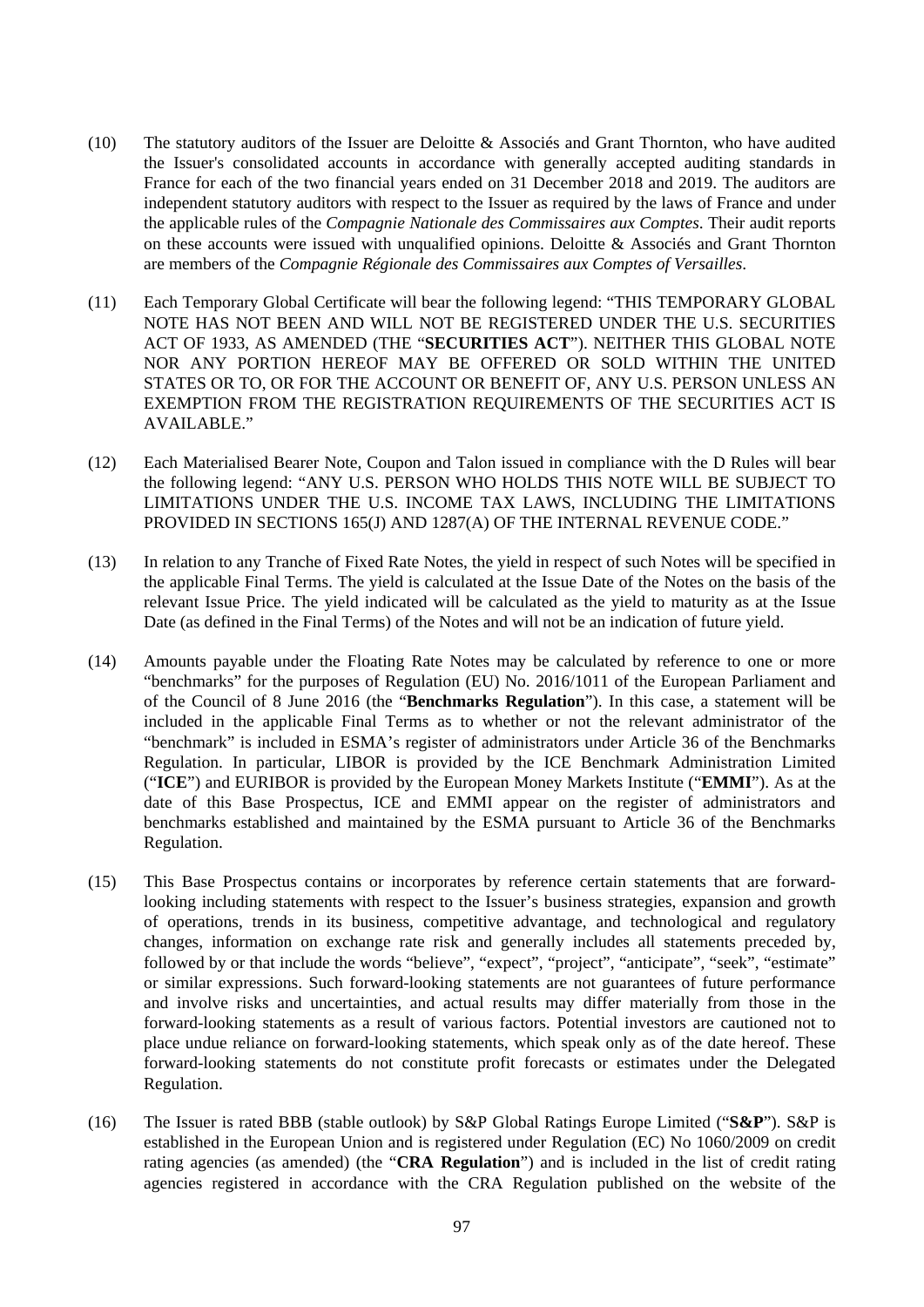- (10) The statutory auditors of the Issuer are Deloitte & Associés and Grant Thornton, who have audited the Issuer's consolidated accounts in accordance with generally accepted auditing standards in France for each of the two financial years ended on 31 December 2018 and 2019. The auditors are independent statutory auditors with respect to the Issuer as required by the laws of France and under the applicable rules of the *Compagnie Nationale des Commissaires aux Comptes*. Their audit reports on these accounts were issued with unqualified opinions. Deloitte & Associés and Grant Thornton are members of the *Compagnie Régionale des Commissaires aux Comptes of Versailles*.
- (11) Each Temporary Global Certificate will bear the following legend: "THIS TEMPORARY GLOBAL NOTE HAS NOT BEEN AND WILL NOT BE REGISTERED UNDER THE U.S. SECURITIES ACT OF 1933, AS AMENDED (THE "**SECURITIES ACT**"). NEITHER THIS GLOBAL NOTE NOR ANY PORTION HEREOF MAY BE OFFERED OR SOLD WITHIN THE UNITED STATES OR TO, OR FOR THE ACCOUNT OR BENEFIT OF, ANY U.S. PERSON UNLESS AN EXEMPTION FROM THE REGISTRATION REQUIREMENTS OF THE SECURITIES ACT IS AVAILABLE."
- (12) Each Materialised Bearer Note, Coupon and Talon issued in compliance with the D Rules will bear the following legend: "ANY U.S. PERSON WHO HOLDS THIS NOTE WILL BE SUBJECT TO LIMITATIONS UNDER THE U.S. INCOME TAX LAWS, INCLUDING THE LIMITATIONS PROVIDED IN SECTIONS 165(J) AND 1287(A) OF THE INTERNAL REVENUE CODE."
- (13) In relation to any Tranche of Fixed Rate Notes, the yield in respect of such Notes will be specified in the applicable Final Terms. The yield is calculated at the Issue Date of the Notes on the basis of the relevant Issue Price. The yield indicated will be calculated as the yield to maturity as at the Issue Date (as defined in the Final Terms) of the Notes and will not be an indication of future yield.
- (14) Amounts payable under the Floating Rate Notes may be calculated by reference to one or more "benchmarks" for the purposes of Regulation (EU) No. 2016/1011 of the European Parliament and of the Council of 8 June 2016 (the "**Benchmarks Regulation**"). In this case, a statement will be included in the applicable Final Terms as to whether or not the relevant administrator of the "benchmark" is included in ESMA's register of administrators under Article 36 of the Benchmarks Regulation. In particular, LIBOR is provided by the ICE Benchmark Administration Limited ("**ICE**") and EURIBOR is provided by the European Money Markets Institute ("**EMMI**"). As at the date of this Base Prospectus, ICE and EMMI appear on the register of administrators and benchmarks established and maintained by the ESMA pursuant to Article 36 of the Benchmarks Regulation.
- (15) This Base Prospectus contains or incorporates by reference certain statements that are forwardlooking including statements with respect to the Issuer's business strategies, expansion and growth of operations, trends in its business, competitive advantage, and technological and regulatory changes, information on exchange rate risk and generally includes all statements preceded by, followed by or that include the words "believe", "expect", "project", "anticipate", "seek", "estimate" or similar expressions. Such forward-looking statements are not guarantees of future performance and involve risks and uncertainties, and actual results may differ materially from those in the forward-looking statements as a result of various factors. Potential investors are cautioned not to place undue reliance on forward-looking statements, which speak only as of the date hereof. These forward-looking statements do not constitute profit forecasts or estimates under the Delegated Regulation.
- (16) The Issuer is rated BBB (stable outlook) by S&P Global Ratings Europe Limited ("**S&P**"). S&P is established in the European Union and is registered under Regulation (EC) No 1060/2009 on credit rating agencies (as amended) (the "**CRA Regulation**") and is included in the list of credit rating agencies registered in accordance with the CRA Regulation published on the website of the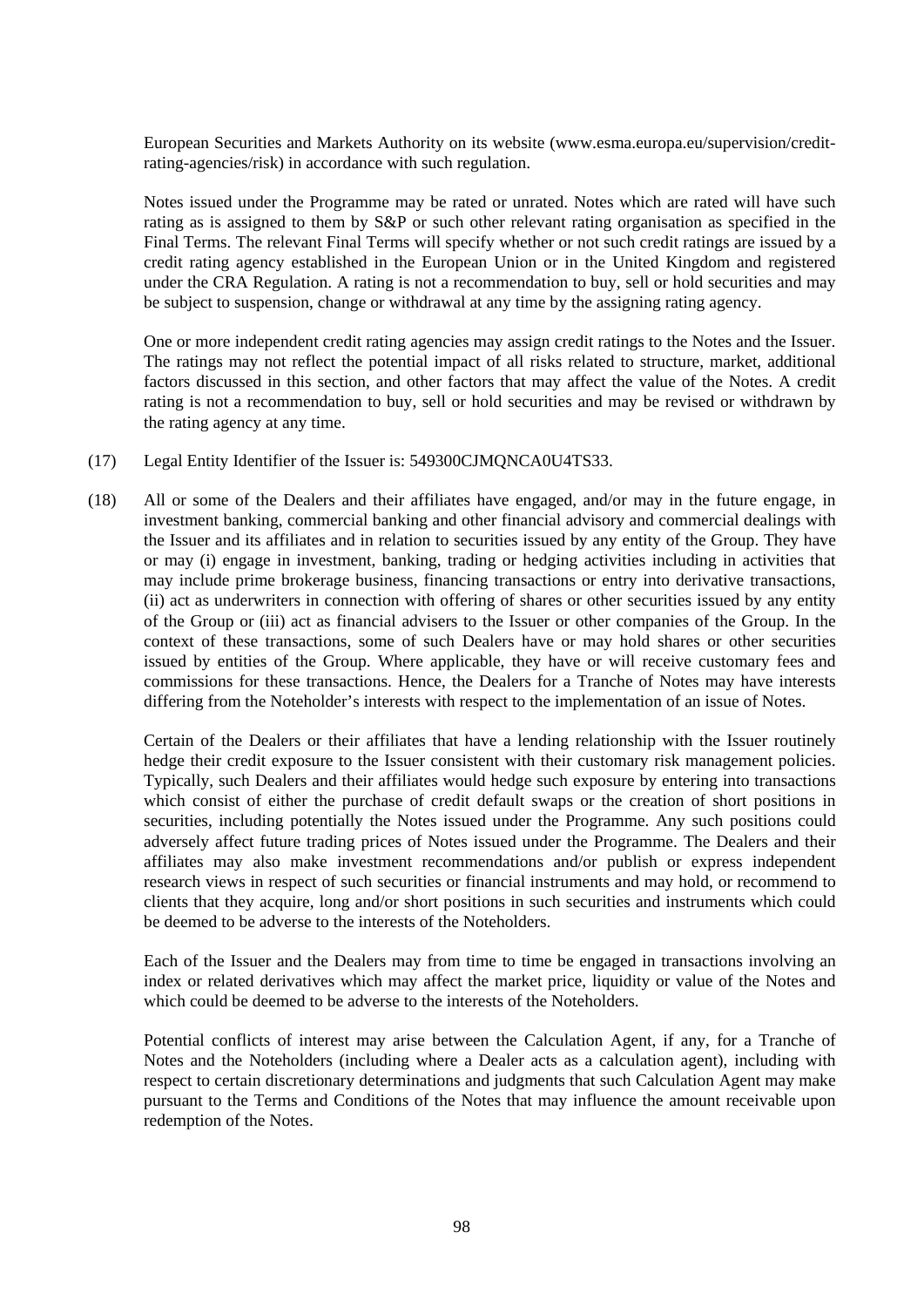European Securities and Markets Authority on its website (www.esma.europa.eu/supervision/creditrating-agencies/risk) in accordance with such regulation.

Notes issued under the Programme may be rated or unrated. Notes which are rated will have such rating as is assigned to them by S&P or such other relevant rating organisation as specified in the Final Terms. The relevant Final Terms will specify whether or not such credit ratings are issued by a credit rating agency established in the European Union or in the United Kingdom and registered under the CRA Regulation. A rating is not a recommendation to buy, sell or hold securities and may be subject to suspension, change or withdrawal at any time by the assigning rating agency.

One or more independent credit rating agencies may assign credit ratings to the Notes and the Issuer. The ratings may not reflect the potential impact of all risks related to structure, market, additional factors discussed in this section, and other factors that may affect the value of the Notes. A credit rating is not a recommendation to buy, sell or hold securities and may be revised or withdrawn by the rating agency at any time.

- (17) Legal Entity Identifier of the Issuer is: 549300CJMQNCA0U4TS33.
- (18) All or some of the Dealers and their affiliates have engaged, and/or may in the future engage, in investment banking, commercial banking and other financial advisory and commercial dealings with the Issuer and its affiliates and in relation to securities issued by any entity of the Group. They have or may (i) engage in investment, banking, trading or hedging activities including in activities that may include prime brokerage business, financing transactions or entry into derivative transactions, (ii) act as underwriters in connection with offering of shares or other securities issued by any entity of the Group or (iii) act as financial advisers to the Issuer or other companies of the Group. In the context of these transactions, some of such Dealers have or may hold shares or other securities issued by entities of the Group. Where applicable, they have or will receive customary fees and commissions for these transactions. Hence, the Dealers for a Tranche of Notes may have interests differing from the Noteholder's interests with respect to the implementation of an issue of Notes.

Certain of the Dealers or their affiliates that have a lending relationship with the Issuer routinely hedge their credit exposure to the Issuer consistent with their customary risk management policies. Typically, such Dealers and their affiliates would hedge such exposure by entering into transactions which consist of either the purchase of credit default swaps or the creation of short positions in securities, including potentially the Notes issued under the Programme. Any such positions could adversely affect future trading prices of Notes issued under the Programme. The Dealers and their affiliates may also make investment recommendations and/or publish or express independent research views in respect of such securities or financial instruments and may hold, or recommend to clients that they acquire, long and/or short positions in such securities and instruments which could be deemed to be adverse to the interests of the Noteholders.

Each of the Issuer and the Dealers may from time to time be engaged in transactions involving an index or related derivatives which may affect the market price, liquidity or value of the Notes and which could be deemed to be adverse to the interests of the Noteholders.

Potential conflicts of interest may arise between the Calculation Agent, if any, for a Tranche of Notes and the Noteholders (including where a Dealer acts as a calculation agent), including with respect to certain discretionary determinations and judgments that such Calculation Agent may make pursuant to the Terms and Conditions of the Notes that may influence the amount receivable upon redemption of the Notes.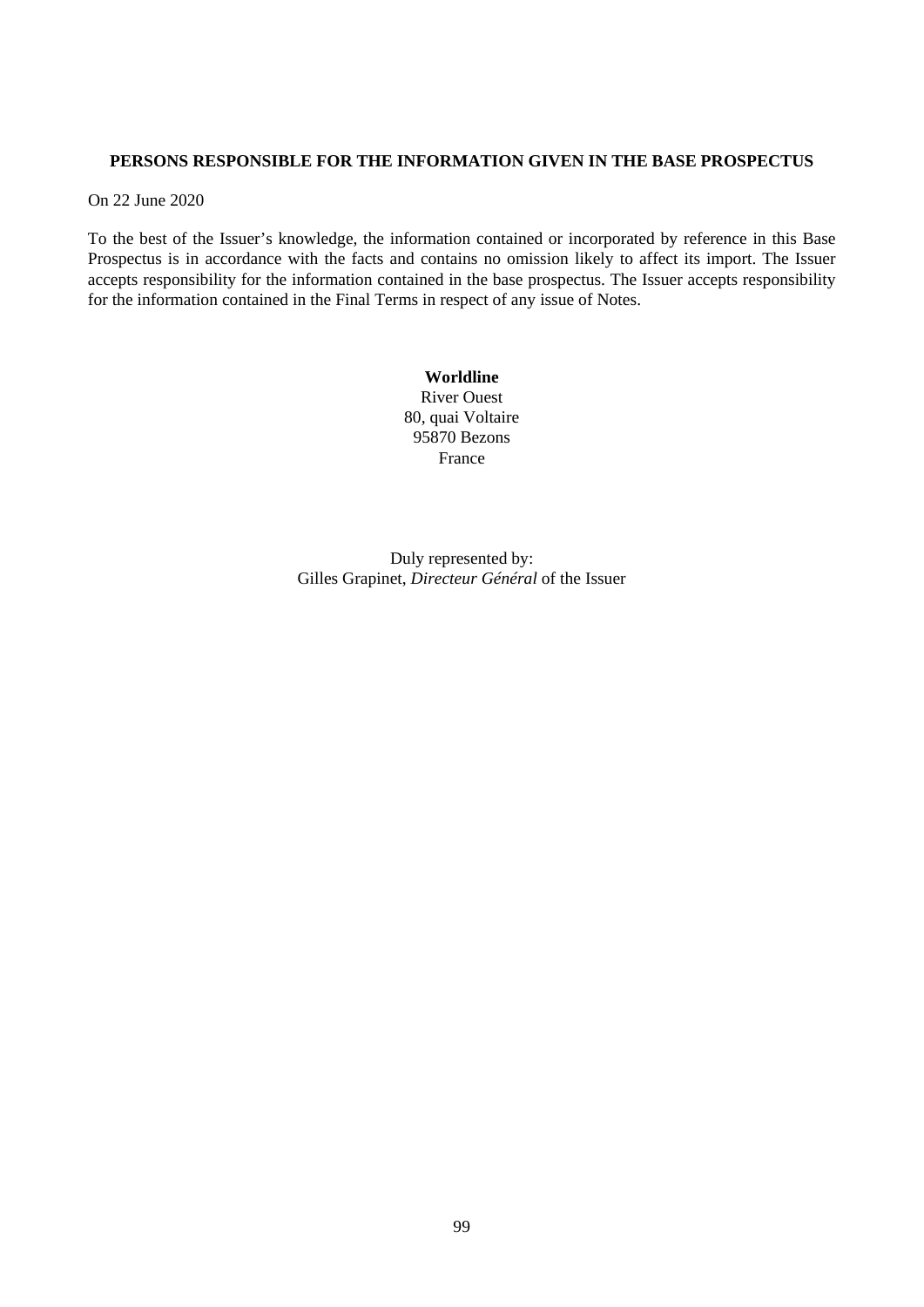# **PERSONS RESPONSIBLE FOR THE INFORMATION GIVEN IN THE BASE PROSPECTUS**

On 22 June 2020

To the best of the Issuer's knowledge, the information contained or incorporated by reference in this Base Prospectus is in accordance with the facts and contains no omission likely to affect its import. The Issuer accepts responsibility for the information contained in the base prospectus. The Issuer accepts responsibility for the information contained in the Final Terms in respect of any issue of Notes.

> **Worldline** River Ouest 80, quai Voltaire 95870 Bezons France

Duly represented by: Gilles Grapinet, *Directeur Général* of the Issuer